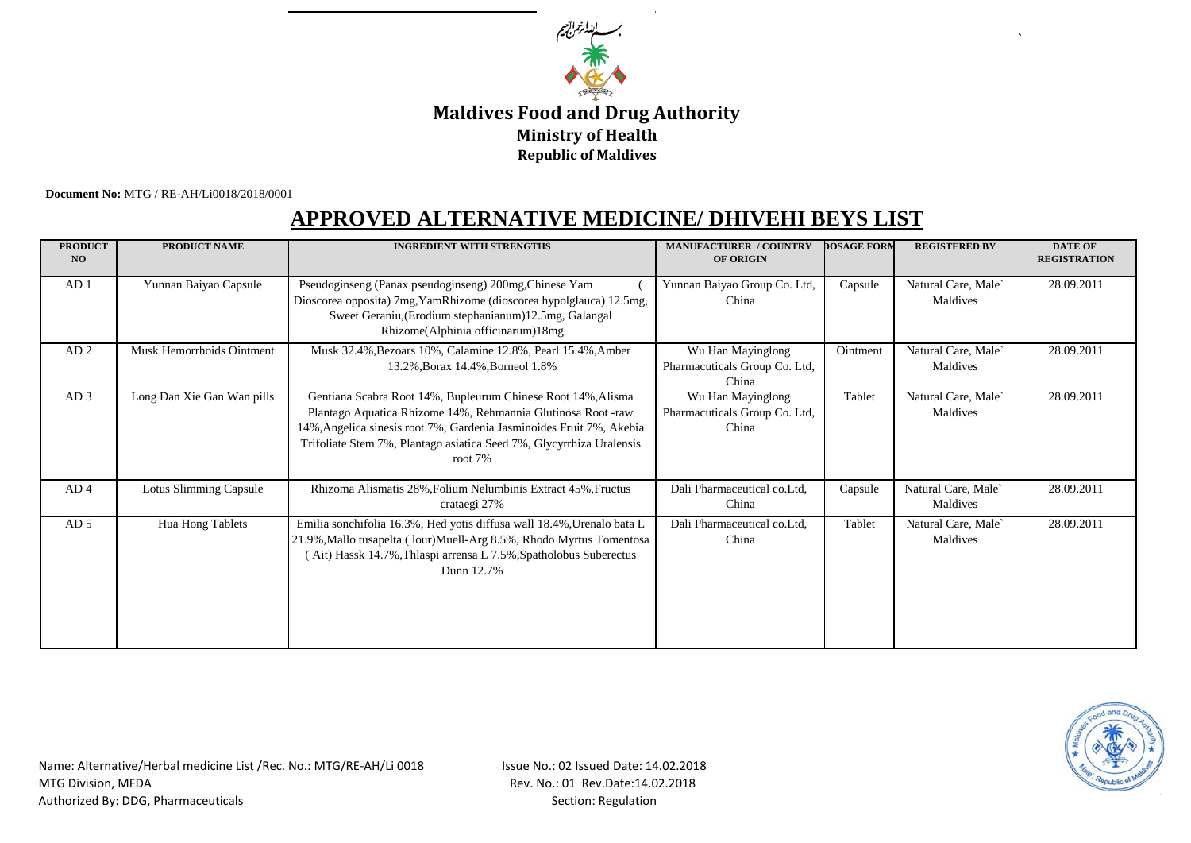

## **Ministry of Health Maldives Food and Drug Authority Republic of Maldives**

 **Document No:** MTG / RE-AH/Li0018/2018/0001

## **APPROVED ALTERNATIVE MEDICINE/ DHIVEHI BEYS LIST**

| <b>PRODUCT</b><br>NO | <b>PRODUCT NAME</b>           | <b>INGREDIENT WITH STRENGTHS</b>                                                                                                                                                                                                                                                        | <b>MANUFACTURER / COUNTRY</b><br><b>OF ORIGIN</b>           | <b>DOSAGE FORM</b> | <b>REGISTERED BY</b>            | <b>DATE OF</b><br><b>REGISTRATION</b> |
|----------------------|-------------------------------|-----------------------------------------------------------------------------------------------------------------------------------------------------------------------------------------------------------------------------------------------------------------------------------------|-------------------------------------------------------------|--------------------|---------------------------------|---------------------------------------|
| AD <sub>1</sub>      | Yunnan Baiyao Capsule         | Pseudoginseng (Panax pseudoginseng) 200mg, Chinese Yam<br>Dioscorea opposita) 7mg, YamRhizome (dioscorea hypolglauca) 12.5mg,<br>Sweet Geraniu, (Erodium stephanianum) 12.5mg, Galangal<br>Rhizome(Alphinia officinarum)18mg                                                            | Yunnan Baiyao Group Co. Ltd,<br>China                       | Capsule            | Natural Care, Male<br>Maldives  | 28.09.2011                            |
| AD <sub>2</sub>      | Musk Hemorrhoids Ointment     | Musk 32.4%, Bezoars 10%, Calamine 12.8%, Pearl 15.4%, Amber<br>13.2%, Borax 14.4%, Borneol 1.8%                                                                                                                                                                                         | Wu Han Mayinglong<br>Pharmacuticals Group Co. Ltd,<br>China | Ointment           | Natural Care, Male<br>Maldives  | 28.09.2011                            |
| AD3                  | Long Dan Xie Gan Wan pills    | Gentiana Scabra Root 14%, Bupleurum Chinese Root 14%, Alisma<br>Plantago Aquatica Rhizome 14%, Rehmannia Glutinosa Root -raw<br>14%, Angelica sinesis root 7%, Gardenia Jasminoides Fruit 7%, Akebia<br>Trifoliate Stem 7%, Plantago asiatica Seed 7%, Glycyrrhiza Uralensis<br>root 7% | Wu Han Mayinglong<br>Pharmacuticals Group Co. Ltd,<br>China | Tablet             | Natural Care, Male`<br>Maldives | 28.09.2011                            |
| AD <sub>4</sub>      | <b>Lotus Slimming Capsule</b> | Rhizoma Alismatis 28%, Folium Nelumbinis Extract 45%, Fructus<br>crataegi 27%                                                                                                                                                                                                           | Dali Pharmaceutical co.Ltd,<br>China                        | Capsule            | Natural Care, Male`<br>Maldives | 28.09.2011                            |
| AD <sub>5</sub>      | Hua Hong Tablets              | Emilia sonchifolia 16.3%, Hed yotis diffusa wall 18.4%, Urenalo bata L<br>21.9%, Mallo tusapelta ( lour) Muell-Arg 8.5%, Rhodo Myrtus Tomentosa<br>(Ait) Hassk 14.7%, Thlaspi arrensa L 7.5%, Spatholobus Suberectus<br>Dunn 12.7%                                                      | Dali Pharmaceutical co.Ltd,<br>China                        | Tablet             | Natural Care, Male<br>Maldives  | 28.09.2011                            |



`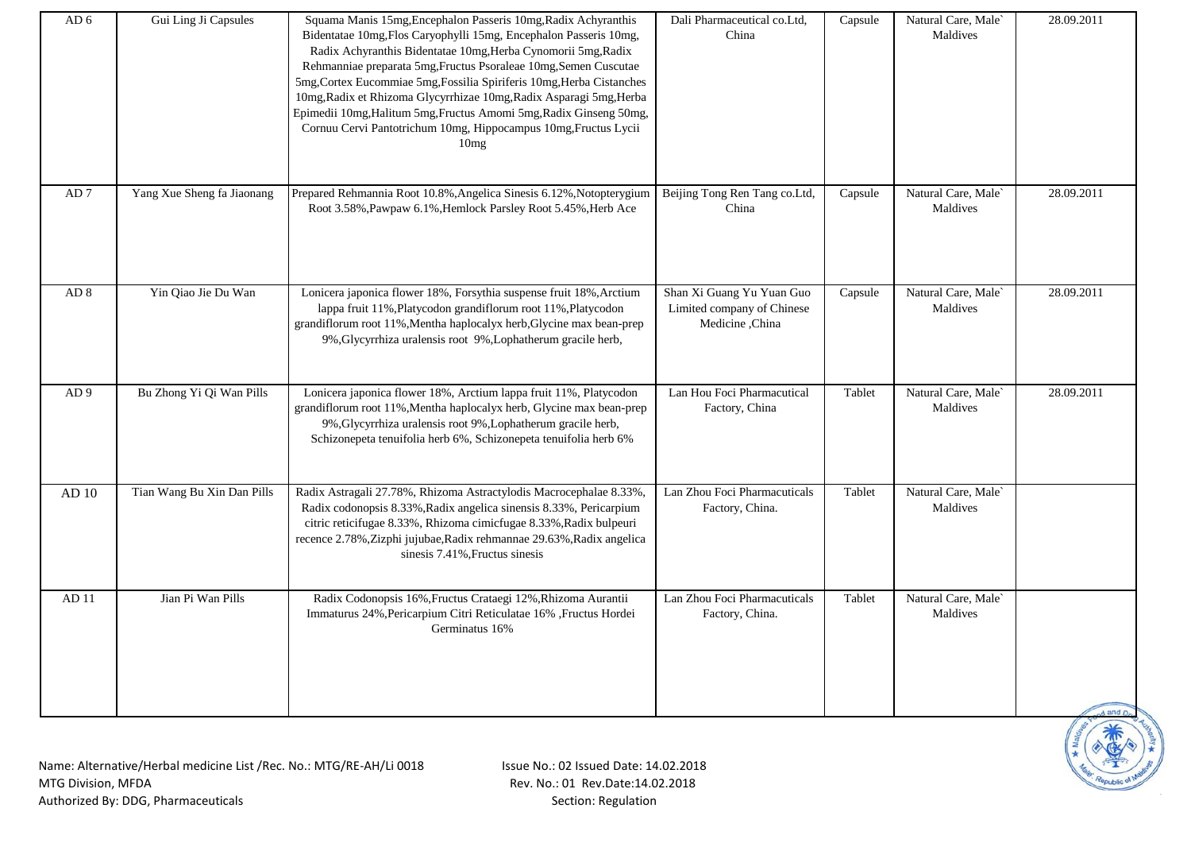| AD <sub>6</sub> | Gui Ling Ji Capsules       | Squama Manis 15mg, Encephalon Passeris 10mg, Radix Achyranthis<br>Bidentatae 10mg, Flos Caryophylli 15mg, Encephalon Passeris 10mg,<br>Radix Achyranthis Bidentatae 10mg, Herba Cynomorii 5mg, Radix<br>Rehmanniae preparata 5mg, Fructus Psoraleae 10mg, Semen Cuscutae<br>5mg, Cortex Eucommiae 5mg, Fossilia Spiriferis 10mg, Herba Cistanches<br>10mg, Radix et Rhizoma Glycyrrhizae 10mg, Radix Asparagi 5mg, Herba<br>Epimedii 10mg, Halitum 5mg, Fructus Amomi 5mg, Radix Ginseng 50mg,<br>Cornuu Cervi Pantotrichum 10mg, Hippocampus 10mg, Fructus Lycii<br>10mg | Dali Pharmaceutical co.Ltd,<br>China                                       | Capsule | Natural Care, Male<br>Maldives | 28.09.2011 |
|-----------------|----------------------------|---------------------------------------------------------------------------------------------------------------------------------------------------------------------------------------------------------------------------------------------------------------------------------------------------------------------------------------------------------------------------------------------------------------------------------------------------------------------------------------------------------------------------------------------------------------------------|----------------------------------------------------------------------------|---------|--------------------------------|------------|
| ${\rm AD}$ 7    | Yang Xue Sheng fa Jiaonang | Prepared Rehmannia Root 10.8%, Angelica Sinesis 6.12%, Notopterygium<br>Root 3.58%, Pawpaw 6.1%, Hemlock Parsley Root 5.45%, Herb Ace                                                                                                                                                                                                                                                                                                                                                                                                                                     | Beijing Tong Ren Tang co.Ltd,<br>China                                     | Capsule | Natural Care, Male<br>Maldives | 28.09.2011 |
| AD <sub>8</sub> | Yin Qiao Jie Du Wan        | Lonicera japonica flower 18%, Forsythia suspense fruit 18%, Arctium<br>lappa fruit 11%, Platycodon grandiflorum root 11%, Platycodon<br>grandiflorum root 11%, Mentha haplocalyx herb, Glycine max bean-prep<br>9%, Glycyrrhiza uralensis root 9%, Lophatherum gracile herb,                                                                                                                                                                                                                                                                                              | Shan Xi Guang Yu Yuan Guo<br>Limited company of Chinese<br>Medicine, China | Capsule | Natural Care, Male<br>Maldives | 28.09.2011 |
| AD <sub>9</sub> | Bu Zhong Yi Qi Wan Pills   | Lonicera japonica flower 18%, Arctium lappa fruit 11%, Platycodon<br>grandiflorum root 11%, Mentha haplocalyx herb, Glycine max bean-prep<br>9%, Glycyrrhiza uralensis root 9%, Lophatherum gracile herb,<br>Schizonepeta tenuifolia herb 6%, Schizonepeta tenuifolia herb 6%                                                                                                                                                                                                                                                                                             | Lan Hou Foci Pharmacutical<br>Factory, China                               | Tablet  | Natural Care, Male<br>Maldives | 28.09.2011 |
| AD 10           | Tian Wang Bu Xin Dan Pills | Radix Astragali 27.78%, Rhizoma Astractylodis Macrocephalae 8.33%,<br>Radix codonopsis 8.33%, Radix angelica sinensis 8.33%, Pericarpium<br>citric reticifugae 8.33%, Rhizoma cimicfugae 8.33%, Radix bulpeuri<br>recence 2.78%, Zizphi jujubae, Radix rehmannae 29.63%, Radix angelica<br>sinesis 7.41%, Fructus sinesis                                                                                                                                                                                                                                                 | Lan Zhou Foci Pharmacuticals<br>Factory, China.                            | Tablet  | Natural Care, Male<br>Maldives |            |
| AD11            | Jian Pi Wan Pills          | Radix Codonopsis 16%, Fructus Crataegi 12%, Rhizoma Aurantii<br>Immaturus 24%, Pericarpium Citri Reticulatae 16%, Fructus Hordei<br>Germinatus 16%                                                                                                                                                                                                                                                                                                                                                                                                                        | Lan Zhou Foci Pharmacuticals<br>Factory, China.                            | Tablet  | Natural Care, Male<br>Maldives |            |

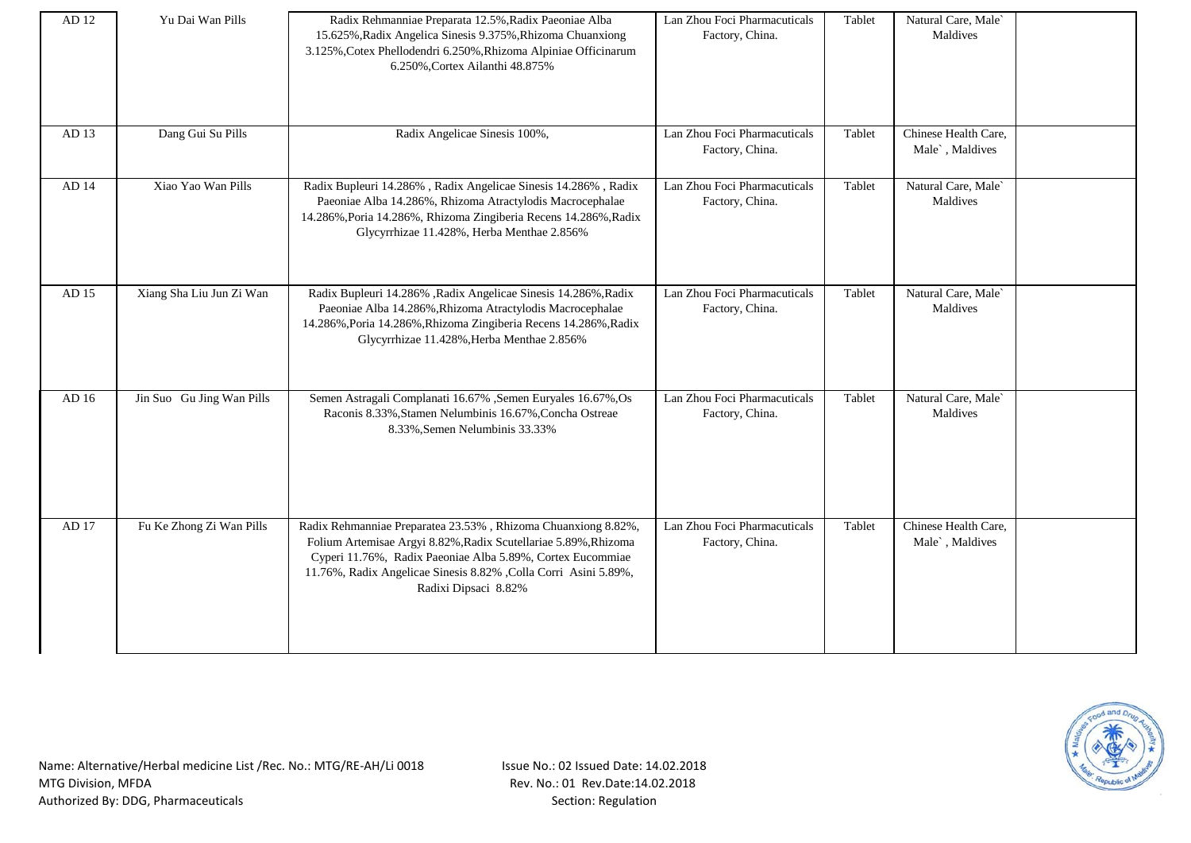| AD 12 | Yu Dai Wan Pills          | Radix Rehmanniae Preparata 12.5%, Radix Paeoniae Alba<br>15.625%, Radix Angelica Sinesis 9.375%, Rhizoma Chuanxiong<br>3.125%, Cotex Phellodendri 6.250%, Rhizoma Alpiniae Officinarum<br>6.250%, Cortex Ailanthi 48.875%                                                                  | Lan Zhou Foci Pharmacuticals<br>Factory, China. | Tablet | Natural Care, Male<br>Maldives          |  |
|-------|---------------------------|--------------------------------------------------------------------------------------------------------------------------------------------------------------------------------------------------------------------------------------------------------------------------------------------|-------------------------------------------------|--------|-----------------------------------------|--|
| AD 13 | Dang Gui Su Pills         | Radix Angelicae Sinesis 100%,                                                                                                                                                                                                                                                              | Lan Zhou Foci Pharmacuticals<br>Factory, China. | Tablet | Chinese Health Care,<br>Male`, Maldives |  |
| AD 14 | Xiao Yao Wan Pills        | Radix Bupleuri 14.286%, Radix Angelicae Sinesis 14.286%, Radix<br>Paeoniae Alba 14.286%, Rhizoma Atractylodis Macrocephalae<br>14.286%, Poria 14.286%, Rhizoma Zingiberia Recens 14.286%, Radix<br>Glycyrrhizae 11.428%, Herba Menthae 2.856%                                              | Lan Zhou Foci Pharmacuticals<br>Factory, China. | Tablet | Natural Care, Male<br>Maldives          |  |
| AD 15 | Xiang Sha Liu Jun Zi Wan  | Radix Bupleuri 14.286% , Radix Angelicae Sinesis 14.286%, Radix<br>Paeoniae Alba 14.286%, Rhizoma Atractylodis Macrocephalae<br>14.286%, Poria 14.286%, Rhizoma Zingiberia Recens 14.286%, Radix<br>Glycyrrhizae 11.428%, Herba Menthae 2.856%                                             | Lan Zhou Foci Pharmacuticals<br>Factory, China. | Tablet | Natural Care, Male<br>Maldives          |  |
| AD 16 | Jin Suo Gu Jing Wan Pills | Semen Astragali Complanati 16.67% , Semen Euryales 16.67%, Os<br>Raconis 8.33%, Stamen Nelumbinis 16.67%, Concha Ostreae<br>8.33%, Semen Nelumbinis 33.33%                                                                                                                                 | Lan Zhou Foci Pharmacuticals<br>Factory, China. | Tablet | Natural Care, Male<br>Maldives          |  |
| AD 17 | Fu Ke Zhong Zi Wan Pills  | Radix Rehmanniae Preparatea 23.53%, Rhizoma Chuanxiong 8.82%,<br>Folium Artemisae Argyi 8.82%, Radix Scutellariae 5.89%, Rhizoma<br>Cyperi 11.76%, Radix Paeoniae Alba 5.89%, Cortex Eucommiae<br>11.76%, Radix Angelicae Sinesis 8.82% , Colla Corri Asini 5.89%,<br>Radixi Dipsaci 8.82% | Lan Zhou Foci Pharmacuticals<br>Factory, China. | Tablet | Chinese Health Care,<br>Male`, Maldives |  |

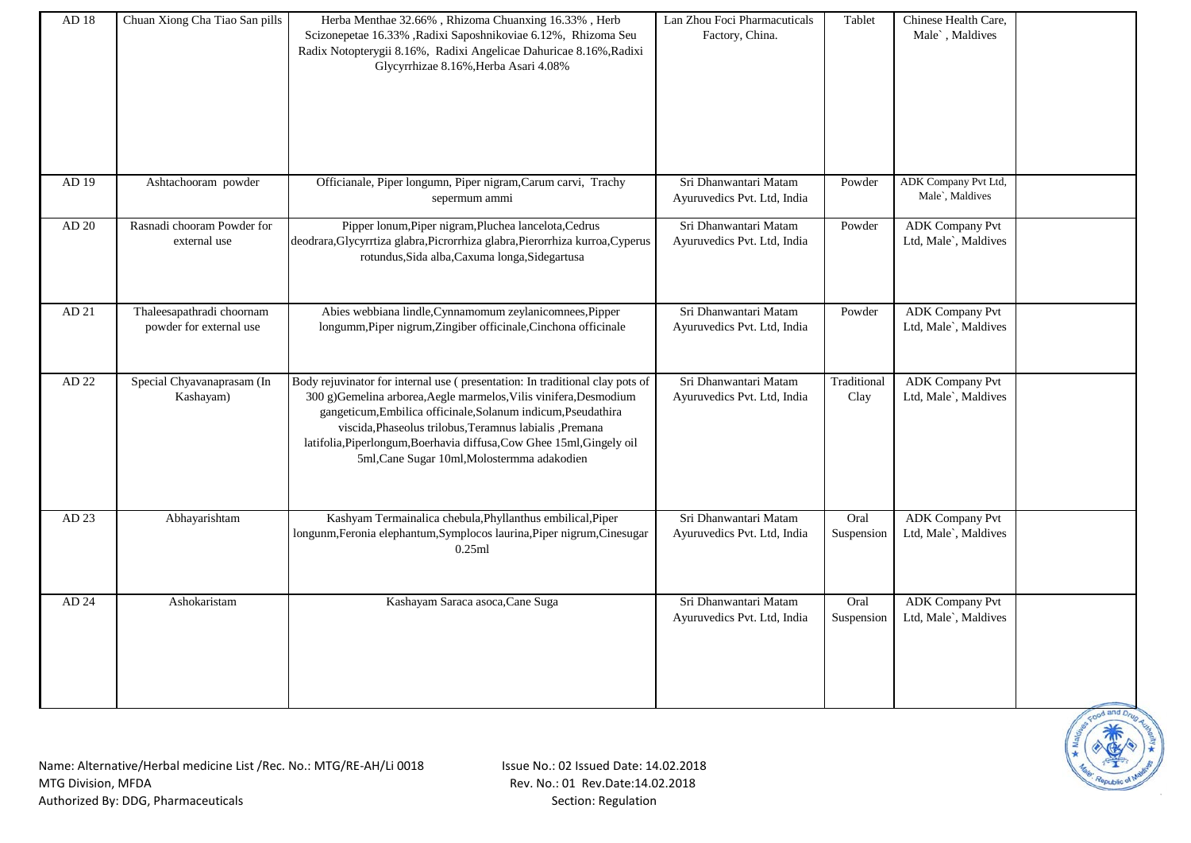| AD 18   | Chuan Xiong Cha Tiao San pills                       | Herba Menthae 32.66%, Rhizoma Chuanxing 16.33%, Herb<br>Scizonepetae 16.33% , Radixi Saposhnikoviae 6.12%, Rhizoma Seu<br>Radix Notopterygii 8.16%, Radixi Angelicae Dahuricae 8.16%, Radixi<br>Glycyrrhizae 8.16%, Herba Asari 4.08%                                                                                                                                                                 | Lan Zhou Foci Pharmacuticals<br>Factory, China.      | Tablet              | Chinese Health Care,<br>Male`, Maldives        |  |
|---------|------------------------------------------------------|-------------------------------------------------------------------------------------------------------------------------------------------------------------------------------------------------------------------------------------------------------------------------------------------------------------------------------------------------------------------------------------------------------|------------------------------------------------------|---------------------|------------------------------------------------|--|
| AD 19   | Ashtachooram powder                                  | Officianale, Piper longumn, Piper nigram, Carum carvi, Trachy<br>sepermum ammi                                                                                                                                                                                                                                                                                                                        | Sri Dhanwantari Matam<br>Ayuruvedics Pvt. Ltd, India | Powder              | ADK Company Pvt Ltd,<br>Male`, Maldives        |  |
| $AD$ 20 | Rasnadi chooram Powder for<br>external use           | Pipper lonum, Piper nigram, Pluchea lancelota, Cedrus<br>deodrara, Glycyrrtiza glabra, Picrorrhiza glabra, Pierorrhiza kurroa, Cyperus<br>rotundus, Sida alba, Caxuma longa, Sidegartusa                                                                                                                                                                                                              | Sri Dhanwantari Matam<br>Ayuruvedics Pvt. Ltd, India | Powder              | <b>ADK</b> Company Pvt<br>Ltd, Male`, Maldives |  |
| AD 21   | Thaleesapathradi choornam<br>powder for external use | Abies webbiana lindle, Cynnamomum zeylanicomnees, Pipper<br>longumm, Piper nigrum, Zingiber officinale, Cinchona officinale                                                                                                                                                                                                                                                                           | Sri Dhanwantari Matam<br>Ayuruvedics Pvt. Ltd, India | Powder              | <b>ADK</b> Company Pvt<br>Ltd, Male`, Maldives |  |
| AD 22   | Special Chyavanaprasam (In<br>Kashayam)              | Body rejuvinator for internal use (presentation: In traditional clay pots of<br>300 g)Gemelina arborea, Aegle marmelos, Vilis vinifera, Desmodium<br>gangeticum, Embilica officinale, Solanum indicum, Pseudathira<br>viscida, Phaseolus trilobus, Teramnus labialis, Premana<br>latifolia, Piperlongum, Boerhavia diffusa, Cow Ghee 15ml, Gingely oil<br>5ml, Cane Sugar 10ml, Molostermma adakodien | Sri Dhanwantari Matam<br>Ayuruvedics Pvt. Ltd, India | Traditional<br>Clay | <b>ADK</b> Company Pvt<br>Ltd, Male`, Maldives |  |
| AD 23   | Abhayarishtam                                        | Kashyam Termainalica chebula, Phyllanthus embilical, Piper<br>longunm, Feronia elephantum, Symplocos laurina, Piper nigrum, Cinesugar<br>0.25ml                                                                                                                                                                                                                                                       | Sri Dhanwantari Matam<br>Ayuruvedics Pvt. Ltd, India | Oral<br>Suspension  | <b>ADK</b> Company Pvt<br>Ltd, Male`, Maldives |  |
| AD 24   | Ashokaristam                                         | Kashayam Saraca asoca, Cane Suga                                                                                                                                                                                                                                                                                                                                                                      | Sri Dhanwantari Matam<br>Ayuruvedics Pvt. Ltd, India | Oral<br>Suspension  | <b>ADK</b> Company Pvt<br>Ltd, Male`, Maldives |  |

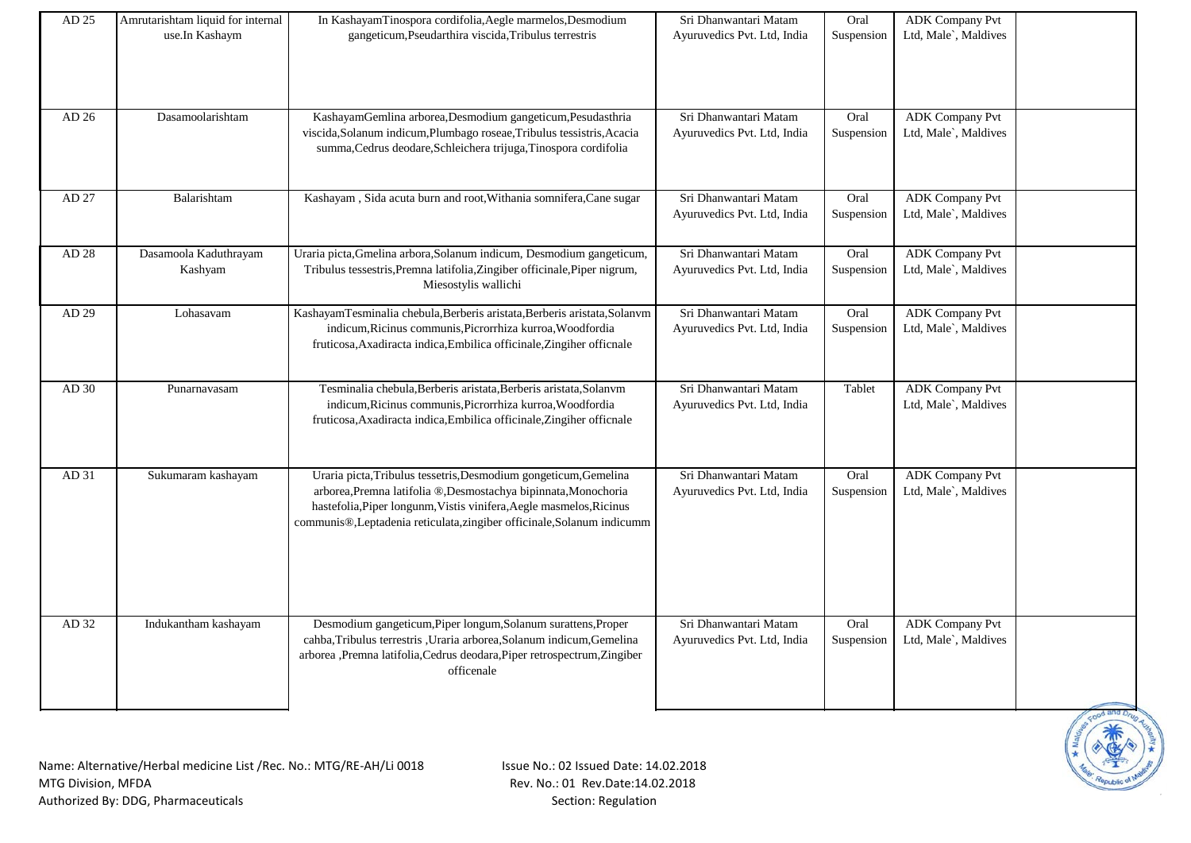| AD 25 | Amrutarishtam liquid for internal | In KashayamTinospora cordifolia, Aegle marmelos, Desmodium                                                                                                   | Sri Dhanwantari Matam       | Oral       | <b>ADK Company Pvt</b> |  |
|-------|-----------------------------------|--------------------------------------------------------------------------------------------------------------------------------------------------------------|-----------------------------|------------|------------------------|--|
|       | use.In Kashaym                    | gangeticum, Pseudarthira viscida, Tribulus terrestris                                                                                                        | Ayuruvedics Pvt. Ltd, India | Suspension | Ltd, Male`, Maldives   |  |
|       |                                   |                                                                                                                                                              |                             |            |                        |  |
|       |                                   |                                                                                                                                                              |                             |            |                        |  |
| AD 26 | Dasamoolarishtam                  | KashayamGemlina arborea, Desmodium gangeticum, Pesudasthria                                                                                                  | Sri Dhanwantari Matam       | Oral       | <b>ADK</b> Company Pvt |  |
|       |                                   | viscida, Solanum indicum, Plumbago roseae, Tribulus tessistris, Acacia<br>summa, Cedrus deodare, Schleichera trijuga, Tinospora cordifolia                   | Ayuruvedics Pvt. Ltd, India | Suspension | Ltd, Male`, Maldives   |  |
| AD 27 | Balarishtam                       | Kashayam, Sida acuta burn and root, Withania somnifera, Cane sugar                                                                                           | Sri Dhanwantari Matam       | Oral       | <b>ADK</b> Company Pvt |  |
|       |                                   |                                                                                                                                                              | Ayuruvedics Pvt. Ltd, India | Suspension | Ltd, Male`, Maldives   |  |
|       |                                   |                                                                                                                                                              |                             |            |                        |  |
| AD 28 | Dasamoola Kaduthrayam             | Uraria picta, Gmelina arbora, Solanum indicum, Desmodium gangeticum,                                                                                         | Sri Dhanwantari Matam       | Oral       | <b>ADK</b> Company Pvt |  |
|       | Kashyam                           | Tribulus tessestris, Premna latifolia, Zingiber officinale, Piper nigrum,<br>Miesostylis wallichi                                                            | Ayuruvedics Pvt. Ltd, India | Suspension | Ltd, Male`, Maldives   |  |
| AD 29 | Lohasavam                         | KashayamTesminalia chebula, Berberis aristata, Berberis aristata, Solanvm                                                                                    | Sri Dhanwantari Matam       | Oral       | <b>ADK</b> Company Pvt |  |
|       |                                   | indicum, Ricinus communis, Picrorrhiza kurroa, Woodfordia<br>fruticosa, Axadiracta indica, Embilica officinale, Zingiher officnale                           | Ayuruvedics Pvt. Ltd, India | Suspension | Ltd, Male`, Maldives   |  |
| AD 30 | Punarnavasam                      | Tesminalia chebula, Berberis aristata, Berberis aristata, Solanym                                                                                            | Sri Dhanwantari Matam       | Tablet     | <b>ADK</b> Company Pvt |  |
|       |                                   | indicum, Ricinus communis, Picrorrhiza kurroa, Woodfordia<br>fruticosa, Axadiracta indica, Embilica officinale, Zingiher officnale                           | Ayuruvedics Pvt. Ltd, India |            | Ltd, Male`, Maldives   |  |
| AD 31 | Sukumaram kashayam                | Uraria picta, Tribulus tessetris, Desmodium gongeticum, Gemelina                                                                                             | Sri Dhanwantari Matam       | Oral       | <b>ADK</b> Company Pvt |  |
|       |                                   | arborea, Premna latifolia ®, Desmostachya bipinnata, Monochoria                                                                                              | Ayuruvedics Pvt. Ltd, India | Suspension | Ltd, Male`, Maldives   |  |
|       |                                   | hastefolia, Piper longunm, Vistis vinifera, Aegle masmelos, Ricinus                                                                                          |                             |            |                        |  |
|       |                                   | communis®,Leptadenia reticulata,zingiber officinale,Solanum indicumm                                                                                         |                             |            |                        |  |
|       |                                   |                                                                                                                                                              |                             |            |                        |  |
|       |                                   |                                                                                                                                                              |                             |            |                        |  |
|       |                                   |                                                                                                                                                              |                             |            |                        |  |
| AD 32 | Indukantham kashayam              | Desmodium gangeticum, Piper longum, Solanum surattens, Proper                                                                                                | Sri Dhanwantari Matam       | Oral       | <b>ADK Company Pvt</b> |  |
|       |                                   | cahba, Tribulus terrestris, Uraria arborea, Solanum indicum, Gemelina<br>arborea ,Premna latifolia,Cedrus deodara,Piper retrospectrum,Zingiber<br>officenale | Ayuruvedics Pvt. Ltd, India | Suspension | Ltd, Male`, Maldives   |  |
|       |                                   |                                                                                                                                                              |                             |            |                        |  |
|       |                                   |                                                                                                                                                              |                             |            |                        |  |



Name: Alternative/Herbal medicine List /Rec. No.: MTG/RE-AH/Li 0018 MTG Division, MFDA Authorized By: DDG, Pharmaceuticals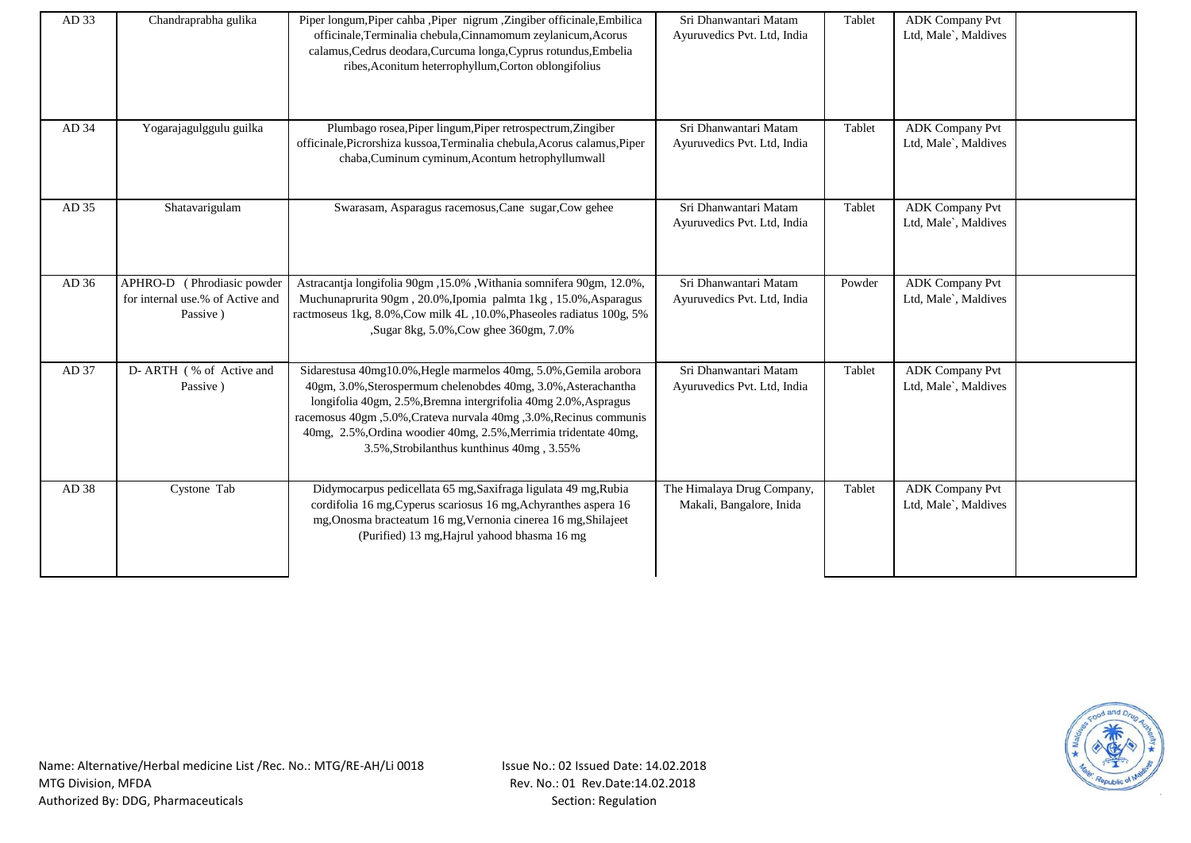| AD 33 | Chandraprabha gulika                                                       | Piper longum, Piper cahba , Piper nigrum , Zingiber officinale, Embilica<br>officinale, Terminalia chebula, Cinnamomum zeylanicum, Acorus<br>calamus, Cedrus deodara, Curcuma longa, Cyprus rotundus, Embelia<br>ribes, Aconitum heterrophyllum, Corton oblongifolius                                                                                                                        | Sri Dhanwantari Matam<br>Ayuruvedics Pvt. Ltd, India   | Tablet | <b>ADK Company Pvt</b><br>Ltd, Male`, Maldives |  |
|-------|----------------------------------------------------------------------------|----------------------------------------------------------------------------------------------------------------------------------------------------------------------------------------------------------------------------------------------------------------------------------------------------------------------------------------------------------------------------------------------|--------------------------------------------------------|--------|------------------------------------------------|--|
| AD 34 | Yogarajagulggulu guilka                                                    | Plumbago rosea, Piper lingum, Piper retrospectrum, Zingiber<br>officinale, Picrorshiza kussoa, Terminalia chebula, Acorus calamus, Piper<br>chaba, Cuminum cyminum, Acontum hetrophyllumwall                                                                                                                                                                                                 | Sri Dhanwantari Matam<br>Ayuruvedics Pvt. Ltd, India   | Tablet | <b>ADK</b> Company Pvt<br>Ltd, Male`, Maldives |  |
| AD 35 | Shatavarigulam                                                             | Swarasam, Asparagus racemosus, Cane sugar, Cow gehee                                                                                                                                                                                                                                                                                                                                         | Sri Dhanwantari Matam<br>Ayuruvedics Pvt. Ltd, India   | Tablet | <b>ADK Company Pvt</b><br>Ltd, Male`, Maldives |  |
| AD 36 | APHRO-D (Phrodiasic powder<br>for internal use.% of Active and<br>Passive) | Astracantja longifolia 90gm, 15.0%, Withania somnifera 90gm, 12.0%,<br>Muchunaprurita 90gm, 20.0%, Ipomia palmta 1kg, 15.0%, Asparagus<br>ractmoseus 1kg, 8.0%, Cow milk 4L, 10.0%, Phaseoles radiatus 100g, 5%<br>,Sugar 8kg, 5.0%,Cow ghee 360gm, 7.0%                                                                                                                                     | Sri Dhanwantari Matam<br>Ayuruvedics Pvt. Ltd, India   | Powder | <b>ADK Company Pvt</b><br>Ltd, Male`, Maldives |  |
| AD 37 | D- ARTH (% of Active and<br>Passive)                                       | Sidarestusa 40mg10.0%, Hegle marmelos 40mg, 5.0%, Gemila arobora<br>40gm, 3.0%, Sterospermum chelenobdes 40mg, 3.0%, Asterachantha<br>longifolia 40gm, 2.5%, Bremna intergrifolia 40mg 2.0%, Aspragus<br>racemosus 40gm, 5.0%, Crateva nurvala 40mg, 3.0%, Recinus communis<br>40mg, 2.5%, Ordina woodier 40mg, 2.5%, Merrimia tridentate 40mg,<br>3.5%, Strobilanthus kunthinus 40mg, 3.55% | Sri Dhanwantari Matam<br>Ayuruvedics Pvt. Ltd, India   | Tablet | <b>ADK Company Pvt</b><br>Ltd, Male`, Maldives |  |
| AD 38 | Cystone Tab                                                                | Didymocarpus pedicellata 65 mg, Saxifraga ligulata 49 mg, Rubia<br>cordifolia 16 mg, Cyperus scariosus 16 mg, Achyranthes aspera 16<br>mg, Onosma bracteatum 16 mg, Vernonia cinerea 16 mg, Shilajeet<br>(Purified) 13 mg, Hajrul yahood bhasma 16 mg                                                                                                                                        | The Himalaya Drug Company,<br>Makali, Bangalore, Inida | Tablet | <b>ADK Company Pvt</b><br>Ltd, Male`, Maldives |  |

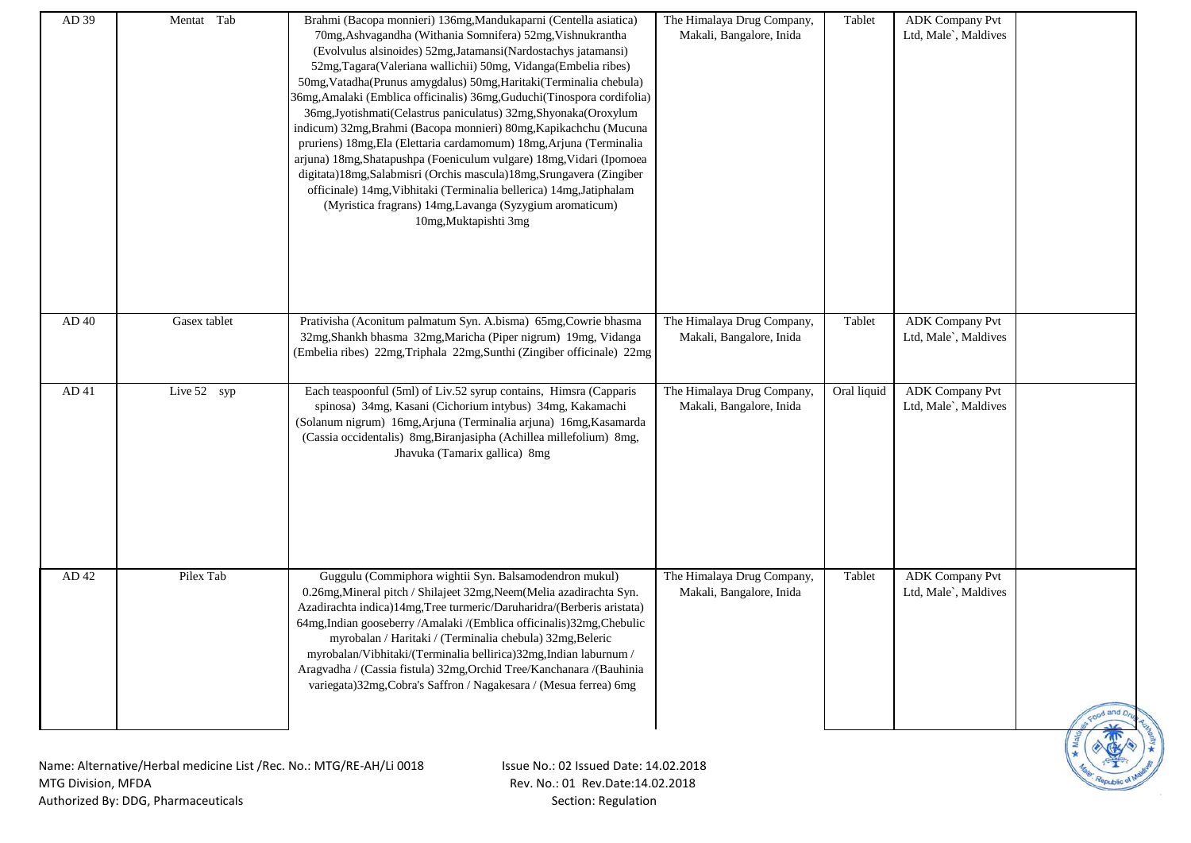| AD 39 | Mentat Tab   | Brahmi (Bacopa monnieri) 136mg, Mandukaparni (Centella asiatica)<br>70mg, Ashvagandha (Withania Somnifera) 52mg, Vishnukrantha<br>(Evolvulus alsinoides) 52mg, Jatamansi (Nardostachys jatamansi)<br>52mg, Tagara(Valeriana wallichii) 50mg, Vidanga(Embelia ribes)<br>50mg, Vatadha(Prunus amygdalus) 50mg, Haritaki(Terminalia chebula)<br>36mg, Amalaki (Emblica officinalis) 36mg, Guduchi (Tinospora cordifolia)<br>36mg,Jyotishmati(Celastrus paniculatus) 32mg,Shyonaka(Oroxylum<br>indicum) 32mg, Brahmi (Bacopa monnieri) 80mg, Kapikachchu (Mucuna<br>pruriens) 18mg, Ela (Elettaria cardamomum) 18mg, Arjuna (Terminalia<br>arjuna) 18mg, Shatapushpa (Foeniculum vulgare) 18mg, Vidari (Ipomoea<br>digitata)18mg,Salabmisri (Orchis mascula)18mg,Srungavera (Zingiber<br>officinale) 14mg, Vibhitaki (Terminalia bellerica) 14mg, Jatiphalam<br>(Myristica fragrans) 14mg, Lavanga (Syzygium aromaticum)<br>10mg, Muktapishti 3mg | The Himalaya Drug Company,<br>Makali, Bangalore, Inida | Tablet      | <b>ADK Company Pvt</b><br>Ltd, Male`, Maldives |           |
|-------|--------------|-----------------------------------------------------------------------------------------------------------------------------------------------------------------------------------------------------------------------------------------------------------------------------------------------------------------------------------------------------------------------------------------------------------------------------------------------------------------------------------------------------------------------------------------------------------------------------------------------------------------------------------------------------------------------------------------------------------------------------------------------------------------------------------------------------------------------------------------------------------------------------------------------------------------------------------------------|--------------------------------------------------------|-------------|------------------------------------------------|-----------|
| AD 40 | Gasex tablet | Prativisha (Aconitum palmatum Syn. A.bisma) 65mg, Cowrie bhasma<br>32mg, Shankh bhasma 32mg, Maricha (Piper nigrum) 19mg, Vidanga<br>(Embelia ribes) 22mg, Triphala 22mg, Sunthi (Zingiber officinale) 22mg                                                                                                                                                                                                                                                                                                                                                                                                                                                                                                                                                                                                                                                                                                                                   | The Himalaya Drug Company,<br>Makali, Bangalore, Inida | Tablet      | <b>ADK Company Pvt</b><br>Ltd, Male`, Maldives |           |
| AD 41 | Live 52 syp  | Each teaspoonful (5ml) of Liv.52 syrup contains, Himsra (Capparis<br>spinosa) 34mg, Kasani (Cichorium intybus) 34mg, Kakamachi<br>(Solanum nigrum) 16mg, Arjuna (Terminalia arjuna) 16mg, Kasamarda<br>(Cassia occidentalis) 8mg, Biranjasipha (Achillea millefolium) 8mg,<br>Jhavuka (Tamarix gallica) 8mg                                                                                                                                                                                                                                                                                                                                                                                                                                                                                                                                                                                                                                   | The Himalaya Drug Company,<br>Makali, Bangalore, Inida | Oral liquid | <b>ADK Company Pvt</b><br>Ltd, Male`, Maldives |           |
| AD 42 | Pilex Tab    | Guggulu (Commiphora wightii Syn. Balsamodendron mukul)<br>0.26mg, Mineral pitch / Shilajeet 32mg, Neem (Melia azadirachta Syn.<br>Azadirachta indica)14mg, Tree turmeric/Daruharidra/(Berberis aristata)<br>64mg,Indian gooseberry /Amalaki /(Emblica officinalis)32mg,Chebulic<br>myrobalan / Haritaki / (Terminalia chebula) 32mg, Beleric<br>myrobalan/Vibhitaki/(Terminalia bellirica)32mg,Indian laburnum /<br>Aragvadha / (Cassia fistula) 32mg, Orchid Tree/Kanchanara /(Bauhinia<br>variegata) 32mg, Cobra's Saffron / Nagakesara / (Mesua ferrea) 6mg                                                                                                                                                                                                                                                                                                                                                                                | The Himalaya Drug Company,<br>Makali, Bangalore, Inida | Tablet      | <b>ADK Company Pvt</b><br>Ltd, Male`, Maldives | ood and D |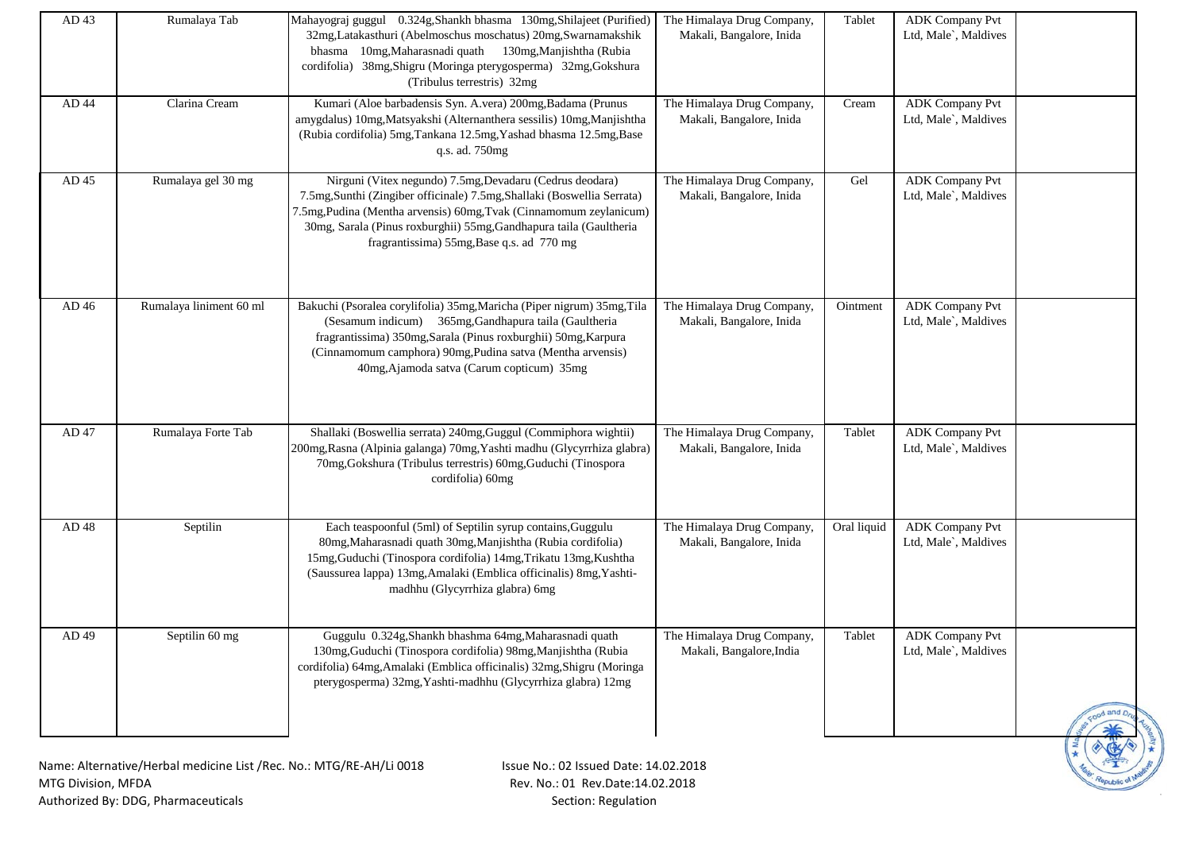| AD 43                | Rumalaya Tab                                                        | Mahayograj guggul 0.324g, Shankh bhasma 130mg, Shilajeet (Purified)<br>32mg,Latakasthuri (Abelmoschus moschatus) 20mg,Swarnamakshik<br>bhasma 10mg, Maharasnadi quath 130mg, Manjishtha (Rubia<br>cordifolia) 38mg, Shigru (Moringa pterygosperma) 32mg, Gokshura<br>(Tribulus terrestris) 32mg                              | The Himalaya Drug Company,<br>Makali, Bangalore, Inida | Tablet      | <b>ADK Company Pvt</b><br>Ltd, Male`, Maldives |           |
|----------------------|---------------------------------------------------------------------|------------------------------------------------------------------------------------------------------------------------------------------------------------------------------------------------------------------------------------------------------------------------------------------------------------------------------|--------------------------------------------------------|-------------|------------------------------------------------|-----------|
| AD 44                | Clarina Cream                                                       | Kumari (Aloe barbadensis Syn. A.vera) 200mg, Badama (Prunus<br>amygdalus) 10mg, Matsyakshi (Alternanthera sessilis) 10mg, Manjishtha<br>(Rubia cordifolia) 5mg, Tankana 12.5mg, Yashad bhasma 12.5mg, Base<br>q.s. ad. 750mg                                                                                                 | The Himalaya Drug Company,<br>Makali, Bangalore, Inida | Cream       | <b>ADK</b> Company Pvt<br>Ltd, Male`, Maldives |           |
| AD 45                | Rumalaya gel 30 mg                                                  | Nirguni (Vitex negundo) 7.5mg, Devadaru (Cedrus deodara)<br>7.5mg, Sunthi (Zingiber officinale) 7.5mg, Shallaki (Boswellia Serrata)<br>7.5mg, Pudina (Mentha arvensis) 60mg, Tvak (Cinnamomum zeylanicum)<br>30mg, Sarala (Pinus roxburghii) 55mg, Gandhapura taila (Gaultheria<br>fragrantissima) 55mg, Base q.s. ad 770 mg | The Himalaya Drug Company,<br>Makali, Bangalore, Inida | Gel         | <b>ADK Company Pvt</b><br>Ltd, Male`, Maldives |           |
| AD 46                | Rumalaya liniment 60 ml                                             | Bakuchi (Psoralea corylifolia) 35mg, Maricha (Piper nigrum) 35mg, Tila<br>(Sesamum indicum) 365mg, Gandhapura taila (Gaultheria<br>fragrantissima) 350mg, Sarala (Pinus roxburghii) 50mg, Karpura<br>(Cinnamomum camphora) 90mg, Pudina satva (Mentha arvensis)<br>40mg, Ajamoda satva (Carum copticum) 35mg                 | The Himalaya Drug Company,<br>Makali, Bangalore, Inida | Ointment    | <b>ADK</b> Company Pvt<br>Ltd, Male`, Maldives |           |
| AD 47                | Rumalaya Forte Tab                                                  | Shallaki (Boswellia serrata) 240mg, Guggul (Commiphora wightii)<br>200mg, Rasna (Alpinia galanga) 70mg, Yashti madhu (Glycyrrhiza glabra)<br>70mg, Gokshura (Tribulus terrestris) 60mg, Guduchi (Tinospora<br>cordifolia) 60mg                                                                                               | The Himalaya Drug Company,<br>Makali, Bangalore, Inida | Tablet      | <b>ADK Company Pvt</b><br>Ltd, Male`, Maldives |           |
| AD 48                | Septilin                                                            | Each teaspoonful (5ml) of Septilin syrup contains, Guggulu<br>80mg, Maharasnadi quath 30mg, Manjishtha (Rubia cordifolia)<br>15mg, Guduchi (Tinospora cordifolia) 14mg, Trikatu 13mg, Kushtha<br>(Saussurea lappa) 13mg, Amalaki (Emblica officinalis) 8mg, Yashti-<br>madhhu (Glycyrrhiza glabra) 6mg                       | The Himalaya Drug Company,<br>Makali, Bangalore, Inida | Oral liquid | <b>ADK Company Pvt</b><br>Ltd, Male`, Maldives |           |
| AD 49                | Septilin 60 mg                                                      | Guggulu 0.324g, Shankh bhashma 64mg, Maharasnadi quath<br>130mg, Guduchi (Tinospora cordifolia) 98mg, Manjishtha (Rubia<br>cordifolia) 64mg, Amalaki (Emblica officinalis) 32mg, Shigru (Moringa<br>pterygosperma) 32mg, Yashti-madhhu (Glycyrrhiza glabra) 12mg                                                             | The Himalaya Drug Company,<br>Makali, Bangalore, India | Tablet      | <b>ADK Company Pvt</b><br>Ltd, Male`, Maldives | ood and p |
| $MTC$ Division $MTD$ | Name: Alternative/Herbal medicine List /Rec. No.: MTG/RE-AH/Li 0018 | Issue No.: 02 Issued Date: 14.02.2018<br>Dou No : 01 Dou Data: 14 03 2010                                                                                                                                                                                                                                                    |                                                        |             |                                                |           |

Republic of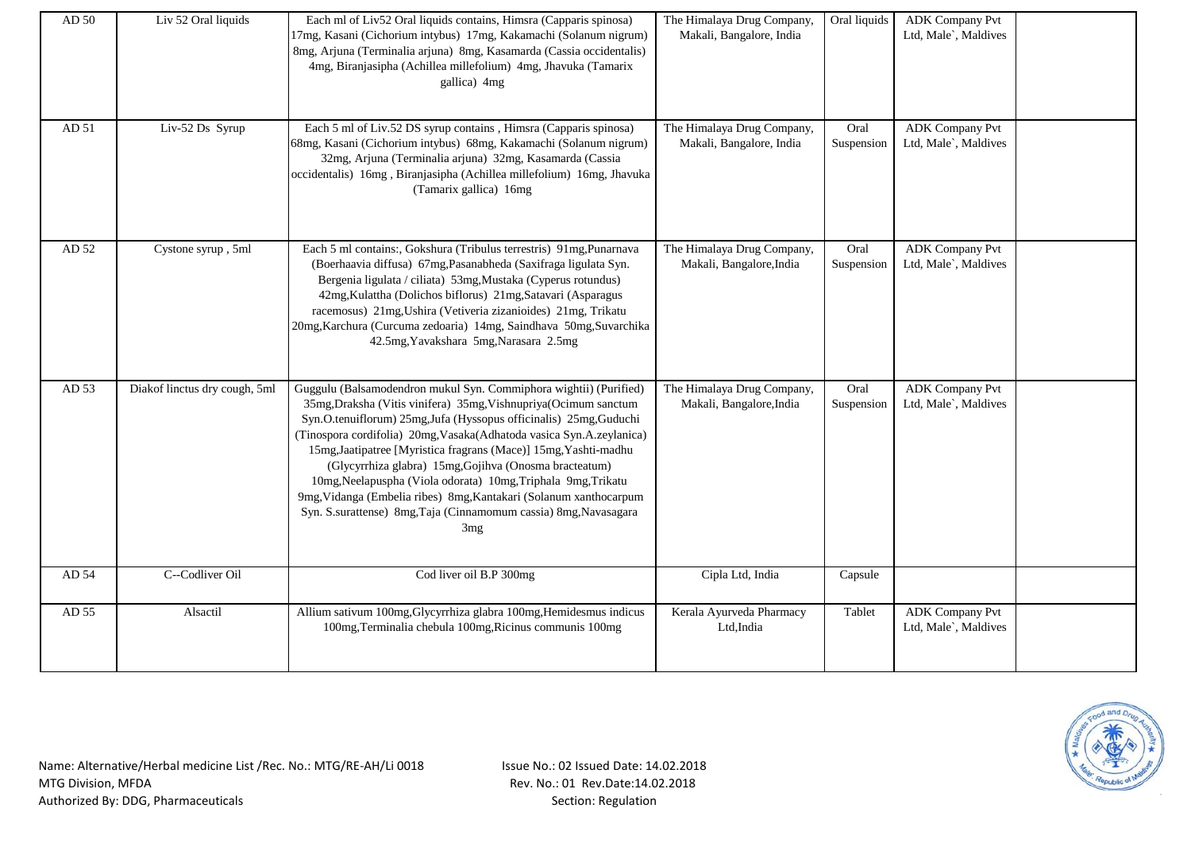| AD 50 | Liv 52 Oral liquids           | Each ml of Liv52 Oral liquids contains, Himsra (Capparis spinosa)<br>17mg, Kasani (Cichorium intybus) 17mg, Kakamachi (Solanum nigrum)<br>8mg, Arjuna (Terminalia arjuna) 8mg, Kasamarda (Cassia occidentalis)<br>4mg, Biranjasipha (Achillea millefolium) 4mg, Jhavuka (Tamarix<br>gallica) 4mg                                                                                                                                                                                                                                                                                                                                             | The Himalaya Drug Company,<br>Makali, Bangalore, India | Oral liquids       | <b>ADK Company Pvt</b><br>Ltd, Male`, Maldives |  |
|-------|-------------------------------|----------------------------------------------------------------------------------------------------------------------------------------------------------------------------------------------------------------------------------------------------------------------------------------------------------------------------------------------------------------------------------------------------------------------------------------------------------------------------------------------------------------------------------------------------------------------------------------------------------------------------------------------|--------------------------------------------------------|--------------------|------------------------------------------------|--|
| AD 51 | Liv-52 Ds Syrup               | Each 5 ml of Liv.52 DS syrup contains, Himsra (Capparis spinosa)<br>68mg, Kasani (Cichorium intybus) 68mg, Kakamachi (Solanum nigrum)<br>32mg, Arjuna (Terminalia arjuna) 32mg, Kasamarda (Cassia<br>occidentalis) 16mg, Biranjasipha (Achillea millefolium) 16mg, Jhavuka<br>(Tamarix gallica) 16mg                                                                                                                                                                                                                                                                                                                                         | The Himalaya Drug Company,<br>Makali, Bangalore, India | Oral<br>Suspension | <b>ADK Company Pvt</b><br>Ltd, Male`, Maldives |  |
| AD 52 | Cystone syrup, 5ml            | Each 5 ml contains:, Gokshura (Tribulus terrestris) 91mg, Punarnava<br>(Boerhaavia diffusa) 67mg, Pasanabheda (Saxifraga ligulata Syn.<br>Bergenia ligulata / ciliata) 53mg, Mustaka (Cyperus rotundus)<br>42mg, Kulattha (Dolichos biflorus) 21mg, Satavari (Asparagus<br>racemosus) 21mg, Ushira (Vetiveria zizanioides) 21mg, Trikatu<br>20mg, Karchura (Curcuma zedoaria) 14mg, Saindhava 50mg, Suvarchika<br>42.5mg, Yavakshara 5mg, Narasara 2.5mg                                                                                                                                                                                     | The Himalaya Drug Company,<br>Makali, Bangalore, India | Oral<br>Suspension | <b>ADK</b> Company Pvt<br>Ltd, Male`, Maldives |  |
| AD 53 | Diakof linctus dry cough, 5ml | Guggulu (Balsamodendron mukul Syn. Commiphora wightii) (Purified)<br>35mg, Draksha (Vitis vinifera) 35mg, Vishnupriya (Ocimum sanctum<br>Syn.O.tenuiflorum) 25mg,Jufa (Hyssopus officinalis) 25mg,Guduchi<br>(Tinospora cordifolia) 20mg, Vasaka(Adhatoda vasica Syn.A.zeylanica)<br>15mg, Jaatipatree [Myristica fragrans (Mace)] 15mg, Yashti-madhu<br>(Glycyrrhiza glabra) 15mg, Gojihva (Onosma bracteatum)<br>10mg, Neelapuspha (Viola odorata) 10mg, Triphala 9mg, Trikatu<br>9mg, Vidanga (Embelia ribes) 8mg, Kantakari (Solanum xanthocarpum<br>Syn. S.surattense) 8mg, Taja (Cinnamomum cassia) 8mg, Navasagara<br>3 <sub>mg</sub> | The Himalaya Drug Company,<br>Makali, Bangalore, India | Oral<br>Suspension | <b>ADK</b> Company Pvt<br>Ltd, Male`, Maldives |  |
| AD 54 | C--Codliver Oil               | Cod liver oil B.P 300mg                                                                                                                                                                                                                                                                                                                                                                                                                                                                                                                                                                                                                      | Cipla Ltd, India                                       | Capsule            |                                                |  |
| AD 55 | Alsactil                      | Allium sativum 100mg, Glycyrrhiza glabra 100mg, Hemidesmus indicus<br>100mg, Terminalia chebula 100mg, Ricinus communis 100mg                                                                                                                                                                                                                                                                                                                                                                                                                                                                                                                | Kerala Ayurveda Pharmacy<br>Ltd, India                 | Tablet             | <b>ADK</b> Company Pvt<br>Ltd, Male`, Maldives |  |

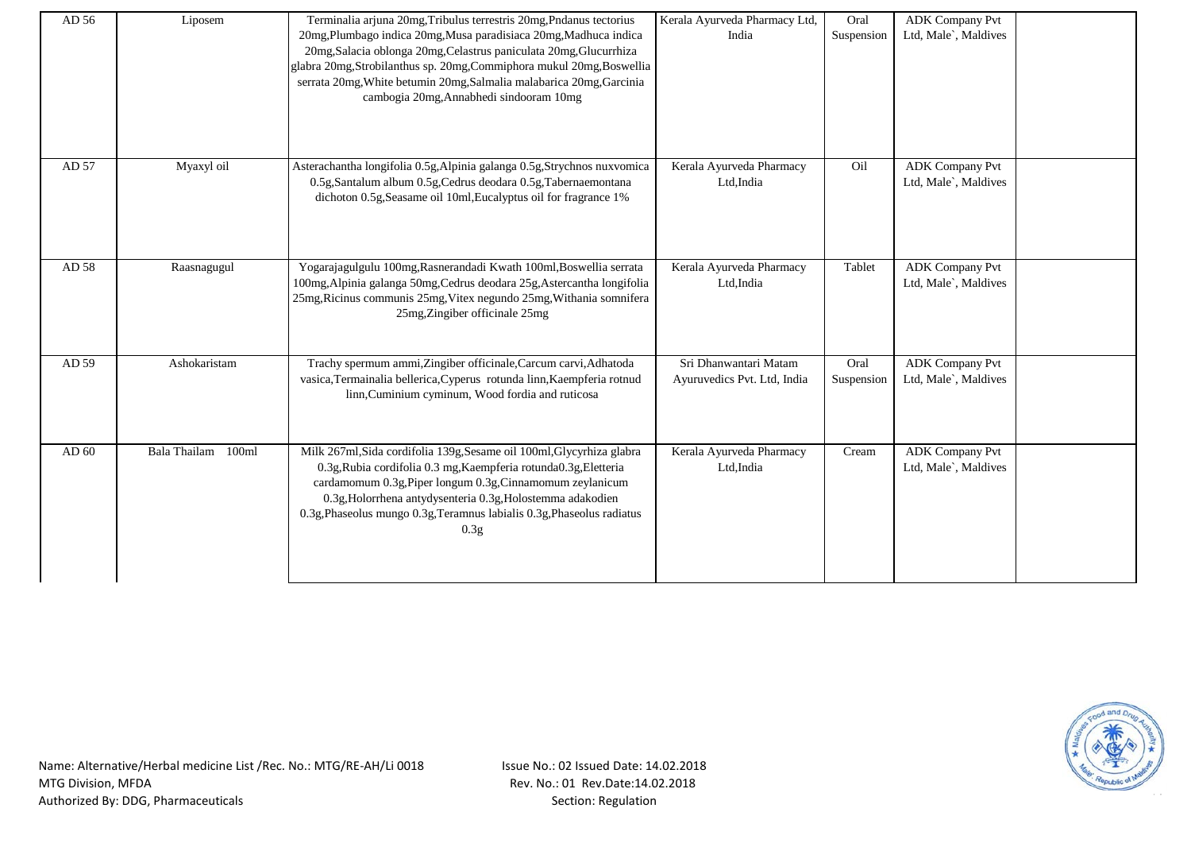| AD 56 | Liposem            | Terminalia arjuna 20mg, Tribulus terrestris 20mg, Pndanus tectorius<br>20mg, Plumbago indica 20mg, Musa paradisiaca 20mg, Madhuca indica<br>20mg, Salacia oblonga 20mg, Celastrus paniculata 20mg, Glucurrhiza<br>glabra 20mg, Strobilanthus sp. 20mg, Commiphora mukul 20mg, Boswellia<br>serrata 20mg, White betumin 20mg, Salmalia malabarica 20mg, Garcinia<br>cambogia 20mg, Annabhedi sindooram 10mg | Kerala Ayurveda Pharmacy Ltd,<br>India               | Oral<br>Suspension | <b>ADK Company Pvt</b><br>Ltd, Male`, Maldives |  |
|-------|--------------------|------------------------------------------------------------------------------------------------------------------------------------------------------------------------------------------------------------------------------------------------------------------------------------------------------------------------------------------------------------------------------------------------------------|------------------------------------------------------|--------------------|------------------------------------------------|--|
| AD 57 | Myaxyl oil         | Asterachantha longifolia 0.5g, Alpinia galanga 0.5g, Strychnos nuxvomica<br>0.5g, Santalum album 0.5g, Cedrus deodara 0.5g, Tabernaemontana<br>dichoton 0.5g, Seasame oil 10ml, Eucalyptus oil for fragrance 1%                                                                                                                                                                                            | Kerala Ayurveda Pharmacy<br>Ltd, India               | Oil                | <b>ADK Company Pvt</b><br>Ltd, Male`, Maldives |  |
| AD 58 | Raasnagugul        | Yogarajagulgulu 100mg, Rasnerandadi Kwath 100ml, Boswellia serrata<br>100mg, Alpinia galanga 50mg, Cedrus deodara 25g, Astercantha longifolia<br>25mg, Ricinus communis 25mg, Vitex negundo 25mg, Withania somnifera<br>25mg, Zingiber officinale 25mg                                                                                                                                                     | Kerala Ayurveda Pharmacy<br>Ltd, India               | Tablet             | <b>ADK Company Pvt</b><br>Ltd, Male`, Maldives |  |
| AD 59 | Ashokaristam       | Trachy spermum ammi, Zingiber officinale, Carcum carvi, Adhatoda<br>vasica, Termainalia bellerica, Cyperus rotunda linn, Kaempferia rotnud<br>linn, Cuminium cyminum, Wood fordia and ruticosa                                                                                                                                                                                                             | Sri Dhanwantari Matam<br>Ayuruvedics Pvt. Ltd, India | Oral<br>Suspension | <b>ADK Company Pvt</b><br>Ltd, Male`, Maldives |  |
| AD 60 | Bala Thailam 100ml | Milk 267ml, Sida cordifolia 139g, Sesame oil 100ml, Glycyrhiza glabra<br>0.3g, Rubia cordifolia 0.3 mg, Kaempferia rotunda0.3g, Eletteria<br>cardamomum 0.3g, Piper longum 0.3g, Cinnamomum zeylanicum<br>0.3g, Holorrhena antydysenteria 0.3g, Holostemma adakodien<br>0.3g, Phaseolus mungo 0.3g, Teramnus labialis 0.3g, Phaseolus radiatus<br>0.3 <sub>g</sub>                                         | Kerala Ayurveda Pharmacy<br>Ltd, India               | Cream              | <b>ADK Company Pvt</b><br>Ltd, Male`, Maldives |  |

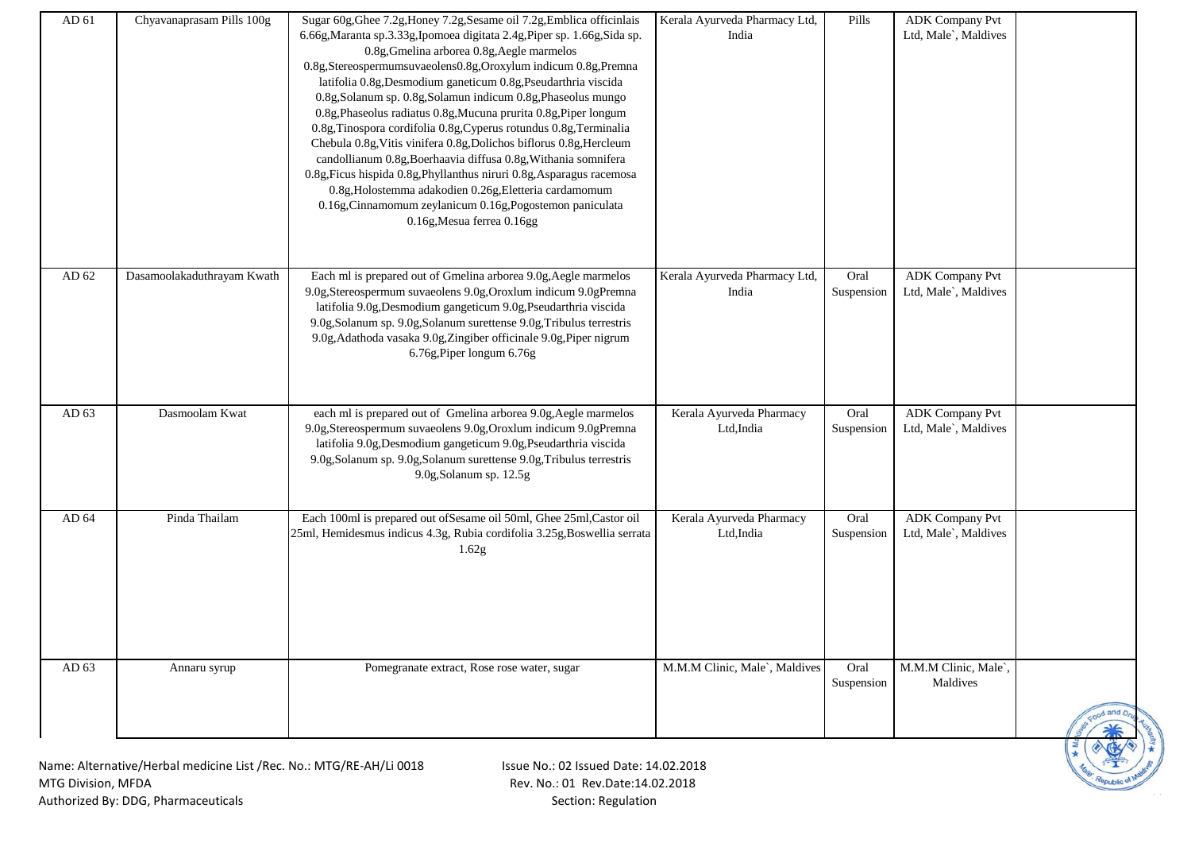| AD 61 | Chyavanaprasam Pills 100g                                           | Sugar 60g, Ghee 7.2g, Honey 7.2g, Sesame oil 7.2g, Emblica officinlais    | Kerala Ayurveda Pharmacy Ltd, | Pills      | <b>ADK Company Pvt</b> |           |
|-------|---------------------------------------------------------------------|---------------------------------------------------------------------------|-------------------------------|------------|------------------------|-----------|
|       |                                                                     | 6.66g, Maranta sp.3.33g, Ipomoea digitata 2.4g, Piper sp. 1.66g, Sida sp. | India                         |            | Ltd, Male`, Maldives   |           |
|       |                                                                     | 0.8g, Gmelina arborea 0.8g, Aegle marmelos                                |                               |            |                        |           |
|       |                                                                     | 0.8g,Stereospermumsuvaeolens0.8g,Oroxylum indicum 0.8g,Premna             |                               |            |                        |           |
|       |                                                                     | latifolia 0.8g, Desmodium ganeticum 0.8g, Pseudarthria viscida            |                               |            |                        |           |
|       |                                                                     | 0.8g, Solanum sp. 0.8g, Solamun indicum 0.8g, Phaseolus mungo             |                               |            |                        |           |
|       |                                                                     | 0.8g, Phaseolus radiatus 0.8g, Mucuna prurita 0.8g, Piper longum          |                               |            |                        |           |
|       |                                                                     | 0.8g, Tinospora cordifolia 0.8g, Cyperus rotundus 0.8g, Terminalia        |                               |            |                        |           |
|       |                                                                     | Chebula 0.8g, Vitis vinifera 0.8g, Dolichos biflorus 0.8g, Hercleum       |                               |            |                        |           |
|       |                                                                     | candollianum 0.8g, Boerhaavia diffusa 0.8g, Withania somnifera            |                               |            |                        |           |
|       |                                                                     | 0.8g, Ficus hispida 0.8g, Phyllanthus niruri 0.8g, Asparagus racemosa     |                               |            |                        |           |
|       |                                                                     | 0.8g, Holostemma adakodien 0.26g, Eletteria cardamomum                    |                               |            |                        |           |
|       |                                                                     | 0.16g, Cinnamomum zeylanicum 0.16g, Pogostemon paniculata                 |                               |            |                        |           |
|       |                                                                     | 0.16g, Mesua ferrea 0.16gg                                                |                               |            |                        |           |
|       |                                                                     |                                                                           |                               |            |                        |           |
|       |                                                                     |                                                                           |                               |            |                        |           |
|       |                                                                     |                                                                           |                               |            |                        |           |
| AD 62 | Dasamoolakaduthrayam Kwath                                          | Each ml is prepared out of Gmelina arborea 9.0g, Aegle marmelos           | Kerala Ayurveda Pharmacy Ltd, | Oral       | <b>ADK Company Pvt</b> |           |
|       |                                                                     | 9.0g, Stereospermum suvaeolens 9.0g, Oroxlum indicum 9.0gPremna           | India                         | Suspension | Ltd, Male`, Maldives   |           |
|       |                                                                     | latifolia 9.0g, Desmodium gangeticum 9.0g, Pseudarthria viscida           |                               |            |                        |           |
|       |                                                                     | 9.0g, Solanum sp. 9.0g, Solanum surettense 9.0g, Tribulus terrestris      |                               |            |                        |           |
|       |                                                                     | 9.0g, Adathoda vasaka 9.0g, Zingiber officinale 9.0g, Piper nigrum        |                               |            |                        |           |
|       |                                                                     | 6.76g, Piper longum 6.76g                                                 |                               |            |                        |           |
|       |                                                                     |                                                                           |                               |            |                        |           |
|       |                                                                     |                                                                           |                               |            |                        |           |
| AD 63 | Dasmoolam Kwat                                                      | each ml is prepared out of Gmelina arborea 9.0g, Aegle marmelos           | Kerala Ayurveda Pharmacy      | Oral       | <b>ADK Company Pvt</b> |           |
|       |                                                                     | 9.0g, Stereospermum suvaeolens 9.0g, Oroxlum indicum 9.0gPremna           | Ltd, India                    | Suspension | Ltd, Male`, Maldives   |           |
|       |                                                                     | latifolia 9.0g, Desmodium gangeticum 9.0g, Pseudarthria viscida           |                               |            |                        |           |
|       |                                                                     | 9.0g, Solanum sp. 9.0g, Solanum surettense 9.0g, Tribulus terrestris      |                               |            |                        |           |
|       |                                                                     | 9.0g, Solanum sp. 12.5g                                                   |                               |            |                        |           |
|       |                                                                     |                                                                           |                               |            |                        |           |
|       |                                                                     |                                                                           |                               |            |                        |           |
| AD 64 | Pinda Thailam                                                       | Each 100ml is prepared out of Sesame oil 50ml, Ghee 25ml, Castor oil      | Kerala Ayurveda Pharmacy      | Oral       | <b>ADK</b> Company Pvt |           |
|       |                                                                     | 25ml, Hemidesmus indicus 4.3g, Rubia cordifolia 3.25g, Boswellia serrata  | Ltd, India                    | Suspension | Ltd, Male`, Maldives   |           |
|       |                                                                     | 1.62g                                                                     |                               |            |                        |           |
|       |                                                                     |                                                                           |                               |            |                        |           |
|       |                                                                     |                                                                           |                               |            |                        |           |
|       |                                                                     |                                                                           |                               |            |                        |           |
|       |                                                                     |                                                                           |                               |            |                        |           |
|       |                                                                     |                                                                           |                               |            |                        |           |
|       |                                                                     |                                                                           |                               |            |                        |           |
| AD 63 | Annaru syrup                                                        | Pomegranate extract, Rose rose water, sugar                               | M.M.M Clinic, Male`, Maldives | Oral       | M.M.M Clinic, Male`,   |           |
|       |                                                                     |                                                                           |                               | Suspension | Maldives               |           |
|       |                                                                     |                                                                           |                               |            |                        |           |
|       |                                                                     |                                                                           |                               |            |                        | ood and D |
|       |                                                                     |                                                                           |                               |            |                        |           |
|       |                                                                     |                                                                           |                               |            |                        |           |
|       | Name: Alternative/Herbal medicine List /Rec. No.: MTG/RE-AH/Li 0018 | Issue No.: 02 Issued Date: 14.02.2018                                     |                               |            |                        |           |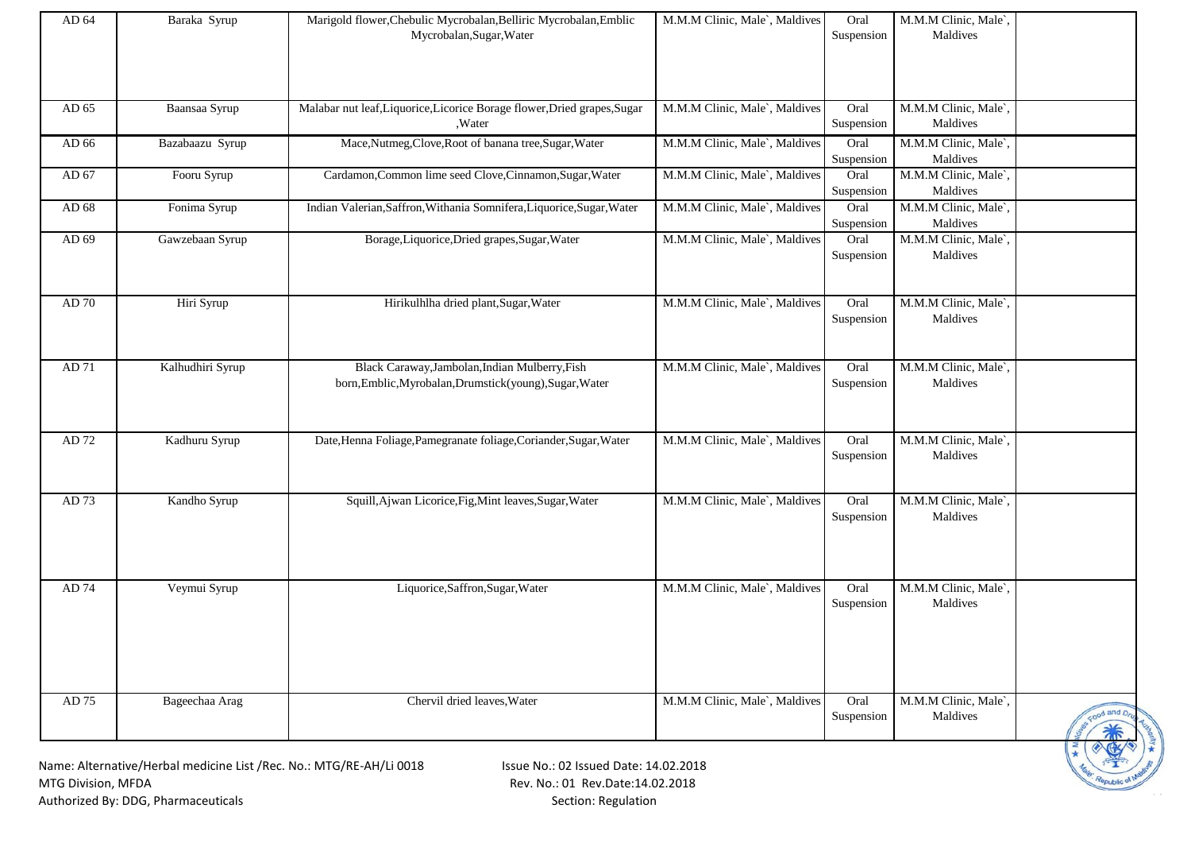| AD 64 | Baraka Syrup     | Marigold flower, Chebulic Mycrobalan, Belliric Mycrobalan, Emblic<br>Mycrobalan, Sugar, Water             | M.M.M Clinic, Male`, Maldives | Oral<br>Suspension | M.M.M Clinic, Male`,<br>Maldives |                  |
|-------|------------------|-----------------------------------------------------------------------------------------------------------|-------------------------------|--------------------|----------------------------------|------------------|
| AD 65 | Baansaa Syrup    | Malabar nut leaf, Liquorice, Licorice Borage flower, Dried grapes, Sugar<br>,Water                        | M.M.M Clinic, Male`, Maldives | Oral<br>Suspension | M.M.M Clinic, Male`,<br>Maldives |                  |
| AD 66 | Bazabaazu Syrup  | Mace,Nutmeg,Clove,Root of banana tree,Sugar,Water                                                         | M.M.M Clinic, Male`, Maldives | Oral<br>Suspension | M.M.M Clinic, Male`,<br>Maldives |                  |
| AD 67 | Fooru Syrup      | Cardamon, Common lime seed Clove, Cinnamon, Sugar, Water                                                  | M.M.M Clinic, Male`, Maldives | Oral<br>Suspension | M.M.M Clinic, Male`,<br>Maldives |                  |
| AD 68 | Fonima Syrup     | Indian Valerian, Saffron, Withania Somnifera, Liquorice, Sugar, Water                                     | M.M.M Clinic, Male`, Maldives | Oral<br>Suspension | M.M.M Clinic, Male<br>Maldives   |                  |
| AD 69 | Gawzebaan Syrup  | Borage, Liquorice, Dried grapes, Sugar, Water                                                             | M.M.M Clinic, Male`, Maldives | Oral<br>Suspension | M.M.M Clinic, Male<br>Maldives   |                  |
| AD 70 | Hiri Syrup       | Hirikulhlha dried plant, Sugar, Water                                                                     | M.M.M Clinic, Male`, Maldives | Oral<br>Suspension | M.M.M Clinic, Male`,<br>Maldives |                  |
| AD 71 | Kalhudhiri Syrup | Black Caraway, Jambolan, Indian Mulberry, Fish<br>born, Emblic, Myrobalan, Drumstick(young), Sugar, Water | M.M.M Clinic, Male`, Maldives | Oral<br>Suspension | M.M.M Clinic, Male<br>Maldives   |                  |
| AD 72 | Kadhuru Syrup    | Date, Henna Foliage, Pamegranate foliage, Coriander, Sugar, Water                                         | M.M.M Clinic, Male`, Maldives | Oral<br>Suspension | M.M.M Clinic, Male`,<br>Maldives |                  |
| AD 73 | Kandho Syrup     | Squill, Ajwan Licorice, Fig, Mint leaves, Sugar, Water                                                    | M.M.M Clinic, Male`, Maldives | Oral<br>Suspension | M.M.M Clinic, Male`<br>Maldives  |                  |
| AD 74 | Veymui Syrup     | Liquorice, Saffron, Sugar, Water                                                                          | M.M.M Clinic, Male`, Maldives | Oral<br>Suspension | M.M.M Clinic, Male`<br>Maldives  |                  |
| AD 75 | Bageechaa Arag   | Chervil dried leaves, Water                                                                               | M.M.M Clinic, Male`, Maldives | Oral<br>Suspension | M.M.M Clinic, Male<br>Maldives   | cood and Dr<br>兼 |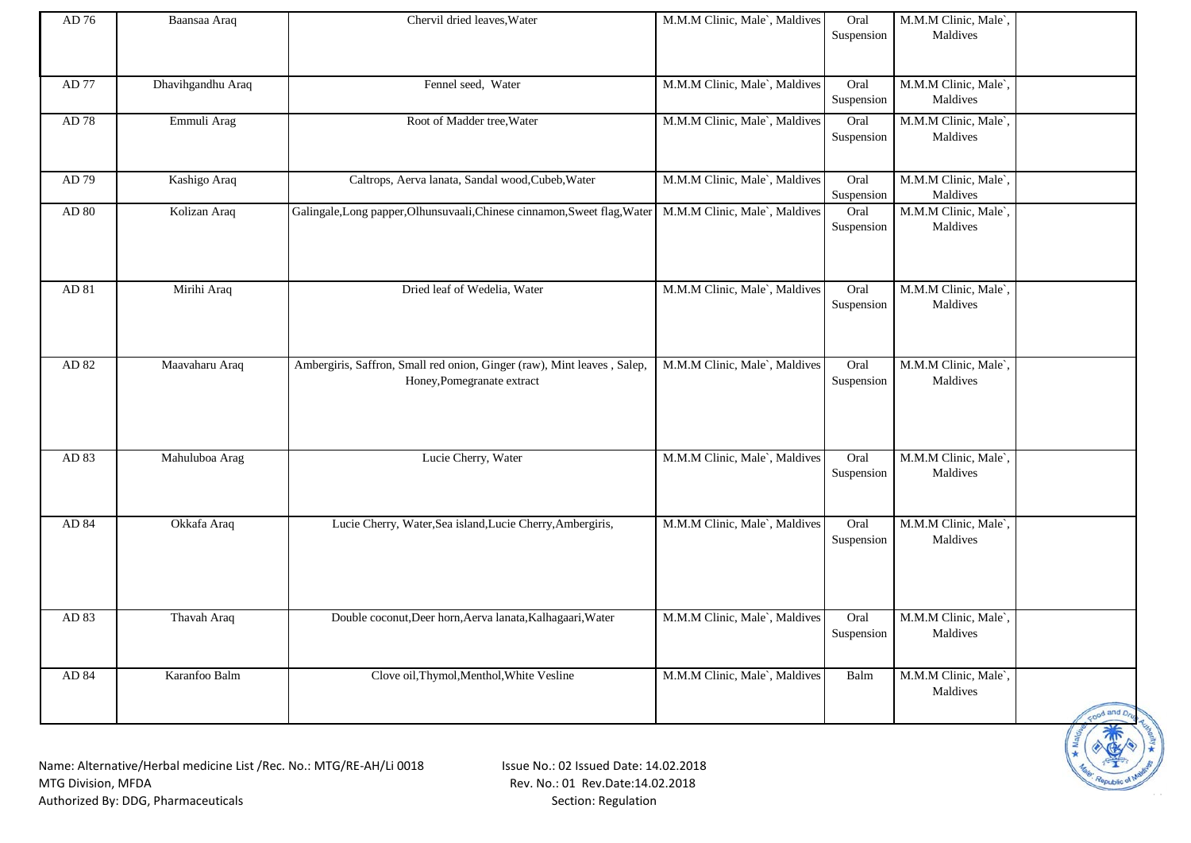| AD 76     | Baansaa Araq      | Chervil dried leaves, Water                                                                               | M.M.M Clinic, Male`, Maldives | Oral<br>Suspension | M.M.M Clinic, Male`,<br>Maldives              |              |
|-----------|-------------------|-----------------------------------------------------------------------------------------------------------|-------------------------------|--------------------|-----------------------------------------------|--------------|
| AD 77     | Dhavihgandhu Araq | Fennel seed, Water                                                                                        | M.M.M Clinic, Male`, Maldives | Oral<br>Suspension | M.M.M Clinic, Male`,<br>Maldives              |              |
| AD 78     | Emmuli Arag       | Root of Madder tree, Water                                                                                | M.M.M Clinic, Male`, Maldives | Oral<br>Suspension | M.M.M Clinic, Male <sup>'</sup> ,<br>Maldives |              |
| AD 79     | Kashigo Araq      | Caltrops, Aerva lanata, Sandal wood, Cubeb, Water                                                         | M.M.M Clinic, Male`, Maldives | Oral<br>Suspension | M.M.M Clinic, Male`,<br>Maldives              |              |
| AD $80\,$ | Kolizan Araq      | Galingale, Long papper, Olhunsuvaali, Chinese cinnamon, Sweet flag, Water   M.M.M Clinic, Male`, Maldives |                               | Oral<br>Suspension | M.M.M Clinic, Male <sup>'</sup> ,<br>Maldives |              |
| AD 81     | Mirihi Araq       | Dried leaf of Wedelia, Water                                                                              | M.M.M Clinic, Male`, Maldives | Oral<br>Suspension | M.M.M Clinic, Male<br>Maldives                |              |
| AD 82     | Maavaharu Araq    | Ambergiris, Saffron, Small red onion, Ginger (raw), Mint leaves, Salep,<br>Honey, Pomegranate extract     | M.M.M Clinic, Male`, Maldives | Oral<br>Suspension | M.M.M Clinic, Male<br>Maldives                |              |
| AD 83     | Mahuluboa Arag    | Lucie Cherry, Water                                                                                       | M.M.M Clinic, Male`, Maldives | Oral<br>Suspension | M.M.M Clinic, Male <sup>'</sup> ,<br>Maldives |              |
| AD 84     | Okkafa Araq       | Lucie Cherry, Water, Sea island, Lucie Cherry, Ambergiris,                                                | M.M.M Clinic, Male`, Maldives | Oral<br>Suspension | M.M.M Clinic, Male <sup>'</sup> ,<br>Maldives |              |
| AD 83     | Thavah Araq       | Double coconut, Deer horn, Aerva lanata, Kalhagaari, Water                                                | M.M.M Clinic, Male`, Maldives | Oral<br>Suspension | M.M.M Clinic, Male`.<br>Maldives              |              |
| AD 84     | Karanfoo Balm     | Clove oil, Thymol, Menthol, White Vesline                                                                 | M.M.M Clinic, Male`, Maldives | Balm               | M.M.M Clinic, Male`,<br>Maldives              | Food and Dru |

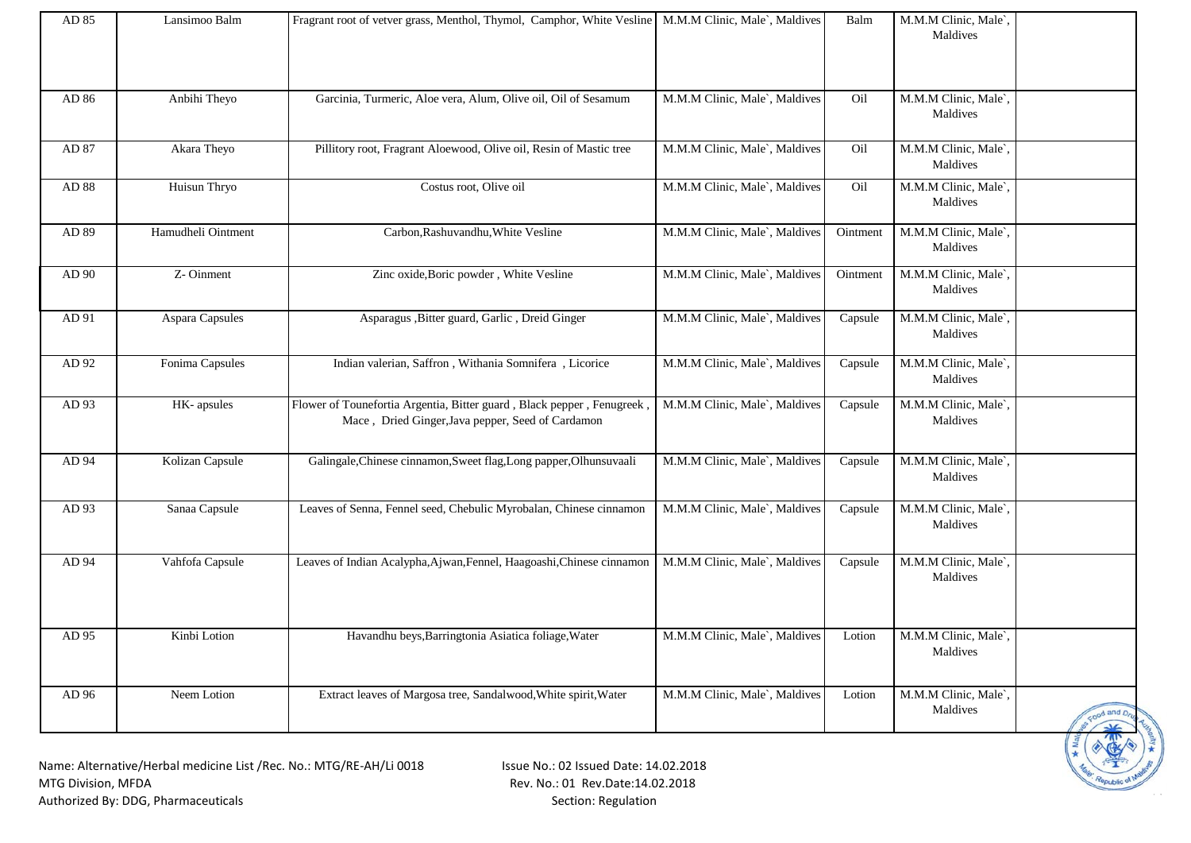| AD 85 | Lansimoo Balm      | Fragrant root of vetver grass, Menthol, Thymol, Camphor, White Vesline   M.M.M Clinic, Male`, Maldives                      |                               | Balm     | M.M.M Clinic, Male`,<br>Maldives |                         |
|-------|--------------------|-----------------------------------------------------------------------------------------------------------------------------|-------------------------------|----------|----------------------------------|-------------------------|
| AD 86 | Anbihi Theyo       | Garcinia, Turmeric, Aloe vera, Alum, Olive oil, Oil of Sesamum                                                              | M.M.M Clinic, Male`, Maldives | Oil      | M.M.M Clinic, Male`<br>Maldives  |                         |
| AD 87 | Akara Theyo        | Pillitory root, Fragrant Aloewood, Olive oil, Resin of Mastic tree                                                          | M.M.M Clinic, Male`, Maldives | Oil      | M.M.M Clinic, Male`,<br>Maldives |                         |
| AD 88 | Huisun Thryo       | Costus root, Olive oil                                                                                                      | M.M.M Clinic, Male`, Maldives | Oil      | M.M.M Clinic, Male`.<br>Maldives |                         |
| AD 89 | Hamudheli Ointment | Carbon, Rashuvandhu, White Vesline                                                                                          | M.M.M Clinic, Male`, Maldives | Ointment | M.M.M Clinic, Male`,<br>Maldives |                         |
| AD 90 | Z-Oinment          | Zinc oxide, Boric powder, White Vesline                                                                                     | M.M.M Clinic, Male`, Maldives | Ointment | M.M.M Clinic, Male`,<br>Maldives |                         |
| AD 91 | Aspara Capsules    | Asparagus , Bitter guard, Garlic, Dreid Ginger                                                                              | M.M.M Clinic, Male`, Maldives | Capsule  | M.M.M Clinic, Male`,<br>Maldives |                         |
| AD 92 | Fonima Capsules    | Indian valerian, Saffron, Withania Somnifera, Licorice                                                                      | M.M.M Clinic, Male`, Maldives | Capsule  | M.M.M Clinic, Male`,<br>Maldives |                         |
| AD 93 | HK-apsules         | Flower of Tounefortia Argentia, Bitter guard, Black pepper, Fenugreek,<br>Mace, Dried Ginger, Java pepper, Seed of Cardamon | M.M.M Clinic, Male`, Maldives | Capsule  | M.M.M Clinic, Male<br>Maldives   |                         |
| AD 94 | Kolizan Capsule    | Galingale, Chinese cinnamon, Sweet flag, Long papper, Olhunsuvaali                                                          | M.M.M Clinic, Male`, Maldives | Capsule  | M.M.M Clinic, Male`,<br>Maldives |                         |
| AD 93 | Sanaa Capsule      | Leaves of Senna, Fennel seed, Chebulic Myrobalan, Chinese cinnamon                                                          | M.M.M Clinic, Male`, Maldives | Capsule  | M.M.M Clinic, Male<br>Maldives   |                         |
| AD 94 | Vahfofa Capsule    | Leaves of Indian Acalypha, Ajwan, Fennel, Haagoashi, Chinese cinnamon                                                       | M.M.M Clinic, Male`, Maldives | Capsule  | M.M.M Clinic, Male`,<br>Maldives |                         |
| AD 95 | Kinbi Lotion       | Havandhu beys, Barringtonia Asiatica foliage, Water                                                                         | M.M.M Clinic, Male`, Maldives | Lotion   | M.M.M Clinic, Male`,<br>Maldives |                         |
| AD 96 | Neem Lotion        | Extract leaves of Margosa tree, Sandalwood, White spirit, Water                                                             | M.M.M Clinic, Male`, Maldives | Lotion   | M.M.M Clinic, Male<br>Maldives   | sood and D <sub>n</sub> |
|       |                    | Name: Alternative/Herbal medicine List /Rec No : MTG/RF-AH/Li 0018<br>Isque No: O2 Issued Date: 14.02.2018                  |                               |          |                                  |                         |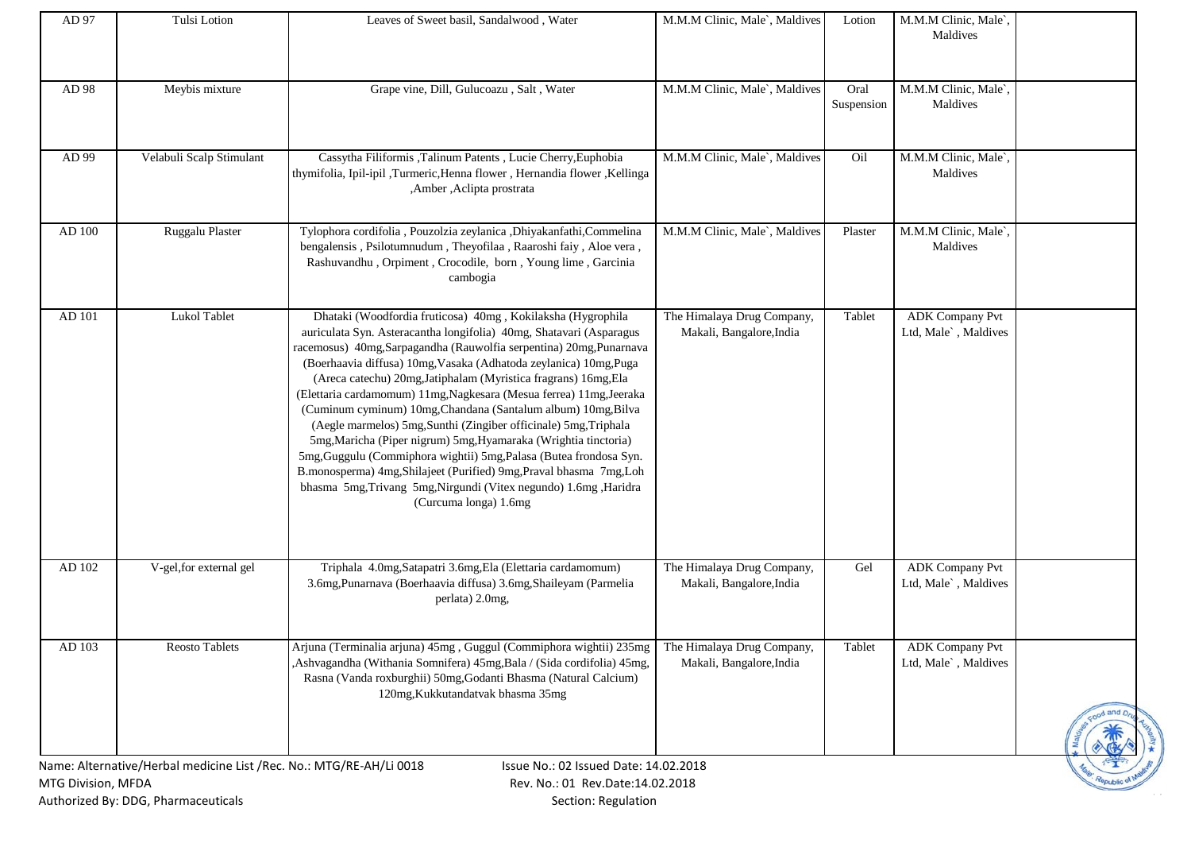| AD 97              | Tulsi Lotion                                                        | Leaves of Sweet basil, Sandalwood, Water                                                                                                                                                                                                                                                                                                                                                                                                                                                                                                                                                                                                                                                                                                                                                                                                                              | M.M.M Clinic, Male`, Maldives                          | Lotion             | M.M.M Clinic, Male`,<br>Maldives               |            |
|--------------------|---------------------------------------------------------------------|-----------------------------------------------------------------------------------------------------------------------------------------------------------------------------------------------------------------------------------------------------------------------------------------------------------------------------------------------------------------------------------------------------------------------------------------------------------------------------------------------------------------------------------------------------------------------------------------------------------------------------------------------------------------------------------------------------------------------------------------------------------------------------------------------------------------------------------------------------------------------|--------------------------------------------------------|--------------------|------------------------------------------------|------------|
| AD 98              | Meybis mixture                                                      | Grape vine, Dill, Gulucoazu, Salt, Water                                                                                                                                                                                                                                                                                                                                                                                                                                                                                                                                                                                                                                                                                                                                                                                                                              | M.M.M Clinic, Male`, Maldives                          | Oral<br>Suspension | M.M.M Clinic, Male`,<br>Maldives               |            |
| AD 99              | Velabuli Scalp Stimulant                                            | Cassytha Filiformis ,Talinum Patents , Lucie Cherry,Euphobia<br>thymifolia, Ipil-ipil ,Turmeric,Henna flower, Hernandia flower, Kellinga<br>,Amber, Aclipta prostrata                                                                                                                                                                                                                                                                                                                                                                                                                                                                                                                                                                                                                                                                                                 | M.M.M Clinic, Male`, Maldives                          | Oil                | M.M.M Clinic, Male`,<br>Maldives               |            |
| AD 100             | Ruggalu Plaster                                                     | Tylophora cordifolia, Pouzolzia zeylanica, Dhiyakanfathi, Commelina<br>bengalensis, Psilotumnudum, Theyofilaa, Raaroshi faiy, Aloe vera,<br>Rashuvandhu, Orpiment, Crocodile, born, Young lime, Garcinia<br>cambogia                                                                                                                                                                                                                                                                                                                                                                                                                                                                                                                                                                                                                                                  | M.M.M Clinic, Male`, Maldives                          | Plaster            | M.M.M Clinic, Male`,<br>Maldives               |            |
| AD 101             | <b>Lukol Tablet</b>                                                 | Dhataki (Woodfordia fruticosa) 40mg, Kokilaksha (Hygrophila<br>auriculata Syn. Asteracantha longifolia) 40mg, Shatavari (Asparagus<br>racemosus) 40mg,Sarpagandha (Rauwolfia serpentina) 20mg,Punarnava<br>(Boerhaavia diffusa) 10mg, Vasaka (Adhatoda zeylanica) 10mg, Puga<br>(Areca catechu) 20mg, Jatiphalam (Myristica fragrans) 16mg, Ela<br>(Elettaria cardamomum) 11mg, Nagkesara (Mesua ferrea) 11mg, Jeeraka<br>(Cuminum cyminum) 10mg, Chandana (Santalum album) 10mg, Bilva<br>(Aegle marmelos) 5mg, Sunthi (Zingiber officinale) 5mg, Triphala<br>5mg, Maricha (Piper nigrum) 5mg, Hyamaraka (Wrightia tinctoria)<br>5mg, Guggulu (Commiphora wightii) 5mg, Palasa (Butea frondosa Syn.<br>B.monosperma) 4mg, Shilajeet (Purified) 9mg, Praval bhasma 7mg, Loh<br>bhasma 5mg,Trivang 5mg,Nirgundi (Vitex negundo) 1.6mg,Haridra<br>(Curcuma longa) 1.6mg | The Himalaya Drug Company,<br>Makali, Bangalore, India | Tablet             | <b>ADK</b> Company Pvt<br>Ltd, Male`, Maldives |            |
| AD 102             | V-gel, for external gel                                             | Triphala 4.0mg, Satapatri 3.6mg, Ela (Elettaria cardamomum)<br>3.6mg, Punarnava (Boerhaavia diffusa) 3.6mg, Shaileyam (Parmelia<br>perlata) 2.0mg,                                                                                                                                                                                                                                                                                                                                                                                                                                                                                                                                                                                                                                                                                                                    | The Himalaya Drug Company,<br>Makali, Bangalore, India | Gel                | <b>ADK Company Pvt</b><br>Ltd, Male`, Maldives |            |
| ${\rm AD}$ 103     | Reosto Tablets                                                      | Arjuna (Terminalia arjuna) 45mg, Guggul (Commiphora wightii) 235mg The Himalaya Drug Company,<br>Ashvagandha (Withania Somnifera) 45mg, Bala / (Sida cordifolia) 45mg,<br>Rasna (Vanda roxburghii) 50mg, Godanti Bhasma (Natural Calcium)<br>120mg, Kukkutandatvak bhasma 35mg                                                                                                                                                                                                                                                                                                                                                                                                                                                                                                                                                                                        | Makali, Bangalore, India                               | Tablet             | <b>ADK</b> Company Pvt<br>Ltd, Male`, Maldives | tood and p |
|                    | Name: Alternative/Herbal medicine List /Rec. No.: MTG/RE-AH/Li 0018 | Issue No.: 02 Issued Date: 14.02.2018                                                                                                                                                                                                                                                                                                                                                                                                                                                                                                                                                                                                                                                                                                                                                                                                                                 |                                                        |                    |                                                |            |
| MTG Division, MFDA |                                                                     | Rev. No.: 01 Rev.Date:14.02.2018                                                                                                                                                                                                                                                                                                                                                                                                                                                                                                                                                                                                                                                                                                                                                                                                                                      |                                                        |                    |                                                |            |
|                    | Authorized By: DDG, Pharmaceuticals                                 | Section: Regulation                                                                                                                                                                                                                                                                                                                                                                                                                                                                                                                                                                                                                                                                                                                                                                                                                                                   |                                                        |                    |                                                |            |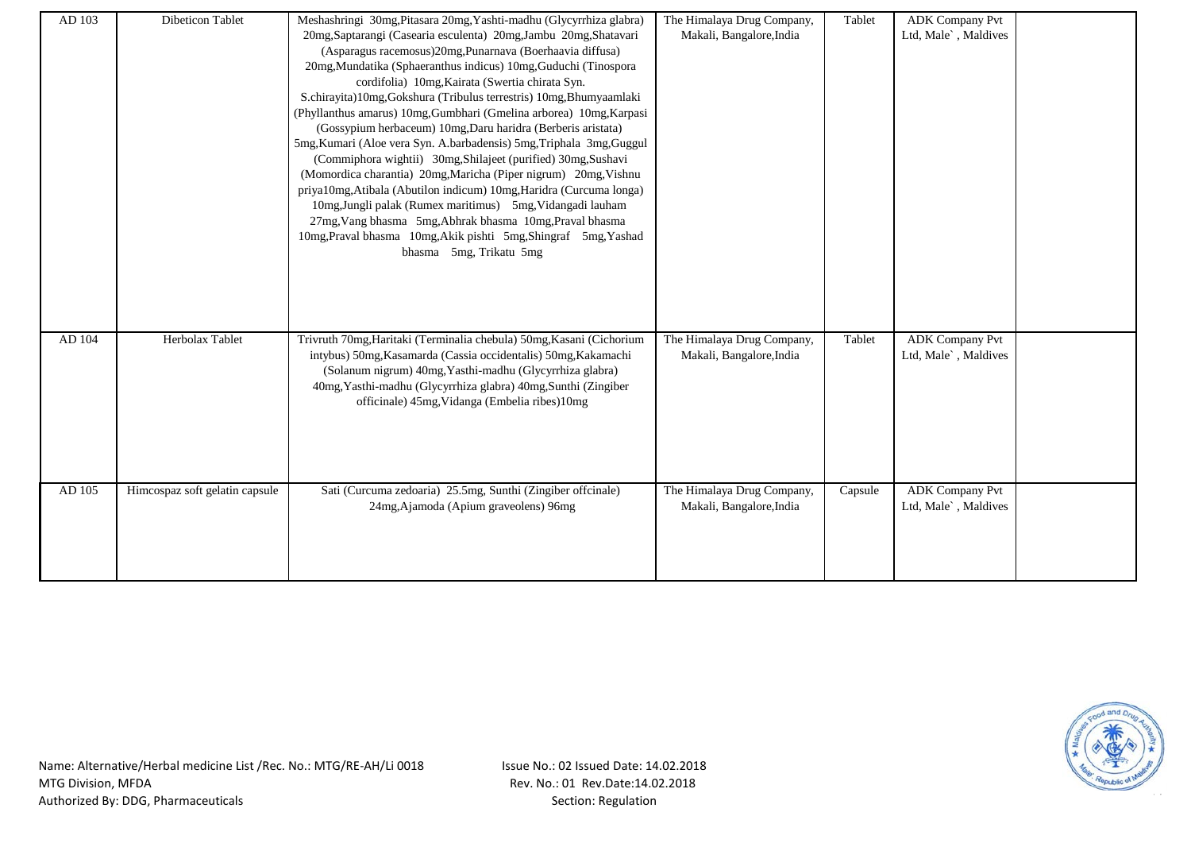| AD 103 | Dibeticon Tablet               | Meshashringi 30mg, Pitasara 20mg, Yashti-madhu (Glycyrrhiza glabra)<br>20mg, Saptarangi (Casearia esculenta) 20mg, Jambu 20mg, Shatavari<br>(Asparagus racemosus)20mg,Punarnava (Boerhaavia diffusa)<br>20mg, Mundatika (Sphaeranthus indicus) 10mg, Guduchi (Tinospora<br>cordifolia) 10mg, Kairata (Swertia chirata Syn.<br>S.chirayita)10mg,Gokshura (Tribulus terrestris) 10mg,Bhumyaamlaki<br>(Phyllanthus amarus) 10mg, Gumbhari (Gmelina arborea) 10mg, Karpasi<br>(Gossypium herbaceum) 10mg, Daru haridra (Berberis aristata)<br>5mg, Kumari (Aloe vera Syn. A.barbadensis) 5mg, Triphala 3mg, Guggul<br>(Commiphora wightii) 30mg, Shilajeet (purified) 30mg, Sushavi<br>(Momordica charantia) 20mg, Maricha (Piper nigrum) 20mg, Vishnu<br>priya10mg,Atibala (Abutilon indicum) 10mg,Haridra (Curcuma longa)<br>10mg, Jungli palak (Rumex maritimus) 5mg, Vidangadi lauham<br>27mg, Vang bhasma 5mg, Abhrak bhasma 10mg, Praval bhasma<br>10mg, Praval bhasma 10mg, Akik pishti 5mg, Shingraf 5mg, Yashad | The Himalaya Drug Company,<br>Makali, Bangalore, India | Tablet  | <b>ADK</b> Company Pvt<br>Ltd, Male`, Maldives |  |
|--------|--------------------------------|----------------------------------------------------------------------------------------------------------------------------------------------------------------------------------------------------------------------------------------------------------------------------------------------------------------------------------------------------------------------------------------------------------------------------------------------------------------------------------------------------------------------------------------------------------------------------------------------------------------------------------------------------------------------------------------------------------------------------------------------------------------------------------------------------------------------------------------------------------------------------------------------------------------------------------------------------------------------------------------------------------------------|--------------------------------------------------------|---------|------------------------------------------------|--|
|        |                                | bhasma 5mg, Trikatu 5mg                                                                                                                                                                                                                                                                                                                                                                                                                                                                                                                                                                                                                                                                                                                                                                                                                                                                                                                                                                                              |                                                        |         |                                                |  |
| AD 104 | Herbolax Tablet                | Trivruth 70mg, Haritaki (Terminalia chebula) 50mg, Kasani (Cichorium<br>intybus) 50mg, Kasamarda (Cassia occidentalis) 50mg, Kakamachi<br>(Solanum nigrum) 40mg, Yasthi-madhu (Glycyrrhiza glabra)<br>40mg, Yasthi-madhu (Glycyrrhiza glabra) 40mg, Sunthi (Zingiber<br>officinale) 45mg, Vidanga (Embelia ribes)10mg                                                                                                                                                                                                                                                                                                                                                                                                                                                                                                                                                                                                                                                                                                | The Himalaya Drug Company,<br>Makali, Bangalore, India | Tablet  | <b>ADK</b> Company Pvt<br>Ltd, Male`, Maldives |  |
| AD 105 | Himcospaz soft gelatin capsule | Sati (Curcuma zedoaria) 25.5mg, Sunthi (Zingiber offcinale)<br>24mg, Ajamoda (Apium graveolens) 96mg                                                                                                                                                                                                                                                                                                                                                                                                                                                                                                                                                                                                                                                                                                                                                                                                                                                                                                                 | The Himalaya Drug Company,<br>Makali, Bangalore, India | Capsule | <b>ADK</b> Company Pvt<br>Ltd, Male`, Maldives |  |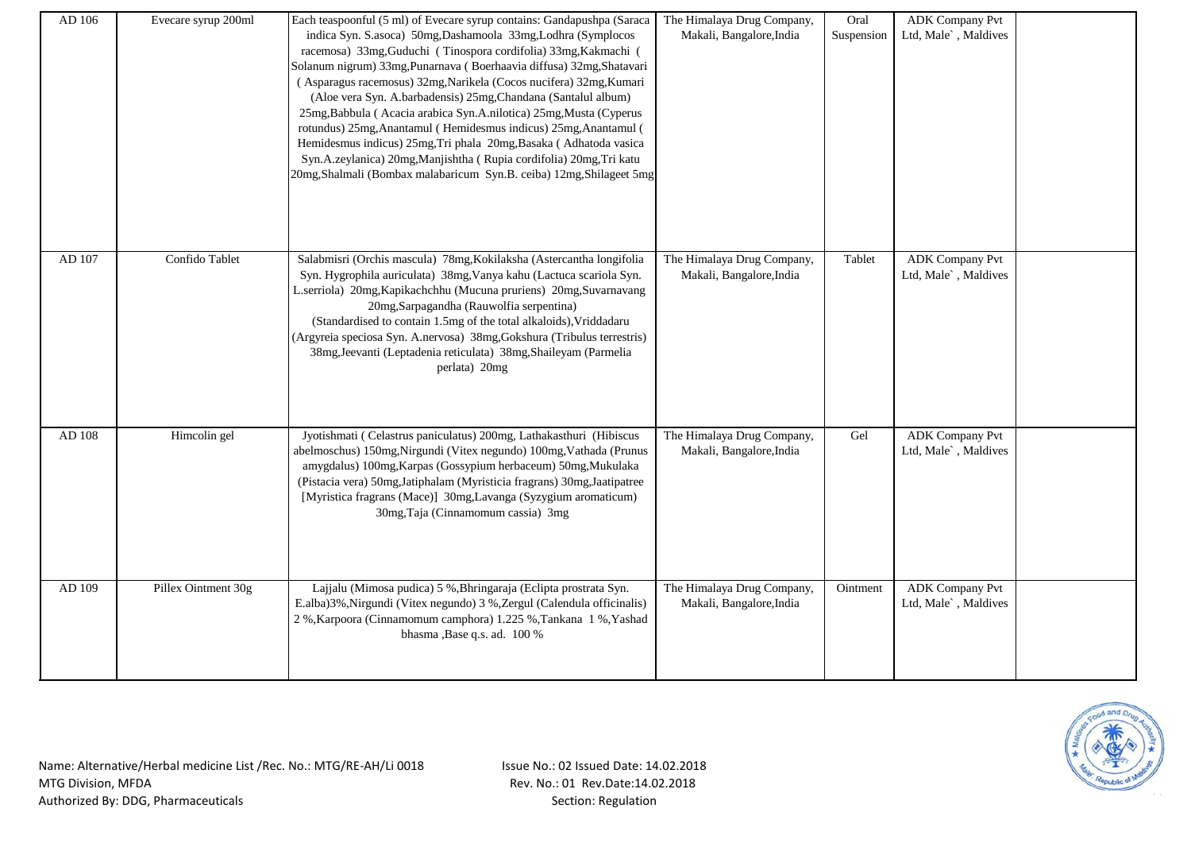| AD 106 | Evecare syrup 200ml | Each teaspoonful (5 ml) of Evecare syrup contains: Gandapushpa (Saraca<br>indica Syn. S.asoca) 50mg, Dashamoola 33mg, Lodhra (Symplocos<br>racemosa) 33mg, Guduchi (Tinospora cordifolia) 33mg, Kakmachi (<br>Solanum nigrum) 33mg, Punarnava (Boerhaavia diffusa) 32mg, Shatavari<br>(Asparagus racemosus) 32mg, Narikela (Cocos nucifera) 32mg, Kumari<br>(Aloe vera Syn. A.barbadensis) 25mg, Chandana (Santalul album)<br>25mg, Babbula (Acacia arabica Syn.A.nilotica) 25mg, Musta (Cyperus<br>rotundus) 25mg, Anantamul (Hemidesmus indicus) 25mg, Anantamul (<br>Hemidesmus indicus) 25mg, Tri phala 20mg, Basaka (Adhatoda vasica<br>Syn.A.zeylanica) 20mg,Manjishtha (Rupia cordifolia) 20mg,Tri katu<br>20mg, Shalmali (Bombax malabaricum Syn.B. ceiba) 12mg, Shilageet 5mg | The Himalaya Drug Company,<br>Makali, Bangalore, India | Oral<br>Suspension | <b>ADK Company Pvt</b><br>Ltd, Male`, Maldives |  |
|--------|---------------------|----------------------------------------------------------------------------------------------------------------------------------------------------------------------------------------------------------------------------------------------------------------------------------------------------------------------------------------------------------------------------------------------------------------------------------------------------------------------------------------------------------------------------------------------------------------------------------------------------------------------------------------------------------------------------------------------------------------------------------------------------------------------------------------|--------------------------------------------------------|--------------------|------------------------------------------------|--|
| AD 107 | Confido Tablet      | Salabmisri (Orchis mascula) 78mg, Kokilaksha (Astercantha longifolia<br>Syn. Hygrophila auriculata) 38mg, Vanya kahu (Lactuca scariola Syn.<br>L.serriola) 20mg, Kapikachchhu (Mucuna pruriens) 20mg, Suvarnavang<br>20mg, Sarpagandha (Rauwolfia serpentina)<br>(Standardised to contain 1.5mg of the total alkaloids), Vriddadaru<br>(Argyreia speciosa Syn. A.nervosa) 38mg, Gokshura (Tribulus terrestris)<br>38mg, Jeevanti (Leptadenia reticulata) 38mg, Shaileyam (Parmelia<br>perlata) 20mg                                                                                                                                                                                                                                                                                    | The Himalaya Drug Company,<br>Makali, Bangalore, India | Tablet             | <b>ADK Company Pvt</b><br>Ltd, Male`, Maldives |  |
| AD 108 | Himcolin gel        | Jyotishmati (Celastrus paniculatus) 200mg, Lathakasthuri (Hibiscus<br>abelmoschus) 150mg, Nirgundi (Vitex negundo) 100mg, Vathada (Prunus<br>amygdalus) 100mg, Karpas (Gossypium herbaceum) 50mg, Mukulaka<br>(Pistacia vera) 50mg, Jatiphalam (Myristicia fragrans) 30mg, Jaatipatree<br>[Myristica fragrans (Mace)] 30mg, Lavanga (Syzygium aromaticum)<br>30mg, Taja (Cinnamomum cassia) 3mg                                                                                                                                                                                                                                                                                                                                                                                        | The Himalaya Drug Company,<br>Makali, Bangalore, India | Gel                | <b>ADK Company Pvt</b><br>Ltd, Male`, Maldives |  |
| AD 109 | Pillex Ointment 30g | Lajjalu (Mimosa pudica) 5 %, Bhringaraja (Eclipta prostrata Syn.<br>E.alba)3%, Nirgundi (Vitex negundo) 3%, Zergul (Calendula officinalis)<br>$2$ %, Karpoora (Cinnamomum camphora) $1.225$ %, Tankana $\,$ 1 %, Yashad<br>bhasma , Base q.s. ad. 100 %                                                                                                                                                                                                                                                                                                                                                                                                                                                                                                                                | The Himalaya Drug Company,<br>Makali, Bangalore, India | Ointment           | <b>ADK Company Pvt</b><br>Ltd, Male`, Maldives |  |

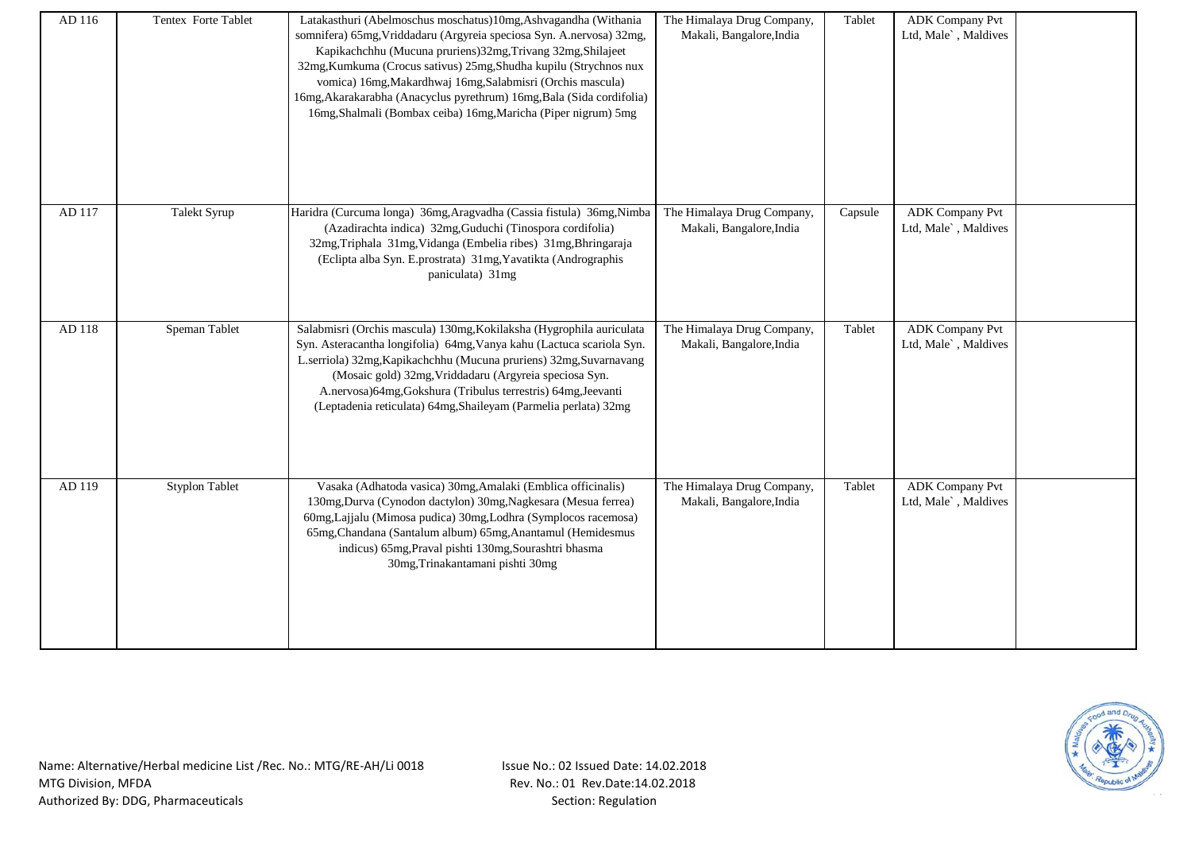| AD 116 | Tentex Forte Tablet   | Latakasthuri (Abelmoschus moschatus)10mg,Ashvagandha (Withania<br>somnifera) 65mg, Vriddadaru (Argyreia speciosa Syn. A.nervosa) 32mg,<br>Kapikachchhu (Mucuna pruriens)32mg, Trivang 32mg, Shilajeet<br>32mg, Kumkuma (Crocus sativus) 25mg, Shudha kupilu (Strychnos nux<br>vomica) 16mg, Makardhwaj 16mg, Salabmisri (Orchis mascula)<br>16mg, Akarakarabha (Anacyclus pyrethrum) 16mg, Bala (Sida cordifolia)<br>16mg, Shalmali (Bombax ceiba) 16mg, Maricha (Piper nigrum) 5mg | The Himalaya Drug Company,<br>Makali, Bangalore, India | Tablet  | <b>ADK Company Pvt</b><br>Ltd, Male`, Maldives |  |
|--------|-----------------------|-------------------------------------------------------------------------------------------------------------------------------------------------------------------------------------------------------------------------------------------------------------------------------------------------------------------------------------------------------------------------------------------------------------------------------------------------------------------------------------|--------------------------------------------------------|---------|------------------------------------------------|--|
| AD 117 | Talekt Syrup          | Haridra (Curcuma longa) 36mg, Aragvadha (Cassia fistula) 36mg, Nimba<br>(Azadirachta indica) 32mg, Guduchi (Tinospora cordifolia)<br>32mg, Triphala 31mg, Vidanga (Embelia ribes) 31mg, Bhringaraja<br>(Eclipta alba Syn. E.prostrata) 31mg, Yavatikta (Andrographis<br>paniculata) 31mg                                                                                                                                                                                            | The Himalaya Drug Company,<br>Makali, Bangalore, India | Capsule | <b>ADK Company Pvt</b><br>Ltd, Male`, Maldives |  |
| AD 118 | Speman Tablet         | Salabmisri (Orchis mascula) 130mg, Kokilaksha (Hygrophila auriculata<br>Syn. Asteracantha longifolia) 64mg, Vanya kahu (Lactuca scariola Syn.<br>L.serriola) 32mg, Kapikachchhu (Mucuna pruriens) 32mg, Suvarnavang<br>(Mosaic gold) 32mg, Vriddadaru (Argyreia speciosa Syn.<br>A.nervosa)64mg,Gokshura (Tribulus terrestris) 64mg,Jeevanti<br>(Leptadenia reticulata) 64mg, Shaileyam (Parmelia perlata) 32mg                                                                     | The Himalaya Drug Company,<br>Makali, Bangalore, India | Tablet  | <b>ADK Company Pvt</b><br>Ltd, Male`, Maldives |  |
| AD 119 | <b>Styplon Tablet</b> | Vasaka (Adhatoda vasica) 30mg, Amalaki (Emblica officinalis)<br>130mg, Durva (Cynodon dactylon) 30mg, Nagkesara (Mesua ferrea)<br>60mg, Lajjalu (Mimosa pudica) 30mg, Lodhra (Symplocos racemosa)<br>65mg, Chandana (Santalum album) 65mg, Anantamul (Hemidesmus<br>indicus) 65mg, Praval pishti 130mg, Sourashtri bhasma<br>30mg, Trinakantamani pishti 30mg                                                                                                                       | The Himalaya Drug Company,<br>Makali, Bangalore, India | Tablet  | <b>ADK</b> Company Pvt<br>Ltd, Male`, Maldives |  |

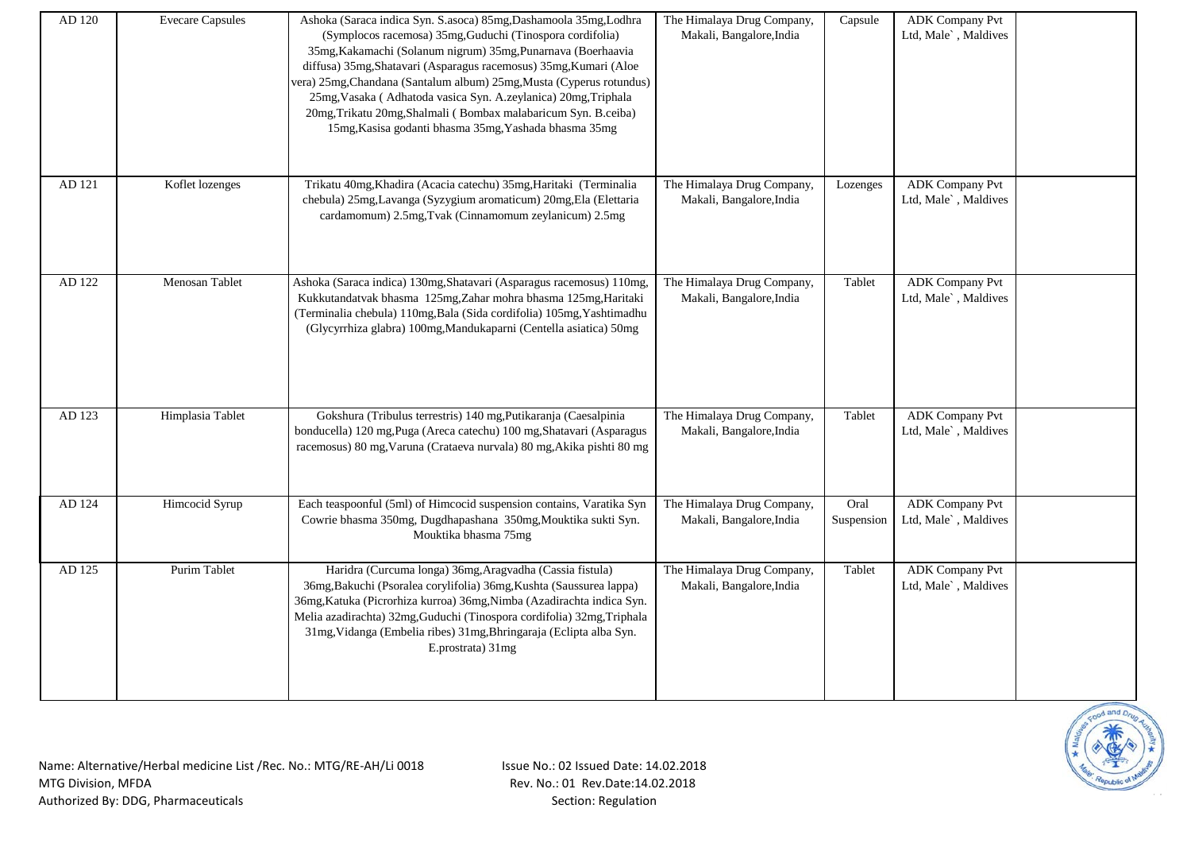| AD 120 | <b>Evecare Capsules</b> | Ashoka (Saraca indica Syn. S.asoca) 85mg, Dashamoola 35mg, Lodhra<br>(Symplocos racemosa) 35mg, Guduchi (Tinospora cordifolia)<br>35mg, Kakamachi (Solanum nigrum) 35mg, Punarnava (Boerhaavia<br>diffusa) 35mg, Shatavari (Asparagus racemosus) 35mg, Kumari (Aloe<br>vera) 25mg, Chandana (Santalum album) 25mg, Musta (Cyperus rotundus)<br>25mg, Vasaka (Adhatoda vasica Syn. A.zeylanica) 20mg, Triphala<br>20mg, Trikatu 20mg, Shalmali (Bombax malabaricum Syn. B.ceiba)<br>15mg, Kasisa godanti bhasma 35mg, Yashada bhasma 35mg | The Himalaya Drug Company,<br>Makali, Bangalore, India | Capsule            | <b>ADK Company Pvt</b><br>Ltd, Male`, Maldives |  |
|--------|-------------------------|------------------------------------------------------------------------------------------------------------------------------------------------------------------------------------------------------------------------------------------------------------------------------------------------------------------------------------------------------------------------------------------------------------------------------------------------------------------------------------------------------------------------------------------|--------------------------------------------------------|--------------------|------------------------------------------------|--|
| AD 121 | Koflet lozenges         | Trikatu 40mg, Khadira (Acacia catechu) 35mg, Haritaki (Terminalia<br>chebula) 25mg,Lavanga (Syzygium aromaticum) 20mg,Ela (Elettaria<br>cardamomum) 2.5mg, Tvak (Cinnamomum zeylanicum) 2.5mg                                                                                                                                                                                                                                                                                                                                            | The Himalaya Drug Company,<br>Makali, Bangalore, India | Lozenges           | <b>ADK Company Pvt</b><br>Ltd, Male`, Maldives |  |
| AD 122 | Menosan Tablet          | Ashoka (Saraca indica) 130mg, Shatavari (Asparagus racemosus) 110mg,<br>Kukkutandatvak bhasma 125mg, Zahar mohra bhasma 125mg, Haritaki<br>(Terminalia chebula) 110mg, Bala (Sida cordifolia) 105mg, Yashtimadhu<br>(Glycyrrhiza glabra) 100mg, Mandukaparni (Centella asiatica) 50mg                                                                                                                                                                                                                                                    | The Himalaya Drug Company,<br>Makali, Bangalore, India | Tablet             | <b>ADK Company Pvt</b><br>Ltd, Male`, Maldives |  |
| AD 123 | Himplasia Tablet        | Gokshura (Tribulus terrestris) 140 mg, Putikaranja (Caesalpinia<br>bonducella) 120 mg, Puga (Areca catechu) 100 mg, Shatavari (Asparagus<br>racemosus) 80 mg, Varuna (Crataeva nurvala) 80 mg, Akika pishti 80 mg                                                                                                                                                                                                                                                                                                                        | The Himalaya Drug Company,<br>Makali, Bangalore, India | Tablet             | <b>ADK Company Pvt</b><br>Ltd, Male`, Maldives |  |
| AD 124 | Himcocid Syrup          | Each teaspoonful (5ml) of Himcocid suspension contains, Varatika Syn<br>Cowrie bhasma 350mg, Dugdhapashana 350mg, Mouktika sukti Syn.<br>Mouktika bhasma 75mg                                                                                                                                                                                                                                                                                                                                                                            | The Himalaya Drug Company,<br>Makali, Bangalore, India | Oral<br>Suspension | <b>ADK Company Pvt</b><br>Ltd, Male`, Maldives |  |
| AD 125 | Purim Tablet            | Haridra (Curcuma longa) 36mg, Aragvadha (Cassia fistula)<br>36mg, Bakuchi (Psoralea corylifolia) 36mg, Kushta (Saussurea lappa)<br>36mg, Katuka (Picrorhiza kurroa) 36mg, Nimba (Azadirachta indica Syn.<br>Melia azadirachta) 32mg, Guduchi (Tinospora cordifolia) 32mg, Triphala<br>31mg, Vidanga (Embelia ribes) 31mg, Bhringaraja (Eclipta alba Syn.<br>E.prostrata) 31mg                                                                                                                                                            | The Himalaya Drug Company,<br>Makali, Bangalore, India | Tablet             | <b>ADK</b> Company Pvt<br>Ltd, Male`, Maldives |  |

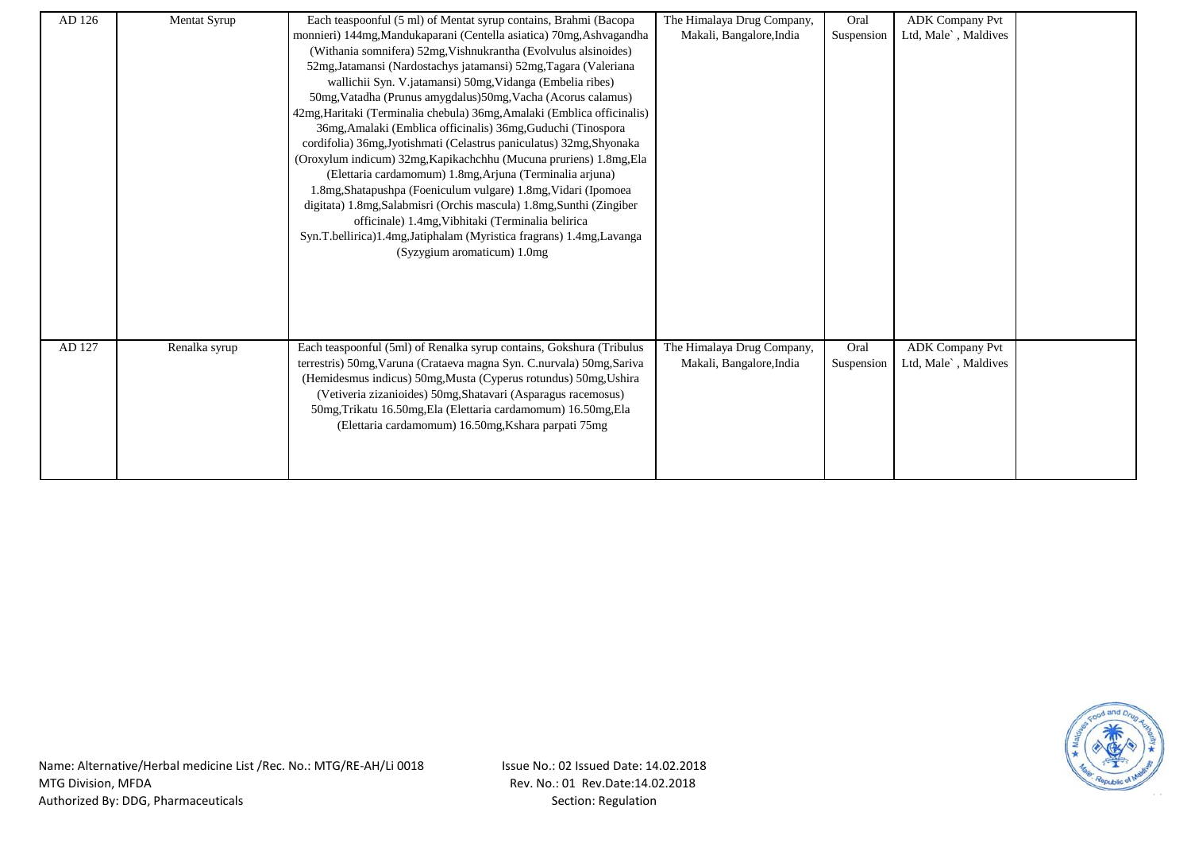| AD 126 | Mentat Syrup  | Each teaspoonful (5 ml) of Mentat syrup contains, Brahmi (Bacopa                                                                              | The Himalaya Drug Company,                             | Oral       | <b>ADK Company Pvt</b>                         |  |
|--------|---------------|-----------------------------------------------------------------------------------------------------------------------------------------------|--------------------------------------------------------|------------|------------------------------------------------|--|
|        |               | monnieri) 144mg, Mandukaparani (Centella asiatica) 70mg, Ashvagandha                                                                          | Makali, Bangalore, India                               | Suspension | Ltd, Male`, Maldives                           |  |
|        |               | (Withania somnifera) 52mg, Vishnukrantha (Evolvulus alsinoides)                                                                               |                                                        |            |                                                |  |
|        |               | 52mg, Jatamansi (Nardostachys jatamansi) 52mg, Tagara (Valeriana                                                                              |                                                        |            |                                                |  |
|        |               | wallichii Syn. V.jatamansi) 50mg, Vidanga (Embelia ribes)                                                                                     |                                                        |            |                                                |  |
|        |               | 50mg, Vatadha (Prunus amygdalus) 50mg, Vacha (Acorus calamus)                                                                                 |                                                        |            |                                                |  |
|        |               | 42mg, Haritaki (Terminalia chebula) 36mg, Amalaki (Emblica officinalis)                                                                       |                                                        |            |                                                |  |
|        |               | 36mg, Amalaki (Emblica officinalis) 36mg, Guduchi (Tinospora                                                                                  |                                                        |            |                                                |  |
|        |               | cordifolia) 36mg, Jyotishmati (Celastrus paniculatus) 32mg, Shyonaka                                                                          |                                                        |            |                                                |  |
|        |               | (Oroxylum indicum) 32mg, Kapikachchhu (Mucuna pruriens) 1.8mg, Ela                                                                            |                                                        |            |                                                |  |
|        |               | (Elettaria cardamomum) 1.8mg, Arjuna (Terminalia arjuna)                                                                                      |                                                        |            |                                                |  |
|        |               | 1.8mg, Shatapushpa (Foeniculum vulgare) 1.8mg, Vidari (Ipomoea                                                                                |                                                        |            |                                                |  |
|        |               | digitata) 1.8mg, Salabmisri (Orchis mascula) 1.8mg, Sunthi (Zingiber                                                                          |                                                        |            |                                                |  |
|        |               | officinale) 1.4mg, Vibhitaki (Terminalia belirica                                                                                             |                                                        |            |                                                |  |
|        |               | Syn.T.bellirica)1.4mg,Jatiphalam (Myristica fragrans) 1.4mg,Lavanga                                                                           |                                                        |            |                                                |  |
|        |               | (Syzygium aromaticum) 1.0mg                                                                                                                   |                                                        |            |                                                |  |
|        |               |                                                                                                                                               |                                                        |            |                                                |  |
|        |               |                                                                                                                                               |                                                        |            |                                                |  |
|        |               |                                                                                                                                               |                                                        |            |                                                |  |
|        |               |                                                                                                                                               |                                                        |            |                                                |  |
| AD 127 |               |                                                                                                                                               |                                                        | Oral       |                                                |  |
|        | Renalka syrup | Each teaspoonful (5ml) of Renalka syrup contains, Gokshura (Tribulus<br>terrestris) 50mg, Varuna (Crataeva magna Syn. C.nurvala) 50mg, Sariva | The Himalaya Drug Company,<br>Makali, Bangalore, India | Suspension | <b>ADK</b> Company Pvt<br>Ltd, Male`, Maldives |  |
|        |               | (Hemidesmus indicus) 50mg, Musta (Cyperus rotundus) 50mg, Ushira                                                                              |                                                        |            |                                                |  |
|        |               | (Vetiveria zizanioides) 50mg, Shatavari (Asparagus racemosus)                                                                                 |                                                        |            |                                                |  |
|        |               | 50mg, Trikatu 16.50mg, Ela (Elettaria cardamomum) 16.50mg, Ela                                                                                |                                                        |            |                                                |  |
|        |               | (Elettaria cardamomum) 16.50mg, Kshara parpati 75mg                                                                                           |                                                        |            |                                                |  |
|        |               |                                                                                                                                               |                                                        |            |                                                |  |
|        |               |                                                                                                                                               |                                                        |            |                                                |  |
|        |               |                                                                                                                                               |                                                        |            |                                                |  |

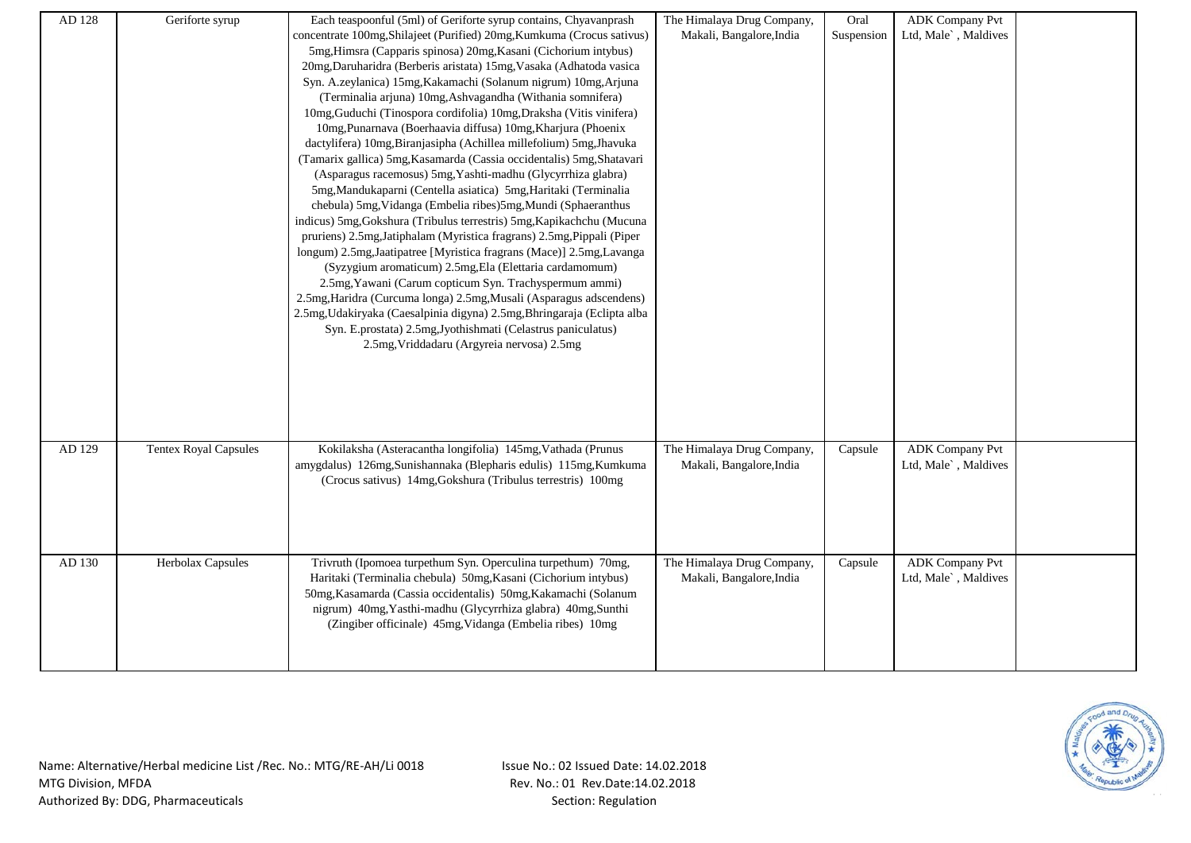| AD 128 | Geriforte syrup              | Each teaspoonful (5ml) of Geriforte syrup contains, Chyavanprash        | The Himalaya Drug Company, | Oral       | <b>ADK Company Pvt</b> |  |
|--------|------------------------------|-------------------------------------------------------------------------|----------------------------|------------|------------------------|--|
|        |                              | concentrate 100mg, Shilajeet (Purified) 20mg, Kumkuma (Crocus sativus)  | Makali, Bangalore, India   | Suspension | Ltd, Male`, Maldives   |  |
|        |                              | 5mg, Himsra (Capparis spinosa) 20mg, Kasani (Cichorium intybus)         |                            |            |                        |  |
|        |                              | 20mg, Daruharidra (Berberis aristata) 15mg, Vasaka (Adhatoda vasica     |                            |            |                        |  |
|        |                              | Syn. A.zeylanica) 15mg, Kakamachi (Solanum nigrum) 10mg, Arjuna         |                            |            |                        |  |
|        |                              | (Terminalia arjuna) 10mg, Ashvagandha (Withania somnifera)              |                            |            |                        |  |
|        |                              | 10mg, Guduchi (Tinospora cordifolia) 10mg, Draksha (Vitis vinifera)     |                            |            |                        |  |
|        |                              | 10mg, Punarnava (Boerhaavia diffusa) 10mg, Kharjura (Phoenix            |                            |            |                        |  |
|        |                              | dactylifera) 10mg, Biranjasipha (Achillea millefolium) 5mg, Jhavuka     |                            |            |                        |  |
|        |                              | (Tamarix gallica) 5mg, Kasamarda (Cassia occidentalis) 5mg, Shatavari   |                            |            |                        |  |
|        |                              | (Asparagus racemosus) 5mg, Yashti-madhu (Glycyrrhiza glabra)            |                            |            |                        |  |
|        |                              | 5mg, Mandukaparni (Centella asiatica) 5mg, Haritaki (Terminalia         |                            |            |                        |  |
|        |                              | chebula) 5mg, Vidanga (Embelia ribes) 5mg, Mundi (Sphaeranthus          |                            |            |                        |  |
|        |                              | indicus) 5mg, Gokshura (Tribulus terrestris) 5mg, Kapikachchu (Mucuna   |                            |            |                        |  |
|        |                              | pruriens) 2.5mg, Jatiphalam (Myristica fragrans) 2.5mg, Pippali (Piper  |                            |            |                        |  |
|        |                              | longum) 2.5mg, Jaatipatree [Myristica fragrans (Mace)] 2.5mg, Lavanga   |                            |            |                        |  |
|        |                              | (Syzygium aromaticum) 2.5mg, Ela (Elettaria cardamomum)                 |                            |            |                        |  |
|        |                              | 2.5mg, Yawani (Carum copticum Syn. Trachyspermum ammi)                  |                            |            |                        |  |
|        |                              | 2.5mg, Haridra (Curcuma longa) 2.5mg, Musali (Asparagus adscendens)     |                            |            |                        |  |
|        |                              | 2.5mg, Udakiryaka (Caesalpinia digyna) 2.5mg, Bhringaraja (Eclipta alba |                            |            |                        |  |
|        |                              | Syn. E.prostata) 2.5mg, Jyothishmati (Celastrus paniculatus)            |                            |            |                        |  |
|        |                              | 2.5mg, Vriddadaru (Argyreia nervosa) 2.5mg                              |                            |            |                        |  |
|        |                              |                                                                         |                            |            |                        |  |
|        |                              |                                                                         |                            |            |                        |  |
|        |                              |                                                                         |                            |            |                        |  |
|        |                              |                                                                         |                            |            |                        |  |
|        |                              |                                                                         |                            |            |                        |  |
| AD 129 | <b>Tentex Royal Capsules</b> | Kokilaksha (Asteracantha longifolia) 145mg, Vathada (Prunus             | The Himalaya Drug Company, | Capsule    | <b>ADK</b> Company Pvt |  |
|        |                              | amygdalus) 126mg, Sunishannaka (Blepharis edulis) 115mg, Kumkuma        | Makali, Bangalore, India   |            | Ltd, Male`, Maldives   |  |
|        |                              | (Crocus sativus) 14mg, Gokshura (Tribulus terrestris) 100mg             |                            |            |                        |  |
|        |                              |                                                                         |                            |            |                        |  |
|        |                              |                                                                         |                            |            |                        |  |
|        |                              |                                                                         |                            |            |                        |  |
|        |                              |                                                                         |                            |            |                        |  |
| AD 130 | Herbolax Capsules            | Trivruth (Ipomoea turpethum Syn. Operculina turpethum) 70mg,            | The Himalaya Drug Company, | Capsule    | <b>ADK Company Pvt</b> |  |
|        |                              | Haritaki (Terminalia chebula) 50mg, Kasani (Cichorium intybus)          | Makali, Bangalore, India   |            | Ltd, Male`, Maldives   |  |
|        |                              | 50mg, Kasamarda (Cassia occidentalis) 50mg, Kakamachi (Solanum          |                            |            |                        |  |
|        |                              | nigrum) 40mg, Yasthi-madhu (Glycyrrhiza glabra) 40mg, Sunthi            |                            |            |                        |  |
|        |                              | (Zingiber officinale) 45mg, Vidanga (Embelia ribes) 10mg                |                            |            |                        |  |
|        |                              |                                                                         |                            |            |                        |  |
|        |                              |                                                                         |                            |            |                        |  |
|        |                              |                                                                         |                            |            |                        |  |

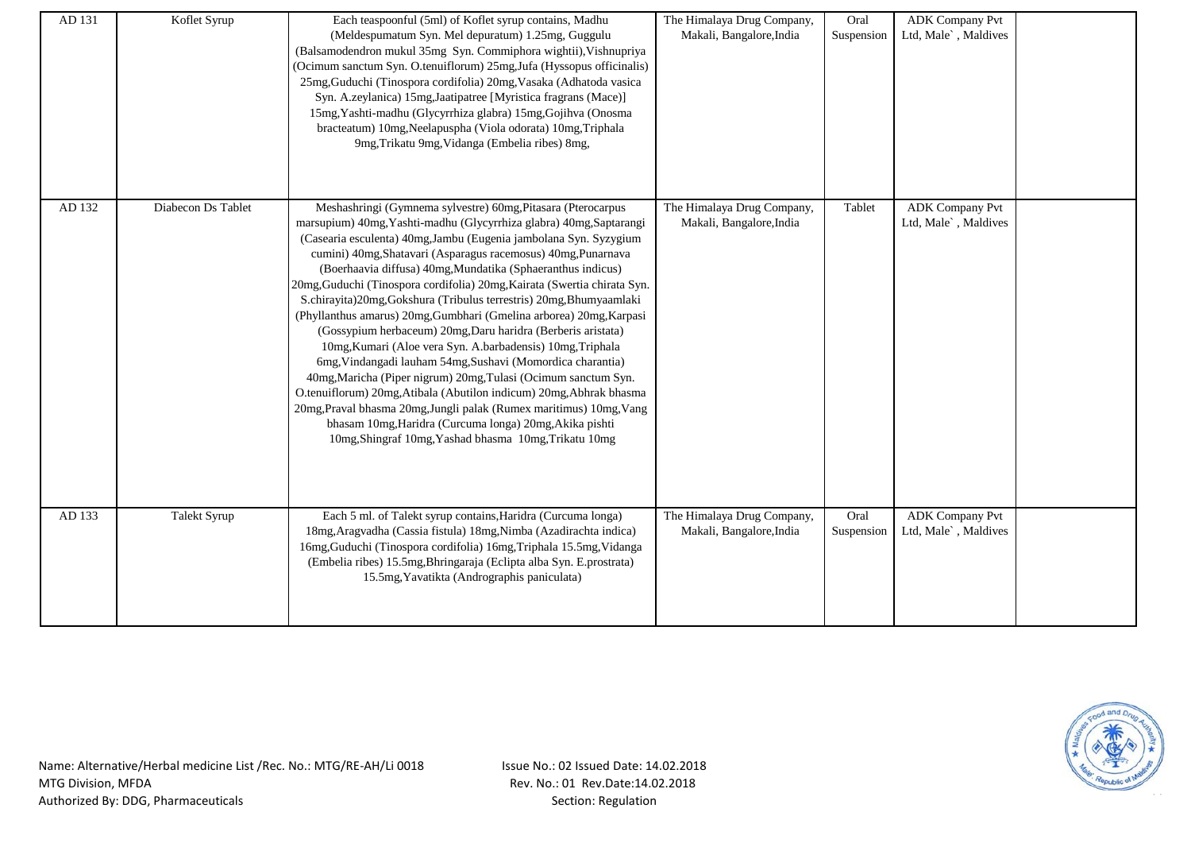| AD 131 | Koflet Syrup       | Each teaspoonful (5ml) of Koflet syrup contains, Madhu<br>(Meldespumatum Syn. Mel depuratum) 1.25mg, Guggulu<br>(Balsamodendron mukul 35mg Syn. Commiphora wightii), Vishnupriya<br>(Ocimum sanctum Syn. O.tenuiflorum) 25mg, Jufa (Hyssopus officinalis)<br>25mg, Guduchi (Tinospora cordifolia) 20mg, Vasaka (Adhatoda vasica<br>Syn. A.zeylanica) 15mg, Jaatipatree [Myristica fragrans (Mace)]<br>15mg, Yashti-madhu (Glycyrrhiza glabra) 15mg, Gojihva (Onosma<br>bracteatum) 10mg, Neelapuspha (Viola odorata) 10mg, Triphala<br>9mg, Trikatu 9mg, Vidanga (Embelia ribes) 8mg,                                                                                                                                                                                                                                                                                                                                                                                                                                                                                                            | The Himalaya Drug Company,<br>Makali, Bangalore, India | Oral<br>Suspension | <b>ADK Company Pvt</b><br>Ltd, Male`, Maldives |  |
|--------|--------------------|--------------------------------------------------------------------------------------------------------------------------------------------------------------------------------------------------------------------------------------------------------------------------------------------------------------------------------------------------------------------------------------------------------------------------------------------------------------------------------------------------------------------------------------------------------------------------------------------------------------------------------------------------------------------------------------------------------------------------------------------------------------------------------------------------------------------------------------------------------------------------------------------------------------------------------------------------------------------------------------------------------------------------------------------------------------------------------------------------|--------------------------------------------------------|--------------------|------------------------------------------------|--|
| AD 132 | Diabecon Ds Tablet | Meshashringi (Gymnema sylvestre) 60mg, Pitasara (Pterocarpus<br>marsupium) 40mg, Yashti-madhu (Glycyrrhiza glabra) 40mg, Saptarangi<br>(Casearia esculenta) 40mg, Jambu (Eugenia jambolana Syn. Syzygium<br>cumini) 40mg, Shatavari (Asparagus racemosus) 40mg, Punarnava<br>(Boerhaavia diffusa) 40mg, Mundatika (Sphaeranthus indicus)<br>20mg, Guduchi (Tinospora cordifolia) 20mg, Kairata (Swertia chirata Syn.<br>S.chirayita)20mg,Gokshura (Tribulus terrestris) 20mg,Bhumyaamlaki<br>(Phyllanthus amarus) 20mg, Gumbhari (Gmelina arborea) 20mg, Karpasi<br>(Gossypium herbaceum) 20mg, Daru haridra (Berberis aristata)<br>10mg, Kumari (Aloe vera Syn. A.barbadensis) 10mg, Triphala<br>6mg, Vindangadi lauham 54mg, Sushavi (Momordica charantia)<br>40mg, Maricha (Piper nigrum) 20mg, Tulasi (Ocimum sanctum Syn.<br>O.tenuiflorum) 20mg, Atibala (Abutilon indicum) 20mg, Abhrak bhasma<br>20mg, Praval bhasma 20mg, Jungli palak (Rumex maritimus) 10mg, Vang<br>bhasam 10mg, Haridra (Curcuma longa) 20mg, Akika pishti<br>10mg, Shingraf 10mg, Yashad bhasma 10mg, Trikatu 10mg | The Himalaya Drug Company,<br>Makali, Bangalore, India | Tablet             | <b>ADK Company Pvt</b><br>Ltd, Male`, Maldives |  |
| AD 133 | Talekt Syrup       | Each 5 ml. of Talekt syrup contains, Haridra (Curcuma longa)<br>18mg, Aragvadha (Cassia fistula) 18mg, Nimba (Azadirachta indica)<br>16mg, Guduchi (Tinospora cordifolia) 16mg, Triphala 15.5mg, Vidanga<br>(Embelia ribes) 15.5mg, Bhringaraja (Eclipta alba Syn. E.prostrata)<br>15.5mg, Yavatikta (Andrographis paniculata)                                                                                                                                                                                                                                                                                                                                                                                                                                                                                                                                                                                                                                                                                                                                                                   | The Himalaya Drug Company,<br>Makali, Bangalore, India | Oral<br>Suspension | <b>ADK</b> Company Pvt<br>Ltd, Male`, Maldives |  |

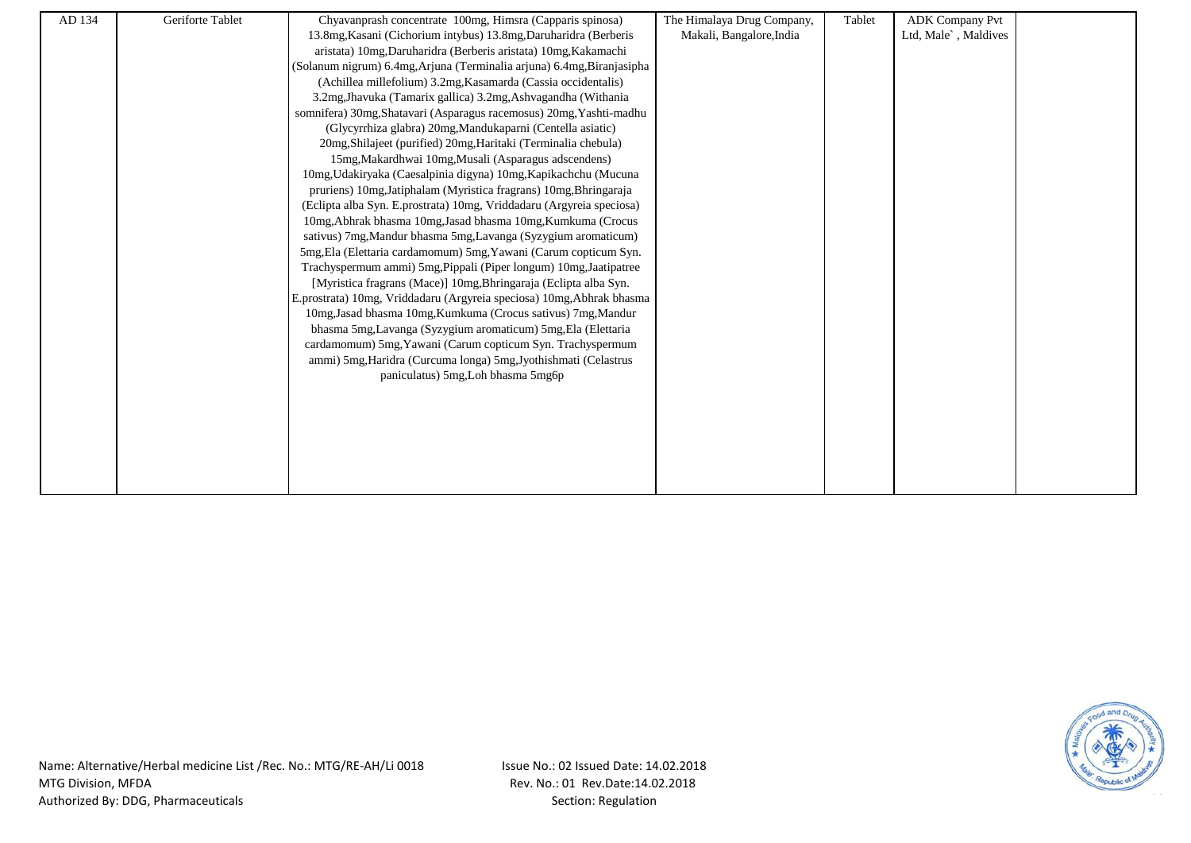| AD 134 | Geriforte Tablet | Chyavanprash concentrate 100mg, Himsra (Capparis spinosa)              | The Himalaya Drug Company, | Tablet | <b>ADK Company Pvt</b> |  |
|--------|------------------|------------------------------------------------------------------------|----------------------------|--------|------------------------|--|
|        |                  | 13.8mg, Kasani (Cichorium intybus) 13.8mg, Daruharidra (Berberis       | Makali, Bangalore, India   |        | Ltd, Male`, Maldives   |  |
|        |                  | aristata) 10mg, Daruharidra (Berberis aristata) 10mg, Kakamachi        |                            |        |                        |  |
|        |                  | (Solanum nigrum) 6.4mg, Arjuna (Terminalia arjuna) 6.4mg, Biranjasipha |                            |        |                        |  |
|        |                  | (Achillea millefolium) 3.2mg, Kasamarda (Cassia occidentalis)          |                            |        |                        |  |
|        |                  | 3.2mg, Jhavuka (Tamarix gallica) 3.2mg, Ashvagandha (Withania          |                            |        |                        |  |
|        |                  | somnifera) 30mg, Shatavari (Asparagus racemosus) 20mg, Yashti-madhu    |                            |        |                        |  |
|        |                  | (Glycyrrhiza glabra) 20mg, Mandukaparni (Centella asiatic)             |                            |        |                        |  |
|        |                  | 20mg, Shilajeet (purified) 20mg, Haritaki (Terminalia chebula)         |                            |        |                        |  |
|        |                  | 15mg, Makardhwai 10mg, Musali (Asparagus adscendens)                   |                            |        |                        |  |
|        |                  | 10mg, Udakiryaka (Caesalpinia digyna) 10mg, Kapikachchu (Mucuna        |                            |        |                        |  |
|        |                  | pruriens) 10mg, Jatiphalam (Myristica fragrans) 10mg, Bhringaraja      |                            |        |                        |  |
|        |                  | (Eclipta alba Syn. E.prostrata) 10mg, Vriddadaru (Argyreia speciosa)   |                            |        |                        |  |
|        |                  | 10mg, Abhrak bhasma 10mg, Jasad bhasma 10mg, Kumkuma (Crocus           |                            |        |                        |  |
|        |                  | sativus) 7mg, Mandur bhasma 5mg, Lavanga (Syzygium aromaticum)         |                            |        |                        |  |
|        |                  | 5mg, Ela (Elettaria cardamomum) 5mg, Yawani (Carum copticum Syn.       |                            |        |                        |  |
|        |                  | Trachyspermum ammi) 5mg, Pippali (Piper longum) 10mg, Jaatipatree      |                            |        |                        |  |
|        |                  | [Myristica fragrans (Mace)] 10mg, Bhringaraja (Eclipta alba Syn.       |                            |        |                        |  |
|        |                  | E.prostrata) 10mg, Vriddadaru (Argyreia speciosa) 10mg, Abhrak bhasma  |                            |        |                        |  |
|        |                  | 10mg, Jasad bhasma 10mg, Kumkuma (Crocus sativus) 7mg, Mandur          |                            |        |                        |  |
|        |                  | bhasma 5mg, Lavanga (Syzygium aromaticum) 5mg, Ela (Elettaria          |                            |        |                        |  |
|        |                  | cardamomum) 5mg, Yawani (Carum copticum Syn. Trachyspermum             |                            |        |                        |  |
|        |                  | ammi) 5mg, Haridra (Curcuma longa) 5mg, Jyothishmati (Celastrus        |                            |        |                        |  |
|        |                  | paniculatus) 5mg, Loh bhasma 5mg6p                                     |                            |        |                        |  |
|        |                  |                                                                        |                            |        |                        |  |
|        |                  |                                                                        |                            |        |                        |  |
|        |                  |                                                                        |                            |        |                        |  |
|        |                  |                                                                        |                            |        |                        |  |
|        |                  |                                                                        |                            |        |                        |  |
|        |                  |                                                                        |                            |        |                        |  |
|        |                  |                                                                        |                            |        |                        |  |

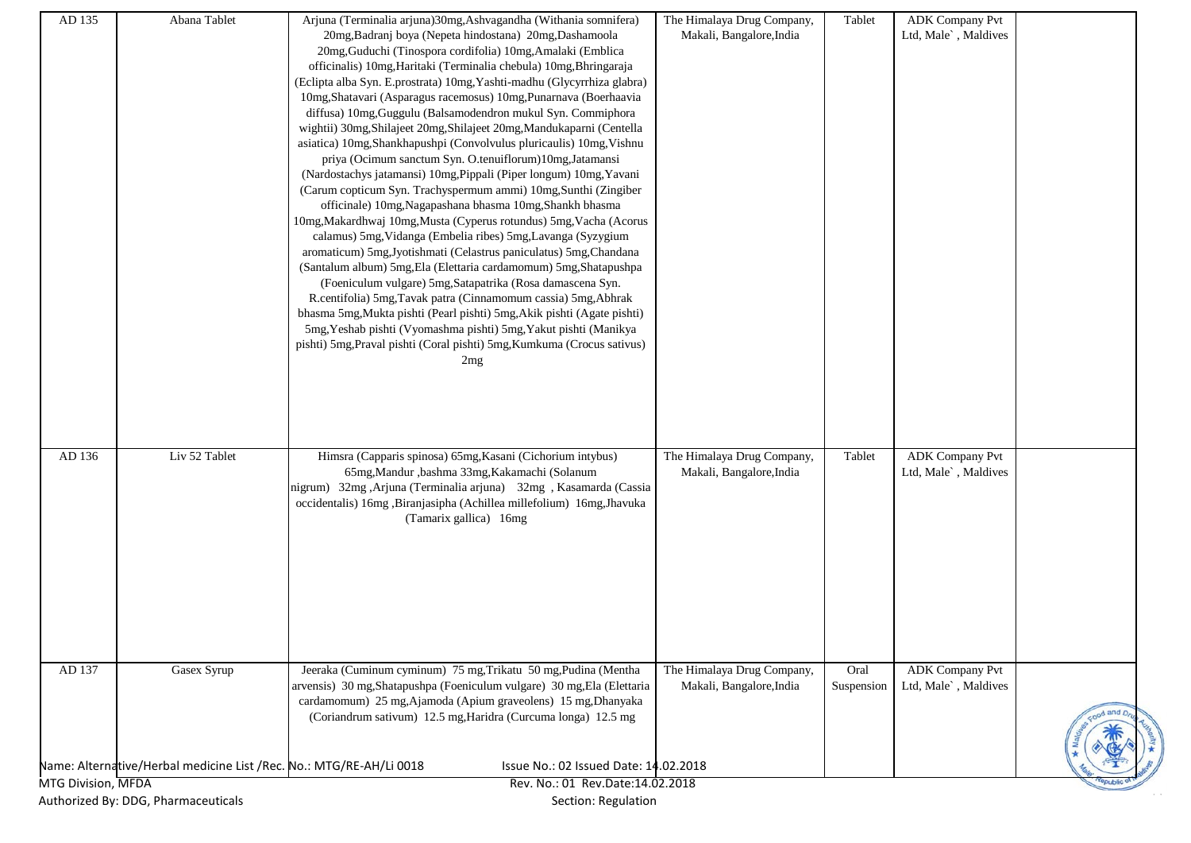| Makali, Bangalore, India<br>20mg, Badranj boya (Nepeta hindostana) 20mg, Dashamoola<br>Ltd, Male`, Maldives<br>20mg, Guduchi (Tinospora cordifolia) 10mg, Amalaki (Emblica<br>officinalis) 10mg, Haritaki (Terminalia chebula) 10mg, Bhringaraja<br>(Eclipta alba Syn. E.prostrata) 10mg, Yashti-madhu (Glycyrrhiza glabra)<br>10mg, Shatavari (Asparagus racemosus) 10mg, Punarnava (Boerhaavia<br>diffusa) 10mg, Guggulu (Balsamodendron mukul Syn. Commiphora<br>wightii) 30mg, Shilajeet 20mg, Shilajeet 20mg, Mandukaparni (Centella<br>asiatica) 10mg, Shankhapushpi (Convolvulus pluricaulis) 10mg, Vishnu<br>priya (Ocimum sanctum Syn. O.tenuiflorum)10mg,Jatamansi<br>(Nardostachys jatamansi) 10mg, Pippali (Piper longum) 10mg, Yavani<br>(Carum copticum Syn. Trachyspermum ammi) 10mg, Sunthi (Zingiber<br>officinale) 10mg, Nagapashana bhasma 10mg, Shankh bhasma<br>10mg, Makardhwaj 10mg, Musta (Cyperus rotundus) 5mg, Vacha (Acorus<br>calamus) 5mg, Vidanga (Embelia ribes) 5mg, Lavanga (Syzygium<br>aromaticum) 5mg, Jyotishmati (Celastrus paniculatus) 5mg, Chandana<br>(Santalum album) 5mg, Ela (Elettaria cardamomum) 5mg, Shatapushpa<br>(Foeniculum vulgare) 5mg, Satapatrika (Rosa damascena Syn.<br>R.centifolia) 5mg, Tavak patra (Cinnamomum cassia) 5mg, Abhrak<br>bhasma 5mg, Mukta pishti (Pearl pishti) 5mg, Akik pishti (Agate pishti)<br>5mg, Yeshab pishti (Vyomashma pishti) 5mg, Yakut pishti (Manikya<br>pishti) 5mg, Praval pishti (Coral pishti) 5mg, Kumkuma (Crocus sativus)<br>2mg<br>Liv 52 Tablet<br>Himsra (Capparis spinosa) 65mg, Kasani (Cichorium intybus)<br>The Himalaya Drug Company,<br><b>ADK Company Pvt</b><br>AD 136<br>Tablet<br>65mg, Mandur , bashma 33mg, Kakamachi (Solanum<br>Makali, Bangalore, India<br>Ltd, Male`, Maldives<br>nigrum) 32mg ,Arjuna (Terminalia arjuna) 32mg , Kasamarda (Cassia<br>occidentalis) 16mg ,Biranjasipha (Achillea millefolium) 16mg,Jhavuka<br>(Tamarix gallica) 16mg<br>AD 137<br>Jeeraka (Cuminum cyminum) 75 mg, Trikatu 50 mg, Pudina (Mentha<br>The Himalaya Drug Company,<br><b>ADK</b> Company Pvt<br>Gasex Syrup<br>Oral<br>arvensis) 30 mg, Shatapushpa (Foeniculum vulgare) 30 mg, Ela (Elettaria<br>Makali, Bangalore, India<br>Ltd, Male`, Maldives<br>Suspension<br>cardamomum) 25 mg, Ajamoda (Apium graveolens) 15 mg, Dhanyaka<br>(Coriandrum sativum) 12.5 mg, Haridra (Curcuma longa) 12.5 mg<br>Name: Alternative/Herbal medicine List /Rec. No.: MTG/RE-AH/Li 0018<br>Issue No.: 02 Issued Date: 14.02.2018<br>MTG Division, MFDA<br>Rev. No.: 01 Rev.Date:14.02.2018<br>Authorized By: DDG, Pharmaceuticals<br>Section: Regulation | AD 135 | Abana Tablet | Arjuna (Terminalia arjuna)30mg,Ashvagandha (Withania somnifera) | The Himalaya Drug Company, | Tablet | <b>ADK Company Pvt</b> |  |
|---------------------------------------------------------------------------------------------------------------------------------------------------------------------------------------------------------------------------------------------------------------------------------------------------------------------------------------------------------------------------------------------------------------------------------------------------------------------------------------------------------------------------------------------------------------------------------------------------------------------------------------------------------------------------------------------------------------------------------------------------------------------------------------------------------------------------------------------------------------------------------------------------------------------------------------------------------------------------------------------------------------------------------------------------------------------------------------------------------------------------------------------------------------------------------------------------------------------------------------------------------------------------------------------------------------------------------------------------------------------------------------------------------------------------------------------------------------------------------------------------------------------------------------------------------------------------------------------------------------------------------------------------------------------------------------------------------------------------------------------------------------------------------------------------------------------------------------------------------------------------------------------------------------------------------------------------------------------------------------------------------------------------------------------------------------------------------------------------------------------------------------------------------------------------------------------------------------------------------------------------------------------------------------------------------------------------------------------------------------------------------------------------------------------------------------------------------------------------------------------------------------------------------------------------------------------------------------------------------------------------------------------------------------|--------|--------------|-----------------------------------------------------------------|----------------------------|--------|------------------------|--|
|                                                                                                                                                                                                                                                                                                                                                                                                                                                                                                                                                                                                                                                                                                                                                                                                                                                                                                                                                                                                                                                                                                                                                                                                                                                                                                                                                                                                                                                                                                                                                                                                                                                                                                                                                                                                                                                                                                                                                                                                                                                                                                                                                                                                                                                                                                                                                                                                                                                                                                                                                                                                                                                               |        |              |                                                                 |                            |        |                        |  |
|                                                                                                                                                                                                                                                                                                                                                                                                                                                                                                                                                                                                                                                                                                                                                                                                                                                                                                                                                                                                                                                                                                                                                                                                                                                                                                                                                                                                                                                                                                                                                                                                                                                                                                                                                                                                                                                                                                                                                                                                                                                                                                                                                                                                                                                                                                                                                                                                                                                                                                                                                                                                                                                               |        |              |                                                                 |                            |        |                        |  |
|                                                                                                                                                                                                                                                                                                                                                                                                                                                                                                                                                                                                                                                                                                                                                                                                                                                                                                                                                                                                                                                                                                                                                                                                                                                                                                                                                                                                                                                                                                                                                                                                                                                                                                                                                                                                                                                                                                                                                                                                                                                                                                                                                                                                                                                                                                                                                                                                                                                                                                                                                                                                                                                               |        |              |                                                                 |                            |        |                        |  |
|                                                                                                                                                                                                                                                                                                                                                                                                                                                                                                                                                                                                                                                                                                                                                                                                                                                                                                                                                                                                                                                                                                                                                                                                                                                                                                                                                                                                                                                                                                                                                                                                                                                                                                                                                                                                                                                                                                                                                                                                                                                                                                                                                                                                                                                                                                                                                                                                                                                                                                                                                                                                                                                               |        |              |                                                                 |                            |        |                        |  |
|                                                                                                                                                                                                                                                                                                                                                                                                                                                                                                                                                                                                                                                                                                                                                                                                                                                                                                                                                                                                                                                                                                                                                                                                                                                                                                                                                                                                                                                                                                                                                                                                                                                                                                                                                                                                                                                                                                                                                                                                                                                                                                                                                                                                                                                                                                                                                                                                                                                                                                                                                                                                                                                               |        |              |                                                                 |                            |        |                        |  |
|                                                                                                                                                                                                                                                                                                                                                                                                                                                                                                                                                                                                                                                                                                                                                                                                                                                                                                                                                                                                                                                                                                                                                                                                                                                                                                                                                                                                                                                                                                                                                                                                                                                                                                                                                                                                                                                                                                                                                                                                                                                                                                                                                                                                                                                                                                                                                                                                                                                                                                                                                                                                                                                               |        |              |                                                                 |                            |        |                        |  |
|                                                                                                                                                                                                                                                                                                                                                                                                                                                                                                                                                                                                                                                                                                                                                                                                                                                                                                                                                                                                                                                                                                                                                                                                                                                                                                                                                                                                                                                                                                                                                                                                                                                                                                                                                                                                                                                                                                                                                                                                                                                                                                                                                                                                                                                                                                                                                                                                                                                                                                                                                                                                                                                               |        |              |                                                                 |                            |        |                        |  |
|                                                                                                                                                                                                                                                                                                                                                                                                                                                                                                                                                                                                                                                                                                                                                                                                                                                                                                                                                                                                                                                                                                                                                                                                                                                                                                                                                                                                                                                                                                                                                                                                                                                                                                                                                                                                                                                                                                                                                                                                                                                                                                                                                                                                                                                                                                                                                                                                                                                                                                                                                                                                                                                               |        |              |                                                                 |                            |        |                        |  |
|                                                                                                                                                                                                                                                                                                                                                                                                                                                                                                                                                                                                                                                                                                                                                                                                                                                                                                                                                                                                                                                                                                                                                                                                                                                                                                                                                                                                                                                                                                                                                                                                                                                                                                                                                                                                                                                                                                                                                                                                                                                                                                                                                                                                                                                                                                                                                                                                                                                                                                                                                                                                                                                               |        |              |                                                                 |                            |        |                        |  |
|                                                                                                                                                                                                                                                                                                                                                                                                                                                                                                                                                                                                                                                                                                                                                                                                                                                                                                                                                                                                                                                                                                                                                                                                                                                                                                                                                                                                                                                                                                                                                                                                                                                                                                                                                                                                                                                                                                                                                                                                                                                                                                                                                                                                                                                                                                                                                                                                                                                                                                                                                                                                                                                               |        |              |                                                                 |                            |        |                        |  |
|                                                                                                                                                                                                                                                                                                                                                                                                                                                                                                                                                                                                                                                                                                                                                                                                                                                                                                                                                                                                                                                                                                                                                                                                                                                                                                                                                                                                                                                                                                                                                                                                                                                                                                                                                                                                                                                                                                                                                                                                                                                                                                                                                                                                                                                                                                                                                                                                                                                                                                                                                                                                                                                               |        |              |                                                                 |                            |        |                        |  |
|                                                                                                                                                                                                                                                                                                                                                                                                                                                                                                                                                                                                                                                                                                                                                                                                                                                                                                                                                                                                                                                                                                                                                                                                                                                                                                                                                                                                                                                                                                                                                                                                                                                                                                                                                                                                                                                                                                                                                                                                                                                                                                                                                                                                                                                                                                                                                                                                                                                                                                                                                                                                                                                               |        |              |                                                                 |                            |        |                        |  |
|                                                                                                                                                                                                                                                                                                                                                                                                                                                                                                                                                                                                                                                                                                                                                                                                                                                                                                                                                                                                                                                                                                                                                                                                                                                                                                                                                                                                                                                                                                                                                                                                                                                                                                                                                                                                                                                                                                                                                                                                                                                                                                                                                                                                                                                                                                                                                                                                                                                                                                                                                                                                                                                               |        |              |                                                                 |                            |        |                        |  |
|                                                                                                                                                                                                                                                                                                                                                                                                                                                                                                                                                                                                                                                                                                                                                                                                                                                                                                                                                                                                                                                                                                                                                                                                                                                                                                                                                                                                                                                                                                                                                                                                                                                                                                                                                                                                                                                                                                                                                                                                                                                                                                                                                                                                                                                                                                                                                                                                                                                                                                                                                                                                                                                               |        |              |                                                                 |                            |        |                        |  |
|                                                                                                                                                                                                                                                                                                                                                                                                                                                                                                                                                                                                                                                                                                                                                                                                                                                                                                                                                                                                                                                                                                                                                                                                                                                                                                                                                                                                                                                                                                                                                                                                                                                                                                                                                                                                                                                                                                                                                                                                                                                                                                                                                                                                                                                                                                                                                                                                                                                                                                                                                                                                                                                               |        |              |                                                                 |                            |        |                        |  |
|                                                                                                                                                                                                                                                                                                                                                                                                                                                                                                                                                                                                                                                                                                                                                                                                                                                                                                                                                                                                                                                                                                                                                                                                                                                                                                                                                                                                                                                                                                                                                                                                                                                                                                                                                                                                                                                                                                                                                                                                                                                                                                                                                                                                                                                                                                                                                                                                                                                                                                                                                                                                                                                               |        |              |                                                                 |                            |        |                        |  |
|                                                                                                                                                                                                                                                                                                                                                                                                                                                                                                                                                                                                                                                                                                                                                                                                                                                                                                                                                                                                                                                                                                                                                                                                                                                                                                                                                                                                                                                                                                                                                                                                                                                                                                                                                                                                                                                                                                                                                                                                                                                                                                                                                                                                                                                                                                                                                                                                                                                                                                                                                                                                                                                               |        |              |                                                                 |                            |        |                        |  |
|                                                                                                                                                                                                                                                                                                                                                                                                                                                                                                                                                                                                                                                                                                                                                                                                                                                                                                                                                                                                                                                                                                                                                                                                                                                                                                                                                                                                                                                                                                                                                                                                                                                                                                                                                                                                                                                                                                                                                                                                                                                                                                                                                                                                                                                                                                                                                                                                                                                                                                                                                                                                                                                               |        |              |                                                                 |                            |        |                        |  |
|                                                                                                                                                                                                                                                                                                                                                                                                                                                                                                                                                                                                                                                                                                                                                                                                                                                                                                                                                                                                                                                                                                                                                                                                                                                                                                                                                                                                                                                                                                                                                                                                                                                                                                                                                                                                                                                                                                                                                                                                                                                                                                                                                                                                                                                                                                                                                                                                                                                                                                                                                                                                                                                               |        |              |                                                                 |                            |        |                        |  |
|                                                                                                                                                                                                                                                                                                                                                                                                                                                                                                                                                                                                                                                                                                                                                                                                                                                                                                                                                                                                                                                                                                                                                                                                                                                                                                                                                                                                                                                                                                                                                                                                                                                                                                                                                                                                                                                                                                                                                                                                                                                                                                                                                                                                                                                                                                                                                                                                                                                                                                                                                                                                                                                               |        |              |                                                                 |                            |        |                        |  |
|                                                                                                                                                                                                                                                                                                                                                                                                                                                                                                                                                                                                                                                                                                                                                                                                                                                                                                                                                                                                                                                                                                                                                                                                                                                                                                                                                                                                                                                                                                                                                                                                                                                                                                                                                                                                                                                                                                                                                                                                                                                                                                                                                                                                                                                                                                                                                                                                                                                                                                                                                                                                                                                               |        |              |                                                                 |                            |        |                        |  |
|                                                                                                                                                                                                                                                                                                                                                                                                                                                                                                                                                                                                                                                                                                                                                                                                                                                                                                                                                                                                                                                                                                                                                                                                                                                                                                                                                                                                                                                                                                                                                                                                                                                                                                                                                                                                                                                                                                                                                                                                                                                                                                                                                                                                                                                                                                                                                                                                                                                                                                                                                                                                                                                               |        |              |                                                                 |                            |        |                        |  |
|                                                                                                                                                                                                                                                                                                                                                                                                                                                                                                                                                                                                                                                                                                                                                                                                                                                                                                                                                                                                                                                                                                                                                                                                                                                                                                                                                                                                                                                                                                                                                                                                                                                                                                                                                                                                                                                                                                                                                                                                                                                                                                                                                                                                                                                                                                                                                                                                                                                                                                                                                                                                                                                               |        |              |                                                                 |                            |        |                        |  |
|                                                                                                                                                                                                                                                                                                                                                                                                                                                                                                                                                                                                                                                                                                                                                                                                                                                                                                                                                                                                                                                                                                                                                                                                                                                                                                                                                                                                                                                                                                                                                                                                                                                                                                                                                                                                                                                                                                                                                                                                                                                                                                                                                                                                                                                                                                                                                                                                                                                                                                                                                                                                                                                               |        |              |                                                                 |                            |        |                        |  |
|                                                                                                                                                                                                                                                                                                                                                                                                                                                                                                                                                                                                                                                                                                                                                                                                                                                                                                                                                                                                                                                                                                                                                                                                                                                                                                                                                                                                                                                                                                                                                                                                                                                                                                                                                                                                                                                                                                                                                                                                                                                                                                                                                                                                                                                                                                                                                                                                                                                                                                                                                                                                                                                               |        |              |                                                                 |                            |        |                        |  |
|                                                                                                                                                                                                                                                                                                                                                                                                                                                                                                                                                                                                                                                                                                                                                                                                                                                                                                                                                                                                                                                                                                                                                                                                                                                                                                                                                                                                                                                                                                                                                                                                                                                                                                                                                                                                                                                                                                                                                                                                                                                                                                                                                                                                                                                                                                                                                                                                                                                                                                                                                                                                                                                               |        |              |                                                                 |                            |        |                        |  |
|                                                                                                                                                                                                                                                                                                                                                                                                                                                                                                                                                                                                                                                                                                                                                                                                                                                                                                                                                                                                                                                                                                                                                                                                                                                                                                                                                                                                                                                                                                                                                                                                                                                                                                                                                                                                                                                                                                                                                                                                                                                                                                                                                                                                                                                                                                                                                                                                                                                                                                                                                                                                                                                               |        |              |                                                                 |                            |        |                        |  |
|                                                                                                                                                                                                                                                                                                                                                                                                                                                                                                                                                                                                                                                                                                                                                                                                                                                                                                                                                                                                                                                                                                                                                                                                                                                                                                                                                                                                                                                                                                                                                                                                                                                                                                                                                                                                                                                                                                                                                                                                                                                                                                                                                                                                                                                                                                                                                                                                                                                                                                                                                                                                                                                               |        |              |                                                                 |                            |        |                        |  |
|                                                                                                                                                                                                                                                                                                                                                                                                                                                                                                                                                                                                                                                                                                                                                                                                                                                                                                                                                                                                                                                                                                                                                                                                                                                                                                                                                                                                                                                                                                                                                                                                                                                                                                                                                                                                                                                                                                                                                                                                                                                                                                                                                                                                                                                                                                                                                                                                                                                                                                                                                                                                                                                               |        |              |                                                                 |                            |        |                        |  |
|                                                                                                                                                                                                                                                                                                                                                                                                                                                                                                                                                                                                                                                                                                                                                                                                                                                                                                                                                                                                                                                                                                                                                                                                                                                                                                                                                                                                                                                                                                                                                                                                                                                                                                                                                                                                                                                                                                                                                                                                                                                                                                                                                                                                                                                                                                                                                                                                                                                                                                                                                                                                                                                               |        |              |                                                                 |                            |        |                        |  |
|                                                                                                                                                                                                                                                                                                                                                                                                                                                                                                                                                                                                                                                                                                                                                                                                                                                                                                                                                                                                                                                                                                                                                                                                                                                                                                                                                                                                                                                                                                                                                                                                                                                                                                                                                                                                                                                                                                                                                                                                                                                                                                                                                                                                                                                                                                                                                                                                                                                                                                                                                                                                                                                               |        |              |                                                                 |                            |        |                        |  |
|                                                                                                                                                                                                                                                                                                                                                                                                                                                                                                                                                                                                                                                                                                                                                                                                                                                                                                                                                                                                                                                                                                                                                                                                                                                                                                                                                                                                                                                                                                                                                                                                                                                                                                                                                                                                                                                                                                                                                                                                                                                                                                                                                                                                                                                                                                                                                                                                                                                                                                                                                                                                                                                               |        |              |                                                                 |                            |        |                        |  |
|                                                                                                                                                                                                                                                                                                                                                                                                                                                                                                                                                                                                                                                                                                                                                                                                                                                                                                                                                                                                                                                                                                                                                                                                                                                                                                                                                                                                                                                                                                                                                                                                                                                                                                                                                                                                                                                                                                                                                                                                                                                                                                                                                                                                                                                                                                                                                                                                                                                                                                                                                                                                                                                               |        |              |                                                                 |                            |        |                        |  |
|                                                                                                                                                                                                                                                                                                                                                                                                                                                                                                                                                                                                                                                                                                                                                                                                                                                                                                                                                                                                                                                                                                                                                                                                                                                                                                                                                                                                                                                                                                                                                                                                                                                                                                                                                                                                                                                                                                                                                                                                                                                                                                                                                                                                                                                                                                                                                                                                                                                                                                                                                                                                                                                               |        |              |                                                                 |                            |        |                        |  |
|                                                                                                                                                                                                                                                                                                                                                                                                                                                                                                                                                                                                                                                                                                                                                                                                                                                                                                                                                                                                                                                                                                                                                                                                                                                                                                                                                                                                                                                                                                                                                                                                                                                                                                                                                                                                                                                                                                                                                                                                                                                                                                                                                                                                                                                                                                                                                                                                                                                                                                                                                                                                                                                               |        |              |                                                                 |                            |        |                        |  |
|                                                                                                                                                                                                                                                                                                                                                                                                                                                                                                                                                                                                                                                                                                                                                                                                                                                                                                                                                                                                                                                                                                                                                                                                                                                                                                                                                                                                                                                                                                                                                                                                                                                                                                                                                                                                                                                                                                                                                                                                                                                                                                                                                                                                                                                                                                                                                                                                                                                                                                                                                                                                                                                               |        |              |                                                                 |                            |        |                        |  |
|                                                                                                                                                                                                                                                                                                                                                                                                                                                                                                                                                                                                                                                                                                                                                                                                                                                                                                                                                                                                                                                                                                                                                                                                                                                                                                                                                                                                                                                                                                                                                                                                                                                                                                                                                                                                                                                                                                                                                                                                                                                                                                                                                                                                                                                                                                                                                                                                                                                                                                                                                                                                                                                               |        |              |                                                                 |                            |        |                        |  |
|                                                                                                                                                                                                                                                                                                                                                                                                                                                                                                                                                                                                                                                                                                                                                                                                                                                                                                                                                                                                                                                                                                                                                                                                                                                                                                                                                                                                                                                                                                                                                                                                                                                                                                                                                                                                                                                                                                                                                                                                                                                                                                                                                                                                                                                                                                                                                                                                                                                                                                                                                                                                                                                               |        |              |                                                                 |                            |        |                        |  |
|                                                                                                                                                                                                                                                                                                                                                                                                                                                                                                                                                                                                                                                                                                                                                                                                                                                                                                                                                                                                                                                                                                                                                                                                                                                                                                                                                                                                                                                                                                                                                                                                                                                                                                                                                                                                                                                                                                                                                                                                                                                                                                                                                                                                                                                                                                                                                                                                                                                                                                                                                                                                                                                               |        |              |                                                                 |                            |        |                        |  |
|                                                                                                                                                                                                                                                                                                                                                                                                                                                                                                                                                                                                                                                                                                                                                                                                                                                                                                                                                                                                                                                                                                                                                                                                                                                                                                                                                                                                                                                                                                                                                                                                                                                                                                                                                                                                                                                                                                                                                                                                                                                                                                                                                                                                                                                                                                                                                                                                                                                                                                                                                                                                                                                               |        |              |                                                                 |                            |        |                        |  |
|                                                                                                                                                                                                                                                                                                                                                                                                                                                                                                                                                                                                                                                                                                                                                                                                                                                                                                                                                                                                                                                                                                                                                                                                                                                                                                                                                                                                                                                                                                                                                                                                                                                                                                                                                                                                                                                                                                                                                                                                                                                                                                                                                                                                                                                                                                                                                                                                                                                                                                                                                                                                                                                               |        |              |                                                                 |                            |        |                        |  |
|                                                                                                                                                                                                                                                                                                                                                                                                                                                                                                                                                                                                                                                                                                                                                                                                                                                                                                                                                                                                                                                                                                                                                                                                                                                                                                                                                                                                                                                                                                                                                                                                                                                                                                                                                                                                                                                                                                                                                                                                                                                                                                                                                                                                                                                                                                                                                                                                                                                                                                                                                                                                                                                               |        |              |                                                                 |                            |        |                        |  |
|                                                                                                                                                                                                                                                                                                                                                                                                                                                                                                                                                                                                                                                                                                                                                                                                                                                                                                                                                                                                                                                                                                                                                                                                                                                                                                                                                                                                                                                                                                                                                                                                                                                                                                                                                                                                                                                                                                                                                                                                                                                                                                                                                                                                                                                                                                                                                                                                                                                                                                                                                                                                                                                               |        |              |                                                                 |                            |        |                        |  |
|                                                                                                                                                                                                                                                                                                                                                                                                                                                                                                                                                                                                                                                                                                                                                                                                                                                                                                                                                                                                                                                                                                                                                                                                                                                                                                                                                                                                                                                                                                                                                                                                                                                                                                                                                                                                                                                                                                                                                                                                                                                                                                                                                                                                                                                                                                                                                                                                                                                                                                                                                                                                                                                               |        |              |                                                                 |                            |        |                        |  |
|                                                                                                                                                                                                                                                                                                                                                                                                                                                                                                                                                                                                                                                                                                                                                                                                                                                                                                                                                                                                                                                                                                                                                                                                                                                                                                                                                                                                                                                                                                                                                                                                                                                                                                                                                                                                                                                                                                                                                                                                                                                                                                                                                                                                                                                                                                                                                                                                                                                                                                                                                                                                                                                               |        |              |                                                                 |                            |        |                        |  |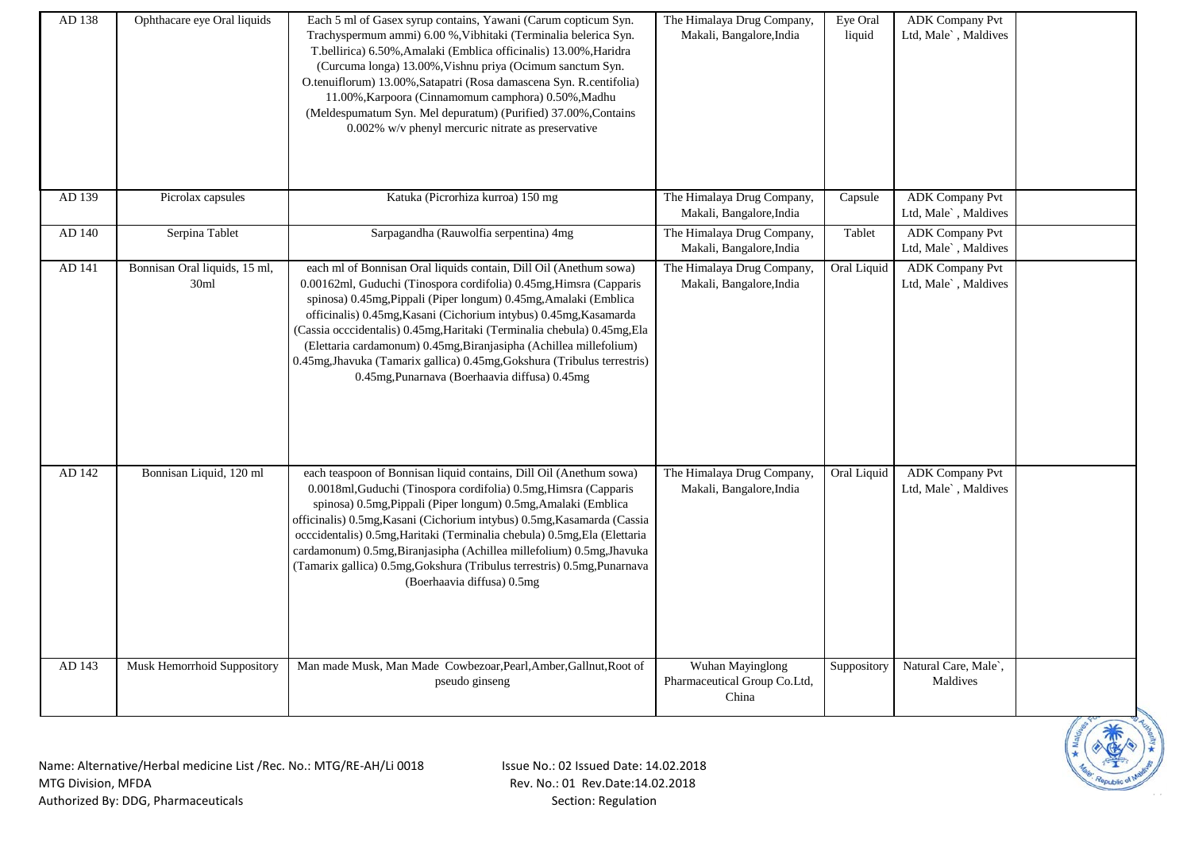| AD 138 | Ophthacare eye Oral liquids           | Each 5 ml of Gasex syrup contains, Yawani (Carum copticum Syn.<br>Trachyspermum ammi) 6.00 %, Vibhitaki (Terminalia belerica Syn.<br>T.bellirica) 6.50%, Amalaki (Emblica officinalis) 13.00%, Haridra<br>(Curcuma longa) 13.00%, Vishnu priya (Ocimum sanctum Syn.<br>O.tenuiflorum) 13.00%, Satapatri (Rosa damascena Syn. R.centifolia)<br>11.00%, Karpoora (Cinnamomum camphora) 0.50%, Madhu<br>(Meldespumatum Syn. Mel depuratum) (Purified) 37.00%, Contains<br>0.002% w/v phenyl mercuric nitrate as preservative                                       | The Himalaya Drug Company,<br>Makali, Bangalore, India    | Eye Oral<br>liquid | <b>ADK</b> Company Pvt<br>Ltd, Male`, Maldives |  |
|--------|---------------------------------------|-----------------------------------------------------------------------------------------------------------------------------------------------------------------------------------------------------------------------------------------------------------------------------------------------------------------------------------------------------------------------------------------------------------------------------------------------------------------------------------------------------------------------------------------------------------------|-----------------------------------------------------------|--------------------|------------------------------------------------|--|
| AD 139 | Picrolax capsules                     | Katuka (Picrorhiza kurroa) 150 mg                                                                                                                                                                                                                                                                                                                                                                                                                                                                                                                               | The Himalaya Drug Company,<br>Makali, Bangalore, India    | Capsule            | <b>ADK Company Pvt</b><br>Ltd, Male`, Maldives |  |
| AD 140 | Serpina Tablet                        | Sarpagandha (Rauwolfia serpentina) 4mg                                                                                                                                                                                                                                                                                                                                                                                                                                                                                                                          | The Himalaya Drug Company,<br>Makali, Bangalore, India    | Tablet             | <b>ADK Company Pvt</b><br>Ltd, Male`, Maldives |  |
| AD 141 | Bonnisan Oral liquids, 15 ml,<br>30ml | each ml of Bonnisan Oral liquids contain, Dill Oil (Anethum sowa)<br>0.00162ml, Guduchi (Tinospora cordifolia) 0.45mg, Himsra (Capparis<br>spinosa) 0.45mg, Pippali (Piper longum) 0.45mg, Amalaki (Emblica<br>officinalis) 0.45mg, Kasani (Cichorium intybus) 0.45mg, Kasamarda<br>(Cassia occcidentalis) 0.45mg, Haritaki (Terminalia chebula) 0.45mg, Ela<br>(Elettaria cardamonum) 0.45mg, Biranjasipha (Achillea millefolium)<br>0.45mg, Jhavuka (Tamarix gallica) 0.45mg, Gokshura (Tribulus terrestris)<br>0.45mg, Punarnava (Boerhaavia diffusa) 0.45mg | The Himalaya Drug Company,<br>Makali, Bangalore, India    | Oral Liquid        | <b>ADK Company Pvt</b><br>Ltd, Male`, Maldives |  |
| AD 142 | Bonnisan Liquid, 120 ml               | each teaspoon of Bonnisan liquid contains, Dill Oil (Anethum sowa)<br>0.0018ml, Guduchi (Tinospora cordifolia) 0.5mg, Himsra (Capparis<br>spinosa) 0.5mg, Pippali (Piper longum) 0.5mg, Amalaki (Emblica<br>officinalis) 0.5mg, Kasani (Cichorium intybus) 0.5mg, Kasamarda (Cassia<br>occcidentalis) 0.5mg, Haritaki (Terminalia chebula) 0.5mg, Ela (Elettaria<br>cardamonum) 0.5mg, Biranjasipha (Achillea millefolium) 0.5mg, Jhavuka<br>(Tamarix gallica) 0.5mg, Gokshura (Tribulus terrestris) 0.5mg, Punarnava<br>(Boerhaavia diffusa) 0.5mg             | The Himalaya Drug Company,<br>Makali, Bangalore, India    | Oral Liquid        | <b>ADK Company Pvt</b><br>Ltd, Male`, Maldives |  |
| AD 143 | Musk Hemorrhoid Suppository           | Man made Musk, Man Made Cowbezoar, Pearl, Amber, Gallnut, Root of<br>pseudo ginseng                                                                                                                                                                                                                                                                                                                                                                                                                                                                             | Wuhan Mayinglong<br>Pharmaceutical Group Co.Ltd,<br>China | Suppository        | Natural Care, Male',<br>Maldives               |  |

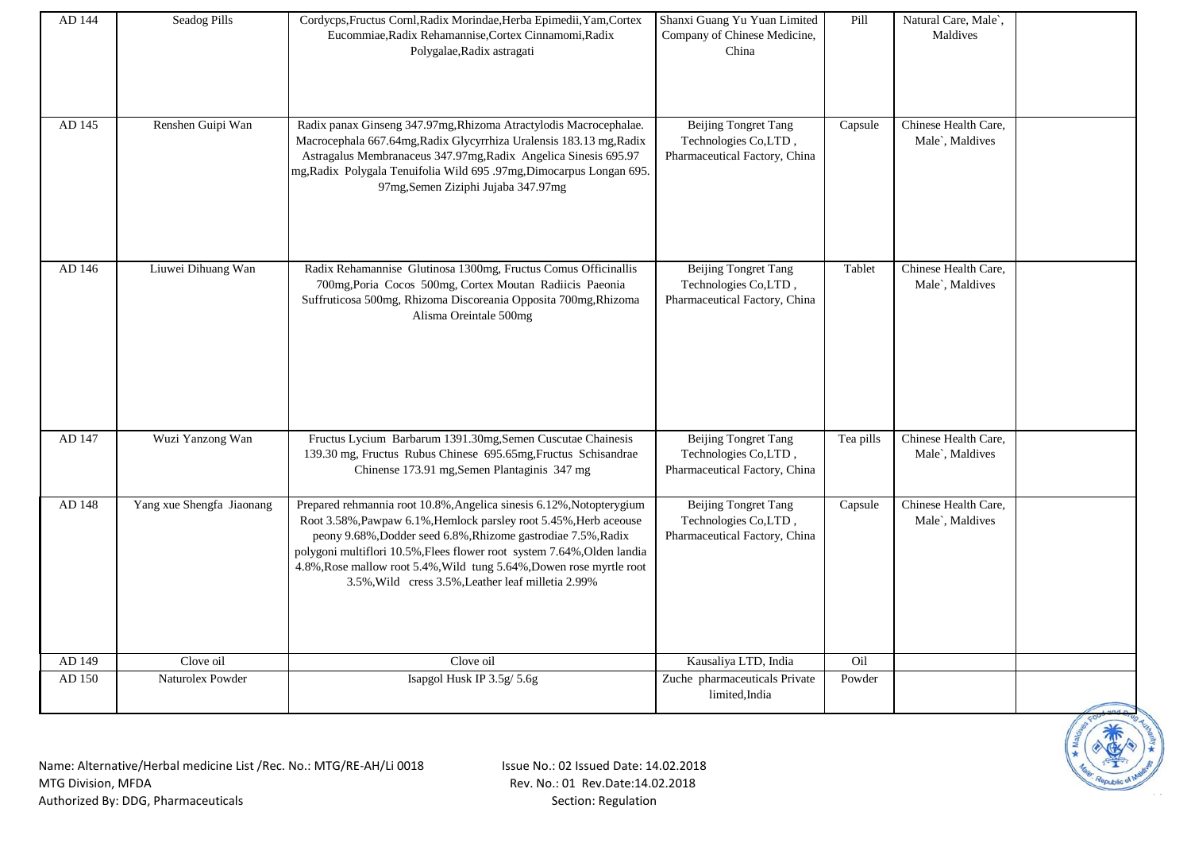| AD 144 | Seadog Pills              | Cordycps, Fructus Cornl, Radix Morindae, Herba Epimedii, Yam, Cortex<br>Eucommiae, Radix Rehamannise, Cortex Cinnamomi, Radix<br>Polygalae, Radix astragati                                                                                                                                                                                                                                                         | Shanxi Guang Yu Yuan Limited<br>Company of Chinese Medicine,<br>China                | Pill      | Natural Care, Male',<br>Maldives        |  |
|--------|---------------------------|---------------------------------------------------------------------------------------------------------------------------------------------------------------------------------------------------------------------------------------------------------------------------------------------------------------------------------------------------------------------------------------------------------------------|--------------------------------------------------------------------------------------|-----------|-----------------------------------------|--|
| AD 145 | Renshen Guipi Wan         | Radix panax Ginseng 347.97mg, Rhizoma Atractylodis Macrocephalae.<br>Macrocephala 667.64mg, Radix Glycyrrhiza Uralensis 183.13 mg, Radix<br>Astragalus Membranaceus 347.97mg, Radix Angelica Sinesis 695.97<br>mg, Radix Polygala Tenuifolia Wild 695 .97mg, Dimocarpus Longan 695.<br>97mg, Semen Ziziphi Jujaba 347.97mg                                                                                          | <b>Beijing Tongret Tang</b><br>Technologies Co,LTD,<br>Pharmaceutical Factory, China | Capsule   | Chinese Health Care,<br>Male`, Maldives |  |
| AD 146 | Liuwei Dihuang Wan        | Radix Rehamannise Glutinosa 1300mg, Fructus Comus Officinallis<br>700mg, Poria Cocos 500mg, Cortex Moutan Radiicis Paeonia<br>Suffruticosa 500mg, Rhizoma Discoreania Opposita 700mg, Rhizoma<br>Alisma Oreintale 500mg                                                                                                                                                                                             | <b>Beijing Tongret Tang</b><br>Technologies Co,LTD,<br>Pharmaceutical Factory, China | Tablet    | Chinese Health Care,<br>Male`, Maldives |  |
| AD 147 | Wuzi Yanzong Wan          | Fructus Lycium Barbarum 1391.30mg, Semen Cuscutae Chainesis<br>139.30 mg, Fructus Rubus Chinese 695.65mg, Fructus Schisandrae<br>Chinense 173.91 mg, Semen Plantaginis 347 mg                                                                                                                                                                                                                                       | <b>Beijing Tongret Tang</b><br>Technologies Co,LTD,<br>Pharmaceutical Factory, China | Tea pills | Chinese Health Care,<br>Male`, Maldives |  |
| AD 148 | Yang xue Shengfa Jiaonang | Prepared rehmannia root 10.8%, Angelica sinesis 6.12%, Notopterygium<br>Root 3.58%, Pawpaw 6.1%, Hemlock parsley root 5.45%, Herb aceouse<br>peony 9.68%, Dodder seed 6.8%, Rhizome gastrodiae 7.5%, Radix<br>polygoni multiflori 10.5%, Flees flower root system 7.64%, Olden landia<br>4.8%, Rose mallow root 5.4%, Wild tung 5.64%, Dowen rose myrtle root<br>3.5%, Wild cress 3.5%, Leather leaf milletia 2.99% | <b>Beijing Tongret Tang</b><br>Technologies Co,LTD,<br>Pharmaceutical Factory, China | Capsule   | Chinese Health Care,<br>Male`, Maldives |  |
| AD 149 | Clove oil                 | Clove oil                                                                                                                                                                                                                                                                                                                                                                                                           | Kausaliya LTD, India                                                                 | Oil       |                                         |  |
| AD 150 | Naturolex Powder          | Isapgol Husk IP 3.5g/ 5.6g                                                                                                                                                                                                                                                                                                                                                                                          | Zuche pharmaceuticals Private<br>limited, India                                      | Powder    |                                         |  |

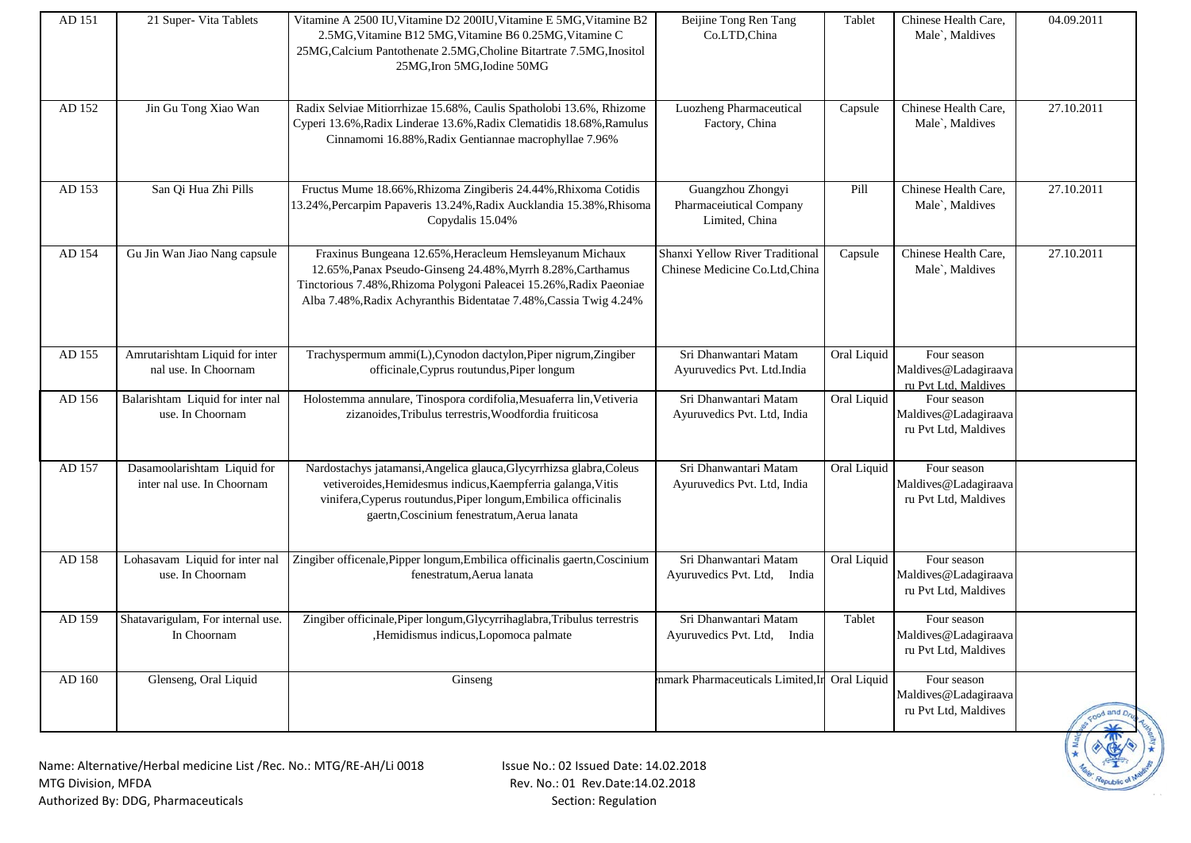| AD 151 | 21 Super- Vita Tablets                                              | Vitamine A 2500 IU, Vitamine D2 200IU, Vitamine E 5MG, Vitamine B2<br>2.5MG, Vitamine B12 5MG, Vitamine B6 0.25MG, Vitamine C<br>25MG, Calcium Pantothenate 2.5MG, Choline Bitartrate 7.5MG, Inositol<br>25MG, Iron 5MG, Iodine 50MG                               | Beijine Tong Ren Tang<br>Co.LTD,China                             | Tablet      | Chinese Health Care.<br>Male`, Maldives                     | 04.09.2011                   |
|--------|---------------------------------------------------------------------|--------------------------------------------------------------------------------------------------------------------------------------------------------------------------------------------------------------------------------------------------------------------|-------------------------------------------------------------------|-------------|-------------------------------------------------------------|------------------------------|
| AD 152 | Jin Gu Tong Xiao Wan                                                | Radix Selviae Mitiorrhizae 15.68%, Caulis Spatholobi 13.6%, Rhizome<br>Cyperi 13.6%, Radix Linderae 13.6%, Radix Clematidis 18.68%, Ramulus<br>Cinnamomi 16.88%, Radix Gentiannae macrophyllae 7.96%                                                               | Luozheng Pharmaceutical<br>Factory, China                         | Capsule     | Chinese Health Care,<br>Male`, Maldives                     | 27.10.2011                   |
| AD 153 | San Qi Hua Zhi Pills                                                | Fructus Mume 18.66%, Rhizoma Zingiberis 24.44%, Rhixoma Cotidis<br>13.24%, Percarpim Papaveris 13.24%, Radix Aucklandia 15.38%, Rhisoma<br>Copydalis 15.04%                                                                                                        | Guangzhou Zhongyi<br>Pharmaceiutical Company<br>Limited, China    | Pill        | Chinese Health Care,<br>Male`, Maldives                     | 27.10.2011                   |
| AD 154 | Gu Jin Wan Jiao Nang capsule                                        | Fraxinus Bungeana 12.65%, Heracleum Hemsleyanum Michaux<br>12.65%, Panax Pseudo-Ginseng 24.48%, Myrrh 8.28%, Carthamus<br>Tinctorious 7.48%, Rhizoma Polygoni Paleacei 15.26%, Radix Paeoniae<br>Alba 7.48%, Radix Achyranthis Bidentatae 7.48%, Cassia Twig 4.24% | Shanxi Yellow River Traditional<br>Chinese Medicine Co.Ltd, China | Capsule     | Chinese Health Care,<br>Male`, Maldives                     | 27.10.2011                   |
| AD 155 | Amrutarishtam Liquid for inter<br>nal use. In Choornam              | Trachyspermum ammi(L), Cynodon dactylon, Piper nigrum, Zingiber<br>officinale, Cyprus routundus, Piper longum                                                                                                                                                      | Sri Dhanwantari Matam<br>Ayuruvedics Pvt. Ltd.India               | Oral Liquid | Four season<br>Maldives@Ladagiraava                         |                              |
|        |                                                                     |                                                                                                                                                                                                                                                                    |                                                                   |             | ru Pvt Ltd, Maldives                                        |                              |
| AD 156 | Balarishtam Liquid for inter nal<br>use. In Choornam                | Holostemma annulare, Tinospora cordifolia, Mesuaferra lin, Vetiveria<br>zizanoides, Tribulus terrestris, Woodfordia fruiticosa                                                                                                                                     | Sri Dhanwantari Matam<br>Ayuruvedics Pvt. Ltd, India              | Oral Liquid | Four season<br>Maldives@Ladagiraava<br>ru Pvt Ltd, Maldives |                              |
| AD 157 | Dasamoolarishtam Liquid for<br>inter nal use. In Choornam           | Nardostachys jatamansi, Angelica glauca, Glycyrrhizsa glabra, Coleus<br>vetiveroides, Hemidesmus indicus, Kaempferria galanga, Vitis<br>vinifera, Cyperus routundus, Piper longum, Embilica officinalis<br>gaertn, Coscinium fenestratum, Aerua lanata             | Sri Dhanwantari Matam<br>Ayuruvedics Pvt. Ltd, India              | Oral Liquid | Four season<br>Maldives@Ladagiraava<br>ru Pvt Ltd, Maldives |                              |
| AD 158 | Lohasavam Liquid for inter nal<br>use. In Choornam                  | Zingiber officenale, Pipper longum, Embilica officinalis gaertn, Coscinium<br>fenestratum, Aerua lanata                                                                                                                                                            | Sri Dhanwantari Matam<br>Ayuruvedics Pvt. Ltd,<br>India           | Oral Liquid | Four season<br>Maldives@Ladagiraava<br>ru Pvt Ltd, Maldives |                              |
| AD 159 | Shatavarigulam, For internal use.<br>In Choornam                    | Zingiber officinale, Piper longum, Glycyrrihaglabra, Tribulus terrestris<br>,Hemidismus indicus,Lopomoca palmate                                                                                                                                                   | Sri Dhanwantari Matam<br>Ayuruvedics Pvt. Ltd, India              | Tablet      | Four season<br>Maldives@Ladagiraava<br>ru Pvt Ltd, Maldives |                              |
| AD 160 | Glenseng, Oral Liquid                                               | Ginseng                                                                                                                                                                                                                                                            | nmark Pharmaceuticals Limited, In Oral Liquid                     |             | Four season<br>Maldives@Ladagiraava<br>ru Pvt Ltd, Maldives | sood and Dr<br>$\rightarrow$ |
|        | Name: Alternative/Herbal medicine List /Rec. No.: MTG/RE-AH/Li 0018 | Issue No.: 02 Issued Date: 14.02.2018                                                                                                                                                                                                                              |                                                                   |             |                                                             |                              |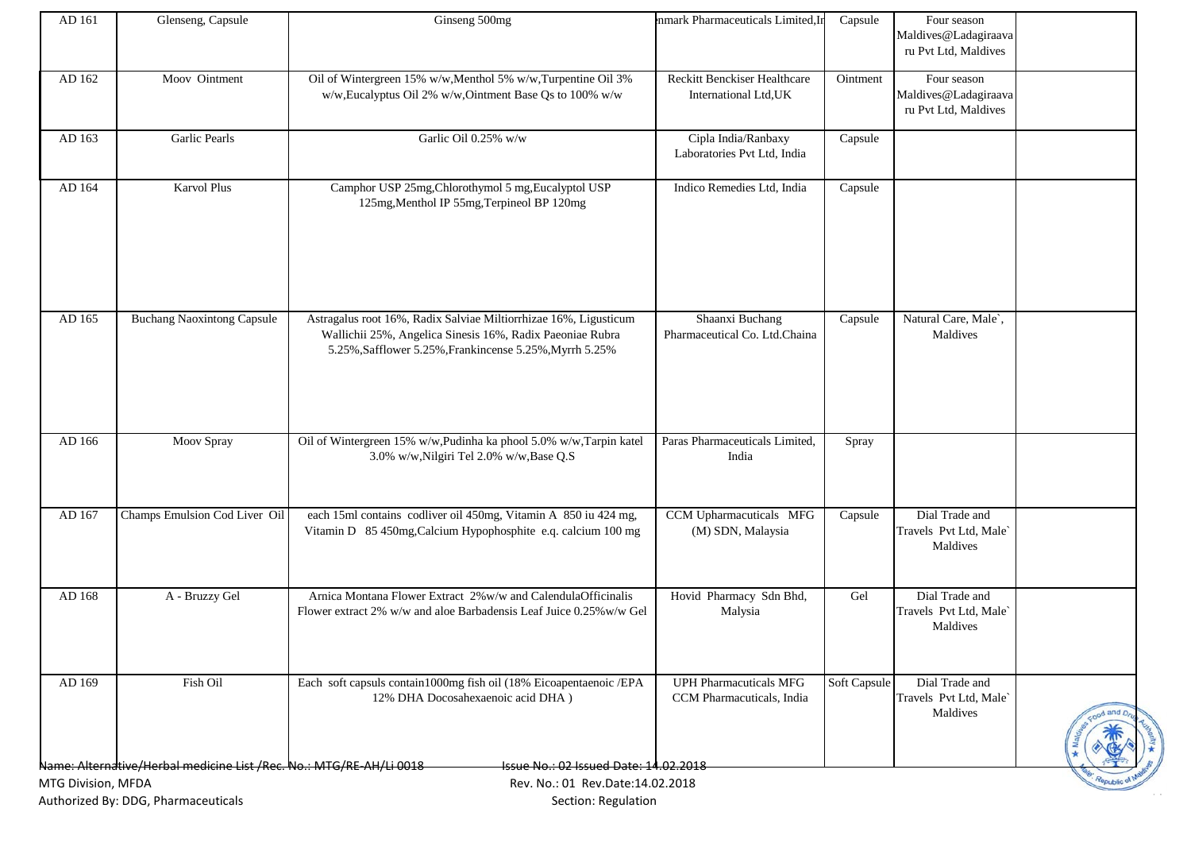| Glenseng, Capsule                 | Ginseng 500mg                                                                                                                                                                            | nmark Pharmaceuticals Limited, In                          | Capsule    | Four season                                                 |                                      |
|-----------------------------------|------------------------------------------------------------------------------------------------------------------------------------------------------------------------------------------|------------------------------------------------------------|------------|-------------------------------------------------------------|--------------------------------------|
|                                   |                                                                                                                                                                                          |                                                            |            | ru Pvt Ltd, Maldives                                        |                                      |
| Moov Ointment                     | Oil of Wintergreen 15% w/w, Menthol 5% w/w, Turpentine Oil 3%<br>w/w, Eucalyptus Oil 2% w/w, Ointment Base Qs to 100% w/w                                                                | Reckitt Benckiser Healthcare<br>International Ltd, UK      | Ointment   | Four season<br>Maldives@Ladagiraava<br>ru Pvt Ltd, Maldives |                                      |
| <b>Garlic Pearls</b>              | Garlic Oil 0.25% w/w                                                                                                                                                                     | Cipla India/Ranbaxy<br>Laboratories Pvt Ltd, India         | $C$ apsule |                                                             |                                      |
| <b>Karvol Plus</b>                | Camphor USP 25mg, Chlorothymol 5 mg, Eucalyptol USP<br>125mg, Menthol IP 55mg, Terpineol BP 120mg                                                                                        | Indico Remedies Ltd, India                                 | Capsule    |                                                             |                                      |
| <b>Buchang Naoxintong Capsule</b> | Astragalus root 16%, Radix Salviae Miltiorrhizae 16%, Ligusticum<br>Wallichii 25%, Angelica Sinesis 16%, Radix Paeoniae Rubra<br>5.25%, Safflower 5.25%, Frankincense 5.25%, Myrrh 5.25% | Shaanxi Buchang<br>Pharmaceutical Co. Ltd.Chaina           | Capsule    | Natural Care, Male`,<br>Maldives                            |                                      |
| Moov Spray                        | Oil of Wintergreen 15% w/w,Pudinha ka phool 5.0% w/w,Tarpin katel<br>3.0% w/w, Nilgiri Tel 2.0% w/w, Base Q.S                                                                            | Paras Pharmaceuticals Limited,<br>India                    | Spray      |                                                             |                                      |
| Champs Emulsion Cod Liver Oil     | each 15ml contains codliver oil 450mg, Vitamin A 850 iu 424 mg,<br>Vitamin D 85 450mg, Calcium Hypophosphite e.q. calcium 100 mg                                                         | CCM Upharmacuticals MFG<br>(M) SDN, Malaysia               | Capsule    | Dial Trade and<br>Travels Pvt Ltd, Male`<br>Maldives        |                                      |
| A - Bruzzy Gel                    | Arnica Montana Flower Extract 2% w/w and CalendulaOfficinalis<br>Flower extract 2% w/w and aloe Barbadensis Leaf Juice 0.25% w/w Gel                                                     | Hovid Pharmacy Sdn Bhd,<br>Malysia                         | Gel        | Dial Trade and<br>Travels Pvt Ltd, Male`<br>Maldives        |                                      |
| Fish Oil                          | Each soft capsuls contain1000mg fish oil (18% Eicoapentaenoic /EPA<br>12% DHA Docosahexaenoic acid DHA)                                                                                  | <b>UPH Pharmacuticals MFG</b><br>CCM Pharmacuticals, India |            | Dial Trade and<br>Travels Pvt Ltd, Male`<br>Maldives        | od and n                             |
|                                   |                                                                                                                                                                                          |                                                            |            |                                                             | Maldives@Ladagiraava<br>Soft Capsule |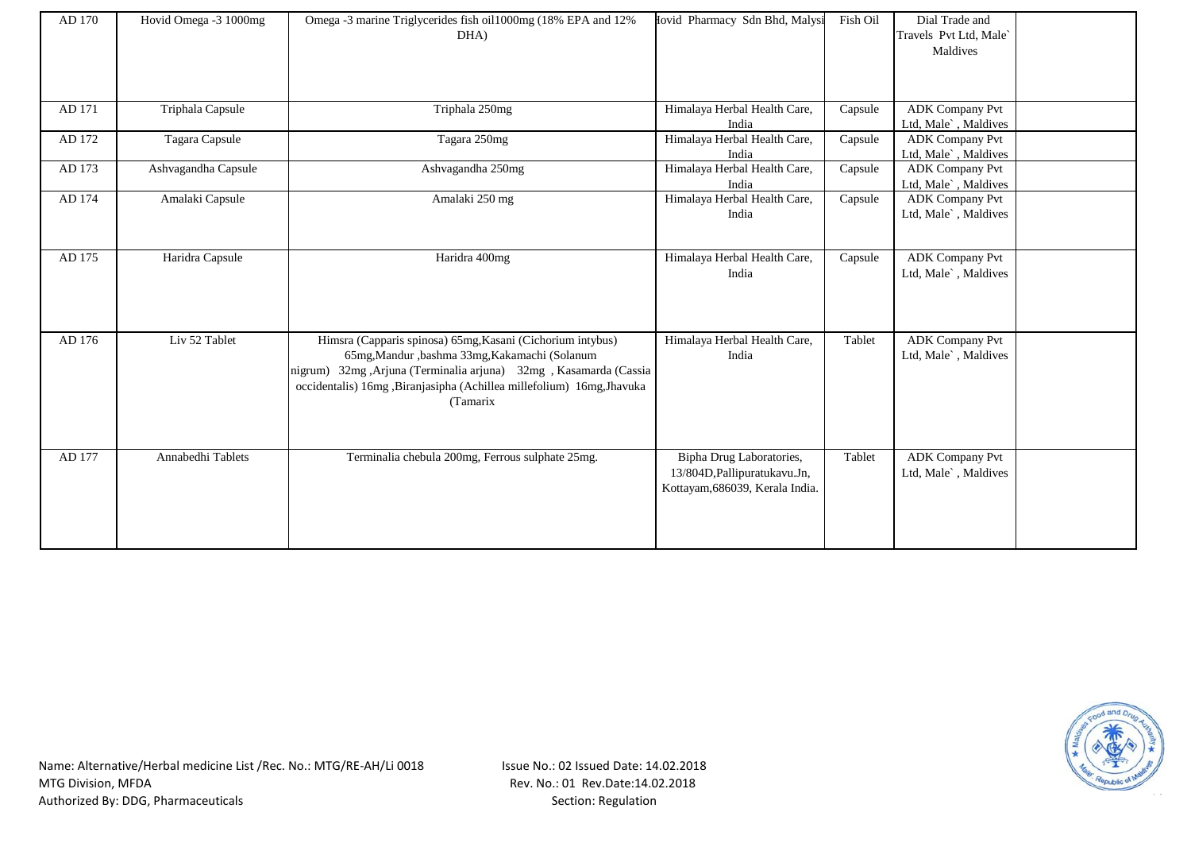| AD 170 | Hovid Omega -3 1000mg | Omega -3 marine Triglycerides fish oil1000mg (18% EPA and 12%<br>DHA)                                                                                                                                                                                                 | Iovid Pharmacy Sdn Bhd, Malysi                                                               | Fish Oil | Dial Trade and<br>Travels Pvt Ltd, Male`<br>Maldives |  |
|--------|-----------------------|-----------------------------------------------------------------------------------------------------------------------------------------------------------------------------------------------------------------------------------------------------------------------|----------------------------------------------------------------------------------------------|----------|------------------------------------------------------|--|
| AD 171 | Triphala Capsule      | Triphala 250mg                                                                                                                                                                                                                                                        | Himalaya Herbal Health Care,<br>India                                                        | Capsule  | <b>ADK</b> Company Pvt<br>Ltd, Male`, Maldives       |  |
| AD 172 | Tagara Capsule        | Tagara 250mg                                                                                                                                                                                                                                                          | Himalaya Herbal Health Care,<br>India                                                        | Capsule  | <b>ADK Company Pvt</b><br>Ltd, Male`, Maldives       |  |
| AD 173 | Ashvagandha Capsule   | Ashvagandha 250mg                                                                                                                                                                                                                                                     | Himalaya Herbal Health Care,<br>India                                                        | Capsule  | <b>ADK</b> Company Pvt<br>Ltd, Male`, Maldives       |  |
| AD 174 | Amalaki Capsule       | Amalaki 250 mg                                                                                                                                                                                                                                                        | Himalaya Herbal Health Care,<br>India                                                        | Capsule  | <b>ADK Company Pvt</b><br>Ltd, Male`, Maldives       |  |
| AD 175 | Haridra Capsule       | Haridra 400mg                                                                                                                                                                                                                                                         | Himalaya Herbal Health Care,<br>India                                                        | Capsule  | <b>ADK Company Pvt</b><br>Ltd, Male`, Maldives       |  |
| AD 176 | Liv 52 Tablet         | Himsra (Capparis spinosa) 65mg, Kasani (Cichorium intybus)<br>65mg, Mandur , bashma 33mg, Kakamachi (Solanum<br>nigrum) 32mg ,Arjuna (Terminalia arjuna) 32mg , Kasamarda (Cassia<br>occidentalis) 16mg ,Biranjasipha (Achillea millefolium) 16mg,Jhavuka<br>(Tamarix | Himalaya Herbal Health Care,<br>India                                                        | Tablet   | <b>ADK Company Pvt</b><br>Ltd, Male`, Maldives       |  |
| AD 177 | Annabedhi Tablets     | Terminalia chebula 200mg, Ferrous sulphate 25mg.                                                                                                                                                                                                                      | Bipha Drug Laboratories,<br>13/804D, Pallipuratukavu. Jn,<br>Kottayam, 686039, Kerala India. | Tablet   | <b>ADK Company Pvt</b><br>Ltd, Male`, Maldives       |  |

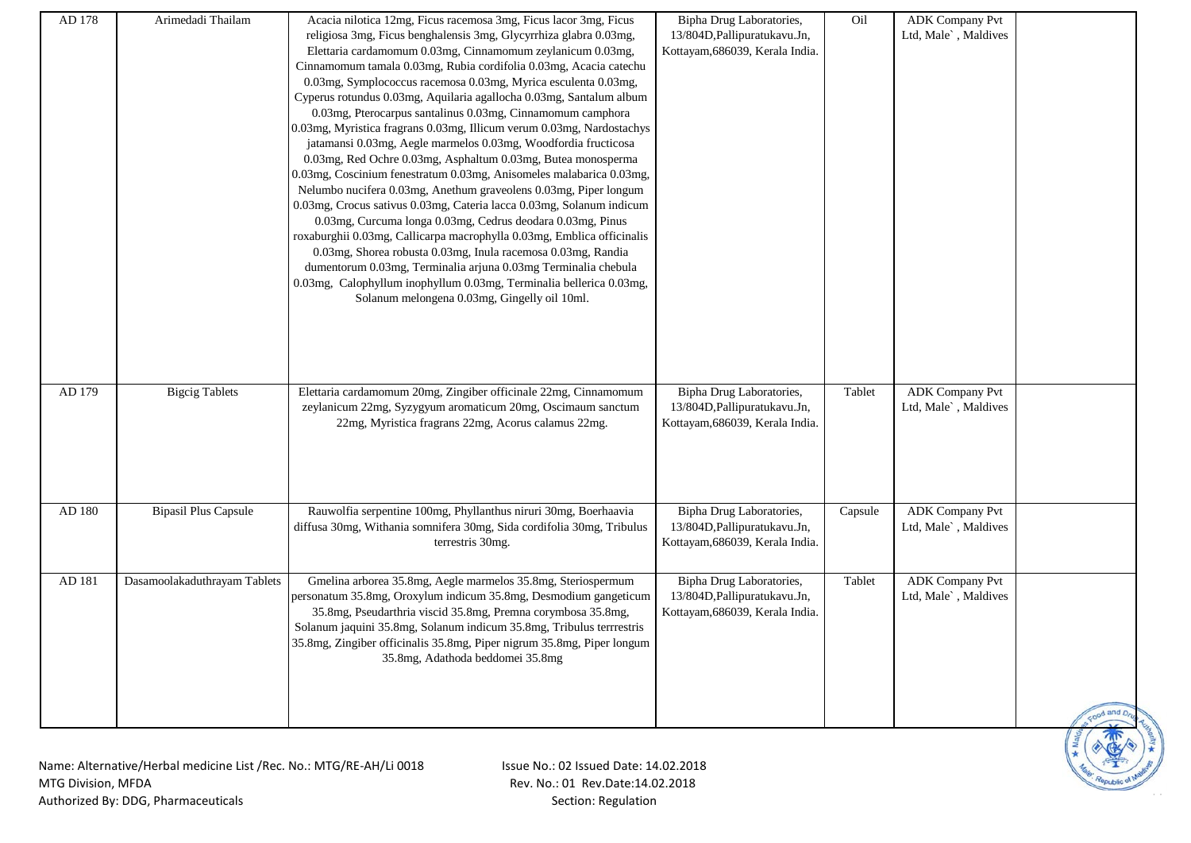| AD 178 | Arimedadi Thailam                                                   | Acacia nilotica 12mg, Ficus racemosa 3mg, Ficus lacor 3mg, Ficus       | Bipha Drug Laboratories,        | Oil     | <b>ADK Company Pvt</b> |            |
|--------|---------------------------------------------------------------------|------------------------------------------------------------------------|---------------------------------|---------|------------------------|------------|
|        |                                                                     | religiosa 3mg, Ficus benghalensis 3mg, Glycyrrhiza glabra 0.03mg,      | 13/804D, Pallipuratukavu. Jn,   |         | Ltd, Male`, Maldives   |            |
|        |                                                                     | Elettaria cardamomum 0.03mg, Cinnamomum zeylanicum 0.03mg,             | Kottayam, 686039, Kerala India. |         |                        |            |
|        |                                                                     | Cinnamomum tamala 0.03mg, Rubia cordifolia 0.03mg, Acacia catechu      |                                 |         |                        |            |
|        |                                                                     | 0.03mg, Symplococcus racemosa 0.03mg, Myrica esculenta 0.03mg,         |                                 |         |                        |            |
|        |                                                                     | Cyperus rotundus 0.03mg, Aquilaria agallocha 0.03mg, Santalum album    |                                 |         |                        |            |
|        |                                                                     | 0.03mg, Pterocarpus santalinus 0.03mg, Cinnamomum camphora             |                                 |         |                        |            |
|        |                                                                     | 0.03mg, Myristica fragrans 0.03mg, Illicum verum 0.03mg, Nardostachys  |                                 |         |                        |            |
|        |                                                                     | jatamansi 0.03mg, Aegle marmelos 0.03mg, Woodfordia fructicosa         |                                 |         |                        |            |
|        |                                                                     |                                                                        |                                 |         |                        |            |
|        |                                                                     | 0.03mg, Red Ochre 0.03mg, Asphaltum 0.03mg, Butea monosperma           |                                 |         |                        |            |
|        |                                                                     | 0.03mg, Coscinium fenestratum 0.03mg, Anisomeles malabarica 0.03mg,    |                                 |         |                        |            |
|        |                                                                     | Nelumbo nucifera 0.03mg, Anethum graveolens 0.03mg, Piper longum       |                                 |         |                        |            |
|        |                                                                     | 0.03mg, Crocus sativus 0.03mg, Cateria lacca 0.03mg, Solanum indicum   |                                 |         |                        |            |
|        |                                                                     | 0.03mg, Curcuma longa 0.03mg, Cedrus deodara 0.03mg, Pinus             |                                 |         |                        |            |
|        |                                                                     | roxaburghii 0.03mg, Callicarpa macrophylla 0.03mg, Emblica officinalis |                                 |         |                        |            |
|        |                                                                     | 0.03mg, Shorea robusta 0.03mg, Inula racemosa 0.03mg, Randia           |                                 |         |                        |            |
|        |                                                                     | dumentorum 0.03mg, Terminalia arjuna 0.03mg Terminalia chebula         |                                 |         |                        |            |
|        |                                                                     | 0.03mg, Calophyllum inophyllum 0.03mg, Terminalia bellerica 0.03mg,    |                                 |         |                        |            |
|        |                                                                     | Solanum melongena 0.03mg, Gingelly oil 10ml.                           |                                 |         |                        |            |
|        |                                                                     |                                                                        |                                 |         |                        |            |
|        |                                                                     |                                                                        |                                 |         |                        |            |
|        |                                                                     |                                                                        |                                 |         |                        |            |
|        |                                                                     |                                                                        |                                 |         |                        |            |
|        |                                                                     |                                                                        |                                 |         |                        |            |
| AD 179 | <b>Bigcig Tablets</b>                                               | Elettaria cardamomum 20mg, Zingiber officinale 22mg, Cinnamomum        | Bipha Drug Laboratories,        | Tablet  | <b>ADK Company Pvt</b> |            |
|        |                                                                     | zeylanicum 22mg, Syzygyum aromaticum 20mg, Oscimaum sanctum            | 13/804D, Pallipuratukavu. Jn,   |         | Ltd, Male`, Maldives   |            |
|        |                                                                     | 22mg, Myristica fragrans 22mg, Acorus calamus 22mg.                    | Kottayam, 686039, Kerala India. |         |                        |            |
|        |                                                                     |                                                                        |                                 |         |                        |            |
|        |                                                                     |                                                                        |                                 |         |                        |            |
|        |                                                                     |                                                                        |                                 |         |                        |            |
|        |                                                                     |                                                                        |                                 |         |                        |            |
|        |                                                                     |                                                                        |                                 |         |                        |            |
| AD 180 | <b>Bipasil Plus Capsule</b>                                         | Rauwolfia serpentine 100mg, Phyllanthus niruri 30mg, Boerhaavia        | Bipha Drug Laboratories,        | Capsule | <b>ADK Company Pvt</b> |            |
|        |                                                                     | diffusa 30mg, Withania somnifera 30mg, Sida cordifolia 30mg, Tribulus  | 13/804D, Pallipuratukavu. Jn,   |         | Ltd, Male`, Maldives   |            |
|        |                                                                     | terrestris 30mg.                                                       | Kottayam, 686039, Kerala India. |         |                        |            |
|        |                                                                     |                                                                        |                                 |         |                        |            |
| AD 181 | Dasamoolakaduthrayam Tablets                                        | Gmelina arborea 35.8mg, Aegle marmelos 35.8mg, Steriospermum           | Bipha Drug Laboratories,        | Tablet  | <b>ADK Company Pvt</b> |            |
|        |                                                                     | personatum 35.8mg, Oroxylum indicum 35.8mg, Desmodium gangeticum       | 13/804D, Pallipuratukavu. Jn,   |         | Ltd, Male`, Maldives   |            |
|        |                                                                     | 35.8mg, Pseudarthria viscid 35.8mg, Premna corymbosa 35.8mg,           | Kottayam, 686039, Kerala India. |         |                        |            |
|        |                                                                     | Solanum jaquini 35.8mg, Solanum indicum 35.8mg, Tribulus terrrestris   |                                 |         |                        |            |
|        |                                                                     | 35.8mg, Zingiber officinalis 35.8mg, Piper nigrum 35.8mg, Piper longum |                                 |         |                        |            |
|        |                                                                     | 35.8mg, Adathoda beddomei 35.8mg                                       |                                 |         |                        |            |
|        |                                                                     |                                                                        |                                 |         |                        |            |
|        |                                                                     |                                                                        |                                 |         |                        |            |
|        |                                                                     |                                                                        |                                 |         |                        |            |
|        |                                                                     |                                                                        |                                 |         |                        | tood and D |
|        |                                                                     |                                                                        |                                 |         |                        |            |
|        |                                                                     |                                                                        |                                 |         |                        |            |
|        | Name: Alternative/Herbal medicine List /Rec. No.: MTG/RE-AH/Li 0018 | Issue No.: 02 Issued Date: 14.02.2018                                  |                                 |         |                        |            |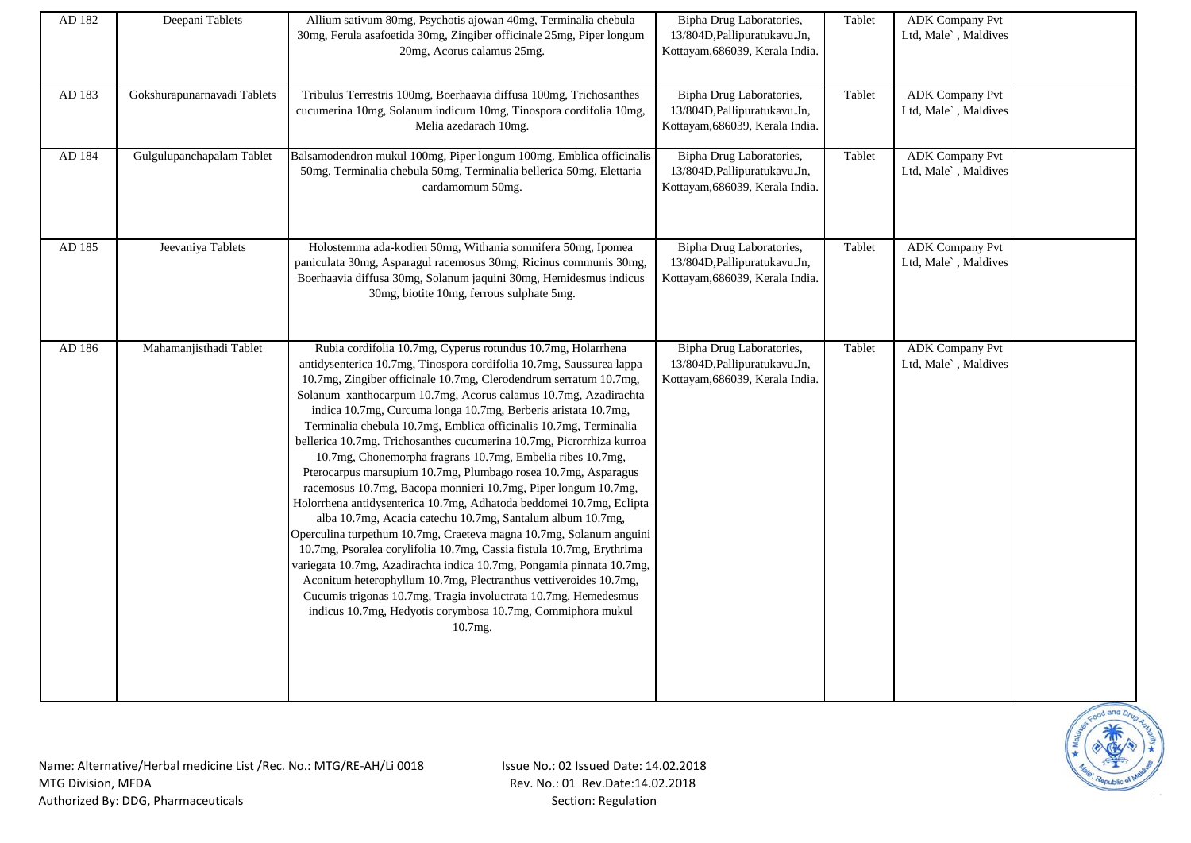| AD 182 | Deepani Tablets             | Allium sativum 80mg, Psychotis ajowan 40mg, Terminalia chebula<br>30mg, Ferula asafoetida 30mg, Zingiber officinale 25mg, Piper longum<br>20mg, Acorus calamus 25mg.                                                                                                                                                                                                                                                                                                                                                                                                                                                                                                                                                                                                                                                                                                                                                                                                                                                                                                                                                                                                                                                                                                               | Bipha Drug Laboratories,<br>13/804D, Pallipuratukavu. Jn,<br>Kottayam, 686039, Kerala India. | Tablet | <b>ADK</b> Company Pvt<br>Ltd, Male`, Maldives |  |
|--------|-----------------------------|------------------------------------------------------------------------------------------------------------------------------------------------------------------------------------------------------------------------------------------------------------------------------------------------------------------------------------------------------------------------------------------------------------------------------------------------------------------------------------------------------------------------------------------------------------------------------------------------------------------------------------------------------------------------------------------------------------------------------------------------------------------------------------------------------------------------------------------------------------------------------------------------------------------------------------------------------------------------------------------------------------------------------------------------------------------------------------------------------------------------------------------------------------------------------------------------------------------------------------------------------------------------------------|----------------------------------------------------------------------------------------------|--------|------------------------------------------------|--|
| AD 183 | Gokshurapunarnavadi Tablets | Tribulus Terrestris 100mg, Boerhaavia diffusa 100mg, Trichosanthes<br>cucumerina 10mg, Solanum indicum 10mg, Tinospora cordifolia 10mg,<br>Melia azedarach 10mg.                                                                                                                                                                                                                                                                                                                                                                                                                                                                                                                                                                                                                                                                                                                                                                                                                                                                                                                                                                                                                                                                                                                   | Bipha Drug Laboratories,<br>13/804D, Pallipuratukavu. Jn,<br>Kottayam, 686039, Kerala India. | Tablet | <b>ADK</b> Company Pvt<br>Ltd, Male`, Maldives |  |
| AD 184 | Gulgulupanchapalam Tablet   | Balsamodendron mukul 100mg, Piper longum 100mg, Emblica officinalis<br>50mg, Terminalia chebula 50mg, Terminalia bellerica 50mg, Elettaria<br>cardamomum 50mg.                                                                                                                                                                                                                                                                                                                                                                                                                                                                                                                                                                                                                                                                                                                                                                                                                                                                                                                                                                                                                                                                                                                     | Bipha Drug Laboratories,<br>13/804D, Pallipuratukavu. Jn,<br>Kottayam, 686039, Kerala India. | Tablet | <b>ADK</b> Company Pvt<br>Ltd, Male`, Maldives |  |
| AD 185 | Jeevaniya Tablets           | Holostemma ada-kodien 50mg, Withania somnifera 50mg, Ipomea<br>paniculata 30mg, Asparagul racemosus 30mg, Ricinus communis 30mg,<br>Boerhaavia diffusa 30mg, Solanum jaquini 30mg, Hemidesmus indicus<br>30mg, biotite 10mg, ferrous sulphate 5mg.                                                                                                                                                                                                                                                                                                                                                                                                                                                                                                                                                                                                                                                                                                                                                                                                                                                                                                                                                                                                                                 | Bipha Drug Laboratories,<br>13/804D, Pallipuratukavu. Jn,<br>Kottayam, 686039, Kerala India. | Tablet | <b>ADK Company Pvt</b><br>Ltd, Male`, Maldives |  |
| AD 186 | Mahamanjisthadi Tablet      | Rubia cordifolia 10.7mg, Cyperus rotundus 10.7mg, Holarrhena<br>antidysenterica 10.7mg, Tinospora cordifolia 10.7mg, Saussurea lappa<br>10.7mg, Zingiber officinale 10.7mg, Clerodendrum serratum 10.7mg,<br>Solanum xanthocarpum 10.7mg, Acorus calamus 10.7mg, Azadirachta<br>indica 10.7mg, Curcuma longa 10.7mg, Berberis aristata 10.7mg,<br>Terminalia chebula 10.7mg, Emblica officinalis 10.7mg, Terminalia<br>bellerica 10.7mg. Trichosanthes cucumerina 10.7mg, Picrorrhiza kurroa<br>10.7mg, Chonemorpha fragrans 10.7mg, Embelia ribes 10.7mg,<br>Pterocarpus marsupium 10.7mg, Plumbago rosea 10.7mg, Asparagus<br>racemosus 10.7mg, Bacopa monnieri 10.7mg, Piper longum 10.7mg,<br>Holorrhena antidysenterica 10.7mg, Adhatoda beddomei 10.7mg, Eclipta<br>alba 10.7mg, Acacia catechu 10.7mg, Santalum album 10.7mg,<br>Operculina turpethum 10.7mg, Craeteva magna 10.7mg, Solanum anguini<br>10.7mg, Psoralea corylifolia 10.7mg, Cassia fistula 10.7mg, Erythrima<br>variegata 10.7mg, Azadirachta indica 10.7mg, Pongamia pinnata 10.7mg,<br>Aconitum heterophyllum 10.7mg, Plectranthus vettiveroides 10.7mg,<br>Cucumis trigonas 10.7mg, Tragia involuctrata 10.7mg, Hemedesmus<br>indicus 10.7mg, Hedyotis corymbosa 10.7mg, Commiphora mukul<br>$10.7mg$ . | Bipha Drug Laboratories,<br>13/804D, Pallipuratukavu. Jn,<br>Kottayam, 686039, Kerala India. | Tablet | <b>ADK Company Pvt</b><br>Ltd, Male`, Maldives |  |

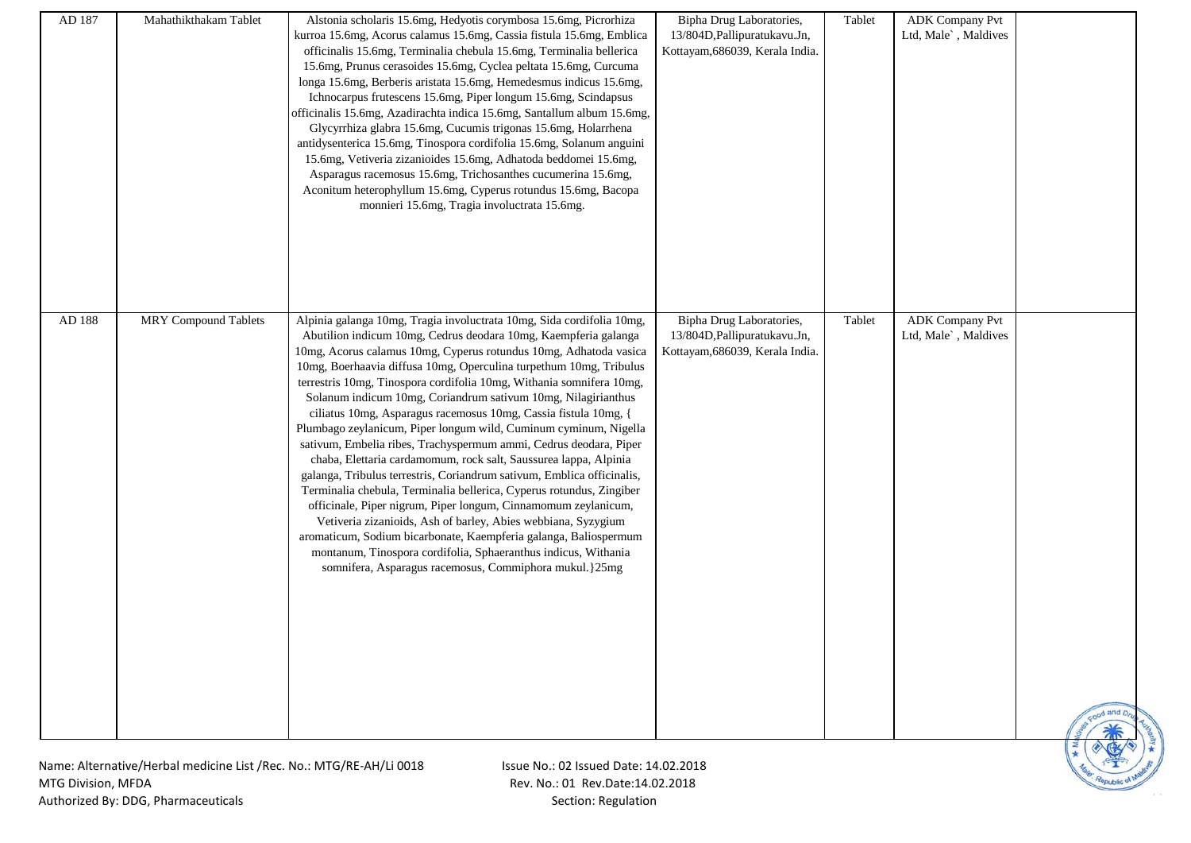| AD 187<br>Mahathikthakam Tablet | Alstonia scholaris 15.6mg, Hedyotis corymbosa 15.6mg, Picrorhiza<br>kurroa 15.6mg, Acorus calamus 15.6mg, Cassia fistula 15.6mg, Emblica<br>officinalis 15.6mg, Terminalia chebula 15.6mg, Terminalia bellerica<br>15.6mg, Prunus cerasoides 15.6mg, Cyclea peltata 15.6mg, Curcuma<br>longa 15.6mg, Berberis aristata 15.6mg, Hemedesmus indicus 15.6mg,<br>Ichnocarpus frutescens 15.6mg, Piper longum 15.6mg, Scindapsus<br>officinalis 15.6mg, Azadirachta indica 15.6mg, Santallum album 15.6mg,<br>Glycyrrhiza glabra 15.6mg, Cucumis trigonas 15.6mg, Holarrhena<br>antidysenterica 15.6mg, Tinospora cordifolia 15.6mg, Solanum anguini<br>15.6mg, Vetiveria zizanioides 15.6mg, Adhatoda beddomei 15.6mg,<br>Asparagus racemosus 15.6mg, Trichosanthes cucumerina 15.6mg,<br>Aconitum heterophyllum 15.6mg, Cyperus rotundus 15.6mg, Bacopa<br>monnieri 15.6mg, Tragia involuctrata 15.6mg.                                                                                                                                                                                                                     | Bipha Drug Laboratories,<br>13/804D, Pallipuratukavu. Jn,<br>Kottayam, 686039, Kerala India. | Tablet | <b>ADK Company Pvt</b><br>Ltd, Male`, Maldives |  |
|---------------------------------|--------------------------------------------------------------------------------------------------------------------------------------------------------------------------------------------------------------------------------------------------------------------------------------------------------------------------------------------------------------------------------------------------------------------------------------------------------------------------------------------------------------------------------------------------------------------------------------------------------------------------------------------------------------------------------------------------------------------------------------------------------------------------------------------------------------------------------------------------------------------------------------------------------------------------------------------------------------------------------------------------------------------------------------------------------------------------------------------------------------------------|----------------------------------------------------------------------------------------------|--------|------------------------------------------------|--|
| AD 188<br>MRY Compound Tablets  | Alpinia galanga 10mg, Tragia involuctrata 10mg, Sida cordifolia 10mg,                                                                                                                                                                                                                                                                                                                                                                                                                                                                                                                                                                                                                                                                                                                                                                                                                                                                                                                                                                                                                                                    | Bipha Drug Laboratories,                                                                     | Tablet | <b>ADK Company Pvt</b>                         |  |
|                                 | Abutilion indicum 10mg, Cedrus deodara 10mg, Kaempferia galanga<br>10mg, Acorus calamus 10mg, Cyperus rotundus 10mg, Adhatoda vasica<br>10mg, Boerhaavia diffusa 10mg, Operculina turpethum 10mg, Tribulus<br>terrestris 10mg, Tinospora cordifolia 10mg, Withania somnifera 10mg,<br>Solanum indicum 10mg, Coriandrum sativum 10mg, Nilagirianthus<br>ciliatus 10mg, Asparagus racemosus 10mg, Cassia fistula 10mg, {<br>Plumbago zeylanicum, Piper longum wild, Cuminum cyminum, Nigella<br>sativum, Embelia ribes, Trachyspermum ammi, Cedrus deodara, Piper<br>chaba, Elettaria cardamomum, rock salt, Saussurea lappa, Alpinia<br>galanga, Tribulus terrestris, Coriandrum sativum, Emblica officinalis,<br>Terminalia chebula, Terminalia bellerica, Cyperus rotundus, Zingiber<br>officinale, Piper nigrum, Piper longum, Cinnamomum zeylanicum,<br>Vetiveria zizanioids, Ash of barley, Abies webbiana, Syzygium<br>aromaticum, Sodium bicarbonate, Kaempferia galanga, Baliospermum<br>montanum, Tinospora cordifolia, Sphaeranthus indicus, Withania<br>somnifera, Asparagus racemosus, Commiphora mukul.}25mg | 13/804D, Pallipuratukavu. Jn,<br>Kottayam, 686039, Kerala India.                             |        | Ltd, Male`, Maldives                           |  |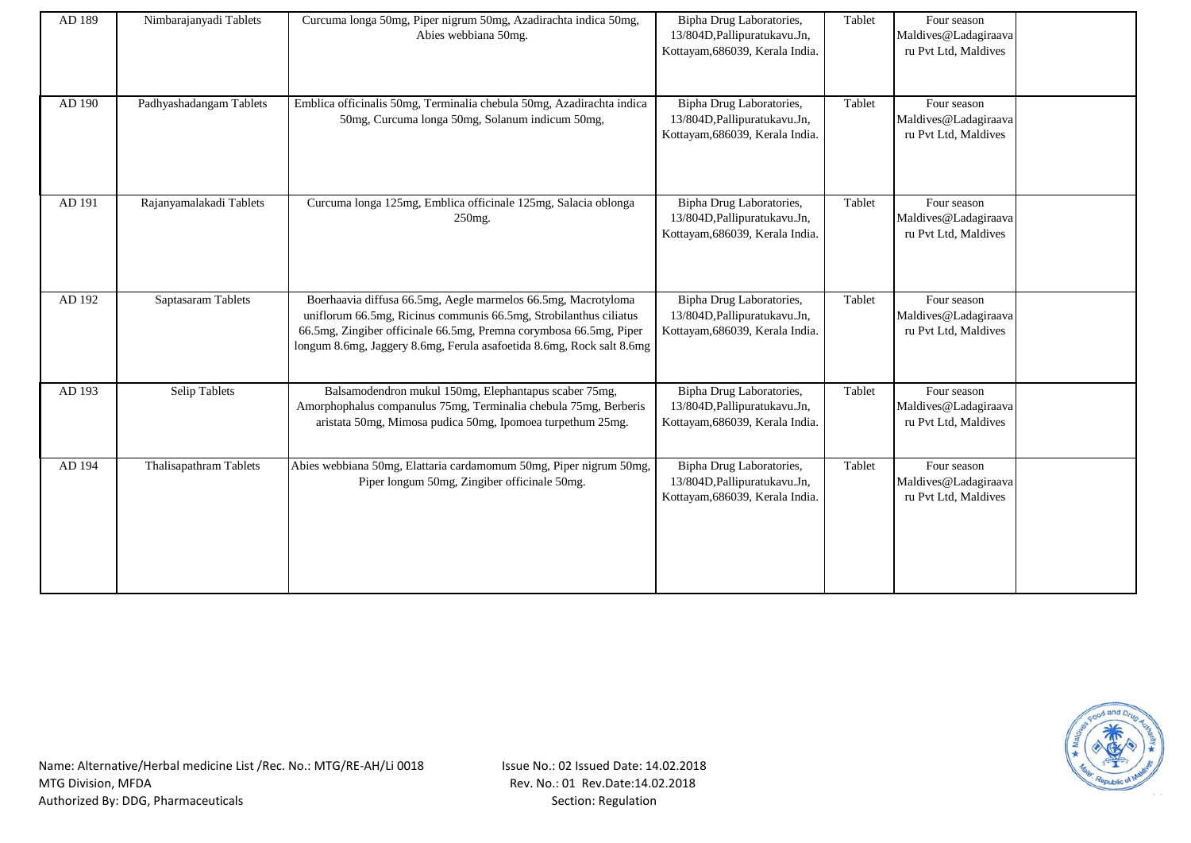| AD 189 | Nimbarajanyadi Tablets  | Curcuma longa 50mg, Piper nigrum 50mg, Azadirachta indica 50mg,<br>Abies webbiana 50mg.                                                                                                                                                                                           | Bipha Drug Laboratories,<br>13/804D, Pallipuratukavu. Jn,<br>Kottayam, 686039, Kerala India. | Tablet | Four season<br>Maldives@Ladagiraava<br>ru Pvt Ltd, Maldives |  |
|--------|-------------------------|-----------------------------------------------------------------------------------------------------------------------------------------------------------------------------------------------------------------------------------------------------------------------------------|----------------------------------------------------------------------------------------------|--------|-------------------------------------------------------------|--|
| AD 190 | Padhyashadangam Tablets | Emblica officinalis 50mg, Terminalia chebula 50mg, Azadirachta indica<br>50mg, Curcuma longa 50mg, Solanum indicum 50mg,                                                                                                                                                          | Bipha Drug Laboratories,<br>13/804D, Pallipuratukavu. Jn,<br>Kottayam, 686039, Kerala India. | Tablet | Four season<br>Maldives@Ladagiraava<br>ru Pvt Ltd, Maldives |  |
| AD 191 | Rajanyamalakadi Tablets | Curcuma longa 125mg, Emblica officinale 125mg, Salacia oblonga<br>250mg.                                                                                                                                                                                                          | Bipha Drug Laboratories,<br>13/804D, Pallipuratukavu. Jn,<br>Kottayam, 686039, Kerala India. | Tablet | Four season<br>Maldives@Ladagiraava<br>ru Pvt Ltd, Maldives |  |
| AD 192 | Saptasaram Tablets      | Boerhaavia diffusa 66.5mg, Aegle marmelos 66.5mg, Macrotyloma<br>uniflorum 66.5mg, Ricinus communis 66.5mg, Strobilanthus ciliatus<br>66.5mg, Zingiber officinale 66.5mg, Premna corymbosa 66.5mg, Piper<br>longum 8.6mg, Jaggery 8.6mg, Ferula asafoetida 8.6mg, Rock salt 8.6mg | Bipha Drug Laboratories,<br>13/804D, Pallipuratukavu. Jn,<br>Kottayam, 686039, Kerala India. | Tablet | Four season<br>Maldives@Ladagiraava<br>ru Pvt Ltd, Maldives |  |
| AD 193 | <b>Selip Tablets</b>    | Balsamodendron mukul 150mg, Elephantapus scaber 75mg,<br>Amorphophalus companulus 75mg, Terminalia chebula 75mg, Berberis<br>aristata 50mg, Mimosa pudica 50mg, Ipomoea turpethum 25mg.                                                                                           | Bipha Drug Laboratories,<br>13/804D, Pallipuratukavu. Jn,<br>Kottayam, 686039, Kerala India. | Tablet | Four season<br>Maldives@Ladagiraava<br>ru Pvt Ltd, Maldives |  |
| AD 194 | Thalisapathram Tablets  | Abies webbiana 50mg, Elattaria cardamomum 50mg, Piper nigrum 50mg,<br>Piper longum 50mg, Zingiber officinale 50mg.                                                                                                                                                                | Bipha Drug Laboratories,<br>13/804D, Pallipuratukavu. Jn,<br>Kottayam, 686039, Kerala India. | Tablet | Four season<br>Maldives@Ladagiraava<br>ru Pvt Ltd, Maldives |  |

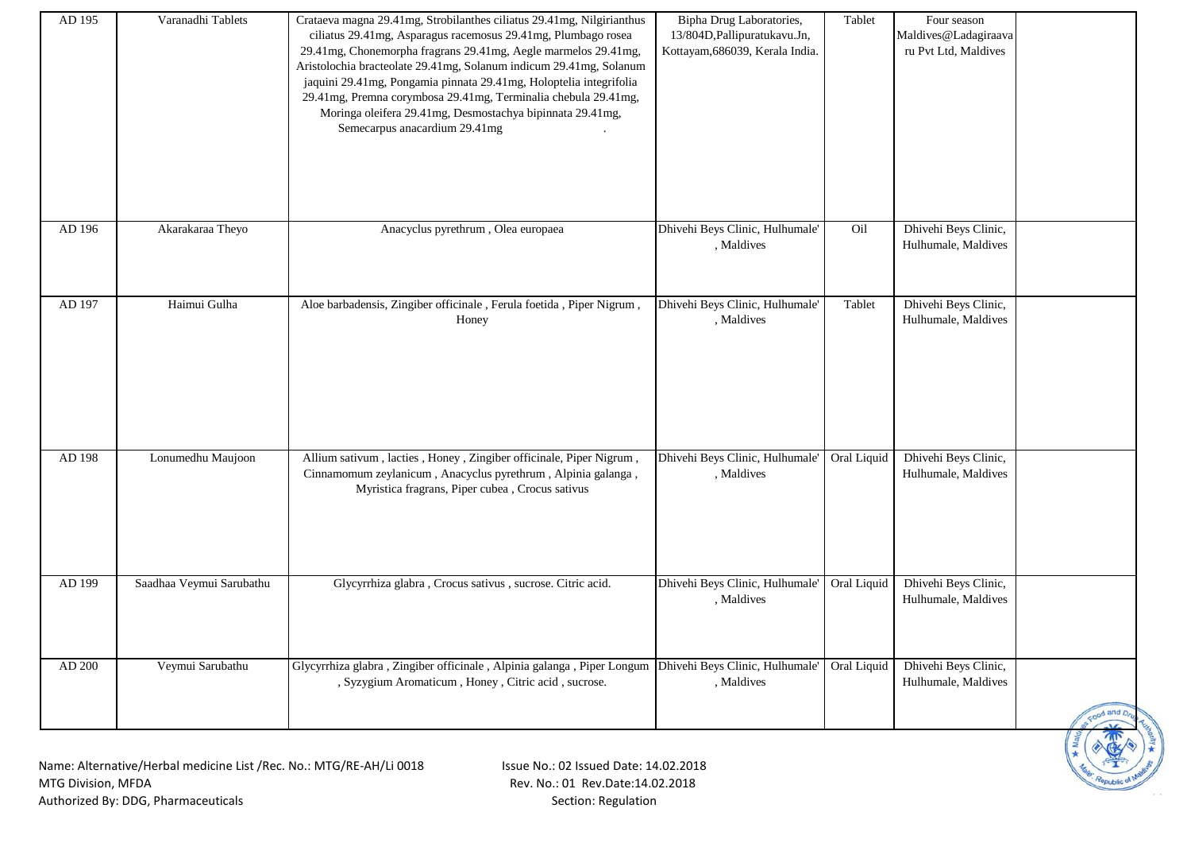| AD 195 | Varanadhi Tablets                                                  | Crataeva magna 29.41mg, Strobilanthes ciliatus 29.41mg, Nilgirianthus<br>ciliatus 29.41mg, Asparagus racemosus 29.41mg, Plumbago rosea<br>29.41mg, Chonemorpha fragrans 29.41mg, Aegle marmelos 29.41mg,<br>Aristolochia bracteolate 29.41mg, Solanum indicum 29.41mg, Solanum<br>jaquini 29.41mg, Pongamia pinnata 29.41mg, Holoptelia integrifolia<br>29.41mg, Premna corymbosa 29.41mg, Terminalia chebula 29.41mg,<br>Moringa oleifera 29.41mg, Desmostachya bipinnata 29.41mg,<br>Semecarpus anacardium 29.41mg | Bipha Drug Laboratories,<br>13/804D, Pallipuratukavu. Jn,<br>Kottayam, 686039, Kerala India. | Tablet      | Four season<br>Maldives@Ladagiraava<br>ru Pvt Ltd, Maldives |             |
|--------|--------------------------------------------------------------------|----------------------------------------------------------------------------------------------------------------------------------------------------------------------------------------------------------------------------------------------------------------------------------------------------------------------------------------------------------------------------------------------------------------------------------------------------------------------------------------------------------------------|----------------------------------------------------------------------------------------------|-------------|-------------------------------------------------------------|-------------|
| AD 196 | Akarakaraa Theyo                                                   | Anacyclus pyrethrum, Olea europaea                                                                                                                                                                                                                                                                                                                                                                                                                                                                                   | Dhivehi Beys Clinic, Hulhumale'<br>, Maldives                                                | Oil         | Dhivehi Beys Clinic,<br>Hulhumale, Maldives                 |             |
| AD 197 | Haimui Gulha                                                       | Aloe barbadensis, Zingiber officinale, Ferula foetida, Piper Nigrum,<br>Honey                                                                                                                                                                                                                                                                                                                                                                                                                                        | Dhivehi Beys Clinic, Hulhumale'<br>, Maldives                                                | Tablet      | Dhivehi Beys Clinic,<br>Hulhumale, Maldives                 |             |
| AD 198 | Lonumedhu Maujoon                                                  | Allium sativum, lacties, Honey, Zingiber officinale, Piper Nigrum,<br>Cinnamomum zeylanicum, Anacyclus pyrethrum, Alpinia galanga,<br>Myristica fragrans, Piper cubea, Crocus sativus                                                                                                                                                                                                                                                                                                                                | Dhivehi Beys Clinic, Hulhumale'<br>, Maldives                                                | Oral Liquid | Dhivehi Beys Clinic,<br>Hulhumale, Maldives                 |             |
| AD 199 | Saadhaa Veymui Sarubathu                                           | Glycyrrhiza glabra, Crocus sativus, sucrose. Citric acid.                                                                                                                                                                                                                                                                                                                                                                                                                                                            | Dhivehi Beys Clinic, Hulhumale'<br>, Maldives                                                | Oral Liquid | Dhivehi Beys Clinic,<br>Hulhumale, Maldives                 |             |
| AD 200 | Veymui Sarubathu                                                   | Glycyrrhiza glabra, Zingiber officinale, Alpinia galanga, Piper Longum Dhivehi Beys Clinic, Hulhumale'<br>, Syzygium Aromaticum, Honey, Citric acid, sucrose.                                                                                                                                                                                                                                                                                                                                                        | , Maldives                                                                                   | Oral Liquid | Dhivehi Beys Clinic,<br>Hulhumale, Maldives                 | tood and Dr |
|        | Name: Alternative/Herbal medicine List /Rec No : MTG/RF-AH/Li 0018 | $\frac{1}{2}$ Issue No $\cdot$ 02 Issued Date: 14 02 2018                                                                                                                                                                                                                                                                                                                                                                                                                                                            |                                                                                              |             |                                                             |             |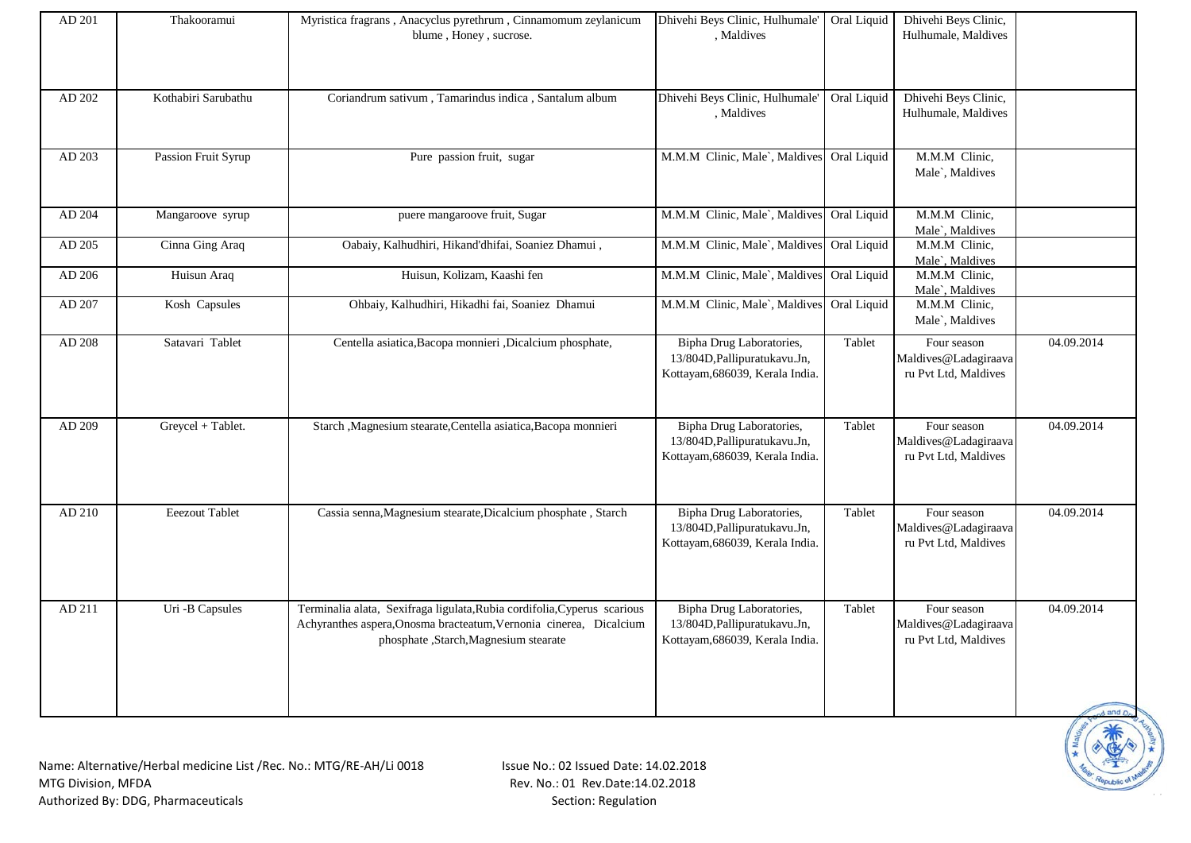| AD 201 | Thakooramui           | Myristica fragrans, Anacyclus pyrethrum, Cinnamomum zeylanicum<br>blume, Honey, sucrose.                                                                                               | Dhivehi Beys Clinic, Hulhumale'<br>, Maldives                                                | Oral Liquid | Dhivehi Beys Clinic,<br>Hulhumale, Maldives                 |                           |
|--------|-----------------------|----------------------------------------------------------------------------------------------------------------------------------------------------------------------------------------|----------------------------------------------------------------------------------------------|-------------|-------------------------------------------------------------|---------------------------|
| AD 202 | Kothabiri Sarubathu   | Coriandrum sativum, Tamarindus indica, Santalum album                                                                                                                                  | Dhivehi Beys Clinic, Hulhumale'<br>, Maldives                                                | Oral Liquid | Dhivehi Beys Clinic,<br>Hulhumale, Maldives                 |                           |
| AD 203 | Passion Fruit Syrup   | Pure passion fruit, sugar                                                                                                                                                              | M.M.M Clinic, Male`, Maldives Oral Liquid                                                    |             | M.M.M Clinic,<br>Male`, Maldives                            |                           |
| AD 204 | Mangaroove syrup      | puere mangaroove fruit, Sugar                                                                                                                                                          | M.M.M Clinic, Male`, Maldives Oral Liquid                                                    |             | M.M.M Clinic,<br>Male`, Maldives                            |                           |
| AD 205 | Cinna Ging Araq       | Oabaiy, Kalhudhiri, Hikand'dhifai, Soaniez Dhamui,                                                                                                                                     | M.M.M Clinic, Male`, Maldives Oral Liquid                                                    |             | M.M.M Clinic,<br>Male`, Maldives                            |                           |
| AD 206 | Huisun Araq           | Huisun, Kolizam, Kaashi fen                                                                                                                                                            | M.M.M Clinic, Male`, Maldives                                                                | Oral Liquid | M.M.M Clinic,<br>Male`, Maldives                            |                           |
| AD 207 | Kosh Capsules         | Ohbaiy, Kalhudhiri, Hikadhi fai, Soaniez Dhamui                                                                                                                                        | M.M.M Clinic, Male`, Maldives                                                                | Oral Liquid | M.M.M Clinic,<br>Male`, Maldives                            |                           |
| AD 208 | Satavari Tablet       | Centella asiatica, Bacopa monnieri , Dicalcium phosphate,                                                                                                                              | Bipha Drug Laboratories,<br>13/804D, Pallipuratukavu. Jn,<br>Kottayam, 686039, Kerala India. | Tablet      | Four season<br>Maldives@Ladagiraava<br>ru Pvt Ltd, Maldives | 04.09.2014                |
| AD 209 | Greycel + Tablet.     | Starch , Magnesium stearate, Centella asiatica, Bacopa monnieri                                                                                                                        | Bipha Drug Laboratories,<br>13/804D, Pallipuratukavu. Jn,<br>Kottayam, 686039, Kerala India. | Tablet      | Four season<br>Maldives@Ladagiraava<br>ru Pvt Ltd, Maldives | 04.09.2014                |
| AD 210 | <b>Eeezout Tablet</b> | Cassia senna, Magnesium stearate, Dicalcium phosphate, Starch                                                                                                                          | Bipha Drug Laboratories,<br>13/804D, Pallipuratukavu. Jn,<br>Kottayam, 686039, Kerala India. | Tablet      | Four season<br>Maldives@Ladagiraava<br>ru Pvt Ltd, Maldives | 04.09.2014                |
| AD 211 | Uri -B Capsules       | Terminalia alata, Sexifraga ligulata, Rubia cordifolia, Cyperus scarious<br>Achyranthes aspera, Onosma bracteatum, Vernonia cinerea, Dicalcium<br>phosphate ,Starch,Magnesium stearate | Bipha Drug Laboratories,<br>13/804D, Pallipuratukavu. Jn,<br>Kottayam, 686039, Kerala India. | Tablet      | Four season<br>Maldives@Ladagiraava<br>ru Pvt Ltd, Maldives | 04.09.2014<br>$1$ and $n$ |

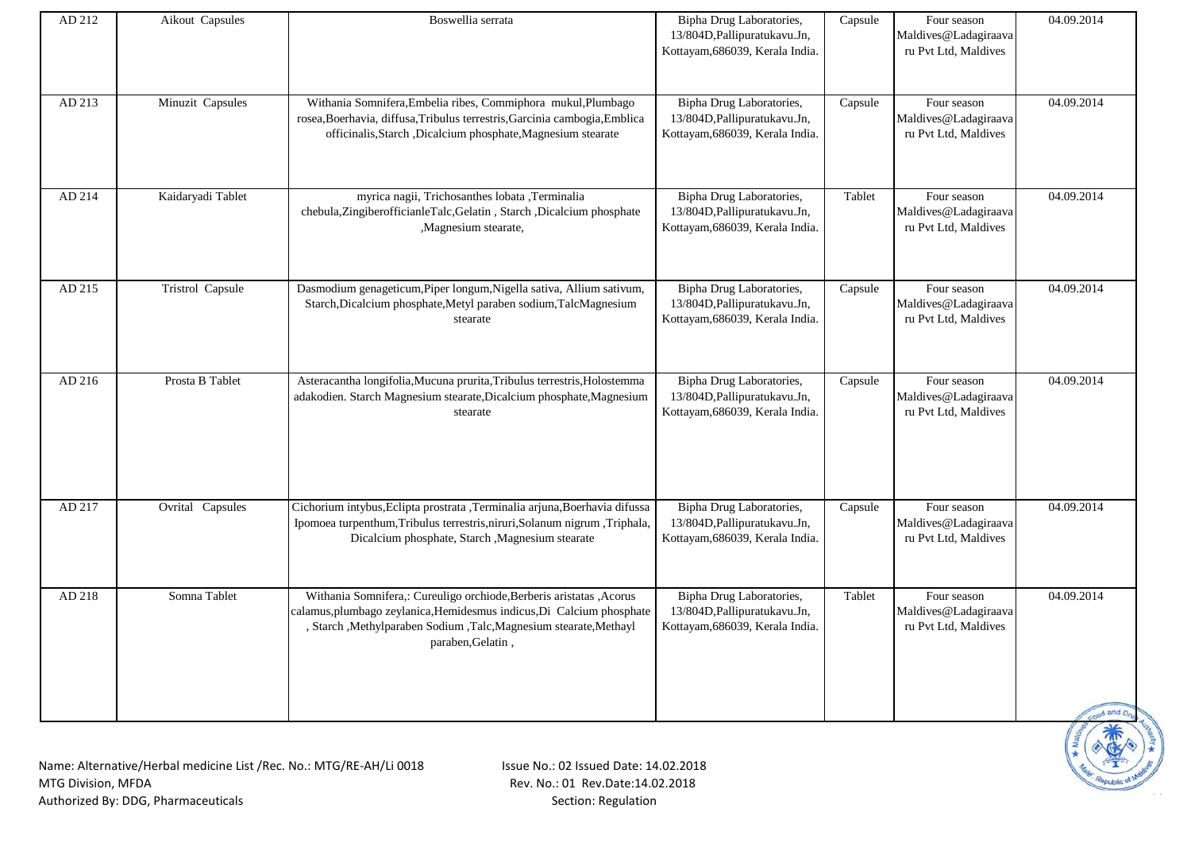| AD 212 | Aikout Capsules   | Boswellia serrata                                                                                                                                                                                                                         | Bipha Drug Laboratories,<br>13/804D, Pallipuratukavu. Jn,<br>Kottayam, 686039, Kerala India. | Capsule | Four season<br>Maldives@Ladagiraava<br>ru Pvt Ltd, Maldives | 04.09.2014                 |
|--------|-------------------|-------------------------------------------------------------------------------------------------------------------------------------------------------------------------------------------------------------------------------------------|----------------------------------------------------------------------------------------------|---------|-------------------------------------------------------------|----------------------------|
| AD 213 | Minuzit Capsules  | Withania Somnifera, Embelia ribes, Commiphora mukul, Plumbago<br>rosea, Boerhavia, diffusa, Tribulus terrestris, Garcinia cambogia, Emblica<br>officinalis, Starch, Dicalcium phosphate, Magnesium stearate                               | Bipha Drug Laboratories,<br>13/804D, Pallipuratukavu. Jn,<br>Kottayam, 686039, Kerala India. | Capsule | Four season<br>Maldives@Ladagiraava<br>ru Pvt Ltd, Maldives | 04.09.2014                 |
| AD 214 | Kaidaryadi Tablet | myrica nagii, Trichosanthes lobata ,Terminalia<br>chebula, ZingiberofficianleTalc, Gelatin, Starch, Dicalcium phosphate<br>,Magnesium stearate,                                                                                           | Bipha Drug Laboratories,<br>13/804D, Pallipuratukavu. Jn,<br>Kottayam, 686039, Kerala India. | Tablet  | Four season<br>Maldives@Ladagiraava<br>ru Pvt Ltd, Maldives | 04.09.2014                 |
| AD 215 | Tristrol Capsule  | Dasmodium genageticum, Piper longum, Nigella sativa, Allium sativum,<br>Starch, Dicalcium phosphate, Metyl paraben sodium, TalcMagnesium<br>stearate                                                                                      | Bipha Drug Laboratories,<br>13/804D, Pallipuratukavu. Jn,<br>Kottayam, 686039, Kerala India. | Capsule | Four season<br>Maldives@Ladagiraava<br>ru Pvt Ltd, Maldives | 04.09.2014                 |
| AD 216 | Prosta B Tablet   | Asteracantha longifolia, Mucuna prurita, Tribulus terrestris, Holostemma<br>adakodien. Starch Magnesium stearate, Dicalcium phosphate, Magnesium<br>stearate                                                                              | Bipha Drug Laboratories,<br>13/804D, Pallipuratukavu. Jn,<br>Kottayam, 686039, Kerala India. | Capsule | Four season<br>Maldives@Ladagiraava<br>ru Pvt Ltd, Maldives | 04.09.2014                 |
| AD 217 | Ovrital Capsules  | Cichorium intybus, Eclipta prostrata , Terminalia arjuna, Boerhavia difussa<br>Ipomoea turpenthum, Tribulus terrestris, niruri, Solanum nigrum, Triphala,<br>Dicalcium phosphate, Starch , Magnesium stearate                             | Bipha Drug Laboratories,<br>13/804D, Pallipuratukavu. Jn,<br>Kottayam, 686039, Kerala India. | Capsule | Four season<br>Maldives@Ladagiraava<br>ru Pvt Ltd, Maldives | 04.09.2014                 |
| AD 218 | Somna Tablet      | Withania Somnifera,: Cureuligo orchiode, Berberis aristatas , Acorus<br>calamus, plumbago zeylanica, Hemidesmus indicus, Di Calcium phosphate<br>, Starch , Methylparaben Sodium , Talc, Magnesium stearate, Methayl<br>paraben, Gelatin, | Bipha Drug Laboratories,<br>13/804D, Pallipuratukavu. Jn,<br>Kottayam, 686039, Kerala India. | Tablet  | Four season<br>Maldives@Ladagiraava<br>ru Pvt Ltd, Maldives | 04.09.2014<br>cood and Dru |

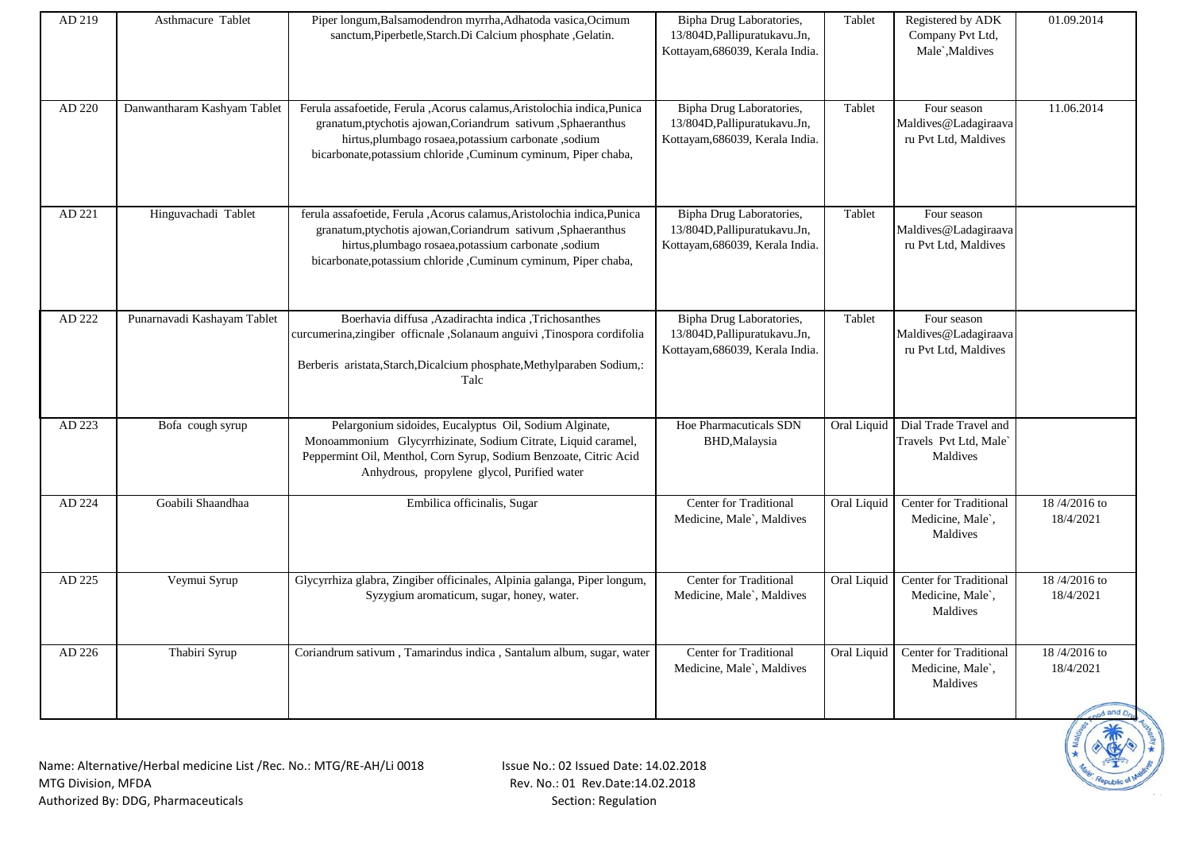| AD 219 | Asthmacure Tablet           | Piper longum, Balsamodendron myrrha, Adhatoda vasica, Ocimum<br>sanctum, Piperbetle, Starch. Di Calcium phosphate, Gelatin.                                                                                                                                         | Bipha Drug Laboratories,<br>13/804D, Pallipuratukavu. Jn,<br>Kottayam, 686039, Kerala India. | Tablet      | Registered by ADK<br>Company Pvt Ltd,<br>Male`, Maldives      | 01.09.2014                              |
|--------|-----------------------------|---------------------------------------------------------------------------------------------------------------------------------------------------------------------------------------------------------------------------------------------------------------------|----------------------------------------------------------------------------------------------|-------------|---------------------------------------------------------------|-----------------------------------------|
| AD 220 | Danwantharam Kashyam Tablet | Ferula assafoetide, Ferula , Acorus calamus, Aristolochia indica, Punica<br>granatum, ptychotis ajowan, Coriandrum sativum, Sphaeranthus<br>hirtus,plumbago rosaea,potassium carbonate ,sodium<br>bicarbonate, potassium chloride , Cuminum cyminum, Piper chaba,   | Bipha Drug Laboratories,<br>13/804D, Pallipuratukavu. Jn,<br>Kottayam, 686039, Kerala India. | Tablet      | Four season<br>Maldives@Ladagiraava<br>ru Pvt Ltd, Maldives   | 11.06.2014                              |
| AD 221 | Hinguvachadi Tablet         | ferula assafoetide, Ferula , Acorus calamus, Aristolochia indica, Punica<br>granatum, ptychotis ajowan, Coriandrum sativum, Sphaeranthus<br>hirtus, plumbago rosaea, potassium carbonate, sodium<br>bicarbonate, potassium chloride , Cuminum cyminum, Piper chaba, | Bipha Drug Laboratories,<br>13/804D, Pallipuratukavu. Jn,<br>Kottayam, 686039, Kerala India. | Tablet      | Four season<br>Maldives@Ladagiraava<br>ru Pvt Ltd, Maldives   |                                         |
| AD 222 | Punarnavadi Kashayam Tablet | Boerhavia diffusa .Azadirachta indica .Trichosanthes<br>curcumerina,zingiber officnale ,Solanaum anguivi ,Tinospora cordifolia<br>Berberis aristata, Starch, Dicalcium phosphate, Methylparaben Sodium,:<br>Talc                                                    | Bipha Drug Laboratories,<br>13/804D, Pallipuratukavu. Jn,<br>Kottayam, 686039, Kerala India. | Tablet      | Four season<br>Maldives@Ladagiraava<br>ru Pvt Ltd, Maldives   |                                         |
| AD 223 | Bofa cough syrup            | Pelargonium sidoides, Eucalyptus Oil, Sodium Alginate,<br>Monoammonium Glycyrrhizinate, Sodium Citrate, Liquid caramel,<br>Peppermint Oil, Menthol, Corn Syrup, Sodium Benzoate, Citric Acid<br>Anhydrous, propylene glycol, Purified water                         | <b>Hoe Pharmacuticals SDN</b><br>BHD, Malaysia                                               | Oral Liquid | Dial Trade Travel and<br>Travels Pvt Ltd, Male`<br>Maldives   |                                         |
| AD 224 | Goabili Shaandhaa           | Embilica officinalis, Sugar                                                                                                                                                                                                                                         | <b>Center for Traditional</b><br>Medicine, Male`, Maldives                                   | Oral Liquid | <b>Center for Traditional</b><br>Medicine, Male`,<br>Maldives | 18/4/2016 to<br>18/4/2021               |
| AD 225 | Veymui Syrup                | Glycyrrhiza glabra, Zingiber officinales, Alpinia galanga, Piper longum,<br>Syzygium aromaticum, sugar, honey, water.                                                                                                                                               | <b>Center for Traditional</b><br>Medicine, Male`, Maldives                                   | Oral Liquid | Center for Traditional<br>Medicine, Male`,<br>Maldives        | 18/4/2016 to<br>18/4/2021               |
| AD 226 | Thabiri Syrup               | Coriandrum sativum, Tamarindus indica, Santalum album, sugar, water                                                                                                                                                                                                 | Center for Traditional<br>Medicine, Male`, Maldives                                          | Oral Liquid | Center for Traditional<br>Medicine, Male`,<br>Maldives        | 18/4/2016 to<br>18/4/2021<br>od and Dry |

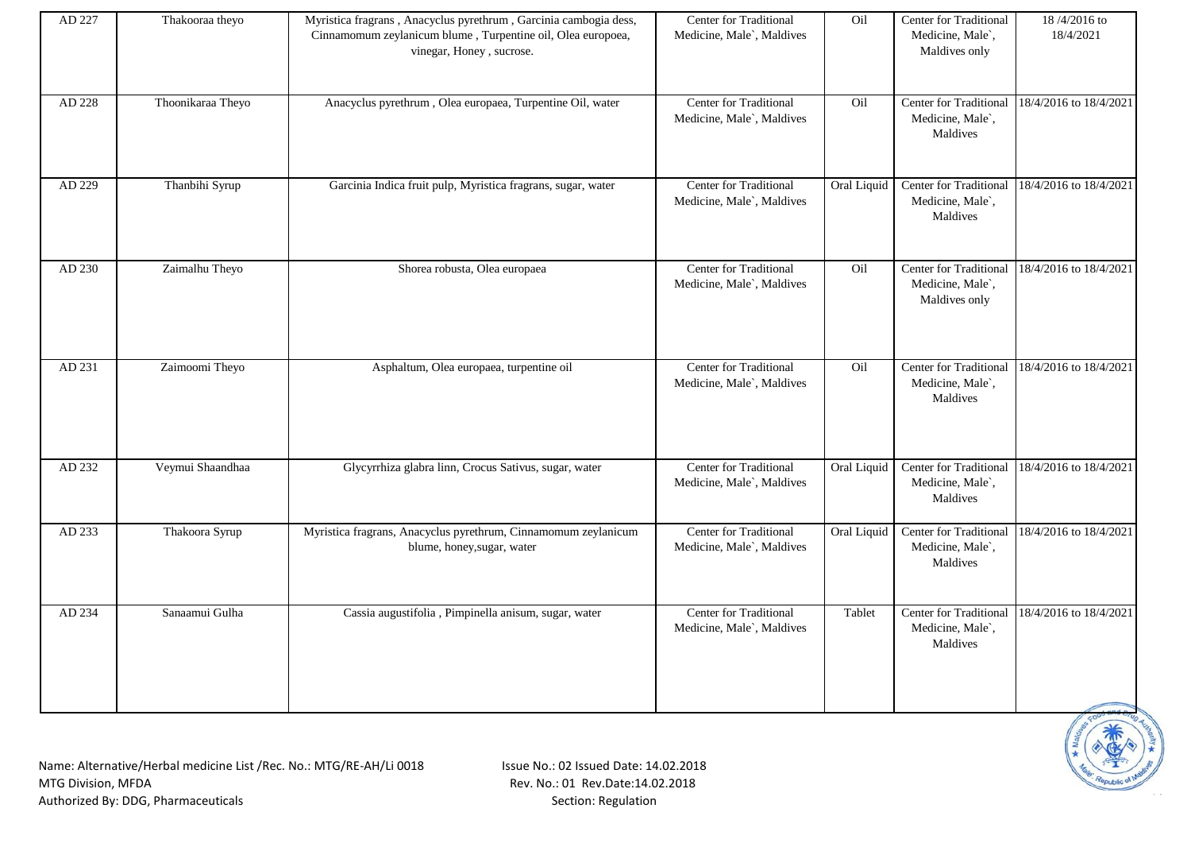| AD 227 | Thakooraa theyo   | Myristica fragrans, Anacyclus pyrethrum, Garcinia cambogia dess,<br>Cinnamomum zeylanicum blume, Turpentine oil, Olea europoea,<br>vinegar, Honey, sucrose. | <b>Center for Traditional</b><br>Medicine, Male`, Maldives | Oil         | <b>Center for Traditional</b><br>Medicine, Male`,<br>Maldives only | 18/4/2016 to<br>18/4/2021 |
|--------|-------------------|-------------------------------------------------------------------------------------------------------------------------------------------------------------|------------------------------------------------------------|-------------|--------------------------------------------------------------------|---------------------------|
| AD 228 | Thoonikaraa Theyo | Anacyclus pyrethrum, Olea europaea, Turpentine Oil, water                                                                                                   | Center for Traditional<br>Medicine, Male`, Maldives        | Oil         | Center for Traditional<br>Medicine, Male`,<br>Maldives             | 18/4/2016 to 18/4/2021    |
| AD 229 | Thanbihi Syrup    | Garcinia Indica fruit pulp, Myristica fragrans, sugar, water                                                                                                | Center for Traditional<br>Medicine, Male`, Maldives        | Oral Liquid | Center for Traditional<br>Medicine, Male`,<br>Maldives             | 18/4/2016 to 18/4/2021    |
| AD 230 | Zaimalhu Theyo    | Shorea robusta, Olea europaea                                                                                                                               | <b>Center for Traditional</b><br>Medicine, Male`, Maldives | Oil         | Center for Traditional<br>Medicine, Male`,<br>Maldives only        | 18/4/2016 to 18/4/2021    |
| AD 231 | Zaimoomi Theyo    | Asphaltum, Olea europaea, turpentine oil                                                                                                                    | Center for Traditional<br>Medicine, Male`, Maldives        | Oil         | Center for Traditional<br>Medicine, Male`,<br>Maldives             | 18/4/2016 to 18/4/2021    |
| AD 232 | Veymui Shaandhaa  | Glycyrrhiza glabra linn, Crocus Sativus, sugar, water                                                                                                       | Center for Traditional<br>Medicine, Male`, Maldives        | Oral Liquid | Center for Traditional<br>Medicine, Male`,<br>Maldives             | 18/4/2016 to 18/4/2021    |
| AD 233 | Thakoora Syrup    | Myristica fragrans, Anacyclus pyrethrum, Cinnamomum zeylanicum<br>blume, honey, sugar, water                                                                | Center for Traditional<br>Medicine, Male`, Maldives        | Oral Liquid | Center for Traditional<br>Medicine, Male`,<br>Maldives             | 18/4/2016 to 18/4/2021    |
| AD 234 | Sanaamui Gulha    | Cassia augustifolia, Pimpinella anisum, sugar, water                                                                                                        | <b>Center for Traditional</b><br>Medicine, Male`, Maldives | Tablet      | Center for Traditional<br>Medicine, Male`,<br>Maldives             | 18/4/2016 to 18/4/2021    |

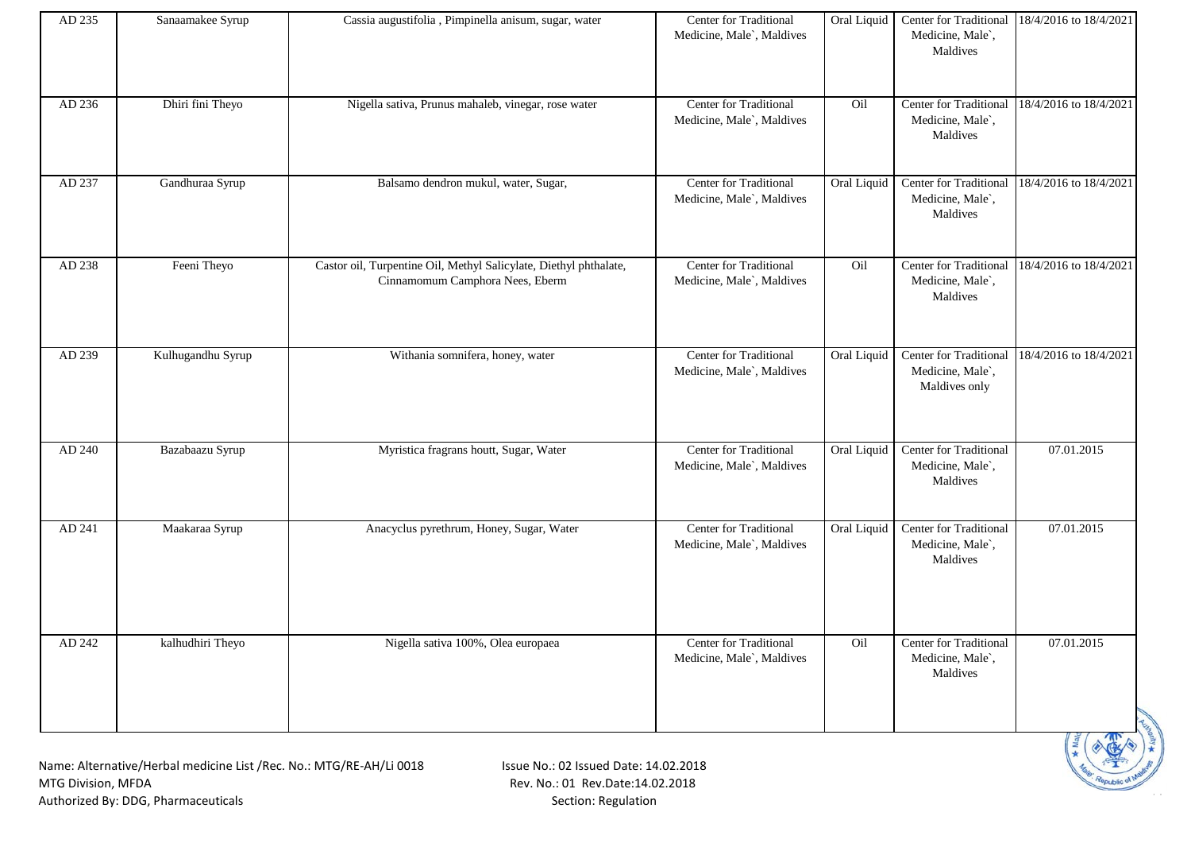| AD 235 | Sanaamakee Syrup  | Cassia augustifolia, Pimpinella anisum, sugar, water                                                 | Center for Traditional<br>Medicine, Male`, Maldives | Oral Liquid | Center for Traditional<br>Medicine, Male`,<br>Maldives        | 18/4/2016 to 18/4/2021 |
|--------|-------------------|------------------------------------------------------------------------------------------------------|-----------------------------------------------------|-------------|---------------------------------------------------------------|------------------------|
| AD 236 | Dhiri fini Theyo  | Nigella sativa, Prunus mahaleb, vinegar, rose water                                                  | Center for Traditional<br>Medicine, Male`, Maldives | Oil         | Center for Traditional<br>Medicine, Male`,<br>Maldives        | 18/4/2016 to 18/4/2021 |
| AD 237 | Gandhuraa Syrup   | Balsamo dendron mukul, water, Sugar,                                                                 | Center for Traditional<br>Medicine, Male`, Maldives | Oral Liquid | Center for Traditional<br>Medicine, Male`,<br>Maldives        | 18/4/2016 to 18/4/2021 |
| AD 238 | Feeni Theyo       | Castor oil, Turpentine Oil, Methyl Salicylate, Diethyl phthalate,<br>Cinnamomum Camphora Nees, Eberm | Center for Traditional<br>Medicine, Male`, Maldives | Oil         | <b>Center for Traditional</b><br>Medicine, Male`,<br>Maldives | 18/4/2016 to 18/4/2021 |
| AD 239 | Kulhugandhu Syrup | Withania somnifera, honey, water                                                                     | Center for Traditional<br>Medicine, Male`, Maldives | Oral Liquid | Center for Traditional<br>Medicine, Male`,<br>Maldives only   | 18/4/2016 to 18/4/2021 |
| AD 240 | Bazabaazu Syrup   | Myristica fragrans houtt, Sugar, Water                                                               | Center for Traditional<br>Medicine, Male`, Maldives | Oral Liquid | Center for Traditional<br>Medicine, Male`,<br>Maldives        | 07.01.2015             |
| AD 241 | Maakaraa Syrup    | Anacyclus pyrethrum, Honey, Sugar, Water                                                             | Center for Traditional<br>Medicine, Male`, Maldives | Oral Liquid | Center for Traditional<br>Medicine, Male`,<br>Maldives        | 07.01.2015             |
| AD 242 | kalhudhiri Theyo  | Nigella sativa 100%, Olea europaea                                                                   | Center for Traditional<br>Medicine, Male`, Maldives | Oil         | <b>Center for Traditional</b><br>Medicine, Male`,<br>Maldives | 07.01.2015             |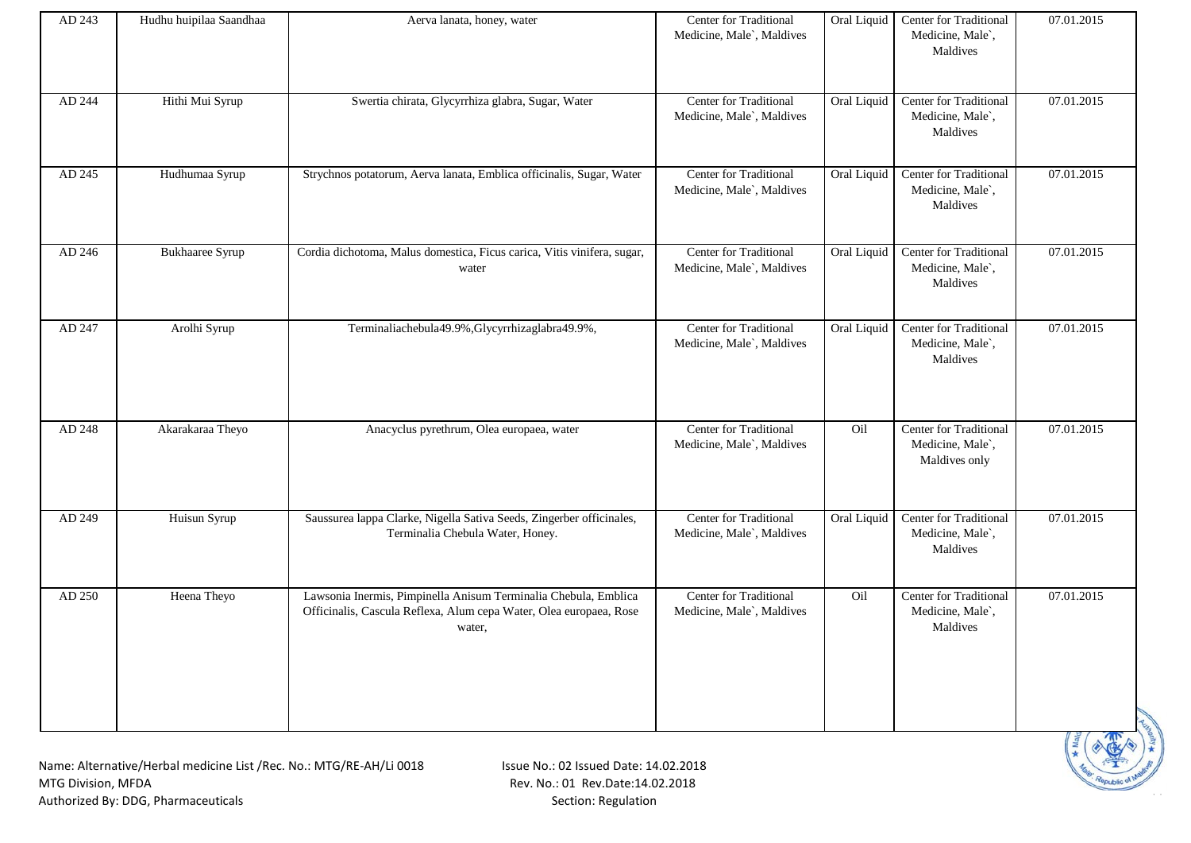| AD 243 | Hudhu huipilaa Saandhaa | Aerva lanata, honey, water                                                                                                                      | Center for Traditional<br>Medicine, Male`, Maldives | Oral Liquid | Center for Traditional<br>Medicine, Male`,<br>Maldives             | 07.01.2015 |
|--------|-------------------------|-------------------------------------------------------------------------------------------------------------------------------------------------|-----------------------------------------------------|-------------|--------------------------------------------------------------------|------------|
| AD 244 | Hithi Mui Syrup         | Swertia chirata, Glycyrrhiza glabra, Sugar, Water                                                                                               | Center for Traditional<br>Medicine, Male`, Maldives | Oral Liquid | <b>Center for Traditional</b><br>Medicine, Male`,<br>Maldives      | 07.01.2015 |
| AD 245 | Hudhumaa Syrup          | Strychnos potatorum, Aerva lanata, Emblica officinalis, Sugar, Water                                                                            | Center for Traditional<br>Medicine, Male`, Maldives | Oral Liquid | <b>Center for Traditional</b><br>Medicine, Male`,<br>Maldives      | 07.01.2015 |
| AD 246 | <b>Bukhaaree Syrup</b>  | Cordia dichotoma, Malus domestica, Ficus carica, Vitis vinifera, sugar,<br>water                                                                | Center for Traditional<br>Medicine, Male`, Maldives | Oral Liquid | Center for Traditional<br>Medicine, Male`,<br>Maldives             | 07.01.2015 |
| AD 247 | Arolhi Syrup            | Terminaliachebula49.9%, Glycyrrhizaglabra49.9%,                                                                                                 | Center for Traditional<br>Medicine, Male`, Maldives | Oral Liquid | Center for Traditional<br>Medicine, Male`,<br>Maldives             | 07.01.2015 |
| AD 248 | Akarakaraa Theyo        | Anacyclus pyrethrum, Olea europaea, water                                                                                                       | Center for Traditional<br>Medicine, Male`, Maldives | Oil         | <b>Center for Traditional</b><br>Medicine, Male`,<br>Maldives only | 07.01.2015 |
| AD 249 | Huisun Syrup            | Saussurea lappa Clarke, Nigella Sativa Seeds, Zingerber officinales,<br>Terminalia Chebula Water, Honey.                                        | Center for Traditional<br>Medicine, Male`, Maldives | Oral Liquid | Center for Traditional<br>Medicine, Male`,<br>Maldives             | 07.01.2015 |
| AD 250 | Heena Theyo             | Lawsonia Inermis, Pimpinella Anisum Terminalia Chebula, Emblica<br>Officinalis, Cascula Reflexa, Alum cepa Water, Olea europaea, Rose<br>water, | Center for Traditional<br>Medicine, Male`, Maldives | Oil         | Center for Traditional<br>Medicine, Male`,<br>Maldives             | 07.01.2015 |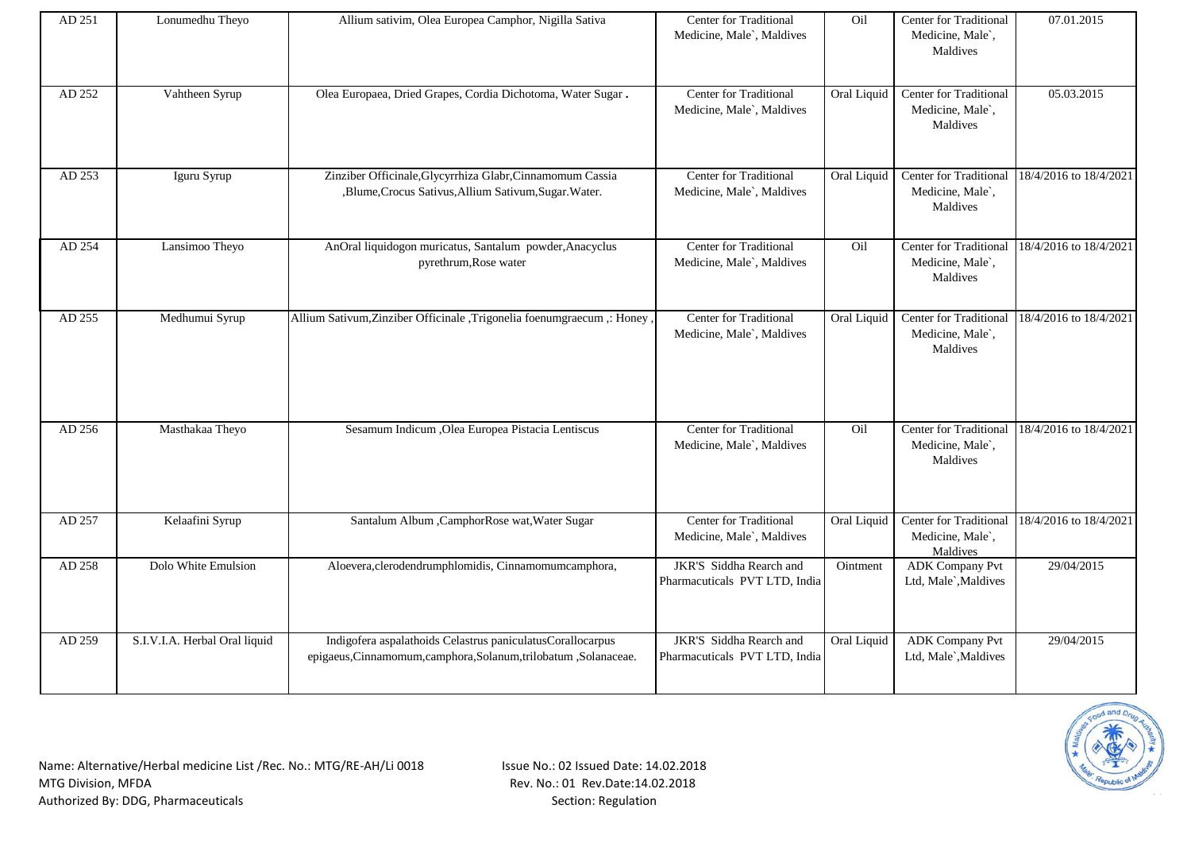| AD 251 | Lonumedhu Theyo               | Allium sativim, Olea Europea Camphor, Nigilla Sativa                                                                           | <b>Center for Traditional</b><br>Medicine, Male`, Maldives | Oil         | Center for Traditional<br>Medicine, Male`,<br>Maldives        | 07.01.2015             |
|--------|-------------------------------|--------------------------------------------------------------------------------------------------------------------------------|------------------------------------------------------------|-------------|---------------------------------------------------------------|------------------------|
| AD 252 | Vahtheen Syrup                | Olea Europaea, Dried Grapes, Cordia Dichotoma, Water Sugar.                                                                    | Center for Traditional<br>Medicine, Male`, Maldives        | Oral Liquid | Center for Traditional<br>Medicine, Male`,<br>Maldives        | 05.03.2015             |
| AD 253 | Iguru Syrup                   | Zinziber Officinale, Glycyrrhiza Glabr, Cinnamomum Cassia<br>,Blume,Crocus Sativus,Allium Sativum,Sugar.Water.                 | Center for Traditional<br>Medicine, Male`, Maldives        | Oral Liquid | Center for Traditional<br>Medicine, Male`,<br>Maldives        | 18/4/2016 to 18/4/2021 |
| AD 254 | Lansimoo Theyo                | AnOral liquidogon muricatus, Santalum powder, Anacyclus<br>pyrethrum, Rose water                                               | Center for Traditional<br>Medicine, Male`, Maldives        | Oil         | Center for Traditional<br>Medicine, Male`,<br>Maldives        | 18/4/2016 to 18/4/2021 |
| AD 255 | Medhumui Syrup                | Allium Sativum, Zinziber Officinale, Trigonelia foenumgraecum ,: Honey,                                                        | Center for Traditional<br>Medicine, Male`, Maldives        | Oral Liquid | <b>Center for Traditional</b><br>Medicine, Male`,<br>Maldives | 18/4/2016 to 18/4/2021 |
| AD 256 | Masthakaa Theyo               | Sesamum Indicum , Olea Europea Pistacia Lentiscus                                                                              | Center for Traditional<br>Medicine, Male`, Maldives        | Oil         | Center for Traditional<br>Medicine, Male`,<br>Maldives        | 18/4/2016 to 18/4/2021 |
| AD 257 | Kelaafini Syrup               | Santalum Album , CamphorRose wat, Water Sugar                                                                                  | Center for Traditional<br>Medicine, Male`, Maldives        | Oral Liquid | <b>Center for Traditional</b><br>Medicine, Male`,<br>Maldives | 18/4/2016 to 18/4/2021 |
| AD 258 | Dolo White Emulsion           | Aloevera, clerodendrumphlomidis, Cinnamomumcamphora,                                                                           | JKR'S Siddha Rearch and<br>Pharmacuticals PVT LTD, India   | Ointment    | <b>ADK Company Pvt</b><br>Ltd, Male`, Maldives                | 29/04/2015             |
| AD 259 | S.I.V.I.A. Herbal Oral liquid | Indigofera aspalathoids Celastrus paniculatusCorallocarpus<br>epigaeus, Cinnamomum, camphora, Solanum, trilobatum, Solanaceae. | JKR'S Siddha Rearch and<br>Pharmacuticals PVT LTD, India   | Oral Liquid | <b>ADK Company Pvt</b><br>Ltd, Male`, Maldives                | 29/04/2015             |

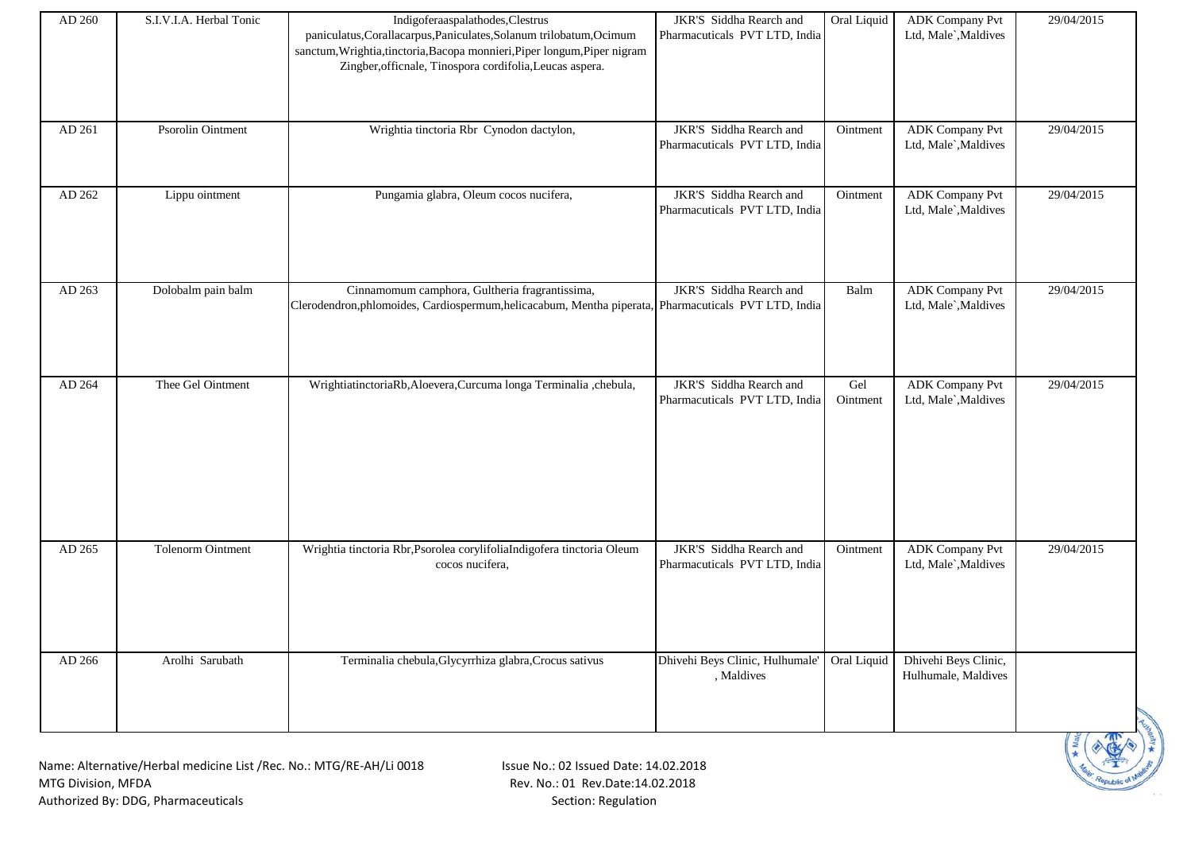| AD 260 | S.I.V.I.A. Herbal Tonic | Indigoferaaspalathodes, Clestrus<br>paniculatus, Corallacarpus, Paniculates, Solanum trilobatum, Ocimum<br>sanctum, Wrightia, tinctoria, Bacopa monnieri, Piper longum, Piper nigram<br>Zingber, officnale, Tinospora cordifolia, Leucas aspera. | JKR'S Siddha Rearch and<br>Pharmacuticals PVT LTD, India | Oral Liquid     | <b>ADK</b> Company Pvt<br>Ltd, Male`, Maldives | 29/04/2015 |
|--------|-------------------------|--------------------------------------------------------------------------------------------------------------------------------------------------------------------------------------------------------------------------------------------------|----------------------------------------------------------|-----------------|------------------------------------------------|------------|
| AD 261 | Psorolin Ointment       | Wrightia tinctoria Rbr Cynodon dactylon,                                                                                                                                                                                                         | JKR'S Siddha Rearch and<br>Pharmacuticals PVT LTD, India | Ointment        | <b>ADK</b> Company Pvt<br>Ltd, Male`, Maldives | 29/04/2015 |
| AD 262 | Lippu ointment          | Pungamia glabra, Oleum cocos nucifera,                                                                                                                                                                                                           | JKR'S Siddha Rearch and<br>Pharmacuticals PVT LTD, India | Ointment        | <b>ADK</b> Company Pvt<br>Ltd, Male`, Maldives | 29/04/2015 |
| AD 263 | Dolobalm pain balm      | Cinnamomum camphora, Gultheria fragrantissima,<br>Clerodendron, phlomoides, Cardiospermum, helicacabum, Mentha piperata, Pharmacuticals PVT LTD, India                                                                                           | JKR'S Siddha Rearch and                                  | Balm            | <b>ADK Company Pvt</b><br>Ltd, Male`, Maldives | 29/04/2015 |
| AD 264 | Thee Gel Ointment       | WrightiatinctoriaRb,Aloevera,Curcuma longa Terminalia ,chebula,                                                                                                                                                                                  | JKR'S Siddha Rearch and<br>Pharmacuticals PVT LTD, India | Gel<br>Ointment | <b>ADK</b> Company Pvt<br>Ltd, Male`, Maldives | 29/04/2015 |
| AD 265 | Tolenorm Ointment       | Wrightia tinctoria Rbr, Psorolea corylifoliaIndigofera tinctoria Oleum<br>cocos nucifera,                                                                                                                                                        | JKR'S Siddha Rearch and<br>Pharmacuticals PVT LTD, India | Ointment        | <b>ADK Company Pvt</b><br>Ltd, Male`, Maldives | 29/04/2015 |
| AD 266 | Arolhi Sarubath         | Terminalia chebula, Glycyrrhiza glabra, Crocus sativus                                                                                                                                                                                           | Dhivehi Beys Clinic, Hulhumale'<br>, Maldives            | Oral Liquid     | Dhivehi Beys Clinic,<br>Hulhumale, Maldives    |            |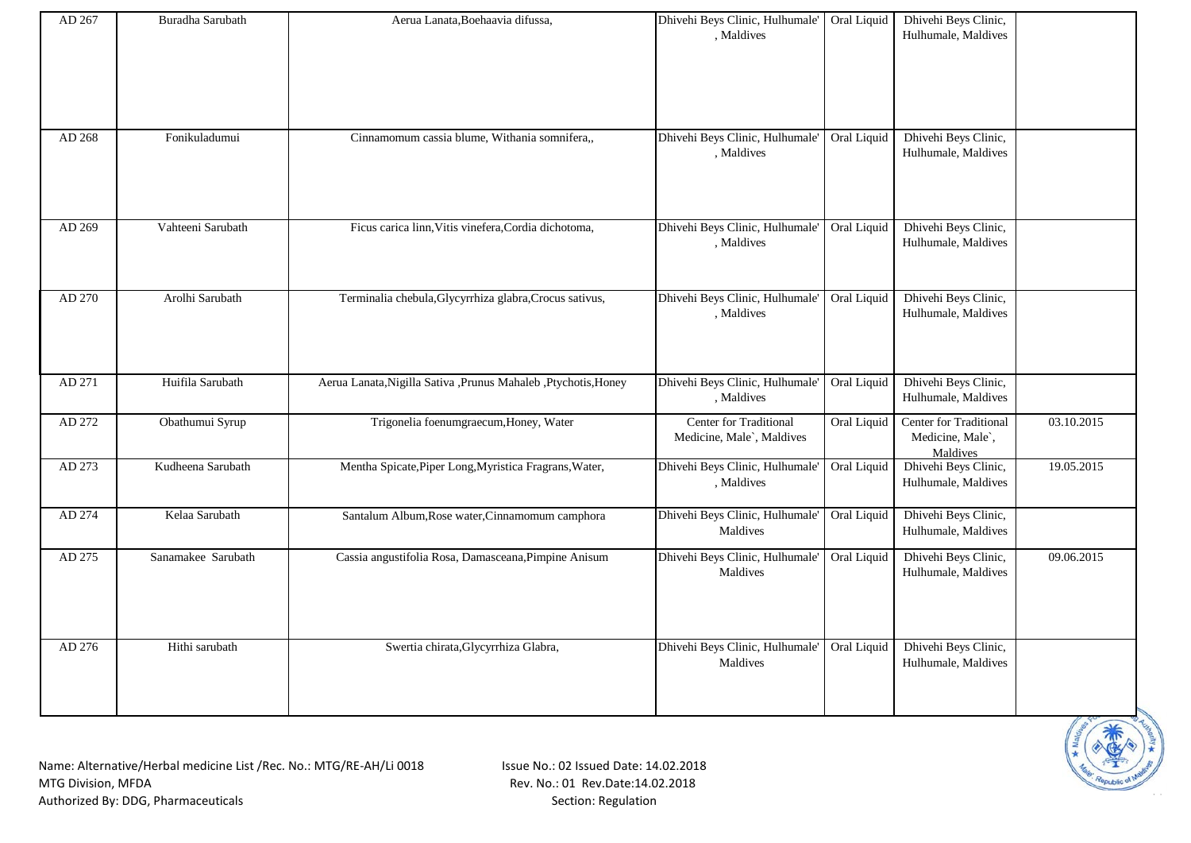| AD 267 | Buradha Sarubath   | Aerua Lanata, Boehaavia difussa,                                 | Dhivehi Beys Clinic, Hulhumale' Oral Liquid<br>, Maldives |             | Dhivehi Beys Clinic,<br>Hulhumale, Maldives            |            |
|--------|--------------------|------------------------------------------------------------------|-----------------------------------------------------------|-------------|--------------------------------------------------------|------------|
| AD 268 | Fonikuladumui      | Cinnamomum cassia blume, Withania somnifera,,                    | Dhivehi Beys Clinic, Hulhumale'<br>, Maldives             | Oral Liquid | Dhivehi Beys Clinic,<br>Hulhumale, Maldives            |            |
| AD 269 | Vahteeni Sarubath  | Ficus carica linn, Vitis vinefera, Cordia dichotoma,             | Dhivehi Beys Clinic, Hulhumale'<br>, Maldives             | Oral Liquid | Dhivehi Beys Clinic,<br>Hulhumale, Maldives            |            |
| AD 270 | Arolhi Sarubath    | Terminalia chebula, Glycyrrhiza glabra, Crocus sativus,          | Dhivehi Beys Clinic, Hulhumale'<br>, Maldives             | Oral Liquid | Dhivehi Beys Clinic,<br>Hulhumale, Maldives            |            |
| AD 271 | Huifila Sarubath   | Aerua Lanata, Nigilla Sativa , Prunus Mahaleb , Ptychotis, Honey | Dhivehi Beys Clinic, Hulhumale'<br>, Maldives             | Oral Liquid | Dhivehi Beys Clinic,<br>Hulhumale, Maldives            |            |
| AD 272 | Obathumui Syrup    | Trigonelia foenumgraecum, Honey, Water                           | Center for Traditional<br>Medicine, Male`, Maldives       | Oral Liquid | Center for Traditional<br>Medicine, Male`,<br>Maldives | 03.10.2015 |
| AD 273 | Kudheena Sarubath  | Mentha Spicate, Piper Long, Myristica Fragrans, Water,           | Dhivehi Beys Clinic, Hulhumale'<br>, Maldives             | Oral Liquid | Dhivehi Beys Clinic,<br>Hulhumale, Maldives            | 19.05.2015 |
| AD 274 | Kelaa Sarubath     | Santalum Album, Rose water, Cinnamomum camphora                  | Dhivehi Beys Clinic, Hulhumale'<br>Maldives               | Oral Liquid | Dhivehi Beys Clinic,<br>Hulhumale, Maldives            |            |
| AD 275 | Sanamakee Sarubath | Cassia angustifolia Rosa, Damasceana, Pimpine Anisum             | Dhivehi Beys Clinic, Hulhumale'<br>Maldives               | Oral Liquid | Dhivehi Beys Clinic,<br>Hulhumale, Maldives            | 09.06.2015 |
| AD 276 | Hithi sarubath     | Swertia chirata, Glycyrrhiza Glabra,                             | Dhivehi Beys Clinic, Hulhumale'<br>Maldives               | Oral Liquid | Dhivehi Beys Clinic,<br>Hulhumale, Maldives            |            |

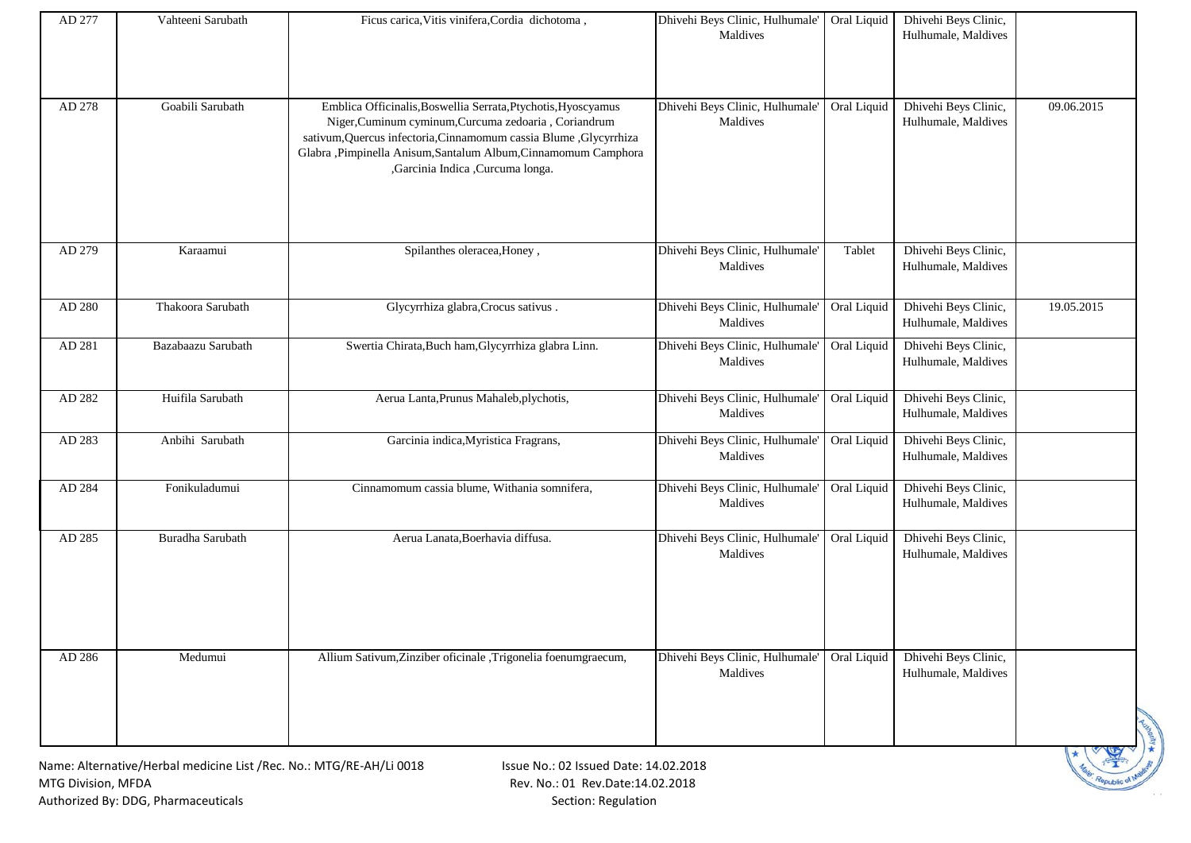| AD 277 | Vahteeni Sarubath                                                   | Ficus carica, Vitis vinifera, Cordia dichotoma,                                                                                                                                                                                                                                                    | Dhivehi Beys Clinic, Hulhumale' Oral Liquid<br>Maldives |             | Dhivehi Beys Clinic,<br>Hulhumale, Maldives |            |
|--------|---------------------------------------------------------------------|----------------------------------------------------------------------------------------------------------------------------------------------------------------------------------------------------------------------------------------------------------------------------------------------------|---------------------------------------------------------|-------------|---------------------------------------------|------------|
|        |                                                                     |                                                                                                                                                                                                                                                                                                    |                                                         |             |                                             |            |
|        |                                                                     |                                                                                                                                                                                                                                                                                                    |                                                         |             |                                             |            |
| AD 278 | Goabili Sarubath                                                    | Emblica Officinalis, Boswellia Serrata, Ptychotis, Hyoscyamus<br>Niger, Cuminum cyminum, Curcuma zedoaria, Coriandrum<br>sativum, Quercus infectoria, Cinnamomum cassia Blume , Glycyrrhiza<br>Glabra , Pimpinella Anisum, Santalum Album, Cinnamomum Camphora<br>,Garcinia Indica ,Curcuma longa. | Dhivehi Beys Clinic, Hulhumale'<br>Maldives             | Oral Liquid | Dhivehi Beys Clinic,<br>Hulhumale, Maldives | 09.06.2015 |
| AD 279 | Karaamui                                                            | Spilanthes oleracea, Honey,                                                                                                                                                                                                                                                                        | Dhivehi Beys Clinic, Hulhumale'<br>Maldives             | Tablet      | Dhivehi Beys Clinic,<br>Hulhumale, Maldives |            |
| AD 280 | Thakoora Sarubath                                                   | Glycyrrhiza glabra, Crocus sativus.                                                                                                                                                                                                                                                                | Dhivehi Beys Clinic, Hulhumale' Oral Liquid<br>Maldives |             | Dhivehi Beys Clinic,<br>Hulhumale, Maldives | 19.05.2015 |
| AD 281 | Bazabaazu Sarubath                                                  | Swertia Chirata, Buch ham, Glycyrrhiza glabra Linn.                                                                                                                                                                                                                                                | Dhivehi Beys Clinic, Hulhumale'<br>Maldives             | Oral Liquid | Dhivehi Beys Clinic,<br>Hulhumale, Maldives |            |
| AD 282 | Huifila Sarubath                                                    | Aerua Lanta, Prunus Mahaleb, plychotis,                                                                                                                                                                                                                                                            | Dhivehi Beys Clinic, Hulhumale'<br>Maldives             | Oral Liquid | Dhivehi Beys Clinic,<br>Hulhumale, Maldives |            |
| AD 283 | Anbihi Sarubath                                                     | Garcinia indica, Myristica Fragrans,                                                                                                                                                                                                                                                               | Dhivehi Beys Clinic, Hulhumale'<br>Maldives             | Oral Liquid | Dhivehi Beys Clinic,<br>Hulhumale, Maldives |            |
| AD 284 | Fonikuladumui                                                       | Cinnamomum cassia blume, Withania somnifera,                                                                                                                                                                                                                                                       | Dhivehi Beys Clinic, Hulhumale'<br>Maldives             | Oral Liquid | Dhivehi Beys Clinic,<br>Hulhumale, Maldives |            |
| AD 285 | Buradha Sarubath                                                    | Aerua Lanata, Boerhavia diffusa.                                                                                                                                                                                                                                                                   | Dhivehi Beys Clinic, Hulhumale'<br>Maldives             | Oral Liquid | Dhivehi Beys Clinic,<br>Hulhumale, Maldives |            |
| AD 286 | Medumui                                                             | Allium Sativum, Zinziber oficinale , Trigonelia foenumgraecum,                                                                                                                                                                                                                                     | Dhivehi Beys Clinic, Hulhumale'<br>Maldives             | Oral Liquid | Dhivehi Beys Clinic,<br>Hulhumale, Maldives |            |
|        | Name: Alternative/Herbal medicine List /Rec. No.: MTG/RE-AH/Li 0018 | Issue No.: 02 Issued Date: 14.02.2018                                                                                                                                                                                                                                                              |                                                         |             |                                             |            |

**Republic of**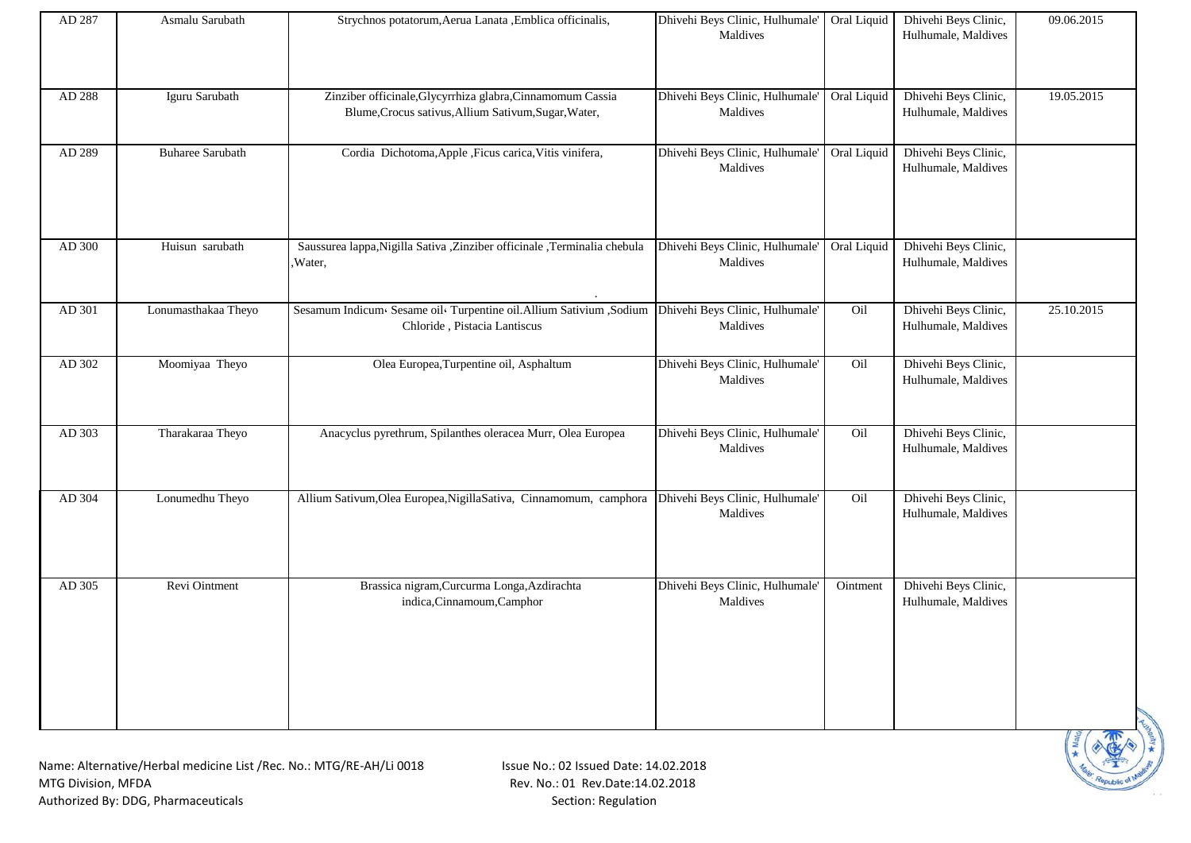| AD 287 | Asmalu Sarubath         | Strychnos potatorum, Aerua Lanata , Emblica officinalis,                                                           | Dhivehi Beys Clinic, Hulhumale' Oral Liquid<br>Maldives |             | Dhivehi Beys Clinic,<br>Hulhumale, Maldives | 09.06.2015 |
|--------|-------------------------|--------------------------------------------------------------------------------------------------------------------|---------------------------------------------------------|-------------|---------------------------------------------|------------|
| AD 288 | Iguru Sarubath          | Zinziber officinale, Glycyrrhiza glabra, Cinnamomum Cassia<br>Blume, Crocus sativus, Allium Sativum, Sugar, Water, | Dhivehi Beys Clinic, Hulhumale' Oral Liquid<br>Maldives |             | Dhivehi Beys Clinic,<br>Hulhumale, Maldives | 19.05.2015 |
| AD 289 | <b>Buharee Sarubath</b> | Cordia Dichotoma, Apple , Ficus carica, Vitis vinifera,                                                            | Dhivehi Beys Clinic, Hulhumale'<br>Maldives             | Oral Liquid | Dhivehi Beys Clinic,<br>Hulhumale, Maldives |            |
| AD 300 | Huisun sarubath         | Saussurea lappa, Nigilla Sativa , Zinziber officinale , Terminalia chebula<br>Water,                               | Dhivehi Beys Clinic, Hulhumale'<br>Maldives             | Oral Liquid | Dhivehi Beys Clinic,<br>Hulhumale, Maldives |            |
| AD 301 | Lonumasthakaa Theyo     | Sesamum Indicum Sesame oil Turpentine oil. Allium Sativium , Sodium<br>Chloride, Pistacia Lantiscus                | Dhivehi Beys Clinic, Hulhumale'<br>Maldives             | Oil         | Dhivehi Beys Clinic,<br>Hulhumale, Maldives | 25.10.2015 |
| AD 302 | Moomiyaa Theyo          | Olea Europea, Turpentine oil, Asphaltum                                                                            | Dhivehi Beys Clinic, Hulhumale'<br>Maldives             | Oil         | Dhivehi Beys Clinic,<br>Hulhumale, Maldives |            |
| AD 303 | Tharakaraa Theyo        | Anacyclus pyrethrum, Spilanthes oleracea Murr, Olea Europea                                                        | Dhivehi Beys Clinic, Hulhumale'<br>Maldives             | Oil         | Dhivehi Beys Clinic,<br>Hulhumale, Maldives |            |
| AD 304 | Lonumedhu Theyo         | Allium Sativum, Olea Europea, Nigilla Sativa, Cinnamomum, camphora Dhivehi Beys Clinic, Hulhumale'                 | Maldives                                                | Oil         | Dhivehi Beys Clinic,<br>Hulhumale, Maldives |            |
| AD 305 | Revi Ointment           | Brassica nigram, Curcurma Longa, Azdirachta<br>indica, Cinnamoum, Camphor                                          | Dhivehi Beys Clinic, Hulhumale'<br>Maldives             | Ointment    | Dhivehi Beys Clinic,<br>Hulhumale, Maldives |            |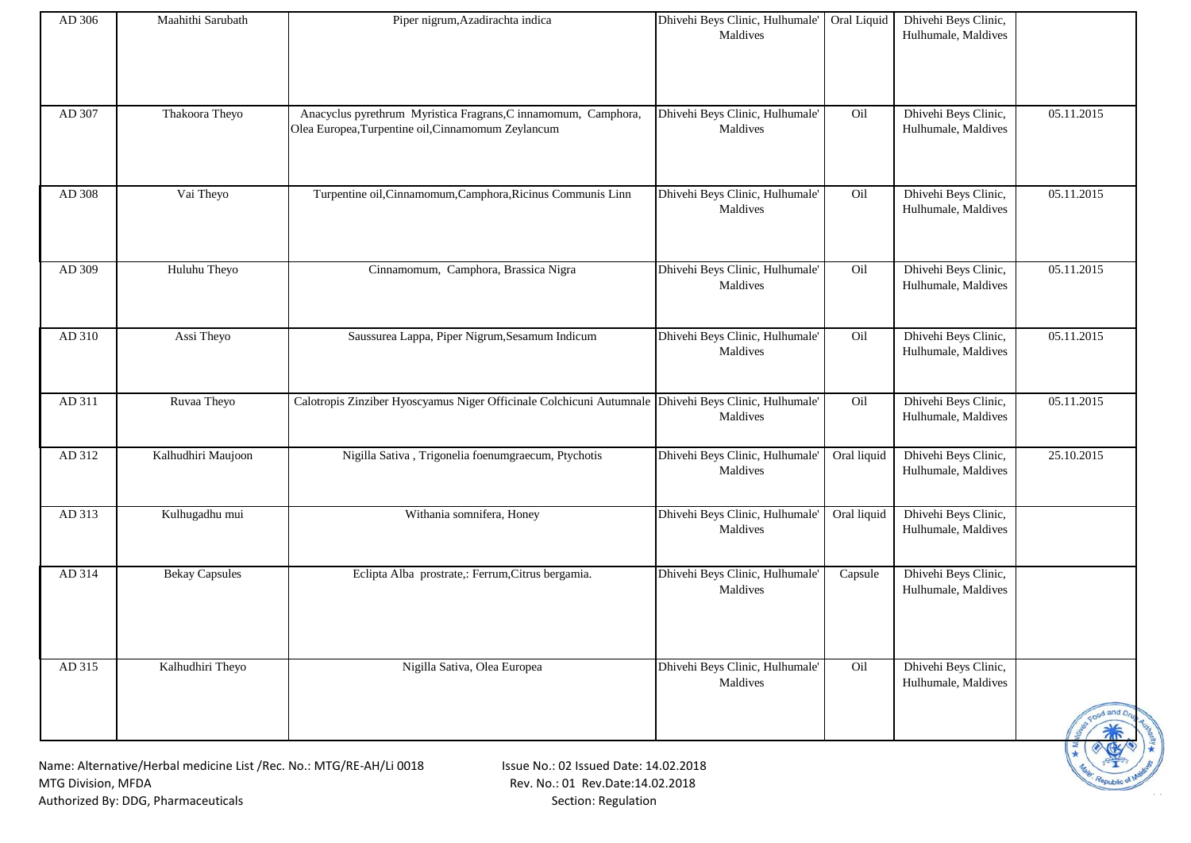| AD 306 | Maahithi Sarubath                                                   | Piper nigrum, Azadirachta indica                                                                                     | Dhivehi Beys Clinic, Hulhumale' Oral Liquid<br>Maldives |             | Dhivehi Beys Clinic,<br>Hulhumale, Maldives |             |
|--------|---------------------------------------------------------------------|----------------------------------------------------------------------------------------------------------------------|---------------------------------------------------------|-------------|---------------------------------------------|-------------|
|        |                                                                     |                                                                                                                      |                                                         |             |                                             |             |
| AD 307 | Thakoora Theyo                                                      | Anacyclus pyrethrum Myristica Fragrans, C innamomum, Camphora,<br>Olea Europea, Turpentine oil, Cinnamomum Zeylancum | Dhivehi Beys Clinic, Hulhumale'<br>Maldives             | Oil         | Dhivehi Beys Clinic,<br>Hulhumale, Maldives | 05.11.2015  |
| AD 308 | Vai Theyo                                                           | Turpentine oil, Cinnamomum, Camphora, Ricinus Communis Linn                                                          | Dhivehi Beys Clinic, Hulhumale'<br>Maldives             | Oil         | Dhivehi Beys Clinic,<br>Hulhumale, Maldives | 05.11.2015  |
| AD 309 | Huluhu Theyo                                                        | Cinnamomum, Camphora, Brassica Nigra                                                                                 | Dhivehi Beys Clinic, Hulhumale'<br>Maldives             | Oil         | Dhivehi Beys Clinic,<br>Hulhumale, Maldives | 05.11.2015  |
| AD 310 | Assi Theyo                                                          | Saussurea Lappa, Piper Nigrum, Sesamum Indicum                                                                       | Dhivehi Beys Clinic, Hulhumale'<br>Maldives             | Oil         | Dhivehi Beys Clinic,<br>Hulhumale, Maldives | 05.11.2015  |
| AD 311 | Ruvaa Theyo                                                         | Calotropis Zinziber Hyoscyamus Niger Officinale Colchicuni Autumnale Dhivehi Beys Clinic, Hulhumale'                 | Maldives                                                | Oil         | Dhivehi Beys Clinic,<br>Hulhumale, Maldives | 05.11.2015  |
| AD 312 | Kalhudhiri Maujoon                                                  | Nigilla Sativa, Trigonelia foenumgraecum, Ptychotis                                                                  | Dhivehi Beys Clinic, Hulhumale'<br>Maldives             | Oral liquid | Dhivehi Beys Clinic,<br>Hulhumale, Maldives | 25.10.2015  |
| AD 313 | Kulhugadhu mui                                                      | Withania somnifera, Honey                                                                                            | Dhivehi Beys Clinic, Hulhumale'<br>Maldives             | Oral liquid | Dhivehi Beys Clinic,<br>Hulhumale, Maldives |             |
| AD 314 | <b>Bekay Capsules</b>                                               | Eclipta Alba prostrate,: Ferrum, Citrus bergamia.                                                                    | Dhivehi Beys Clinic, Hulhumale'<br>Maldives             | Capsule     | Dhivehi Beys Clinic,<br>Hulhumale, Maldives |             |
| AD 315 | Kalhudhiri Theyo                                                    | Nigilla Sativa, Olea Europea                                                                                         | Dhivehi Beys Clinic, Hulhumale'<br>Maldives             | Oil         | Dhivehi Beys Clinic,<br>Hulhumale, Maldives | tood and Dr |
|        | Name: Alternative/Herbal medicine List /Rec. No.: MTG/RE-AH/Li 0018 | Issue No.: 02 Issued Date: 14.02.2018                                                                                |                                                         |             |                                             |             |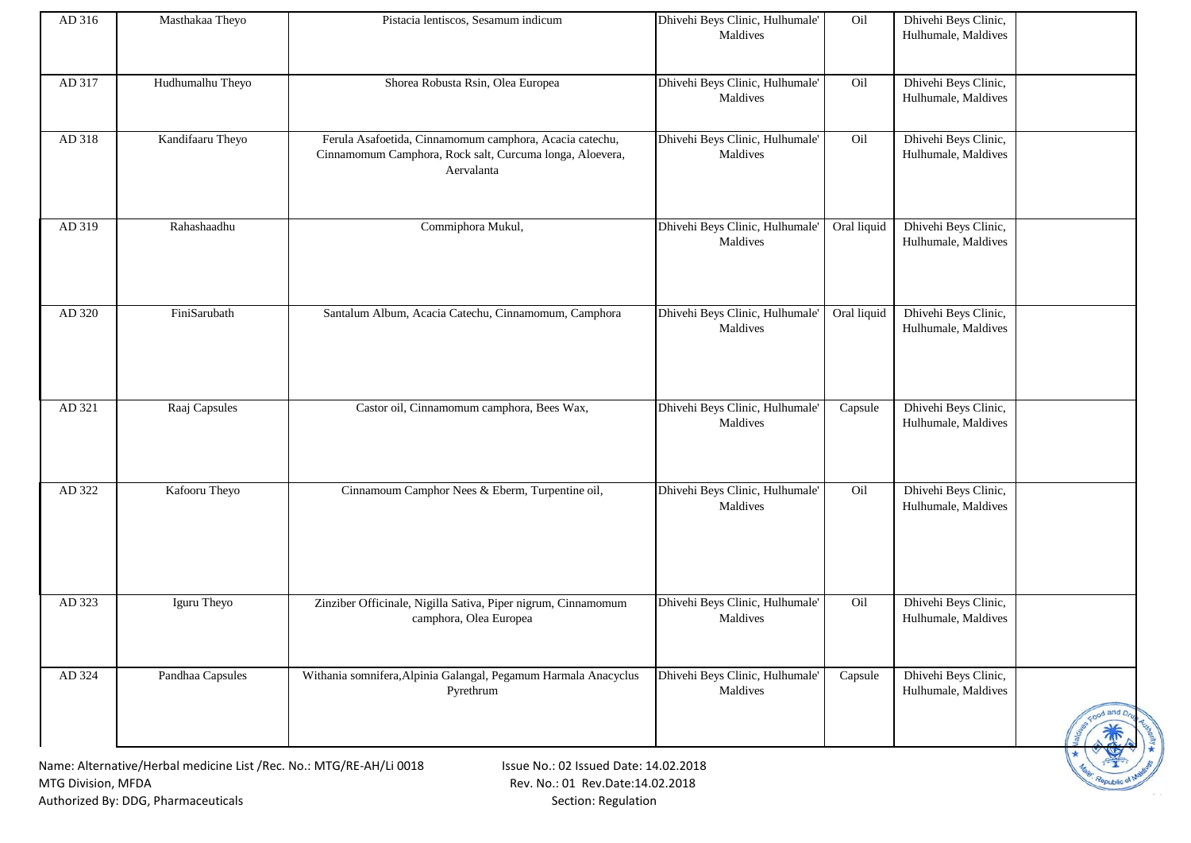| AD 316 | Masthakaa Theyo                                                     | Pistacia lentiscos, Sesamum indicum                                                                                               | Dhivehi Beys Clinic, Hulhumale'<br>Maldives | Oil         | Dhivehi Beys Clinic,<br>Hulhumale, Maldives |           |
|--------|---------------------------------------------------------------------|-----------------------------------------------------------------------------------------------------------------------------------|---------------------------------------------|-------------|---------------------------------------------|-----------|
| AD 317 | Hudhumalhu Theyo                                                    | Shorea Robusta Rsin, Olea Europea                                                                                                 | Dhivehi Beys Clinic, Hulhumale'<br>Maldives | Oil         | Dhivehi Beys Clinic,<br>Hulhumale, Maldives |           |
| AD 318 | Kandifaaru Theyo                                                    | Ferula Asafoetida, Cinnamomum camphora, Acacia catechu,<br>Cinnamomum Camphora, Rock salt, Curcuma longa, Aloevera,<br>Aervalanta | Dhivehi Beys Clinic, Hulhumale'<br>Maldives | Oil         | Dhivehi Beys Clinic,<br>Hulhumale, Maldives |           |
| AD 319 | Rahashaadhu                                                         | Commiphora Mukul,                                                                                                                 | Dhivehi Beys Clinic, Hulhumale'<br>Maldives | Oral liquid | Dhivehi Beys Clinic,<br>Hulhumale, Maldives |           |
| AD 320 | FiniSarubath                                                        | Santalum Album, Acacia Catechu, Cinnamomum, Camphora                                                                              | Dhivehi Beys Clinic, Hulhumale'<br>Maldives | Oral liquid | Dhivehi Beys Clinic,<br>Hulhumale, Maldives |           |
| AD 321 | Raaj Capsules                                                       | Castor oil, Cinnamomum camphora, Bees Wax,                                                                                        | Dhivehi Beys Clinic, Hulhumale'<br>Maldives | Capsule     | Dhivehi Beys Clinic,<br>Hulhumale, Maldives |           |
| AD 322 | Kafooru Theyo                                                       | Cinnamoum Camphor Nees & Eberm, Turpentine oil,                                                                                   | Dhivehi Beys Clinic, Hulhumale'<br>Maldives | Oil         | Dhivehi Beys Clinic,<br>Hulhumale, Maldives |           |
| AD 323 | Iguru Theyo                                                         | Zinziber Officinale, Nigilla Sativa, Piper nigrum, Cinnamomum<br>camphora, Olea Europea                                           | Dhivehi Beys Clinic, Hulhumale'<br>Maldives | Oil         | Dhivehi Beys Clinic,<br>Hulhumale, Maldives |           |
| AD 324 | Pandhaa Capsules                                                    | Withania somnifera, Alpinia Galangal, Pegamum Harmala Anacyclus<br>Pyrethrum                                                      | Dhivehi Beys Clinic, Hulhumale'<br>Maldives | Capsule     | Dhivehi Beys Clinic,<br>Hulhumale, Maldives | ood and D |
|        | Name: Alternative/Herbal medicine List /Rec. No.: MTG/RE-AH/Li 0018 | Issue No.: 02 Issued Date: 14.02.2018                                                                                             |                                             |             |                                             |           |

Republic of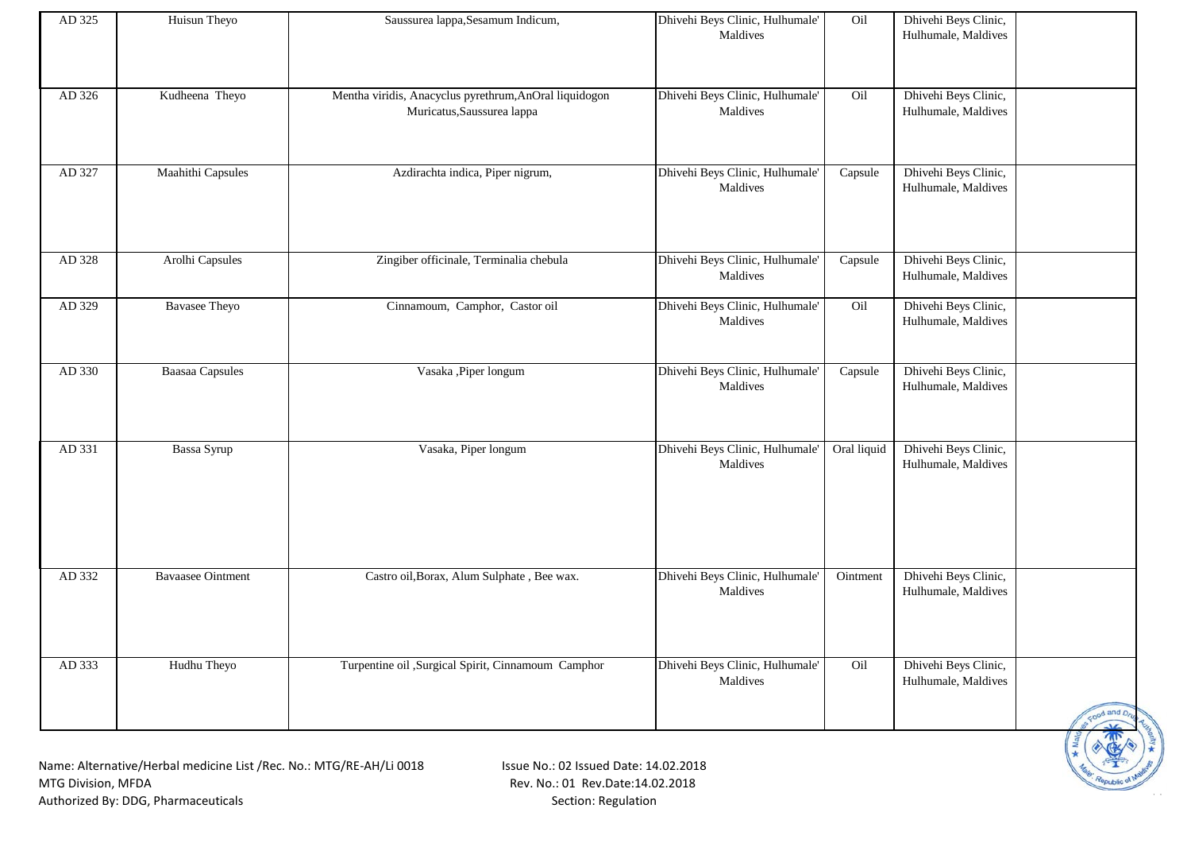| AD 325 | Huisun Theyo                                                       | Saussurea lappa, Sesamum Indicum,                                                    | Dhivehi Beys Clinic, Hulhumale'<br>Maldives | Oil         | Dhivehi Beys Clinic,<br>Hulhumale, Maldives |                          |
|--------|--------------------------------------------------------------------|--------------------------------------------------------------------------------------|---------------------------------------------|-------------|---------------------------------------------|--------------------------|
| AD 326 | Kudheena Theyo                                                     | Mentha viridis, Anacyclus pyrethrum, AnOral liquidogon<br>Muricatus, Saussurea lappa | Dhivehi Beys Clinic, Hulhumale'<br>Maldives | Oil         | Dhivehi Beys Clinic,<br>Hulhumale, Maldives |                          |
| AD 327 | Maahithi Capsules                                                  | Azdirachta indica, Piper nigrum,                                                     | Dhivehi Beys Clinic, Hulhumale<br>Maldives  | Capsule     | Dhivehi Beys Clinic,<br>Hulhumale, Maldives |                          |
| AD 328 | Arolhi Capsules                                                    | Zingiber officinale, Terminalia chebula                                              | Dhivehi Beys Clinic, Hulhumale<br>Maldives  | Capsule     | Dhivehi Beys Clinic,<br>Hulhumale, Maldives |                          |
| AD 329 | <b>Bavasee Theyo</b>                                               | Cinnamoum, Camphor, Castor oil                                                       | Dhivehi Beys Clinic, Hulhumale'<br>Maldives | Oil         | Dhivehi Beys Clinic,<br>Hulhumale, Maldives |                          |
| AD 330 | <b>Baasaa Capsules</b>                                             | Vasaka ,Piper longum                                                                 | Dhivehi Beys Clinic, Hulhumale<br>Maldives  | Capsule     | Dhivehi Beys Clinic,<br>Hulhumale, Maldives |                          |
| AD 331 | Bassa Syrup                                                        | Vasaka, Piper longum                                                                 | Dhivehi Beys Clinic, Hulhumale'<br>Maldives | Oral liquid | Dhivehi Beys Clinic,<br>Hulhumale, Maldives |                          |
| AD 332 | <b>Bavaasee Ointment</b>                                           | Castro oil, Borax, Alum Sulphate, Bee wax.                                           | Dhivehi Beys Clinic, Hulhumale'<br>Maldives | Ointment    | Dhivehi Beys Clinic,<br>Hulhumale, Maldives |                          |
| AD 333 | Hudhu Theyo                                                        | Turpentine oil ,Surgical Spirit, Cinnamoum Camphor                                   | Dhivehi Beys Clinic, Hulhumale'<br>Maldives | Oil         | Dhivehi Beys Clinic,<br>Hulhumale, Maldives |                          |
|        | Name: Alternative/Herbal medicine List /Rec No : MTG/RE-AH/Li 0018 | Isque No: O2 Issued Date: 14.02.2018                                                 |                                             |             |                                             | Food and D <sub>ry</sub> |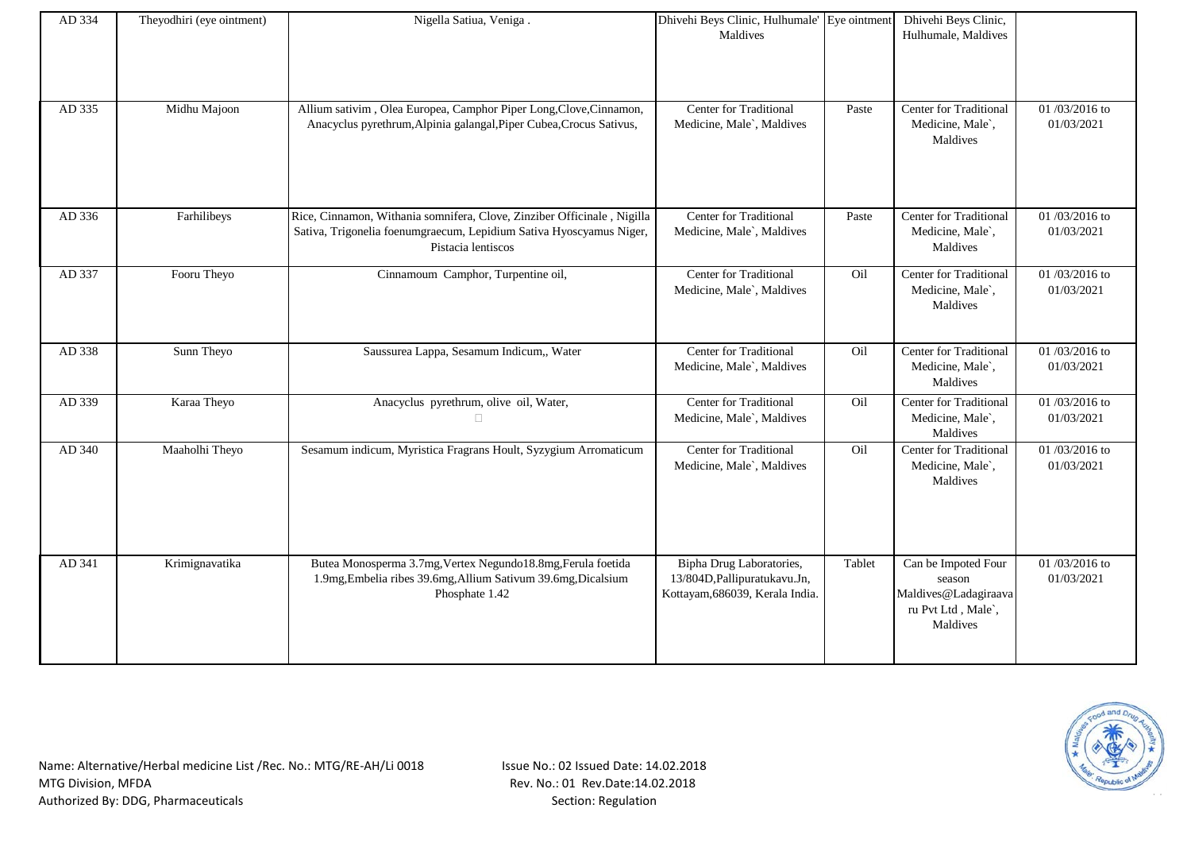| AD 334 | Theyodhiri (eye ointment) | Nigella Satiua, Veniga.                                                                                                                                              | Dhivehi Beys Clinic, Hulhumale' Eye ointment<br>Maldives                                     |        | Dhivehi Beys Clinic,<br>Hulhumale, Maldives                                             |                             |
|--------|---------------------------|----------------------------------------------------------------------------------------------------------------------------------------------------------------------|----------------------------------------------------------------------------------------------|--------|-----------------------------------------------------------------------------------------|-----------------------------|
| AD 335 | Midhu Majoon              | Allium sativim, Olea Europea, Camphor Piper Long, Clove, Cinnamon,<br>Anacyclus pyrethrum, Alpinia galangal, Piper Cubea, Crocus Sativus,                            | Center for Traditional<br>Medicine, Male`, Maldives                                          | Paste  | Center for Traditional<br>Medicine, Male`,<br>Maldives                                  | 01/03/2016 to<br>01/03/2021 |
| AD 336 | Farhilibeys               | Rice, Cinnamon, Withania somnifera, Clove, Zinziber Officinale, Nigilla<br>Sativa, Trigonelia foenumgraecum, Lepidium Sativa Hyoscyamus Niger,<br>Pistacia lentiscos | Center for Traditional<br>Medicine, Male`, Maldives                                          | Paste  | Center for Traditional<br>Medicine, Male`,<br>Maldives                                  | 01/03/2016 to<br>01/03/2021 |
| AD 337 | Fooru Theyo               | Cinnamoum Camphor, Turpentine oil,                                                                                                                                   | Center for Traditional<br>Medicine, Male`, Maldives                                          | Oil    | Center for Traditional<br>Medicine, Male`,<br>Maldives                                  | 01/03/2016 to<br>01/03/2021 |
| AD 338 | Sunn Theyo                | Saussurea Lappa, Sesamum Indicum,, Water                                                                                                                             | Center for Traditional<br>Medicine, Male`, Maldives                                          | Oil    | Center for Traditional<br>Medicine, Male`,<br>Maldives                                  | 01/03/2016 to<br>01/03/2021 |
| AD 339 | Karaa Theyo               | Anacyclus pyrethrum, olive oil, Water,<br>П.                                                                                                                         | Center for Traditional<br>Medicine, Male`, Maldives                                          | Oil    | Center for Traditional<br>Medicine, Male`,<br>Maldives                                  | 01/03/2016 to<br>01/03/2021 |
| AD 340 | Maaholhi Theyo            | Sesamum indicum, Myristica Fragrans Hoult, Syzygium Arromaticum                                                                                                      | Center for Traditional<br>Medicine, Male`, Maldives                                          | Oil    | Center for Traditional<br>Medicine, Male`,<br>Maldives                                  | 01/03/2016 to<br>01/03/2021 |
| AD 341 | Krimignavatika            | Butea Monosperma 3.7mg, Vertex Negundo18.8mg, Ferula foetida<br>1.9mg, Embelia ribes 39.6mg, Allium Sativum 39.6mg, Dicalsium<br>Phosphate 1.42                      | Bipha Drug Laboratories,<br>13/804D, Pallipuratukavu. Jn,<br>Kottayam, 686039, Kerala India. | Tablet | Can be Impoted Four<br>season<br>Maldives@Ladagiraava<br>ru Pvt Ltd, Male`,<br>Maldives | 01/03/2016 to<br>01/03/2021 |

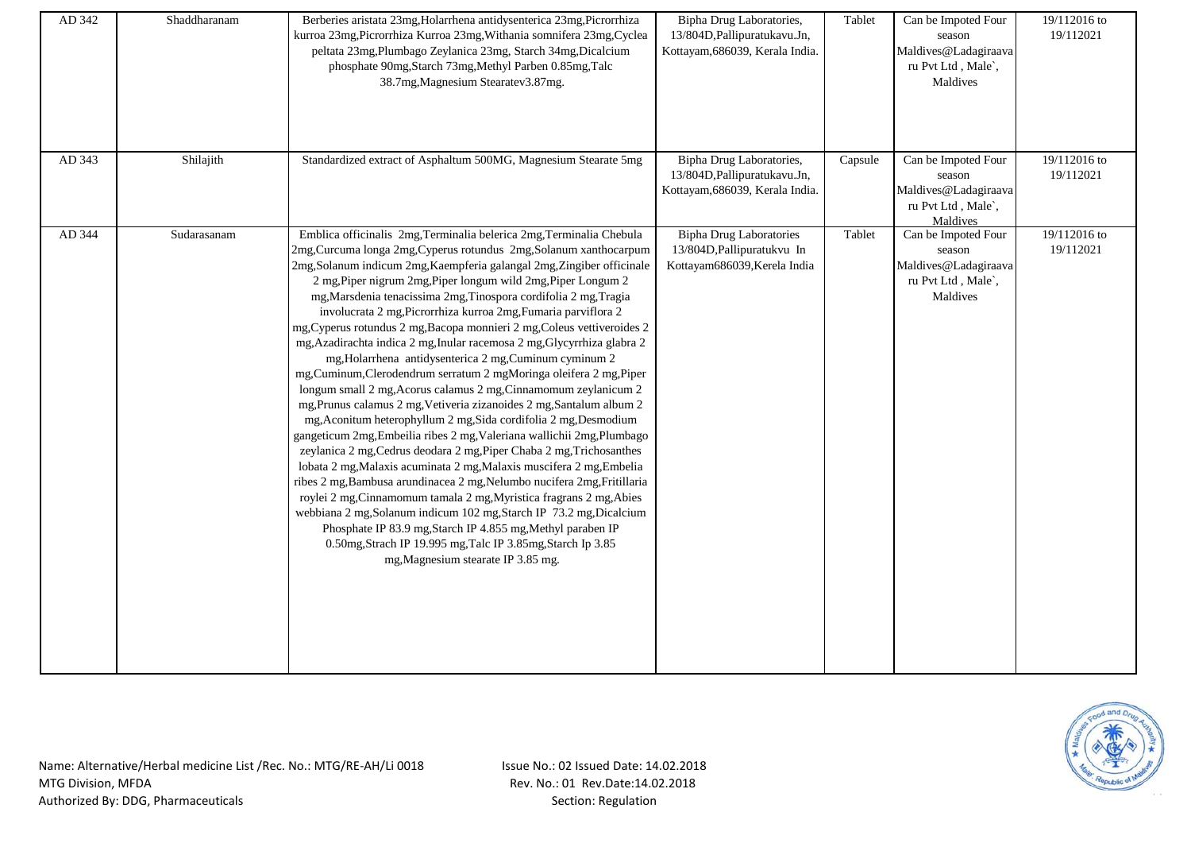| AD 342 | Shaddharanam | Berberies aristata 23mg, Holarrhena antidysenterica 23mg, Picrorrhiza<br>kurroa 23mg, Picrorrhiza Kurroa 23mg, Withania somnifera 23mg, Cyclea<br>peltata 23mg, Plumbago Zeylanica 23mg, Starch 34mg, Dicalcium<br>phosphate 90mg, Starch 73mg, Methyl Parben 0.85mg, Talc<br>38.7mg, Magnesium Stearatev3.87mg.                                                                                                                                                                                                                                                                                                                                                                                                                                                                                                                                                                                                                                                                                                                                                                                                                                                                                                                                                                                                                                                                                                                                                                                                                                         | Bipha Drug Laboratories,<br>13/804D, Pallipuratukavu. Jn,<br>Kottayam, 686039, Kerala India. | Tablet  | Can be Impoted Four<br>season<br>Maldives@Ladagiraava<br>ru Pvt Ltd, Male`,<br>Maldives | 19/112016 to<br>19/112021 |
|--------|--------------|----------------------------------------------------------------------------------------------------------------------------------------------------------------------------------------------------------------------------------------------------------------------------------------------------------------------------------------------------------------------------------------------------------------------------------------------------------------------------------------------------------------------------------------------------------------------------------------------------------------------------------------------------------------------------------------------------------------------------------------------------------------------------------------------------------------------------------------------------------------------------------------------------------------------------------------------------------------------------------------------------------------------------------------------------------------------------------------------------------------------------------------------------------------------------------------------------------------------------------------------------------------------------------------------------------------------------------------------------------------------------------------------------------------------------------------------------------------------------------------------------------------------------------------------------------|----------------------------------------------------------------------------------------------|---------|-----------------------------------------------------------------------------------------|---------------------------|
| AD 343 | Shilajith    | Standardized extract of Asphaltum 500MG, Magnesium Stearate 5mg                                                                                                                                                                                                                                                                                                                                                                                                                                                                                                                                                                                                                                                                                                                                                                                                                                                                                                                                                                                                                                                                                                                                                                                                                                                                                                                                                                                                                                                                                          | Bipha Drug Laboratories,<br>13/804D, Pallipuratukavu. Jn,<br>Kottayam, 686039, Kerala India. | Capsule | Can be Impoted Four<br>season<br>Maldives@Ladagiraava<br>ru Pvt Ltd, Male',<br>Maldives | 19/112016 to<br>19/112021 |
| AD 344 | Sudarasanam  | Emblica officinalis 2mg, Terminalia belerica 2mg, Terminalia Chebula<br>2mg, Curcuma longa 2mg, Cyperus rotundus 2mg, Solanum xanthocarpum<br>2mg, Solanum indicum 2mg, Kaempferia galangal 2mg, Zingiber officinale<br>2 mg, Piper nigrum 2mg, Piper longum wild 2mg, Piper Longum 2<br>mg, Marsdenia tenacissima 2mg, Tinospora cordifolia 2 mg, Tragia<br>involucrata 2 mg, Picrorrhiza kurroa 2mg, Fumaria parviflora 2<br>mg, Cyperus rotundus 2 mg, Bacopa monnieri 2 mg, Coleus vettiveroides 2<br>mg, Azadirachta indica 2 mg, Inular racemosa 2 mg, Glycyrrhiza glabra 2<br>mg, Holarrhena antidysenterica 2 mg, Cuminum cyminum 2<br>mg, Cuminum, Clerodendrum serratum 2 mgMoringa oleifera 2 mg, Piper<br>longum small 2 mg, Acorus calamus 2 mg, Cinnamomum zeylanicum 2<br>mg, Prunus calamus 2 mg, Vetiveria zizanoides 2 mg, Santalum album 2<br>mg, Aconitum heterophyllum 2 mg, Sida cordifolia 2 mg, Desmodium<br>gangeticum 2mg, Embeilia ribes 2 mg, Valeriana wallichii 2mg, Plumbago<br>zeylanica 2 mg, Cedrus deodara 2 mg, Piper Chaba 2 mg, Trichosanthes<br>lobata 2 mg, Malaxis acuminata 2 mg, Malaxis muscifera 2 mg, Embelia<br>ribes 2 mg, Bambusa arundinacea 2 mg, Nelumbo nucifera 2mg, Fritillaria<br>roylei 2 mg, Cinnamomum tamala 2 mg, Myristica fragrans 2 mg, Abies<br>webbiana 2 mg, Solanum indicum 102 mg, Starch IP 73.2 mg, Dicalcium<br>Phosphate IP 83.9 mg, Starch IP 4.855 mg, Methyl paraben IP<br>0.50mg, Strach IP 19.995 mg, Talc IP 3.85mg, Starch Ip 3.85<br>mg, Magnesium stearate IP 3.85 mg. | <b>Bipha Drug Laboratories</b><br>13/804D, Pallipuratukvu In<br>Kottayam686039, Kerela India | Tablet  | Can be Impoted Four<br>season<br>Maldives@Ladagiraava<br>ru Pvt Ltd, Male,<br>Maldives  | 19/112016 to<br>19/112021 |

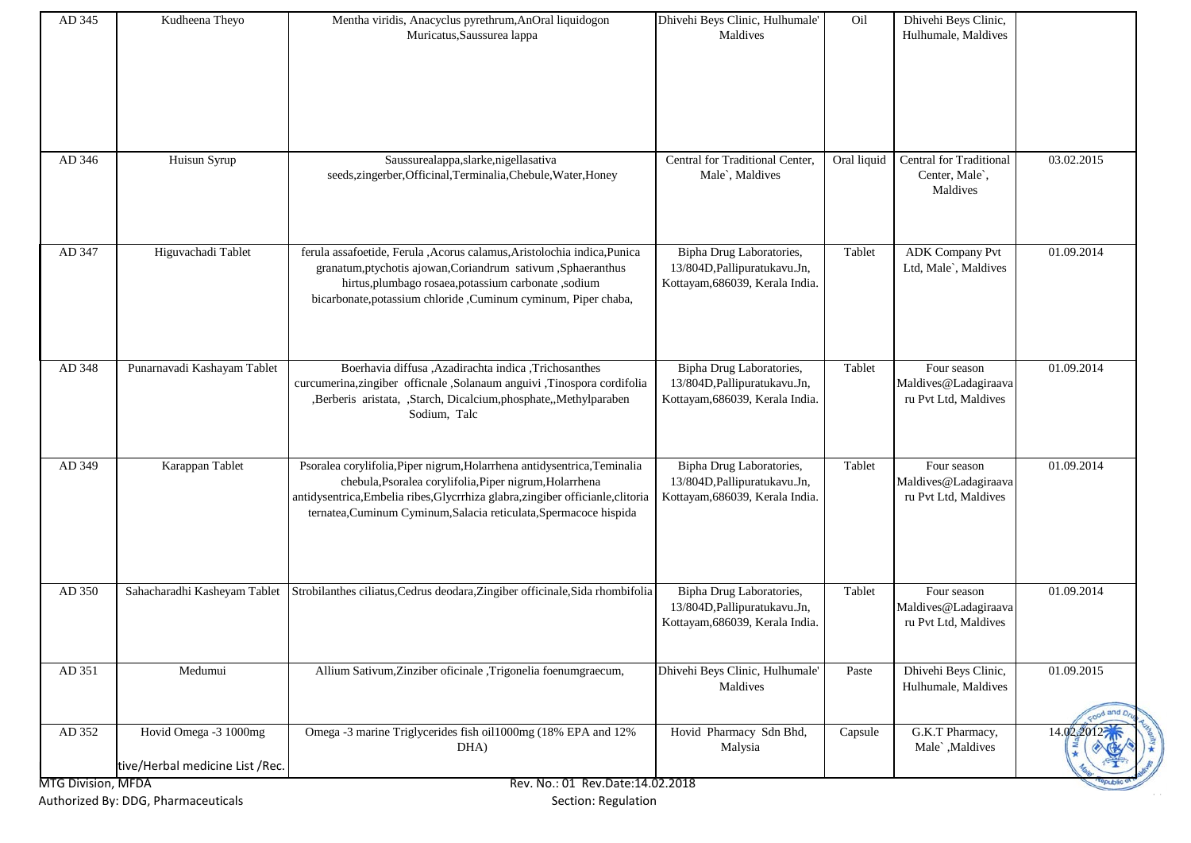| AD 345                    | Kudheena Theyo                  | Mentha viridis, Anacyclus pyrethrum, AnOral liquidogon                          | Dhivehi Beys Clinic, Hulhumale' | Oil         | Dhivehi Beys Clinic,           |                   |
|---------------------------|---------------------------------|---------------------------------------------------------------------------------|---------------------------------|-------------|--------------------------------|-------------------|
|                           |                                 | Muricatus, Saussurea lappa                                                      | Maldives                        |             | Hulhumale, Maldives            |                   |
|                           |                                 |                                                                                 |                                 |             |                                |                   |
|                           |                                 |                                                                                 |                                 |             |                                |                   |
|                           |                                 |                                                                                 |                                 |             |                                |                   |
|                           |                                 |                                                                                 |                                 |             |                                |                   |
|                           |                                 |                                                                                 |                                 |             |                                |                   |
|                           |                                 |                                                                                 |                                 |             |                                |                   |
| AD 346                    | Huisun Syrup                    | Saussurealappa, slarke, nigellasativa                                           | Central for Traditional Center, | Oral liquid | <b>Central for Traditional</b> | 03.02.2015        |
|                           |                                 | seeds, zingerber, Officinal, Terminalia, Chebule, Water, Honey                  | Male`, Maldives                 |             | Center, Male`,                 |                   |
|                           |                                 |                                                                                 |                                 |             | Maldives                       |                   |
|                           |                                 |                                                                                 |                                 |             |                                |                   |
|                           |                                 |                                                                                 |                                 |             |                                |                   |
|                           |                                 |                                                                                 |                                 |             |                                |                   |
| AD 347                    | Higuvachadi Tablet              | ferula assafoetide, Ferula , Acorus calamus, Aristolochia indica, Punica        | Bipha Drug Laboratories,        | Tablet      | <b>ADK Company Pvt</b>         | 01.09.2014        |
|                           |                                 | granatum, ptychotis ajowan, Coriandrum sativum, Sphaeranthus                    | 13/804D, Pallipuratukavu. Jn,   |             | Ltd, Male`, Maldives           |                   |
|                           |                                 | hirtus,plumbago rosaea,potassium carbonate ,sodium                              | Kottayam, 686039, Kerala India. |             |                                |                   |
|                           |                                 | bicarbonate, potassium chloride , Cuminum cyminum, Piper chaba,                 |                                 |             |                                |                   |
|                           |                                 |                                                                                 |                                 |             |                                |                   |
|                           |                                 |                                                                                 |                                 |             |                                |                   |
|                           |                                 |                                                                                 |                                 |             |                                |                   |
| AD 348                    | Punarnavadi Kashayam Tablet     | Boerhavia diffusa ,Azadirachta indica ,Trichosanthes                            | Bipha Drug Laboratories,        | Tablet      | Four season                    | 01.09.2014        |
|                           |                                 | curcumerina,zingiber officnale ,Solanaum anguivi ,Tinospora cordifolia          | 13/804D, Pallipuratukavu. Jn,   |             | Maldives@Ladagiraava           |                   |
|                           |                                 | ,Berberis aristata, ,Starch, Dicalcium,phosphate,,Methylparaben                 | Kottayam, 686039, Kerala India. |             | ru Pvt Ltd, Maldives           |                   |
|                           |                                 | Sodium, Talc                                                                    |                                 |             |                                |                   |
|                           |                                 |                                                                                 |                                 |             |                                |                   |
| AD 349                    | Karappan Tablet                 | Psoralea corylifolia, Piper nigrum, Holarrhena antidysentrica, Teminalia        | Bipha Drug Laboratories,        | Tablet      | Four season                    | 01.09.2014        |
|                           |                                 | chebula, Psoralea corylifolia, Piper nigrum, Holarrhena                         | 13/804D, Pallipuratukavu. Jn,   |             | Maldives@Ladagiraava           |                   |
|                           |                                 | antidysentrica, Embelia ribes, Glycrrhiza glabra, zingiber officianle, clitoria | Kottayam, 686039, Kerala India. |             | ru Pvt Ltd, Maldives           |                   |
|                           |                                 | ternatea, Cuminum Cyminum, Salacia reticulata, Spermacoce hispida               |                                 |             |                                |                   |
|                           |                                 |                                                                                 |                                 |             |                                |                   |
|                           |                                 |                                                                                 |                                 |             |                                |                   |
|                           |                                 |                                                                                 |                                 |             |                                |                   |
|                           |                                 |                                                                                 |                                 |             |                                |                   |
| AD 350                    | Sahacharadhi Kasheyam Tablet    | Strobilanthes ciliatus, Cedrus deodara, Zingiber officinale, Sida rhombifolia   | Bipha Drug Laboratories,        | Tablet      | Four season                    | 01.09.2014        |
|                           |                                 |                                                                                 | 13/804D, Pallipuratukavu. Jn,   |             | Maldives@Ladagiraava           |                   |
|                           |                                 |                                                                                 | Kottayam, 686039, Kerala India. |             | ru Pvt Ltd, Maldives           |                   |
|                           |                                 |                                                                                 |                                 |             |                                |                   |
| AD 351                    | Medumui                         | Allium Sativum, Zinziber oficinale, Trigonelia foenumgraecum,                   | Dhivehi Beys Clinic, Hulhumale' | Paste       | Dhivehi Beys Clinic,           | 01.09.2015        |
|                           |                                 |                                                                                 | Maldives                        |             | Hulhumale, Maldives            |                   |
|                           |                                 |                                                                                 |                                 |             |                                |                   |
|                           |                                 |                                                                                 |                                 |             |                                | tood and D        |
| AD 352                    | Hovid Omega -3 1000mg           | Omega -3 marine Triglycerides fish oil1000mg (18% EPA and 12%                   | Hovid Pharmacy Sdn Bhd,         | Capsule     | G.K.T Pharmacy,                | 14.0 <sup>o</sup> |
|                           |                                 | DHA)                                                                            | Malysia                         |             | Male`, Maldives                |                   |
|                           | tive/Herbal medicine List /Rec. |                                                                                 |                                 |             |                                |                   |
| <b>MTG Division, MFDA</b> |                                 | Rev. No.: 01 Rev.Date:14.02.2018                                                |                                 |             |                                |                   |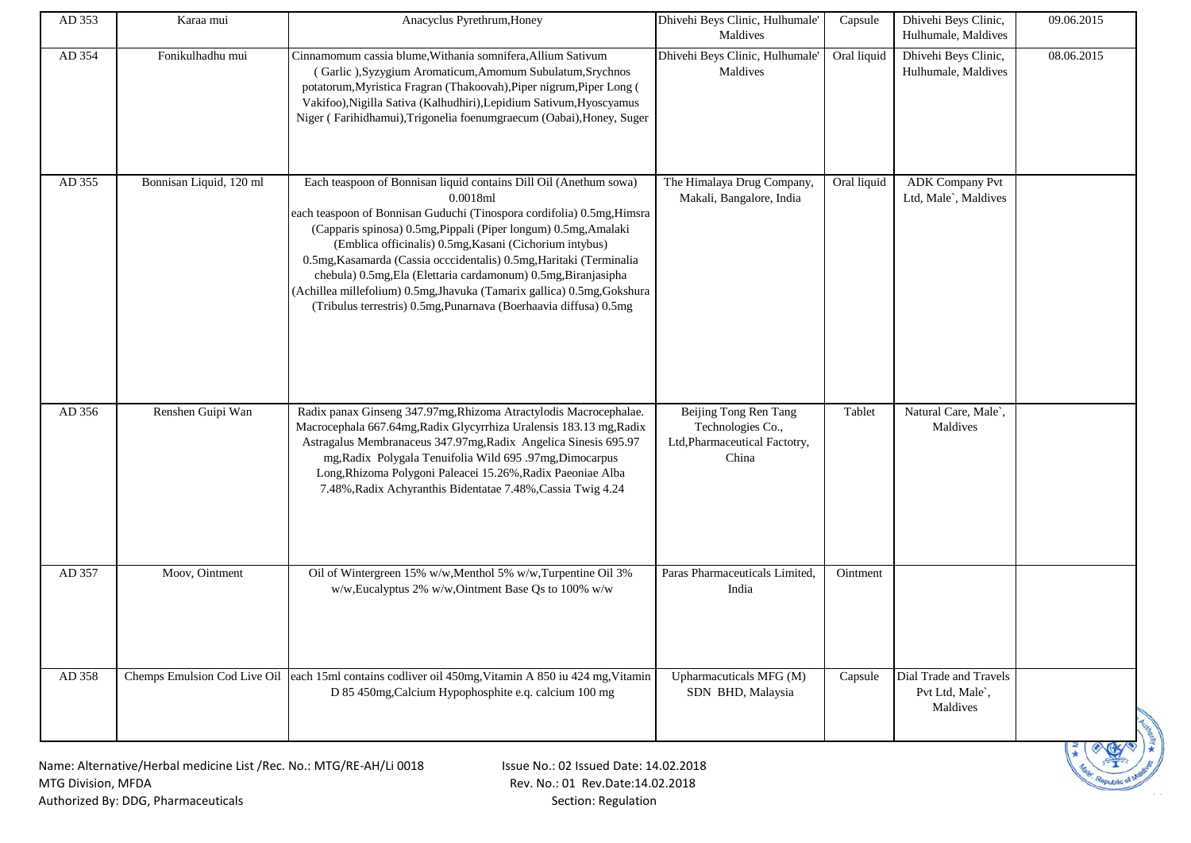| AD 353 | Karaa mui                                                           | Anacyclus Pyrethrum, Honey                                                                                                                                                                                                                                                                                                                                                                                                                                                                                                                                                     | Dhivehi Beys Clinic, Hulhumale'<br>Maldives                                          | Capsule     | Dhivehi Beys Clinic,<br>Hulhumale, Maldives           | 09.06.2015 |
|--------|---------------------------------------------------------------------|--------------------------------------------------------------------------------------------------------------------------------------------------------------------------------------------------------------------------------------------------------------------------------------------------------------------------------------------------------------------------------------------------------------------------------------------------------------------------------------------------------------------------------------------------------------------------------|--------------------------------------------------------------------------------------|-------------|-------------------------------------------------------|------------|
| AD 354 | Fonikulhadhu mui                                                    | Cinnamomum cassia blume, Withania somnifera, Allium Sativum<br>(Garlic), Syzygium Aromaticum, Amomum Subulatum, Srychnos<br>potatorum, Myristica Fragran (Thakoovah), Piper nigrum, Piper Long (<br>Vakifoo), Nigilla Sativa (Kalhudhiri), Lepidium Sativum, Hyoscyamus<br>Niger (Farihidhamui), Trigonelia foenumgraecum (Oabai), Honey, Suger                                                                                                                                                                                                                                | Dhivehi Beys Clinic, Hulhumale'<br>Maldives                                          | Oral liquid | Dhivehi Beys Clinic,<br>Hulhumale, Maldives           | 08.06.2015 |
| AD 355 | Bonnisan Liquid, 120 ml                                             | Each teaspoon of Bonnisan liquid contains Dill Oil (Anethum sowa)<br>0.0018ml<br>each teaspoon of Bonnisan Guduchi (Tinospora cordifolia) 0.5mg, Himsra<br>(Capparis spinosa) 0.5mg, Pippali (Piper longum) 0.5mg, Amalaki<br>(Emblica officinalis) 0.5mg, Kasani (Cichorium intybus)<br>0.5mg, Kasamarda (Cassia occcidentalis) 0.5mg, Haritaki (Terminalia<br>chebula) 0.5mg, Ela (Elettaria cardamonum) 0.5mg, Biranjasipha<br>(Achillea millefolium) 0.5mg, Jhavuka (Tamarix gallica) 0.5mg, Gokshura<br>(Tribulus terrestris) 0.5mg, Punarnava (Boerhaavia diffusa) 0.5mg | The Himalaya Drug Company,<br>Makali, Bangalore, India                               | Oral liquid | <b>ADK</b> Company Pvt<br>Ltd, Male`, Maldives        |            |
| AD 356 | Renshen Guipi Wan                                                   | Radix panax Ginseng 347.97mg, Rhizoma Atractylodis Macrocephalae.<br>Macrocephala 667.64mg, Radix Glycyrrhiza Uralensis 183.13 mg, Radix<br>Astragalus Membranaceus 347.97mg, Radix Angelica Sinesis 695.97<br>mg, Radix Polygala Tenuifolia Wild 695 .97mg, Dimocarpus<br>Long, Rhizoma Polygoni Paleacei 15.26%, Radix Paeoniae Alba<br>7.48%, Radix Achyranthis Bidentatae 7.48%, Cassia Twig 4.24                                                                                                                                                                          | Beijing Tong Ren Tang<br>Technologies Co.,<br>Ltd, Pharmaceutical Factotry,<br>China | Tablet      | Natural Care, Male`,<br>Maldives                      |            |
| AD 357 | Moov, Ointment                                                      | Oil of Wintergreen 15% w/w, Menthol 5% w/w, Turpentine Oil 3%<br>w/w, Eucalyptus 2% w/w, Ointment Base Qs to 100% w/w                                                                                                                                                                                                                                                                                                                                                                                                                                                          | Paras Pharmaceuticals Limited,<br>India                                              | Ointment    |                                                       |            |
| AD 358 |                                                                     | Chemps Emulsion Cod Live Oil each 15ml contains codliver oil 450mg, Vitamin A 850 iu 424 mg, Vitamin<br>D 85 450mg, Calcium Hypophosphite e.q. calcium 100 mg                                                                                                                                                                                                                                                                                                                                                                                                                  | Upharmacuticals MFG (M)<br>SDN BHD, Malaysia                                         | Capsule     | Dial Trade and Travels<br>Pvt Ltd, Male`,<br>Maldives |            |
|        | Name: Alternative/Herbal medicine List /Rec. No.: MTG/RE-AH/Li 0018 | Issue No.: 02 Issued Date: 14.02.2018                                                                                                                                                                                                                                                                                                                                                                                                                                                                                                                                          |                                                                                      |             |                                                       |            |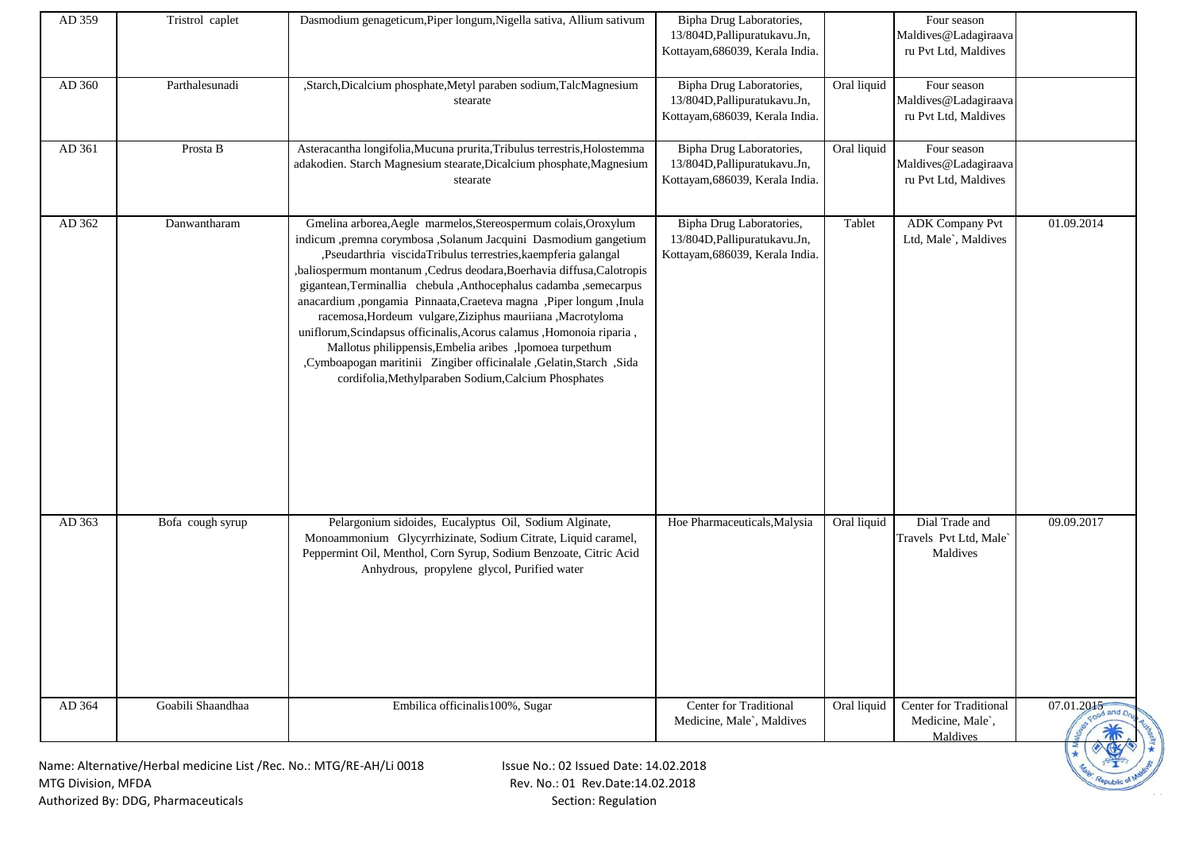| AD 359             | Tristrol caplet                                                     | Dasmodium genageticum, Piper longum, Nigella sativa, Allium sativum                                                                                                                                                                                                                                                                                                                                                                                                                                                                                                                                                                                                                                                                                    | Bipha Drug Laboratories,<br>13/804D, Pallipuratukavu. Jn,<br>Kottayam, 686039, Kerala India. |             | Four season<br>Maldives@Ladagiraava<br>ru Pvt Ltd, Maldives |                          |
|--------------------|---------------------------------------------------------------------|--------------------------------------------------------------------------------------------------------------------------------------------------------------------------------------------------------------------------------------------------------------------------------------------------------------------------------------------------------------------------------------------------------------------------------------------------------------------------------------------------------------------------------------------------------------------------------------------------------------------------------------------------------------------------------------------------------------------------------------------------------|----------------------------------------------------------------------------------------------|-------------|-------------------------------------------------------------|--------------------------|
| AD 360             | Parthalesunadi                                                      | "Starch, Dicalcium phosphate, Metyl paraben sodium, TalcMagnesium<br>stearate                                                                                                                                                                                                                                                                                                                                                                                                                                                                                                                                                                                                                                                                          | Bipha Drug Laboratories,<br>13/804D, Pallipuratukavu. Jn,<br>Kottayam, 686039, Kerala India. | Oral liquid | Four season<br>Maldives@Ladagiraava<br>ru Pvt Ltd, Maldives |                          |
| AD 361             | Prosta B                                                            | Asteracantha longifolia, Mucuna prurita, Tribulus terrestris, Holostemma<br>adakodien. Starch Magnesium stearate, Dicalcium phosphate, Magnesium<br>stearate                                                                                                                                                                                                                                                                                                                                                                                                                                                                                                                                                                                           | Bipha Drug Laboratories,<br>13/804D, Pallipuratukavu. Jn,<br>Kottayam, 686039, Kerala India. | Oral liquid | Four season<br>Maldives@Ladagiraava<br>ru Pvt Ltd, Maldives |                          |
| AD 362             | Danwantharam                                                        | Gmelina arborea, Aegle marmelos, Stereospermum colais, Oroxylum<br>indicum ,premna corymbosa ,Solanum Jacquini Dasmodium gangetium<br>,Pseudarthria viscidaTribulus terrestries,kaempferia galangal<br>,baliospermum montanum ,Cedrus deodara,Boerhavia diffusa,Calotropis<br>gigantean, Terminallia chebula, Anthocephalus cadamba, semecarpus<br>anacardium ,pongamia Pinnaata,Craeteva magna ,Piper longum ,Inula<br>racemosa, Hordeum vulgare, Ziziphus mauriiana, Macrotyloma<br>uniflorum, Scindapsus officinalis, Acorus calamus , Homonoia riparia,<br>Mallotus philippensis, Embelia aribes , lpomoea turpethum<br>,Cymboapogan maritinii Zingiber officinalale ,Gelatin,Starch ,Sida<br>cordifolia, Methylparaben Sodium, Calcium Phosphates | Bipha Drug Laboratories,<br>13/804D, Pallipuratukavu. Jn,<br>Kottayam, 686039, Kerala India. | Tablet      | <b>ADK Company Pvt</b><br>Ltd, Male`, Maldives              | 01.09.2014               |
| AD 363             | Bofa cough syrup                                                    | Pelargonium sidoides, Eucalyptus Oil, Sodium Alginate,<br>Monoammonium Glycyrrhizinate, Sodium Citrate, Liquid caramel,<br>Peppermint Oil, Menthol, Corn Syrup, Sodium Benzoate, Citric Acid<br>Anhydrous, propylene glycol, Purified water                                                                                                                                                                                                                                                                                                                                                                                                                                                                                                            | Hoe Pharmaceuticals, Malysia                                                                 | Oral liquid | Dial Trade and<br>Travels Pvt Ltd, Male`<br>Maldives        | 09.09.2017               |
| AD 364             | Goabili Shaandhaa                                                   | Embilica officinalis100%, Sugar                                                                                                                                                                                                                                                                                                                                                                                                                                                                                                                                                                                                                                                                                                                        | Center for Traditional<br>Medicine, Male`, Maldives                                          | Oral liquid | Center for Traditional<br>Medicine, Male`,<br>Maldives      | 07.01.2015<br>tood and D |
| MTG Division, MFDA | Name: Alternative/Herbal medicine List /Rec. No.: MTG/RE-AH/Li 0018 | Issue No.: 02 Issued Date: 14.02.2018<br>Rev. No.: 01 Rev.Date:14.02.2018                                                                                                                                                                                                                                                                                                                                                                                                                                                                                                                                                                                                                                                                              |                                                                                              |             |                                                             |                          |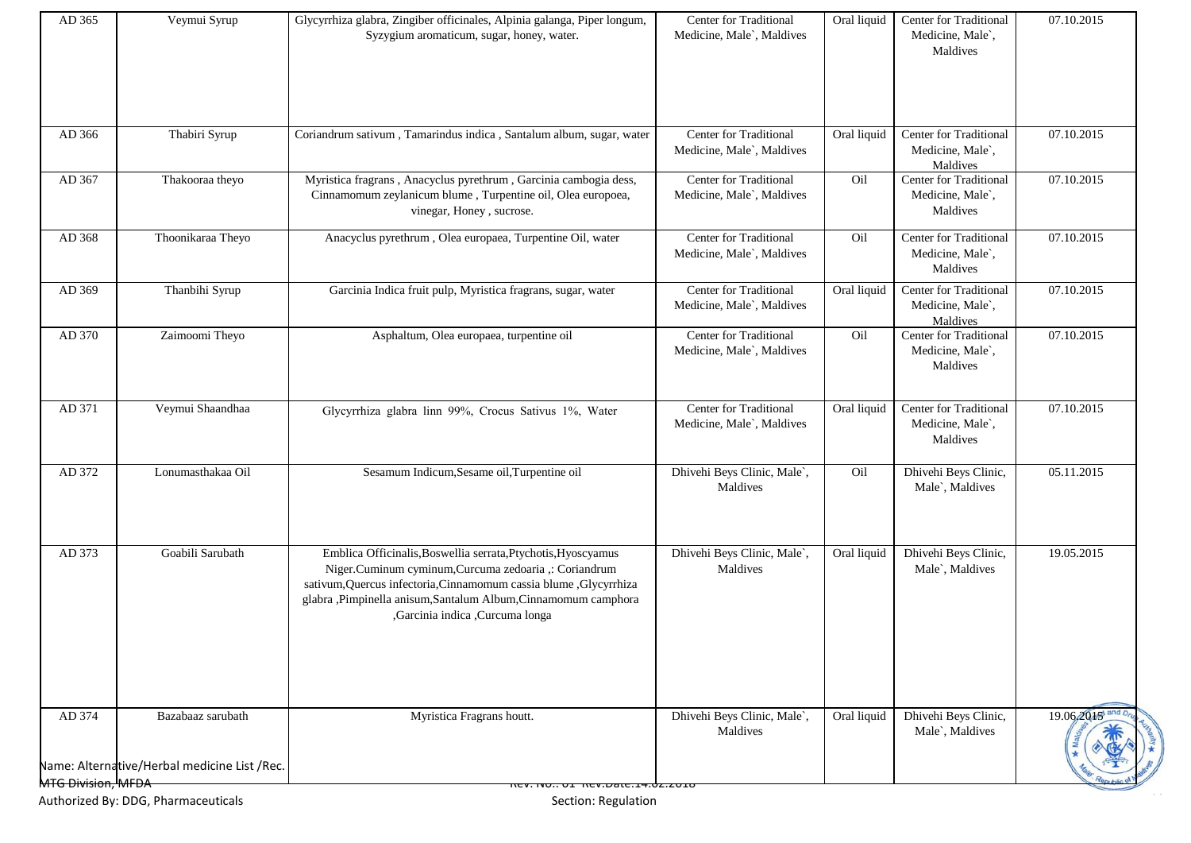| Center for Traditional<br>Center for Traditional<br>AD 366<br>Thabiri Syrup<br>Coriandrum sativum, Tamarindus indica, Santalum album, sugar, water<br>Oral liquid<br>07.10.2015<br>Medicine, Male`,<br>Medicine, Male`, Maldives<br>Maldives<br>AD 367<br>Myristica fragrans, Anacyclus pyrethrum, Garcinia cambogia dess,<br>Center for Traditional<br>Oil<br>Center for Traditional<br>07.10.2015<br>Thakooraa theyo<br>Cinnamomum zeylanicum blume, Turpentine oil, Olea europoea,<br>Medicine, Male`, Maldives<br>Medicine, Male`,<br>vinegar, Honey, sucrose.<br>Maldives<br>Thoonikaraa Theyo<br>Center for Traditional<br>Center for Traditional<br>07.10.2015<br>AD 368<br>Anacyclus pyrethrum, Olea europaea, Turpentine Oil, water<br>Oil<br>Medicine, Male`,<br>Medicine, Male`, Maldives<br>Maldives<br>Center for Traditional<br>07.10.2015<br>AD 369<br>Thanbihi Syrup<br>Center for Traditional<br>Garcinia Indica fruit pulp, Myristica fragrans, sugar, water<br>Oral liquid<br>Medicine, Male`,<br>Medicine, Male`, Maldives<br>Maldives<br>Center for Traditional<br>AD 370<br>Zaimoomi Theyo<br>Center for Traditional<br>Oil<br>07.10.2015<br>Asphaltum, Olea europaea, turpentine oil<br>Medicine, Male`,<br>Medicine, Male`, Maldives<br>Maldives<br>Veymui Shaandhaa<br>AD 371<br>Center for Traditional<br>Center for Traditional<br>07.10.2015<br>Oral liquid<br>Glycyrrhiza glabra linn 99%, Crocus Sativus 1%, Water<br>Medicine, Male`,<br>Medicine, Male`, Maldives<br>Maldives<br>Dhivehi Beys Clinic,<br>AD 372<br>Lonumasthakaa Oil<br>Sesamum Indicum, Sesame oil, Turpentine oil<br>Dhivehi Beys Clinic, Male`,<br>Oil<br>05.11.2015<br>Male`, Maldives<br>Maldives<br>Emblica Officinalis, Boswellia serrata, Ptychotis, Hyoscyamus<br>Dhivehi Beys Clinic,<br>AD 373<br>Goabili Sarubath<br>Dhivehi Beys Clinic, Male`,<br>19.05.2015<br>Oral liquid<br>Niger.Cuminum cyminum,Curcuma zedoaria ,: Coriandrum<br>Maldives<br>Male`, Maldives<br>sativum, Quercus infectoria, Cinnamomum cassia blume , Glycyrrhiza<br>glabra ,Pimpinella anisum,Santalum Album,Cinnamomum camphora<br>,Garcinia indica ,Curcuma longa<br>Dhivehi Beys Clinic, Male`,<br>Dhivehi Beys Clinic,<br>AD 374<br>Myristica Fragrans houtt.<br>19.06.2015<br>Bazabaaz sarubath<br>Oral liquid<br>Male`, Maldives<br>Maldives<br>Name: Alternative/Herbal medicine List /Rec.<br>MTG Division, MFDA | AD 365 | Veymui Syrup | Glycyrrhiza glabra, Zingiber officinales, Alpinia galanga, Piper longum,<br>Syzygium aromaticum, sugar, honey, water. | Center for Traditional<br>Medicine, Male`, Maldives | Oral liquid | Center for Traditional<br>Medicine, Male`,<br>Maldives | 07.10.2015 |
|----------------------------------------------------------------------------------------------------------------------------------------------------------------------------------------------------------------------------------------------------------------------------------------------------------------------------------------------------------------------------------------------------------------------------------------------------------------------------------------------------------------------------------------------------------------------------------------------------------------------------------------------------------------------------------------------------------------------------------------------------------------------------------------------------------------------------------------------------------------------------------------------------------------------------------------------------------------------------------------------------------------------------------------------------------------------------------------------------------------------------------------------------------------------------------------------------------------------------------------------------------------------------------------------------------------------------------------------------------------------------------------------------------------------------------------------------------------------------------------------------------------------------------------------------------------------------------------------------------------------------------------------------------------------------------------------------------------------------------------------------------------------------------------------------------------------------------------------------------------------------------------------------------------------------------------------------------------------------------------------------------------------------------------------------------------------------------------------------------------------------------------------------------------------------------------------------------------------------------------------------------------------------------------------------------------------------------------------------------------------------------------------------------------|--------|--------------|-----------------------------------------------------------------------------------------------------------------------|-----------------------------------------------------|-------------|--------------------------------------------------------|------------|
|                                                                                                                                                                                                                                                                                                                                                                                                                                                                                                                                                                                                                                                                                                                                                                                                                                                                                                                                                                                                                                                                                                                                                                                                                                                                                                                                                                                                                                                                                                                                                                                                                                                                                                                                                                                                                                                                                                                                                                                                                                                                                                                                                                                                                                                                                                                                                                                                                |        |              |                                                                                                                       |                                                     |             |                                                        |            |
|                                                                                                                                                                                                                                                                                                                                                                                                                                                                                                                                                                                                                                                                                                                                                                                                                                                                                                                                                                                                                                                                                                                                                                                                                                                                                                                                                                                                                                                                                                                                                                                                                                                                                                                                                                                                                                                                                                                                                                                                                                                                                                                                                                                                                                                                                                                                                                                                                |        |              |                                                                                                                       |                                                     |             |                                                        |            |
|                                                                                                                                                                                                                                                                                                                                                                                                                                                                                                                                                                                                                                                                                                                                                                                                                                                                                                                                                                                                                                                                                                                                                                                                                                                                                                                                                                                                                                                                                                                                                                                                                                                                                                                                                                                                                                                                                                                                                                                                                                                                                                                                                                                                                                                                                                                                                                                                                |        |              |                                                                                                                       |                                                     |             |                                                        |            |
|                                                                                                                                                                                                                                                                                                                                                                                                                                                                                                                                                                                                                                                                                                                                                                                                                                                                                                                                                                                                                                                                                                                                                                                                                                                                                                                                                                                                                                                                                                                                                                                                                                                                                                                                                                                                                                                                                                                                                                                                                                                                                                                                                                                                                                                                                                                                                                                                                |        |              |                                                                                                                       |                                                     |             |                                                        |            |
|                                                                                                                                                                                                                                                                                                                                                                                                                                                                                                                                                                                                                                                                                                                                                                                                                                                                                                                                                                                                                                                                                                                                                                                                                                                                                                                                                                                                                                                                                                                                                                                                                                                                                                                                                                                                                                                                                                                                                                                                                                                                                                                                                                                                                                                                                                                                                                                                                |        |              |                                                                                                                       |                                                     |             |                                                        |            |
|                                                                                                                                                                                                                                                                                                                                                                                                                                                                                                                                                                                                                                                                                                                                                                                                                                                                                                                                                                                                                                                                                                                                                                                                                                                                                                                                                                                                                                                                                                                                                                                                                                                                                                                                                                                                                                                                                                                                                                                                                                                                                                                                                                                                                                                                                                                                                                                                                |        |              |                                                                                                                       |                                                     |             |                                                        |            |
|                                                                                                                                                                                                                                                                                                                                                                                                                                                                                                                                                                                                                                                                                                                                                                                                                                                                                                                                                                                                                                                                                                                                                                                                                                                                                                                                                                                                                                                                                                                                                                                                                                                                                                                                                                                                                                                                                                                                                                                                                                                                                                                                                                                                                                                                                                                                                                                                                |        |              |                                                                                                                       |                                                     |             |                                                        |            |
|                                                                                                                                                                                                                                                                                                                                                                                                                                                                                                                                                                                                                                                                                                                                                                                                                                                                                                                                                                                                                                                                                                                                                                                                                                                                                                                                                                                                                                                                                                                                                                                                                                                                                                                                                                                                                                                                                                                                                                                                                                                                                                                                                                                                                                                                                                                                                                                                                |        |              |                                                                                                                       |                                                     |             |                                                        |            |
|                                                                                                                                                                                                                                                                                                                                                                                                                                                                                                                                                                                                                                                                                                                                                                                                                                                                                                                                                                                                                                                                                                                                                                                                                                                                                                                                                                                                                                                                                                                                                                                                                                                                                                                                                                                                                                                                                                                                                                                                                                                                                                                                                                                                                                                                                                                                                                                                                |        |              |                                                                                                                       |                                                     |             |                                                        |            |
|                                                                                                                                                                                                                                                                                                                                                                                                                                                                                                                                                                                                                                                                                                                                                                                                                                                                                                                                                                                                                                                                                                                                                                                                                                                                                                                                                                                                                                                                                                                                                                                                                                                                                                                                                                                                                                                                                                                                                                                                                                                                                                                                                                                                                                                                                                                                                                                                                |        |              | 167.11001 http://www.17.02.201                                                                                        |                                                     |             |                                                        |            |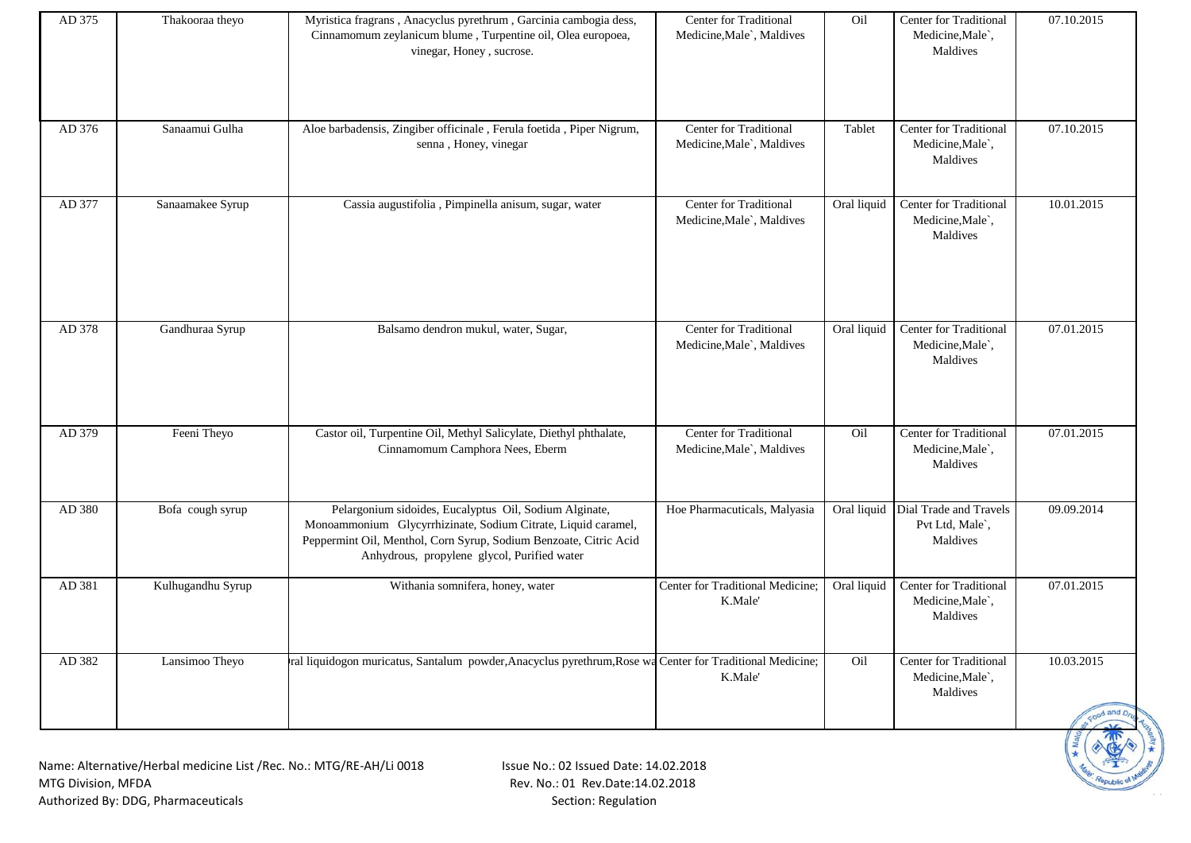| AD 375 | Thakooraa theyo   | Myristica fragrans, Anacyclus pyrethrum, Garcinia cambogia dess,<br>Cinnamomum zeylanicum blume, Turpentine oil, Olea europoea,<br>vinegar, Honey, sucrose.                                                                                 | <b>Center for Traditional</b><br>Medicine, Male`, Maldives | Oil         | Center for Traditional<br>Medicine, Male`,<br>Maldives            | 07.10.2015               |
|--------|-------------------|---------------------------------------------------------------------------------------------------------------------------------------------------------------------------------------------------------------------------------------------|------------------------------------------------------------|-------------|-------------------------------------------------------------------|--------------------------|
| AD 376 | Sanaamui Gulha    | Aloe barbadensis, Zingiber officinale, Ferula foetida, Piper Nigrum,<br>senna, Honey, vinegar                                                                                                                                               | Center for Traditional<br>Medicine, Male`, Maldives        | Tablet      | Center for Traditional<br>Medicine, Male`,<br>Maldives            | 07.10.2015               |
| AD 377 | Sanaamakee Syrup  | Cassia augustifolia, Pimpinella anisum, sugar, water                                                                                                                                                                                        | Center for Traditional<br>Medicine, Male`, Maldives        | Oral liquid | Center for Traditional<br>Medicine, Male`,<br>Maldives            | 10.01.2015               |
| AD 378 | Gandhuraa Syrup   | Balsamo dendron mukul, water, Sugar,                                                                                                                                                                                                        | Center for Traditional<br>Medicine, Male`, Maldives        | Oral liquid | <b>Center for Traditional</b><br>Medicine, Male`,<br>Maldives     | 07.01.2015               |
| AD 379 | Feeni Theyo       | Castor oil, Turpentine Oil, Methyl Salicylate, Diethyl phthalate,<br>Cinnamomum Camphora Nees, Eberm                                                                                                                                        | Center for Traditional<br>Medicine, Male`, Maldives        | Oil         | <b>Center for Traditional</b><br>Medicine, Male`,<br>Maldives     | 07.01.2015               |
| AD 380 | Bofa cough syrup  | Pelargonium sidoides, Eucalyptus Oil, Sodium Alginate,<br>Monoammonium Glycyrrhizinate, Sodium Citrate, Liquid caramel,<br>Peppermint Oil, Menthol, Corn Syrup, Sodium Benzoate, Citric Acid<br>Anhydrous, propylene glycol, Purified water | Hoe Pharmacuticals, Malyasia                               |             | Oral liquid Dial Trade and Travels<br>Pvt Ltd, Male`,<br>Maldives | 09.09.2014               |
| AD 381 | Kulhugandhu Syrup | Withania somnifera, honey, water                                                                                                                                                                                                            | Center for Traditional Medicine;<br>K.Male'                | Oral liquid | <b>Center for Traditional</b><br>Medicine, Male`,<br>Maldives     | 07.01.2015               |
| AD 382 | Lansimoo Theyo    | ral liquidogon muricatus, Santalum powder, Anacyclus pyrethrum, Rose wa Center for Traditional Medicine;                                                                                                                                    | K.Male'                                                    | Oil         | <b>Center for Traditional</b><br>Medicine, Male`,<br>Maldives     | 10.03.2015<br>cood and D |
|        |                   | Name: Alternative/Herbal medicine List /Rec. No : MTG/RF-AH/Li 0018<br>$\frac{1}{2}$ Issue No. 02 Issued Date: 14 02 2018                                                                                                                   |                                                            |             |                                                                   |                          |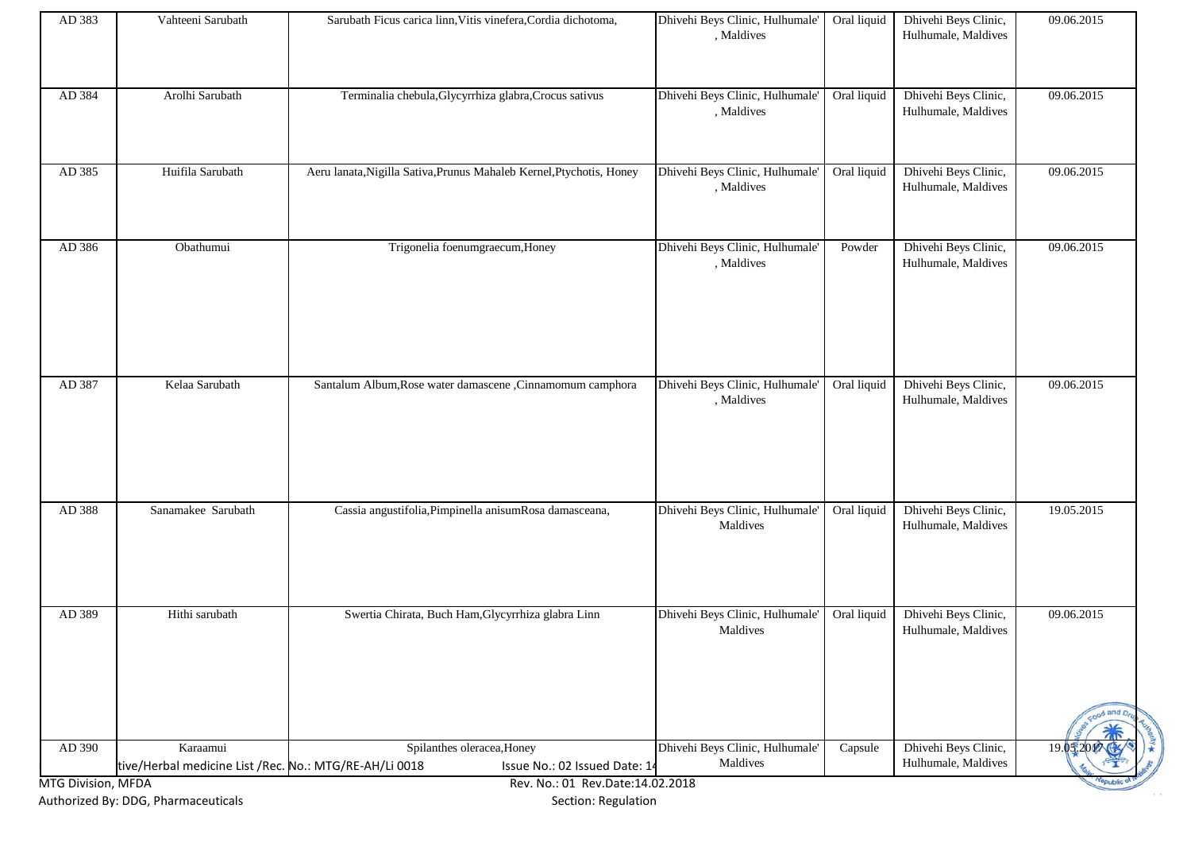|                  |                               |                                                                                                         |                                                                                  |                       |                                                                     | od and D                 |
|------------------|-------------------------------|---------------------------------------------------------------------------------------------------------|----------------------------------------------------------------------------------|-----------------------|---------------------------------------------------------------------|--------------------------|
| AD 389           | Hithi sarubath                | Swertia Chirata, Buch Ham, Glycyrrhiza glabra Linn                                                      | Dhivehi Beys Clinic, Hulhumale'<br>Maldives                                      | Oral liquid           | Dhivehi Beys Clinic,<br>Hulhumale, Maldives                         | 09.06.2015               |
| AD 388           | Sanamakee Sarubath            | Cassia angustifolia, Pimpinella anisumRosa damasceana,                                                  | Dhivehi Beys Clinic, Hulhumale'<br>Maldives                                      | Oral liquid           | Dhivehi Beys Clinic,<br>Hulhumale, Maldives                         | 19.05.2015               |
| AD 387           | Kelaa Sarubath                | Santalum Album, Rose water damascene, Cinnamomum camphora                                               | Dhivehi Beys Clinic, Hulhumale'<br>, Maldives                                    | Oral liquid           | Dhivehi Beys Clinic,<br>Hulhumale, Maldives                         | 09.06.2015               |
|                  |                               |                                                                                                         | , Maldives                                                                       |                       | Hulhumale, Maldives                                                 |                          |
| AD 385<br>AD 386 | Huifila Sarubath<br>Obathumui | Aeru lanata, Nigilla Sativa, Prunus Mahaleb Kernel, Ptychotis, Honey<br>Trigonelia foenumgraecum, Honey | Dhivehi Beys Clinic, Hulhumale'<br>, Maldives<br>Dhivehi Beys Clinic, Hulhumale' | Oral liquid<br>Powder | Dhivehi Beys Clinic,<br>Hulhumale, Maldives<br>Dhivehi Beys Clinic, | 09.06.2015<br>09.06.2015 |
| AD 384           | Arolhi Sarubath               | Terminalia chebula, Glycyrrhiza glabra, Crocus sativus                                                  | Dhivehi Beys Clinic, Hulhumale'<br>, Maldives                                    | Oral liquid           | Dhivehi Beys Clinic,<br>Hulhumale, Maldives                         | 09.06.2015               |
| AD 383           | Vahteeni Sarubath             | Sarubath Ficus carica linn, Vitis vinefera, Cordia dichotoma,                                           | Dhivehi Beys Clinic, Hulhumale'<br>, Maldives                                    | Oral liquid           | Dhivehi Beys Clinic,<br>Hulhumale, Maldives                         | 09.06.2015               |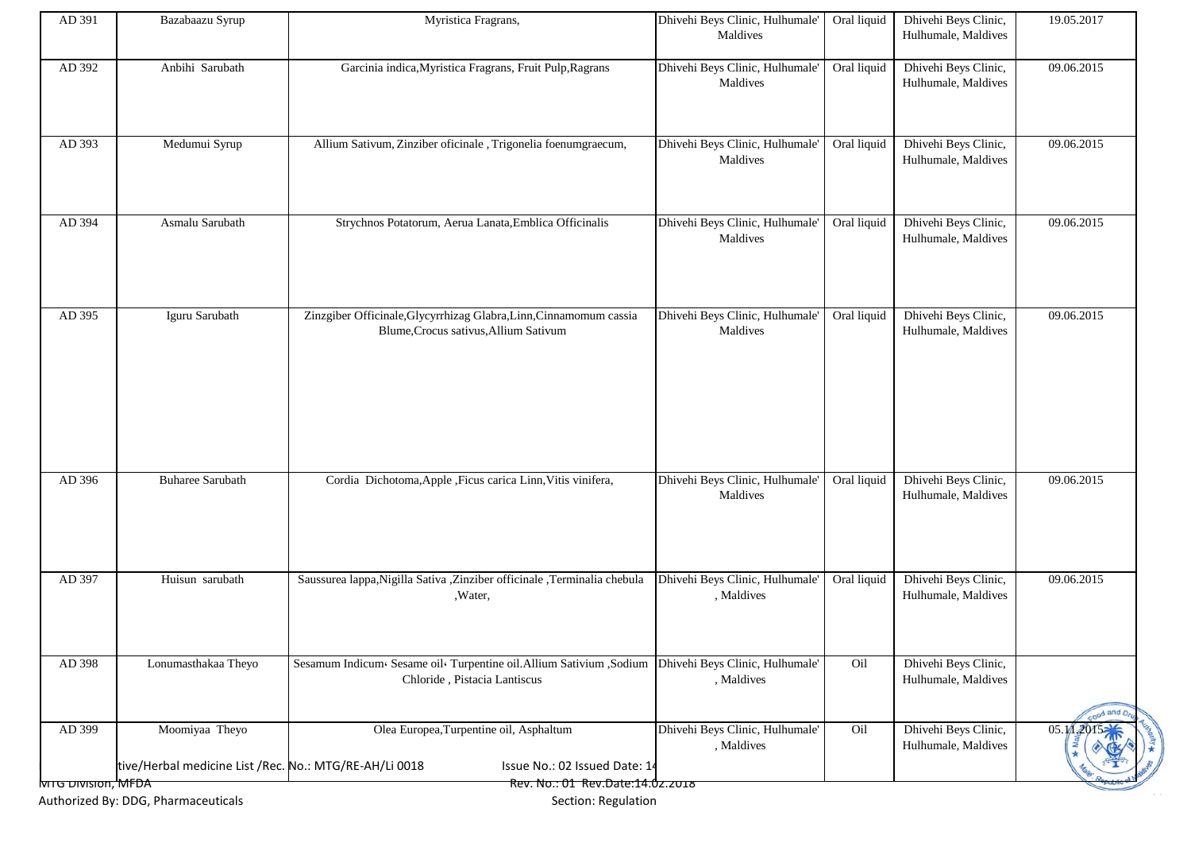| AD 391                   | Bazabaazu Syrup                                                          | Myristica Fragrans,                                                                                         | Dhivehi Beys Clinic, Hulhumale'               | Oral liquid | Dhivehi Beys Clinic,                        | 19.05.2017 |
|--------------------------|--------------------------------------------------------------------------|-------------------------------------------------------------------------------------------------------------|-----------------------------------------------|-------------|---------------------------------------------|------------|
|                          |                                                                          |                                                                                                             | Maldives                                      |             | Hulhumale, Maldives                         |            |
| AD 392                   | Anbihi Sarubath                                                          | Garcinia indica, Myristica Fragrans, Fruit Pulp, Ragrans                                                    | Dhivehi Beys Clinic, Hulhumale'<br>Maldives   | Oral liquid | Dhivehi Beys Clinic,<br>Hulhumale, Maldives | 09.06.2015 |
| AD 393                   | Medumui Syrup                                                            | Allium Sativum, Zinziber oficinale, Trigonelia foenumgraecum,                                               | Dhivehi Beys Clinic, Hulhumale'<br>Maldives   | Oral liquid | Dhivehi Beys Clinic,<br>Hulhumale, Maldives | 09.06.2015 |
| AD 394                   | Asmalu Sarubath                                                          | Strychnos Potatorum, Aerua Lanata, Emblica Officinalis                                                      | Dhivehi Beys Clinic, Hulhumale'<br>Maldives   | Oral liquid | Dhivehi Beys Clinic,<br>Hulhumale, Maldives | 09.06.2015 |
| AD 395                   | Iguru Sarubath                                                           | Zinzgiber Officinale, Glycyrrhizag Glabra, Linn, Cinnamomum cassia<br>Blume, Crocus sativus, Allium Sativum | Dhivehi Beys Clinic, Hulhumale'<br>Maldives   | Oral liquid | Dhivehi Beys Clinic,<br>Hulhumale, Maldives | 09.06.2015 |
| AD 396                   | <b>Buharee Sarubath</b>                                                  | Cordia Dichotoma, Apple , Ficus carica Linn, Vitis vinifera,                                                | Dhivehi Beys Clinic, Hulhumale'<br>Maldives   | Oral liquid | Dhivehi Beys Clinic,<br>Hulhumale, Maldives | 09.06.2015 |
| AD 397                   | Huisun sarubath                                                          | Saussurea lappa, Nigilla Sativa , Zinziber officinale , Terminalia chebula<br>, Water,                      | Dhivehi Beys Clinic, Hulhumale'<br>, Maldives | Oral liquid | Dhivehi Beys Clinic,<br>Hulhumale, Maldives | 09.06.2015 |
| AD 398                   | Lonumasthakaa Theyo                                                      | Sesamum Indicum« Sesame oil« Turpentine oil. Allium Sativium , Sodium<br>Chloride, Pistacia Lantiscus       | Dhivehi Beys Clinic, Hulhumale'<br>, Maldives | Oil         | Dhivehi Beys Clinic,<br>Hulhumale, Maldives | ood and D  |
| AD 399                   | Moomiyaa Theyo<br>tive/Herbal medicine List /Rec. No.: MTG/RE-AH/Li 0018 | Olea Europea, Turpentine oil, Asphaltum<br>Issue No.: 02 Issued Date: 14                                    | Dhivehi Beys Clinic, Hulhumale'<br>, Maldives | Oil         | Dhivehi Beys Clinic,<br>Hulhumale, Maldives | 05.1       |
|                          |                                                                          |                                                                                                             |                                               |             |                                             |            |
| <del>MTG אוסומוט פ</del> |                                                                          | Rev. No.: 01 Rev.Date:14.0z.zo18                                                                            |                                               |             |                                             |            |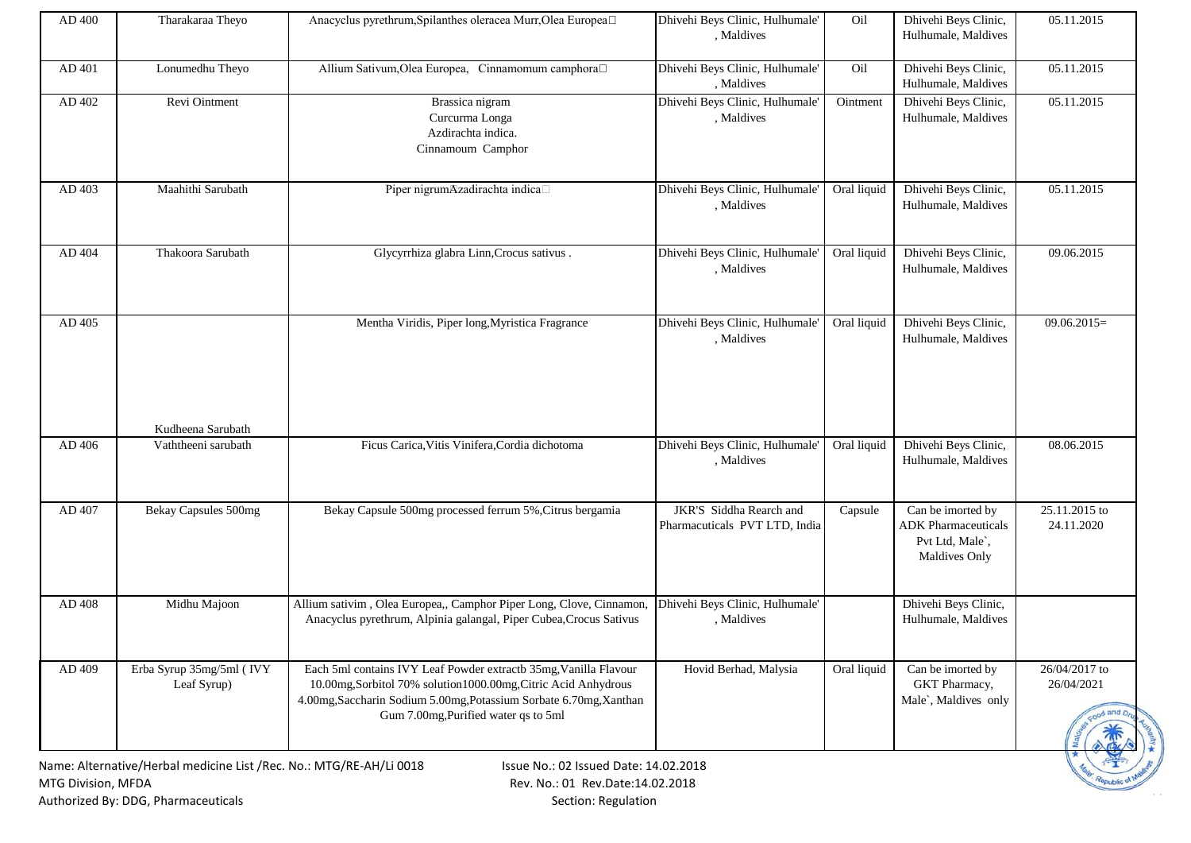| AD 400             | Tharakaraa Theyo                                                    | Anacyclus pyrethrum, Spilanthes oleracea Murr, Olea Europea□                                                                                                                                                                                     | Dhivehi Beys Clinic, Hulhumale'<br>, Maldives            | Oil         | Dhivehi Beys Clinic,<br>Hulhumale, Maldives                                         | 05.11.2015                  |
|--------------------|---------------------------------------------------------------------|--------------------------------------------------------------------------------------------------------------------------------------------------------------------------------------------------------------------------------------------------|----------------------------------------------------------|-------------|-------------------------------------------------------------------------------------|-----------------------------|
|                    |                                                                     |                                                                                                                                                                                                                                                  |                                                          |             |                                                                                     |                             |
| AD 401             | Lonumedhu Theyo                                                     | Allium Sativum, Olea Europea, Cinnamomum camphora <sup>[1]</sup>                                                                                                                                                                                 | Dhivehi Beys Clinic, Hulhumale'<br>, Maldives            | Oil         | Dhivehi Beys Clinic,<br>Hulhumale, Maldives                                         | 05.11.2015                  |
| AD 402             | Revi Ointment                                                       | Brassica nigram<br>Curcurma Longa<br>Azdirachta indica.<br>Cinnamoum Camphor                                                                                                                                                                     | Dhivehi Beys Clinic, Hulhumale<br>, Maldives             | Ointment    | Dhivehi Beys Clinic,<br>Hulhumale, Maldives                                         | 05.11.2015                  |
| AD 403             | Maahithi Sarubath                                                   | Piper nigrumAzadirachta indica□                                                                                                                                                                                                                  | Dhivehi Beys Clinic, Hulhumale'<br>, Maldives            | Oral liquid | Dhivehi Beys Clinic,<br>Hulhumale, Maldives                                         | 05.11.2015                  |
| AD 404             | Thakoora Sarubath                                                   | Glycyrrhiza glabra Linn, Crocus sativus.                                                                                                                                                                                                         | Dhivehi Beys Clinic, Hulhumale<br>, Maldives             | Oral liquid | Dhivehi Beys Clinic,<br>Hulhumale, Maldives                                         | 09.06.2015                  |
| AD 405             |                                                                     | Mentha Viridis, Piper long, Myristica Fragrance                                                                                                                                                                                                  | Dhivehi Beys Clinic, Hulhumale'<br>, Maldives            | Oral liquid | Dhivehi Beys Clinic,<br>Hulhumale, Maldives                                         | $09.06.2015=$               |
|                    | Kudheena Sarubath                                                   |                                                                                                                                                                                                                                                  |                                                          |             |                                                                                     |                             |
| AD 406             | Vaththeeni sarubath                                                 | Ficus Carica, Vitis Vinifera, Cordia dichotoma                                                                                                                                                                                                   | Dhivehi Beys Clinic, Hulhumale'<br>, Maldives            | Oral liquid | Dhivehi Beys Clinic,<br>Hulhumale, Maldives                                         | 08.06.2015                  |
| AD 407             | Bekay Capsules 500mg                                                | Bekay Capsule 500mg processed ferrum 5%, Citrus bergamia                                                                                                                                                                                         | JKR'S Siddha Rearch and<br>Pharmacuticals PVT LTD, India | Capsule     | Can be imorted by<br><b>ADK</b> Pharmaceuticals<br>Pvt Ltd, Male`,<br>Maldives Only | 25.11.2015 to<br>24.11.2020 |
| AD 408             | Midhu Majoon                                                        | Allium sativim, Olea Europea,, Camphor Piper Long, Clove, Cinnamon,<br>Anacyclus pyrethrum, Alpinia galangal, Piper Cubea, Crocus Sativus                                                                                                        | Dhivehi Beys Clinic, Hulhumale'<br>, Maldives            |             | Dhivehi Beys Clinic,<br>Hulhumale, Maldives                                         |                             |
| AD 409             | Erba Syrup 35mg/5ml (IVY<br>Leaf Syrup)                             | Each 5ml contains IVY Leaf Powder extractb 35mg, Vanilla Flavour<br>10.00mg, Sorbitol 70% solution1000.00mg, Citric Acid Anhydrous<br>4.00mg, Saccharin Sodium 5.00mg, Potassium Sorbate 6.70mg, Xanthan<br>Gum 7.00mg, Purified water qs to 5ml | Hovid Berhad, Malysia                                    | Oral liquid | Can be imorted by<br>GKT Pharmacy,<br>Male`, Maldives only                          | 26/04/2017 to<br>26/04/2021 |
|                    | Name: Alternative/Herbal medicine List /Rec. No.: MTG/RE-AH/Li 0018 | Issue No.: 02 Issued Date: 14.02.2018                                                                                                                                                                                                            |                                                          |             |                                                                                     |                             |
| MTG Division, MFDA |                                                                     | Rev. No.: 01 Rev.Date:14.02.2018                                                                                                                                                                                                                 |                                                          |             |                                                                                     |                             |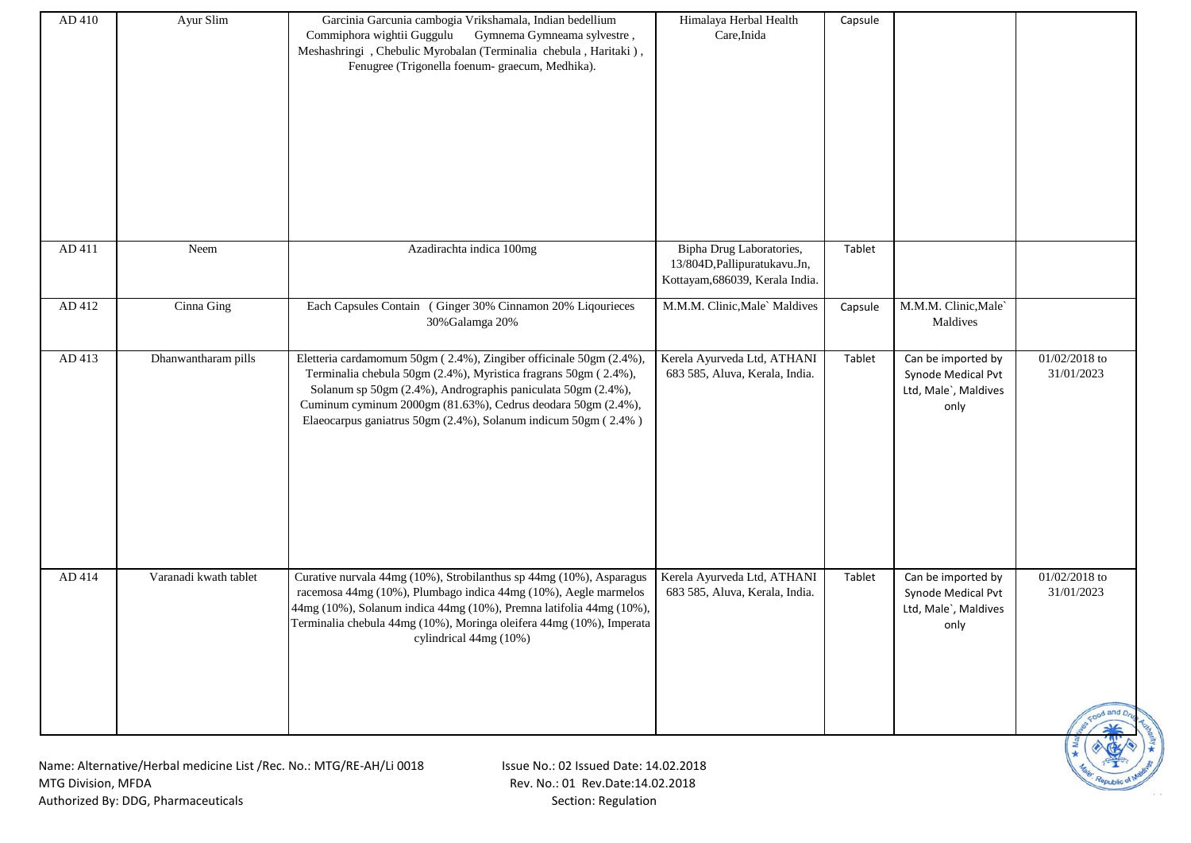| AD 410 | Ayur Slim             | Garcinia Garcunia cambogia Vrikshamala, Indian bedellium<br>Commiphora wightii Guggulu Gymnema Gymneama sylvestre,<br>Meshashringi, Chebulic Myrobalan (Terminalia chebula, Haritaki),<br>Fenugree (Trigonella foenum- graecum, Medhika).                                                                                               | Himalaya Herbal Health<br>Care, Inida                                                        | Capsule |                                                                          |                                                                         |
|--------|-----------------------|-----------------------------------------------------------------------------------------------------------------------------------------------------------------------------------------------------------------------------------------------------------------------------------------------------------------------------------------|----------------------------------------------------------------------------------------------|---------|--------------------------------------------------------------------------|-------------------------------------------------------------------------|
| AD 411 | Neem                  | Azadirachta indica 100mg                                                                                                                                                                                                                                                                                                                | Bipha Drug Laboratories,<br>13/804D, Pallipuratukavu. Jn,<br>Kottayam, 686039, Kerala India. | Tablet  |                                                                          |                                                                         |
| AD 412 | Cinna Ging            | Each Capsules Contain (Ginger 30% Cinnamon 20% Liqourieces<br>30% Galamga 20%                                                                                                                                                                                                                                                           | M.M.M. Clinic, Male` Maldives                                                                | Capsule | M.M.M. Clinic, Male<br>Maldives                                          |                                                                         |
| AD 413 | Dhanwantharam pills   | Eletteria cardamomum 50gm (2.4%), Zingiber officinale 50gm (2.4%),<br>Terminalia chebula 50gm (2.4%), Myristica fragrans 50gm (2.4%),<br>Solanum sp 50gm (2.4%), Andrographis paniculata 50gm (2.4%),<br>Cuminum cyminum 2000gm (81.63%), Cedrus deodara 50gm (2.4%),<br>Elaeocarpus ganiatrus 50gm (2.4%), Solanum indicum 50gm (2.4%) | Kerela Ayurveda Ltd, ATHANI<br>683 585, Aluva, Kerala, India.                                | Tablet  | Can be imported by<br>Synode Medical Pvt<br>Ltd, Male`, Maldives<br>only | 01/02/2018 to<br>31/01/2023                                             |
| AD 414 | Varanadi kwath tablet | Curative nurvala 44mg (10%), Strobilanthus sp 44mg (10%), Asparagus<br>racemosa 44mg (10%), Plumbago indica 44mg (10%), Aegle marmelos<br>44mg (10%), Solanum indica 44mg (10%), Premna latifolia 44mg (10%),<br>Terminalia chebula 44mg (10%), Moringa oleifera 44mg (10%), Imperata<br>cylindrical 44mg (10%)                         | Kerela Ayurveda Ltd, ATHANI<br>683 585, Aluva, Kerala, India.                                | Tablet  | Can be imported by<br>Synode Medical Pvt<br>Ltd, Male`, Maldives<br>only | 01/02/2018 to<br>31/01/2023<br>Food and D <sub>n</sub><br>$\frac{1}{2}$ |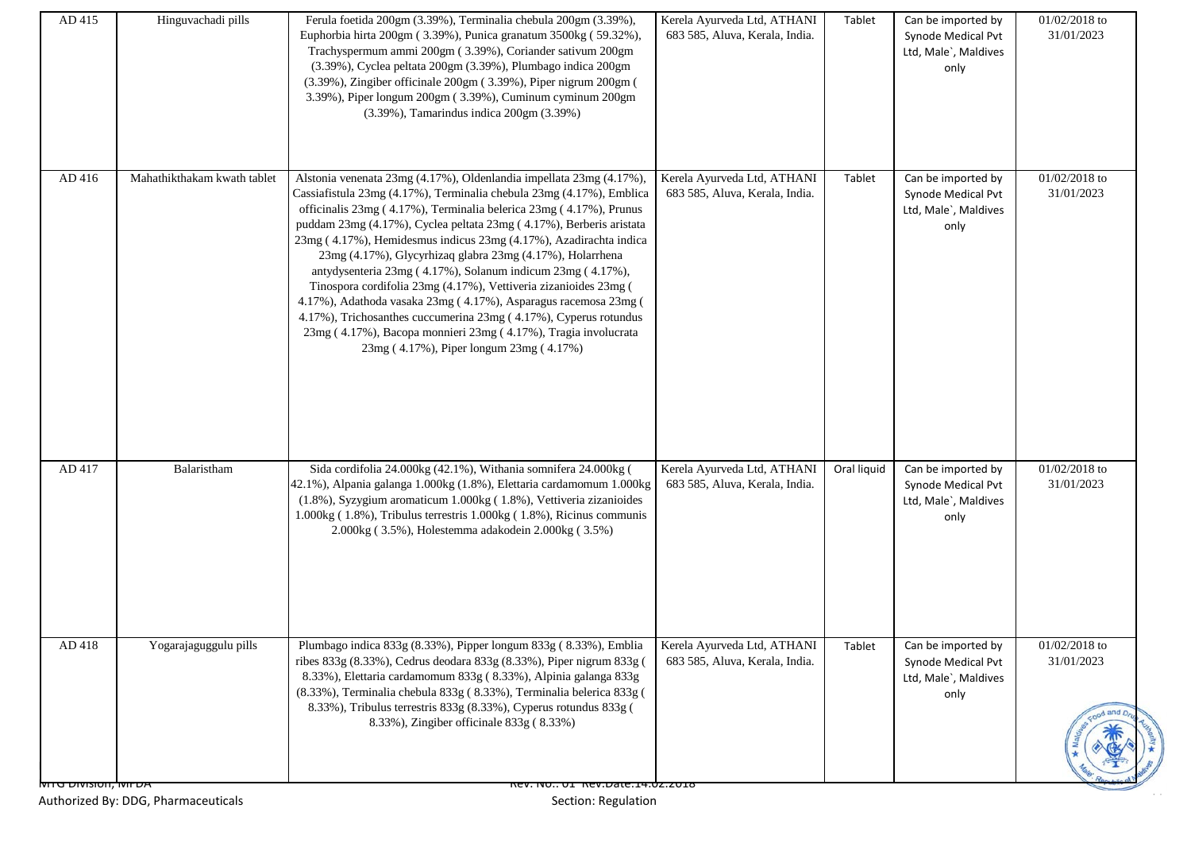| AD 415                       | Hinguvachadi pills          | Ferula foetida 200gm (3.39%), Terminalia chebula 200gm (3.39%),<br>Euphorbia hirta 200gm (3.39%), Punica granatum 3500kg (59.32%),<br>Trachyspermum ammi 200gm (3.39%), Coriander sativum 200gm<br>(3.39%), Cyclea peltata 200gm (3.39%), Plumbago indica 200gm<br>(3.39%), Zingiber officinale 200gm (3.39%), Piper nigrum 200gm (<br>3.39%), Piper longum 200gm (3.39%), Cuminum cyminum 200gm<br>(3.39%), Tamarindus indica 200gm (3.39%)                                                                                                                                                                                                                                                                                                                                                                     | Kerela Ayurveda Ltd, ATHANI<br>683 585, Aluva, Kerala, India. | Tablet      | Can be imported by<br>Synode Medical Pvt<br>Ltd, Male`, Maldives<br>only | 01/02/2018 to<br>31/01/2023 |
|------------------------------|-----------------------------|------------------------------------------------------------------------------------------------------------------------------------------------------------------------------------------------------------------------------------------------------------------------------------------------------------------------------------------------------------------------------------------------------------------------------------------------------------------------------------------------------------------------------------------------------------------------------------------------------------------------------------------------------------------------------------------------------------------------------------------------------------------------------------------------------------------|---------------------------------------------------------------|-------------|--------------------------------------------------------------------------|-----------------------------|
| AD 416                       | Mahathikthakam kwath tablet | Alstonia venenata 23mg (4.17%), Oldenlandia impellata 23mg (4.17%),<br>Cassiafistula 23mg (4.17%), Terminalia chebula 23mg (4.17%), Emblica<br>officinalis 23mg (4.17%), Terminalia belerica 23mg (4.17%), Prunus<br>puddam 23mg (4.17%), Cyclea peltata 23mg (4.17%), Berberis aristata<br>23mg (4.17%), Hemidesmus indicus 23mg (4.17%), Azadirachta indica<br>23mg (4.17%), Glycyrhizaq glabra 23mg (4.17%), Holarrhena<br>antydysenteria 23mg (4.17%), Solanum indicum 23mg (4.17%),<br>Tinospora cordifolia 23mg (4.17%), Vettiveria zizanioides 23mg (<br>4.17%), Adathoda vasaka 23mg (4.17%), Asparagus racemosa 23mg (<br>4.17%), Trichosanthes cuccumerina 23mg (4.17%), Cyperus rotundus<br>23mg (4.17%), Bacopa monnieri 23mg (4.17%), Tragia involucrata<br>23mg (4.17%), Piper longum 23mg (4.17%) | Kerela Ayurveda Ltd, ATHANI<br>683 585, Aluva, Kerala, India. | Tablet      | Can be imported by<br>Synode Medical Pvt<br>Ltd, Male`, Maldives<br>only | 01/02/2018 to<br>31/01/2023 |
| AD 417                       | Balaristham                 | Sida cordifolia 24.000kg (42.1%), Withania somnifera 24.000kg (<br>42.1%), Alpania galanga 1.000kg (1.8%), Elettaria cardamomum 1.000kg<br>(1.8%), Syzygium aromaticum 1.000kg (1.8%), Vettiveria zizanioides<br>1.000kg (1.8%), Tribulus terrestris 1.000kg (1.8%), Ricinus communis<br>2.000kg (3.5%), Holestemma adakodein 2.000kg (3.5%)                                                                                                                                                                                                                                                                                                                                                                                                                                                                     | Kerela Ayurveda Ltd, ATHANI<br>683 585, Aluva, Kerala, India. | Oral liquid | Can be imported by<br>Synode Medical Pvt<br>Ltd, Male`, Maldives<br>only | 01/02/2018 to<br>31/01/2023 |
| $AD$ 418                     | Yogarajaguggulu pills       | Plumbago indica 833g (8.33%), Pipper longum 833g (8.33%), Emblia Kerela Ayurveda Ltd, ATHANI<br>ribes 833g (8.33%), Cedrus deodara 833g (8.33%), Piper nigrum 833g (<br>8.33%), Elettaria cardamomum 833g (8.33%), Alpinia galanga 833g<br>(8.33%), Terminalia chebula 833g (8.33%), Terminalia belerica 833g (<br>8.33%), Tribulus terrestris 833g (8.33%), Cyperus rotundus 833g (<br>8.33%), Zingiber officinale 833g (8.33%)                                                                                                                                                                                                                                                                                                                                                                                 | 683 585, Aluva, Kerala, India.                                | Tablet      | Can be imported by<br>Synode Medical Pvt<br>Ltd, Male`, Maldives<br>only | 01/02/2018 to<br>31/01/2023 |
| <b>NITO DIVISION, IVIFUA</b> |                             | NEV. INU UI NEV.DAIE.14.UZ.ZU10                                                                                                                                                                                                                                                                                                                                                                                                                                                                                                                                                                                                                                                                                                                                                                                  |                                                               |             |                                                                          |                             |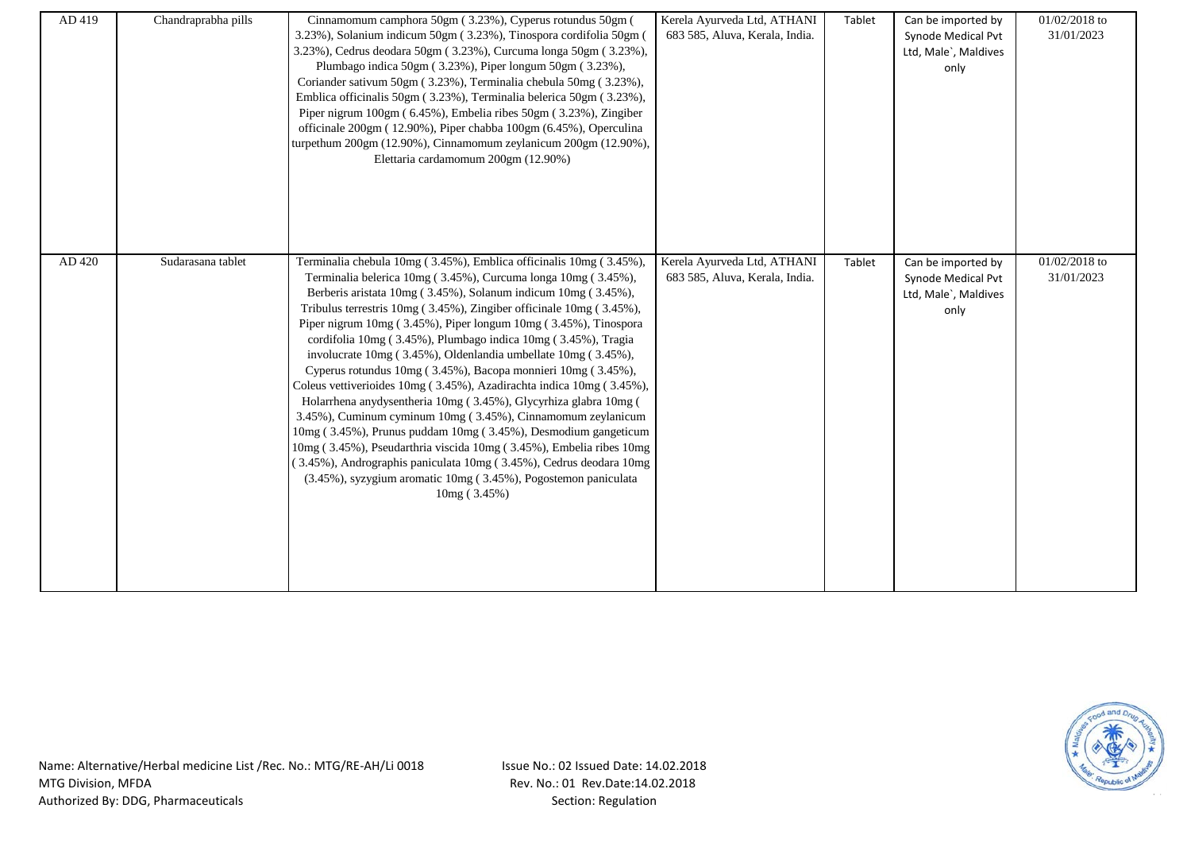| AD 419 | Chandraprabha pills | Cinnamomum camphora 50gm (3.23%), Cyperus rotundus 50gm (<br>3.23%), Solanium indicum 50gm (3.23%), Tinospora cordifolia 50gm (<br>3.23%), Cedrus deodara 50gm (3.23%), Curcuma longa 50gm (3.23%),<br>Plumbago indica 50gm (3.23%), Piper longum 50gm (3.23%),<br>Coriander sativum 50gm (3.23%), Terminalia chebula 50mg (3.23%),<br>Emblica officinalis 50gm (3.23%), Terminalia belerica 50gm (3.23%),<br>Piper nigrum 100gm (6.45%), Embelia ribes 50gm (3.23%), Zingiber<br>officinale 200gm (12.90%), Piper chabba 100gm (6.45%), Operculina<br>turpethum 200gm (12.90%), Cinnamomum zeylanicum 200gm (12.90%),<br>Elettaria cardamomum 200gm (12.90%)                                                                                                                                                                                                                                                                                                                                                                                                | Kerela Ayurveda Ltd, ATHANI<br>683 585, Aluva, Kerala, India. | Tablet | Can be imported by<br>Synode Medical Pvt<br>Ltd, Male`, Maldives<br>only | 01/02/2018 to<br>31/01/2023 |
|--------|---------------------|--------------------------------------------------------------------------------------------------------------------------------------------------------------------------------------------------------------------------------------------------------------------------------------------------------------------------------------------------------------------------------------------------------------------------------------------------------------------------------------------------------------------------------------------------------------------------------------------------------------------------------------------------------------------------------------------------------------------------------------------------------------------------------------------------------------------------------------------------------------------------------------------------------------------------------------------------------------------------------------------------------------------------------------------------------------|---------------------------------------------------------------|--------|--------------------------------------------------------------------------|-----------------------------|
| AD 420 | Sudarasana tablet   | Terminalia chebula 10mg (3.45%), Emblica officinalis 10mg (3.45%),<br>Terminalia belerica 10mg (3.45%), Curcuma longa 10mg (3.45%),<br>Berberis aristata 10mg (3.45%), Solanum indicum 10mg (3.45%),<br>Tribulus terrestris 10mg (3.45%), Zingiber officinale 10mg (3.45%),<br>Piper nigrum 10mg (3.45%), Piper longum 10mg (3.45%), Tinospora<br>cordifolia 10mg (3.45%), Plumbago indica 10mg (3.45%), Tragia<br>involucrate 10mg (3.45%), Oldenlandia umbellate 10mg (3.45%),<br>Cyperus rotundus 10mg (3.45%), Bacopa monnieri 10mg (3.45%),<br>Coleus vettiverioides 10mg (3.45%), Azadirachta indica 10mg (3.45%),<br>Holarrhena anydysentheria 10mg (3.45%), Glycyrhiza glabra 10mg (<br>3.45%), Cuminum cyminum 10mg (3.45%), Cinnamomum zeylanicum<br>10mg (3.45%), Prunus puddam 10mg (3.45%), Desmodium gangeticum<br>10mg (3.45%), Pseudarthria viscida 10mg (3.45%), Embelia ribes 10mg<br>(3.45%), Andrographis paniculata 10mg (3.45%), Cedrus deodara 10mg<br>(3.45%), syzygium aromatic 10mg (3.45%), Pogostemon paniculata<br>10mg (3.45%) | Kerela Ayurveda Ltd, ATHANI<br>683 585, Aluva, Kerala, India. | Tablet | Can be imported by<br>Synode Medical Pvt<br>Ltd, Male`, Maldives<br>only | 01/02/2018 to<br>31/01/2023 |